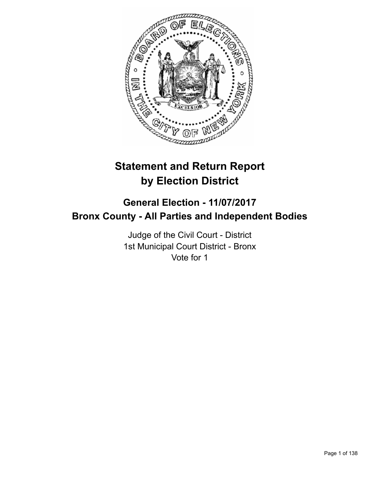

# **Statement and Return Report by Election District**

# **General Election - 11/07/2017 Bronx County - All Parties and Independent Bodies**

Judge of the Civil Court - District 1st Municipal Court District - Bronx Vote for 1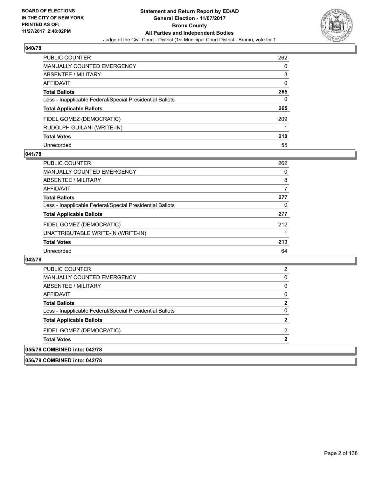

| PUBLIC COUNTER                                           | 262 |
|----------------------------------------------------------|-----|
| <b>MANUALLY COUNTED EMERGENCY</b>                        | 0   |
| ABSENTEE / MILITARY                                      | 3   |
| AFFIDAVIT                                                | 0   |
| <b>Total Ballots</b>                                     | 265 |
| Less - Inapplicable Federal/Special Presidential Ballots | 0   |
| <b>Total Applicable Ballots</b>                          | 265 |
| FIDEL GOMEZ (DEMOCRATIC)                                 | 209 |
| RUDOLPH GUILANI (WRITE-IN)                               |     |
| <b>Total Votes</b>                                       | 210 |
| Unrecorded                                               | 55  |

#### **041/78**

| PUBLIC COUNTER                                           | 262 |
|----------------------------------------------------------|-----|
| MANUALLY COUNTED EMERGENCY                               | 0   |
| ABSENTEE / MILITARY                                      | 8   |
| AFFIDAVIT                                                | 7   |
| <b>Total Ballots</b>                                     | 277 |
| Less - Inapplicable Federal/Special Presidential Ballots | 0   |
| <b>Total Applicable Ballots</b>                          | 277 |
| FIDEL GOMEZ (DEMOCRATIC)                                 | 212 |
| UNATTRIBUTABLE WRITE-IN (WRITE-IN)                       |     |
| <b>Total Votes</b>                                       | 213 |
| Unrecorded                                               | 64  |

#### **042/78**

| 055/78 COMBINED into: 042/78                             |  |
|----------------------------------------------------------|--|
| <b>Total Votes</b>                                       |  |
| FIDEL GOMEZ (DEMOCRATIC)                                 |  |
| <b>Total Applicable Ballots</b>                          |  |
| Less - Inapplicable Federal/Special Presidential Ballots |  |
| <b>Total Ballots</b>                                     |  |
| AFFIDAVIT                                                |  |
| ABSENTEE / MILITARY                                      |  |
| MANUALLY COUNTED EMERGENCY                               |  |
| PUBLIC COUNTER                                           |  |

**056/78 COMBINED into: 042/78**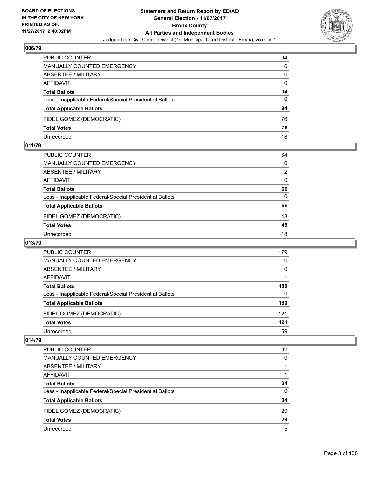

| PUBLIC COUNTER                                           | 94 |
|----------------------------------------------------------|----|
| MANUALLY COUNTED EMERGENCY                               | 0  |
| <b>ABSENTEE / MILITARY</b>                               | 0  |
| AFFIDAVIT                                                | 0  |
| <b>Total Ballots</b>                                     | 94 |
| Less - Inapplicable Federal/Special Presidential Ballots | 0  |
| <b>Total Applicable Ballots</b>                          | 94 |
| FIDEL GOMEZ (DEMOCRATIC)                                 | 76 |
| <b>Total Votes</b>                                       | 76 |
| Unrecorded                                               | 18 |

#### **011/79**

| PUBLIC COUNTER                                           | 64       |
|----------------------------------------------------------|----------|
| <b>MANUALLY COUNTED EMERGENCY</b>                        | $\Omega$ |
| ABSENTEE / MILITARY                                      | 2        |
| <b>AFFIDAVIT</b>                                         | $\Omega$ |
| <b>Total Ballots</b>                                     | 66       |
| Less - Inapplicable Federal/Special Presidential Ballots | $\Omega$ |
| <b>Total Applicable Ballots</b>                          | 66       |
| FIDEL GOMEZ (DEMOCRATIC)                                 | 48       |
| <b>Total Votes</b>                                       | 48       |
| Unrecorded                                               | 18       |
|                                                          |          |

#### **013/79**

| <b>PUBLIC COUNTER</b>                                    | 179 |
|----------------------------------------------------------|-----|
| <b>MANUALLY COUNTED EMERGENCY</b>                        | 0   |
| ABSENTEE / MILITARY                                      | 0   |
| AFFIDAVIT                                                |     |
| <b>Total Ballots</b>                                     | 180 |
| Less - Inapplicable Federal/Special Presidential Ballots | 0   |
| <b>Total Applicable Ballots</b>                          | 180 |
| FIDEL GOMEZ (DEMOCRATIC)                                 | 121 |
| <b>Total Votes</b>                                       | 121 |
| Unrecorded                                               | 59  |

| <b>PUBLIC COUNTER</b>                                    | 32 |
|----------------------------------------------------------|----|
| <b>MANUALLY COUNTED EMERGENCY</b>                        | 0  |
| <b>ABSENTEE / MILITARY</b>                               |    |
| AFFIDAVIT                                                |    |
| <b>Total Ballots</b>                                     | 34 |
| Less - Inapplicable Federal/Special Presidential Ballots | 0  |
| <b>Total Applicable Ballots</b>                          | 34 |
| FIDEL GOMEZ (DEMOCRATIC)                                 | 29 |
| <b>Total Votes</b>                                       | 29 |
| Unrecorded                                               | 5  |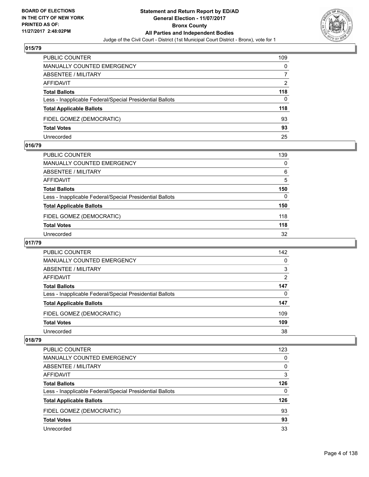

| <b>PUBLIC COUNTER</b>                                    | 109 |
|----------------------------------------------------------|-----|
| MANUALLY COUNTED EMERGENCY                               | 0   |
| ABSENTEE / MILITARY                                      |     |
| AFFIDAVIT                                                | 2   |
| <b>Total Ballots</b>                                     | 118 |
| Less - Inapplicable Federal/Special Presidential Ballots | 0   |
| <b>Total Applicable Ballots</b>                          | 118 |
| FIDEL GOMEZ (DEMOCRATIC)                                 | 93  |
| <b>Total Votes</b>                                       | 93  |
| Unrecorded                                               | 25  |

#### **016/79**

| PUBLIC COUNTER                                           | 139 |
|----------------------------------------------------------|-----|
| MANUALLY COUNTED EMERGENCY                               | 0   |
| ABSENTEE / MILITARY                                      | 6   |
| AFFIDAVIT                                                | 5   |
| <b>Total Ballots</b>                                     | 150 |
| Less - Inapplicable Federal/Special Presidential Ballots | 0   |
| <b>Total Applicable Ballots</b>                          | 150 |
| FIDEL GOMEZ (DEMOCRATIC)                                 | 118 |
| <b>Total Votes</b>                                       | 118 |
| Unrecorded                                               | 32  |
|                                                          |     |

# **017/79**

| <b>PUBLIC COUNTER</b>                                    | 142            |
|----------------------------------------------------------|----------------|
| <b>MANUALLY COUNTED EMERGENCY</b>                        | 0              |
| ABSENTEE / MILITARY                                      | 3              |
| AFFIDAVIT                                                | $\overline{2}$ |
| <b>Total Ballots</b>                                     | 147            |
| Less - Inapplicable Federal/Special Presidential Ballots | 0              |
| <b>Total Applicable Ballots</b>                          | 147            |
| FIDEL GOMEZ (DEMOCRATIC)                                 | 109            |
| <b>Total Votes</b>                                       | 109            |
| Unrecorded                                               | 38             |

| <b>PUBLIC COUNTER</b>                                    | 123 |
|----------------------------------------------------------|-----|
| <b>MANUALLY COUNTED EMERGENCY</b>                        | 0   |
| ABSENTEE / MILITARY                                      | 0   |
| AFFIDAVIT                                                | 3   |
| <b>Total Ballots</b>                                     | 126 |
| Less - Inapplicable Federal/Special Presidential Ballots | 0   |
| <b>Total Applicable Ballots</b>                          | 126 |
| FIDEL GOMEZ (DEMOCRATIC)                                 | 93  |
| <b>Total Votes</b>                                       | 93  |
| Unrecorded                                               | 33  |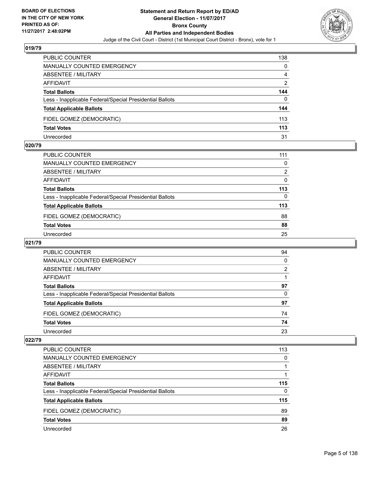

| <b>PUBLIC COUNTER</b>                                    | 138 |
|----------------------------------------------------------|-----|
| <b>MANUALLY COUNTED EMERGENCY</b>                        | 0   |
| ABSENTEE / MILITARY                                      | 4   |
| AFFIDAVIT                                                | 2   |
| <b>Total Ballots</b>                                     | 144 |
| Less - Inapplicable Federal/Special Presidential Ballots | 0   |
| <b>Total Applicable Ballots</b>                          | 144 |
| FIDEL GOMEZ (DEMOCRATIC)                                 | 113 |
| <b>Total Votes</b>                                       | 113 |
| Unrecorded                                               | 31  |

#### **020/79**

| PUBLIC COUNTER                                           | 111      |
|----------------------------------------------------------|----------|
| <b>MANUALLY COUNTED EMERGENCY</b>                        | 0        |
| <b>ABSENTEE / MILITARY</b>                               | 2        |
| <b>AFFIDAVIT</b>                                         | 0        |
| <b>Total Ballots</b>                                     | 113      |
| Less - Inapplicable Federal/Special Presidential Ballots | $\Omega$ |
| <b>Total Applicable Ballots</b>                          | 113      |
| FIDEL GOMEZ (DEMOCRATIC)                                 | 88       |
| <b>Total Votes</b>                                       | 88       |
| Unrecorded                                               | 25       |
|                                                          |          |

#### **021/79**

| PUBLIC COUNTER                                           | 94 |
|----------------------------------------------------------|----|
| MANUALLY COUNTED EMERGENCY                               | 0  |
| ABSENTEE / MILITARY                                      | 2  |
| AFFIDAVIT                                                |    |
| <b>Total Ballots</b>                                     | 97 |
| Less - Inapplicable Federal/Special Presidential Ballots | 0  |
| <b>Total Applicable Ballots</b>                          | 97 |
| FIDEL GOMEZ (DEMOCRATIC)                                 | 74 |
| <b>Total Votes</b>                                       | 74 |
| Unrecorded                                               | 23 |

| <b>PUBLIC COUNTER</b>                                    | 113 |
|----------------------------------------------------------|-----|
| MANUALLY COUNTED EMERGENCY                               | 0   |
| <b>ABSENTEE / MILITARY</b>                               |     |
| AFFIDAVIT                                                |     |
| <b>Total Ballots</b>                                     | 115 |
| Less - Inapplicable Federal/Special Presidential Ballots | 0   |
| <b>Total Applicable Ballots</b>                          | 115 |
| FIDEL GOMEZ (DEMOCRATIC)                                 | 89  |
| <b>Total Votes</b>                                       | 89  |
| Unrecorded                                               | 26  |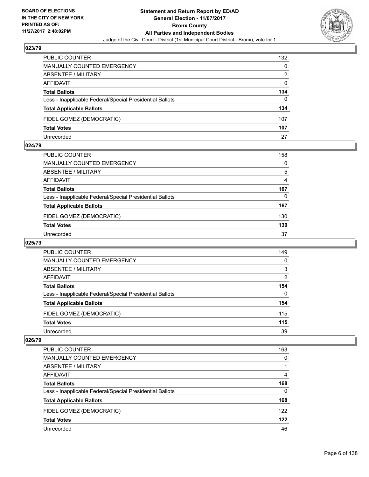

| PUBLIC COUNTER                                           | 132 |
|----------------------------------------------------------|-----|
| <b>MANUALLY COUNTED EMERGENCY</b>                        | 0   |
| ABSENTEE / MILITARY                                      | 2   |
| AFFIDAVIT                                                | 0   |
| <b>Total Ballots</b>                                     | 134 |
| Less - Inapplicable Federal/Special Presidential Ballots | 0   |
| <b>Total Applicable Ballots</b>                          | 134 |
| FIDEL GOMEZ (DEMOCRATIC)                                 | 107 |
| <b>Total Votes</b>                                       | 107 |
| Unrecorded                                               | 27  |

#### **024/79**

| PUBLIC COUNTER                                           | 158            |
|----------------------------------------------------------|----------------|
| MANUALLY COUNTED EMERGENCY                               | 0              |
| ABSENTEE / MILITARY                                      | 5              |
| AFFIDAVIT                                                | $\overline{4}$ |
| <b>Total Ballots</b>                                     | 167            |
| Less - Inapplicable Federal/Special Presidential Ballots | 0              |
| <b>Total Applicable Ballots</b>                          | 167            |
| FIDEL GOMEZ (DEMOCRATIC)                                 | 130            |
| <b>Total Votes</b>                                       | 130            |
| Unrecorded                                               | 37             |
|                                                          |                |

#### **025/79**

| <b>PUBLIC COUNTER</b>                                    | 149 |
|----------------------------------------------------------|-----|
| <b>MANUALLY COUNTED EMERGENCY</b>                        | 0   |
| ABSENTEE / MILITARY                                      | 3   |
| AFFIDAVIT                                                | 2   |
| <b>Total Ballots</b>                                     | 154 |
| Less - Inapplicable Federal/Special Presidential Ballots | 0   |
| <b>Total Applicable Ballots</b>                          | 154 |
| FIDEL GOMEZ (DEMOCRATIC)                                 | 115 |
| <b>Total Votes</b>                                       | 115 |
| Unrecorded                                               | 39  |

| <b>PUBLIC COUNTER</b>                                    | 163 |
|----------------------------------------------------------|-----|
| <b>MANUALLY COUNTED EMERGENCY</b>                        | 0   |
| <b>ABSENTEE / MILITARY</b>                               |     |
| AFFIDAVIT                                                | 4   |
| <b>Total Ballots</b>                                     | 168 |
| Less - Inapplicable Federal/Special Presidential Ballots | 0   |
| <b>Total Applicable Ballots</b>                          | 168 |
| FIDEL GOMEZ (DEMOCRATIC)                                 | 122 |
| <b>Total Votes</b>                                       | 122 |
| Unrecorded                                               | 46  |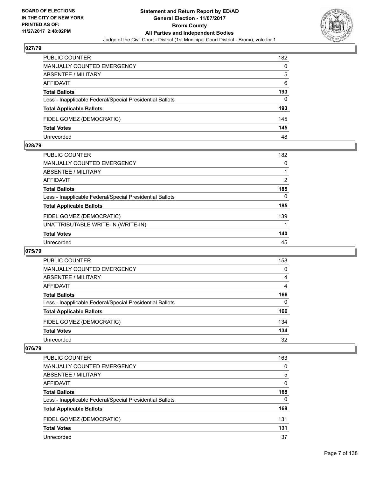

| PUBLIC COUNTER                                           | 182 |
|----------------------------------------------------------|-----|
| <b>MANUALLY COUNTED EMERGENCY</b>                        | 0   |
| ABSENTEE / MILITARY                                      | 5   |
| AFFIDAVIT                                                | 6   |
| <b>Total Ballots</b>                                     | 193 |
| Less - Inapplicable Federal/Special Presidential Ballots | 0   |
| <b>Total Applicable Ballots</b>                          | 193 |
| FIDEL GOMEZ (DEMOCRATIC)                                 | 145 |
| <b>Total Votes</b>                                       | 145 |
| Unrecorded                                               | 48  |

#### **028/79**

| <b>PUBLIC COUNTER</b>                                    | 182      |
|----------------------------------------------------------|----------|
| <b>MANUALLY COUNTED EMERGENCY</b>                        | 0        |
| <b>ABSENTEE / MILITARY</b>                               |          |
| <b>AFFIDAVIT</b>                                         | 2        |
| <b>Total Ballots</b>                                     | 185      |
| Less - Inapplicable Federal/Special Presidential Ballots | $\Omega$ |
| <b>Total Applicable Ballots</b>                          | 185      |
| FIDEL GOMEZ (DEMOCRATIC)                                 | 139      |
| UNATTRIBUTABLE WRITE-IN (WRITE-IN)                       |          |
| <b>Total Votes</b>                                       | 140      |
| Unrecorded                                               | 45       |
|                                                          |          |

#### **075/79**

| <b>PUBLIC COUNTER</b>                                    | 158 |
|----------------------------------------------------------|-----|
| <b>MANUALLY COUNTED EMERGENCY</b>                        | 0   |
| ABSENTEE / MILITARY                                      | 4   |
| AFFIDAVIT                                                | 4   |
| <b>Total Ballots</b>                                     | 166 |
| Less - Inapplicable Federal/Special Presidential Ballots | 0   |
| <b>Total Applicable Ballots</b>                          | 166 |
| FIDEL GOMEZ (DEMOCRATIC)                                 | 134 |
| <b>Total Votes</b>                                       | 134 |
| Unrecorded                                               | 32  |

| <b>PUBLIC COUNTER</b>                                    | 163 |
|----------------------------------------------------------|-----|
| <b>MANUALLY COUNTED EMERGENCY</b>                        | 0   |
| ABSENTEE / MILITARY                                      | 5   |
| AFFIDAVIT                                                | 0   |
| <b>Total Ballots</b>                                     | 168 |
| Less - Inapplicable Federal/Special Presidential Ballots | 0   |
| <b>Total Applicable Ballots</b>                          | 168 |
| FIDEL GOMEZ (DEMOCRATIC)                                 | 131 |
| <b>Total Votes</b>                                       | 131 |
| Unrecorded                                               | 37  |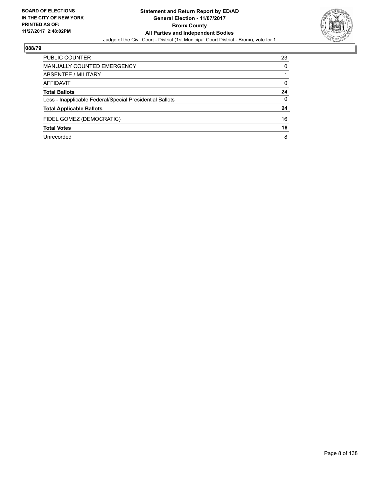

| PUBLIC COUNTER                                           | 23       |
|----------------------------------------------------------|----------|
| MANUALLY COUNTED EMERGENCY                               | 0        |
| ABSENTEE / MILITARY                                      |          |
| AFFIDAVIT                                                | 0        |
| <b>Total Ballots</b>                                     | 24       |
| Less - Inapplicable Federal/Special Presidential Ballots | $\Omega$ |
| <b>Total Applicable Ballots</b>                          | 24       |
| FIDEL GOMEZ (DEMOCRATIC)                                 | 16       |
| <b>Total Votes</b>                                       | 16       |
| Unrecorded                                               | 8        |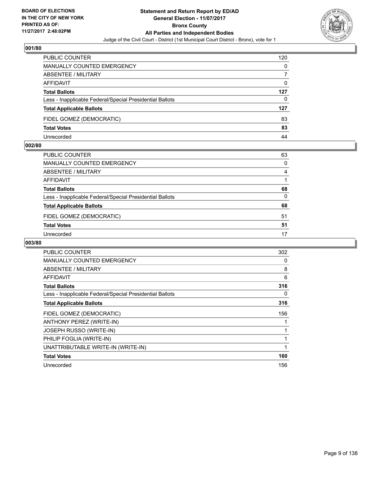

| <b>PUBLIC COUNTER</b>                                    | 120 |
|----------------------------------------------------------|-----|
| MANUALLY COUNTED EMERGENCY                               | 0   |
| <b>ABSENTEE / MILITARY</b>                               |     |
| AFFIDAVIT                                                | 0   |
| <b>Total Ballots</b>                                     | 127 |
| Less - Inapplicable Federal/Special Presidential Ballots | 0   |
| <b>Total Applicable Ballots</b>                          | 127 |
| FIDEL GOMEZ (DEMOCRATIC)                                 | 83  |
| <b>Total Votes</b>                                       | 83  |
| Unrecorded                                               | 44  |

#### **002/80**

| PUBLIC COUNTER                                           | 63           |
|----------------------------------------------------------|--------------|
| <b>MANUALLY COUNTED EMERGENCY</b>                        | $\Omega$     |
| ABSENTEE / MILITARY                                      | 4            |
| AFFIDAVIT                                                |              |
| <b>Total Ballots</b>                                     | 68           |
| Less - Inapplicable Federal/Special Presidential Ballots | $\mathbf{0}$ |
| <b>Total Applicable Ballots</b>                          | 68           |
| FIDEL GOMEZ (DEMOCRATIC)                                 | 51           |
| <b>Total Votes</b>                                       | 51           |
| Unrecorded                                               | 17           |

| <b>PUBLIC COUNTER</b>                                    | 302 |
|----------------------------------------------------------|-----|
| <b>MANUALLY COUNTED EMERGENCY</b>                        | 0   |
| ABSENTEE / MILITARY                                      | 8   |
| AFFIDAVIT                                                | 6   |
| <b>Total Ballots</b>                                     | 316 |
| Less - Inapplicable Federal/Special Presidential Ballots | 0   |
| <b>Total Applicable Ballots</b>                          | 316 |
| FIDEL GOMEZ (DEMOCRATIC)                                 | 156 |
| ANTHONY PEREZ (WRITE-IN)                                 |     |
| JOSEPH RUSSO (WRITE-IN)                                  | 1   |
| PHILIP FOGLIA (WRITE-IN)                                 |     |
| UNATTRIBUTABLE WRITE-IN (WRITE-IN)                       | 1   |
| <b>Total Votes</b>                                       | 160 |
| Unrecorded                                               | 156 |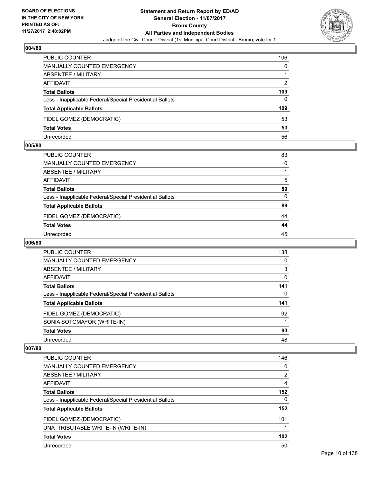

| <b>PUBLIC COUNTER</b>                                    | 106 |
|----------------------------------------------------------|-----|
| MANUALLY COUNTED EMERGENCY                               | 0   |
| ABSENTEE / MILITARY                                      |     |
| AFFIDAVIT                                                | 2   |
| <b>Total Ballots</b>                                     | 109 |
| Less - Inapplicable Federal/Special Presidential Ballots | 0   |
| <b>Total Applicable Ballots</b>                          | 109 |
| FIDEL GOMEZ (DEMOCRATIC)                                 | 53  |
| <b>Total Votes</b>                                       | 53  |
| Unrecorded                                               | 56  |

#### **005/80**

| PUBLIC COUNTER                                           | 83       |
|----------------------------------------------------------|----------|
| <b>MANUALLY COUNTED EMERGENCY</b>                        | $\Omega$ |
| ABSENTEE / MILITARY                                      |          |
| AFFIDAVIT                                                | 5        |
| <b>Total Ballots</b>                                     | 89       |
| Less - Inapplicable Federal/Special Presidential Ballots | $\Omega$ |
| <b>Total Applicable Ballots</b>                          | 89       |
| FIDEL GOMEZ (DEMOCRATIC)                                 | 44       |
| <b>Total Votes</b>                                       | 44       |
| Unrecorded                                               | 45       |

# **006/80**

| <b>PUBLIC COUNTER</b>                                    | 138 |
|----------------------------------------------------------|-----|
| MANUALLY COUNTED EMERGENCY                               | 0   |
| ABSENTEE / MILITARY                                      | 3   |
| <b>AFFIDAVIT</b>                                         | 0   |
| <b>Total Ballots</b>                                     | 141 |
| Less - Inapplicable Federal/Special Presidential Ballots | 0   |
| <b>Total Applicable Ballots</b>                          | 141 |
| FIDEL GOMEZ (DEMOCRATIC)                                 | 92  |
| SONIA SOTOMAYOR (WRITE-IN)                               |     |
| <b>Total Votes</b>                                       | 93  |
| Unrecorded                                               | 48  |

| <b>PUBLIC COUNTER</b>                                    | 146            |
|----------------------------------------------------------|----------------|
| MANUALLY COUNTED EMERGENCY                               | 0              |
| ABSENTEE / MILITARY                                      | $\overline{2}$ |
| AFFIDAVIT                                                | 4              |
| <b>Total Ballots</b>                                     | 152            |
| Less - Inapplicable Federal/Special Presidential Ballots | 0              |
| <b>Total Applicable Ballots</b>                          | 152            |
| FIDEL GOMEZ (DEMOCRATIC)                                 | 101            |
| UNATTRIBUTABLE WRITE-IN (WRITE-IN)                       |                |
| <b>Total Votes</b>                                       | 102            |
| Unrecorded                                               | 50             |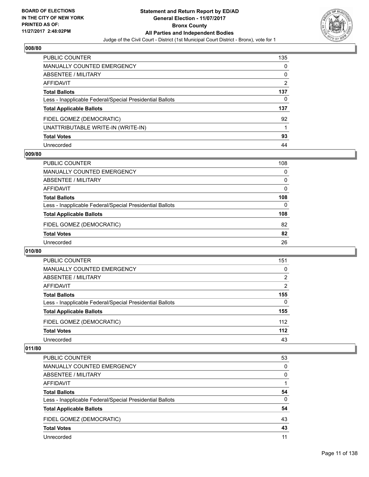

| PUBLIC COUNTER                                           | 135 |
|----------------------------------------------------------|-----|
| <b>MANUALLY COUNTED EMERGENCY</b>                        | 0   |
| <b>ABSENTEE / MILITARY</b>                               | 0   |
| AFFIDAVIT                                                | 2   |
| <b>Total Ballots</b>                                     | 137 |
| Less - Inapplicable Federal/Special Presidential Ballots | 0   |
| <b>Total Applicable Ballots</b>                          | 137 |
| FIDEL GOMEZ (DEMOCRATIC)                                 | 92  |
| UNATTRIBUTABLE WRITE-IN (WRITE-IN)                       |     |
| <b>Total Votes</b>                                       | 93  |
| Unrecorded                                               | 44  |

#### **009/80**

| <b>PUBLIC COUNTER</b>                                    | 108 |
|----------------------------------------------------------|-----|
| MANUALLY COUNTED EMERGENCY                               | 0   |
| ABSENTEE / MILITARY                                      | 0   |
| AFFIDAVIT                                                | 0   |
| <b>Total Ballots</b>                                     | 108 |
| Less - Inapplicable Federal/Special Presidential Ballots | 0   |
| <b>Total Applicable Ballots</b>                          | 108 |
| FIDEL GOMEZ (DEMOCRATIC)                                 | 82  |
| <b>Total Votes</b>                                       | 82  |
| Unrecorded                                               | 26  |
|                                                          |     |

#### **010/80**

| <b>PUBLIC COUNTER</b>                                    | 151   |
|----------------------------------------------------------|-------|
| <b>MANUALLY COUNTED EMERGENCY</b>                        | 0     |
| ABSENTEE / MILITARY                                      | 2     |
| AFFIDAVIT                                                | 2     |
| <b>Total Ballots</b>                                     | 155   |
| Less - Inapplicable Federal/Special Presidential Ballots | 0     |
| <b>Total Applicable Ballots</b>                          | 155   |
| FIDEL GOMEZ (DEMOCRATIC)                                 | 112   |
| <b>Total Votes</b>                                       | $112$ |
| Unrecorded                                               | 43    |

| <b>PUBLIC COUNTER</b>                                    | 53       |
|----------------------------------------------------------|----------|
| <b>MANUALLY COUNTED EMERGENCY</b>                        | 0        |
| ABSENTEE / MILITARY                                      | 0        |
| AFFIDAVIT                                                |          |
| <b>Total Ballots</b>                                     | 54       |
| Less - Inapplicable Federal/Special Presidential Ballots | $\Omega$ |
| <b>Total Applicable Ballots</b>                          | 54       |
| FIDEL GOMEZ (DEMOCRATIC)                                 | 43       |
| <b>Total Votes</b>                                       | 43       |
| Unrecorded                                               | 11       |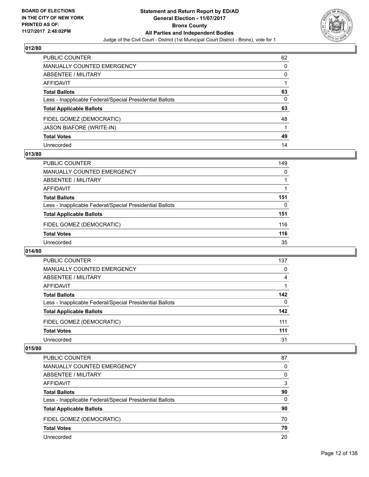

| PUBLIC COUNTER                                           | 62           |
|----------------------------------------------------------|--------------|
| MANUALLY COUNTED EMERGENCY                               | 0            |
| <b>ABSENTEE / MILITARY</b>                               | $\mathbf{0}$ |
| AFFIDAVIT                                                |              |
| <b>Total Ballots</b>                                     | 63           |
| Less - Inapplicable Federal/Special Presidential Ballots | 0            |
| <b>Total Applicable Ballots</b>                          | 63           |
| FIDEL GOMEZ (DEMOCRATIC)                                 | 48           |
| <b>JASON BIAFORE (WRITE-IN)</b>                          |              |
| <b>Total Votes</b>                                       | 49           |
| Unrecorded                                               | 14           |

#### **013/80**

| <b>PUBLIC COUNTER</b>                                    | 149 |
|----------------------------------------------------------|-----|
| MANUALLY COUNTED EMERGENCY                               | 0   |
| ABSENTEE / MILITARY                                      |     |
| AFFIDAVIT                                                |     |
| <b>Total Ballots</b>                                     | 151 |
| Less - Inapplicable Federal/Special Presidential Ballots | 0   |
| <b>Total Applicable Ballots</b>                          | 151 |
| FIDEL GOMEZ (DEMOCRATIC)                                 | 116 |
| <b>Total Votes</b>                                       | 116 |
| Unrecorded                                               | 35  |

#### **014/80**

| <b>PUBLIC COUNTER</b>                                    | 137 |
|----------------------------------------------------------|-----|
| <b>MANUALLY COUNTED EMERGENCY</b>                        | 0   |
| ABSENTEE / MILITARY                                      | 4   |
| AFFIDAVIT                                                |     |
| <b>Total Ballots</b>                                     | 142 |
| Less - Inapplicable Federal/Special Presidential Ballots | 0   |
| <b>Total Applicable Ballots</b>                          | 142 |
| FIDEL GOMEZ (DEMOCRATIC)                                 | 111 |
| <b>Total Votes</b>                                       | 111 |
| Unrecorded                                               | 31  |

| PUBLIC COUNTER                                           | 87 |
|----------------------------------------------------------|----|
| <b>MANUALLY COUNTED EMERGENCY</b>                        | 0  |
| ABSENTEE / MILITARY                                      | 0  |
| AFFIDAVIT                                                | 3  |
| <b>Total Ballots</b>                                     | 90 |
| Less - Inapplicable Federal/Special Presidential Ballots | 0  |
| <b>Total Applicable Ballots</b>                          | 90 |
| FIDEL GOMEZ (DEMOCRATIC)                                 | 70 |
| <b>Total Votes</b>                                       | 70 |
| Unrecorded                                               | 20 |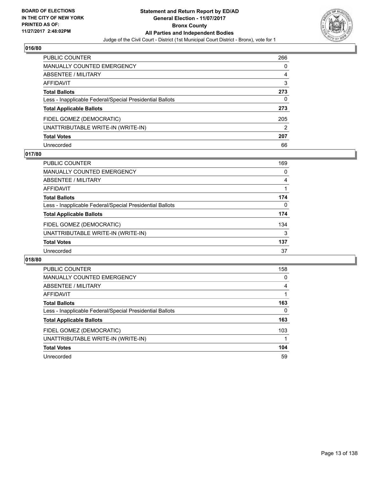

| <b>PUBLIC COUNTER</b>                                    | 266 |
|----------------------------------------------------------|-----|
| <b>MANUALLY COUNTED EMERGENCY</b>                        | 0   |
| ABSENTEE / MILITARY                                      | 4   |
| <b>AFFIDAVIT</b>                                         | 3   |
| <b>Total Ballots</b>                                     | 273 |
| Less - Inapplicable Federal/Special Presidential Ballots | 0   |
| <b>Total Applicable Ballots</b>                          | 273 |
| FIDEL GOMEZ (DEMOCRATIC)                                 | 205 |
| UNATTRIBUTABLE WRITE-IN (WRITE-IN)                       | 2   |
| <b>Total Votes</b>                                       | 207 |
| Unrecorded                                               | 66  |

#### **017/80**

| <b>PUBLIC COUNTER</b>                                    | 169 |
|----------------------------------------------------------|-----|
| MANUALLY COUNTED EMERGENCY                               | 0   |
| ABSENTEE / MILITARY                                      | 4   |
| AFFIDAVIT                                                |     |
| <b>Total Ballots</b>                                     | 174 |
| Less - Inapplicable Federal/Special Presidential Ballots | 0   |
| <b>Total Applicable Ballots</b>                          | 174 |
| FIDEL GOMEZ (DEMOCRATIC)                                 | 134 |
| UNATTRIBUTABLE WRITE-IN (WRITE-IN)                       | 3   |
| <b>Total Votes</b>                                       | 137 |
| Unrecorded                                               | 37  |

| <b>PUBLIC COUNTER</b>                                    | 158 |
|----------------------------------------------------------|-----|
| MANUALLY COUNTED EMERGENCY                               | 0   |
| ABSENTEE / MILITARY                                      | 4   |
| AFFIDAVIT                                                |     |
| <b>Total Ballots</b>                                     | 163 |
| Less - Inapplicable Federal/Special Presidential Ballots | 0   |
| <b>Total Applicable Ballots</b>                          | 163 |
| FIDEL GOMEZ (DEMOCRATIC)                                 | 103 |
| UNATTRIBUTABLE WRITE-IN (WRITE-IN)                       |     |
| <b>Total Votes</b>                                       | 104 |
| Unrecorded                                               | 59  |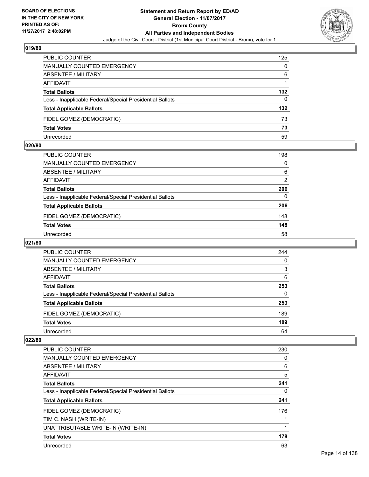

| <b>PUBLIC COUNTER</b>                                    | 125 |
|----------------------------------------------------------|-----|
| MANUALLY COUNTED EMERGENCY                               | 0   |
| ABSENTEE / MILITARY                                      | 6   |
| AFFIDAVIT                                                |     |
| <b>Total Ballots</b>                                     | 132 |
| Less - Inapplicable Federal/Special Presidential Ballots | 0   |
| <b>Total Applicable Ballots</b>                          | 132 |
| FIDEL GOMEZ (DEMOCRATIC)                                 | 73  |
| <b>Total Votes</b>                                       | 73  |
| Unrecorded                                               | 59  |

#### **020/80**

| PUBLIC COUNTER                                           | 198      |
|----------------------------------------------------------|----------|
| <b>MANUALLY COUNTED EMERGENCY</b>                        | $\Omega$ |
| <b>ABSENTEE / MILITARY</b>                               | 6        |
| <b>AFFIDAVIT</b>                                         | 2        |
| <b>Total Ballots</b>                                     | 206      |
| Less - Inapplicable Federal/Special Presidential Ballots | $\Omega$ |
| <b>Total Applicable Ballots</b>                          | 206      |
| FIDEL GOMEZ (DEMOCRATIC)                                 | 148      |
| <b>Total Votes</b>                                       | 148      |
| Unrecorded                                               | 58       |
|                                                          |          |

# **021/80**

| <b>PUBLIC COUNTER</b>                                    | 244 |
|----------------------------------------------------------|-----|
| <b>MANUALLY COUNTED EMERGENCY</b>                        | 0   |
| ABSENTEE / MILITARY                                      | 3   |
| AFFIDAVIT                                                | 6   |
| <b>Total Ballots</b>                                     | 253 |
| Less - Inapplicable Federal/Special Presidential Ballots | 0   |
| <b>Total Applicable Ballots</b>                          | 253 |
| FIDEL GOMEZ (DEMOCRATIC)                                 | 189 |
| <b>Total Votes</b>                                       | 189 |
| Unrecorded                                               | 64  |

| PUBLIC COUNTER                                           | 230 |
|----------------------------------------------------------|-----|
| <b>MANUALLY COUNTED EMERGENCY</b>                        | 0   |
| ABSENTEE / MILITARY                                      | 6   |
| <b>AFFIDAVIT</b>                                         | 5   |
| <b>Total Ballots</b>                                     | 241 |
| Less - Inapplicable Federal/Special Presidential Ballots | 0   |
| <b>Total Applicable Ballots</b>                          | 241 |
| FIDEL GOMEZ (DEMOCRATIC)                                 | 176 |
| TIM C. NASH (WRITE-IN)                                   |     |
| UNATTRIBUTABLE WRITE-IN (WRITE-IN)                       |     |
| <b>Total Votes</b>                                       | 178 |
| Unrecorded                                               | 63  |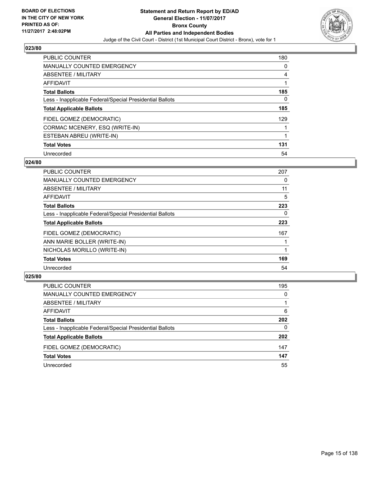

| <b>PUBLIC COUNTER</b>                                    | 180 |
|----------------------------------------------------------|-----|
| <b>MANUALLY COUNTED EMERGENCY</b>                        | 0   |
| ABSENTEE / MILITARY                                      | 4   |
| <b>AFFIDAVIT</b>                                         |     |
| <b>Total Ballots</b>                                     | 185 |
| Less - Inapplicable Federal/Special Presidential Ballots | 0   |
| <b>Total Applicable Ballots</b>                          | 185 |
| FIDEL GOMEZ (DEMOCRATIC)                                 | 129 |
| CORMAC MCENERY, ESQ (WRITE-IN)                           |     |
| ESTEBAN ABREU (WRITE-IN)                                 | 1   |
| <b>Total Votes</b>                                       | 131 |
| Unrecorded                                               | 54  |

#### **024/80**

| <b>PUBLIC COUNTER</b>                                    | 207 |
|----------------------------------------------------------|-----|
| <b>MANUALLY COUNTED EMERGENCY</b>                        | 0   |
| ABSENTEE / MILITARY                                      | 11  |
| <b>AFFIDAVIT</b>                                         | 5   |
| <b>Total Ballots</b>                                     | 223 |
| Less - Inapplicable Federal/Special Presidential Ballots | 0   |
| <b>Total Applicable Ballots</b>                          | 223 |
| FIDEL GOMEZ (DEMOCRATIC)                                 | 167 |
| ANN MARIE BOLLER (WRITE-IN)                              |     |
| NICHOLAS MORILLO (WRITE-IN)                              |     |
| <b>Total Votes</b>                                       | 169 |
| Unrecorded                                               | 54  |

| <b>PUBLIC COUNTER</b>                                    | 195 |
|----------------------------------------------------------|-----|
| <b>MANUALLY COUNTED EMERGENCY</b>                        | 0   |
| ABSENTEE / MILITARY                                      |     |
| AFFIDAVIT                                                | 6   |
| <b>Total Ballots</b>                                     | 202 |
| Less - Inapplicable Federal/Special Presidential Ballots | 0   |
| <b>Total Applicable Ballots</b>                          | 202 |
| FIDEL GOMEZ (DEMOCRATIC)                                 | 147 |
| <b>Total Votes</b>                                       | 147 |
| Unrecorded                                               | 55  |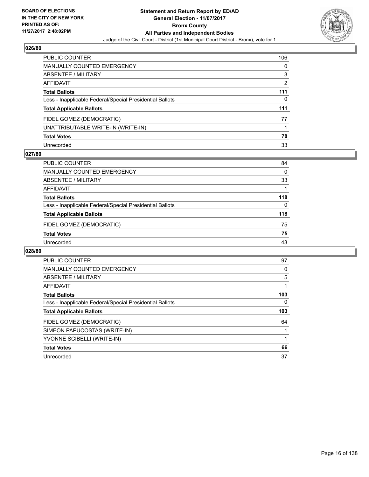

| <b>PUBLIC COUNTER</b>                                    | 106 |
|----------------------------------------------------------|-----|
| MANUALLY COUNTED EMERGENCY                               | 0   |
| <b>ABSENTEE / MILITARY</b>                               | 3   |
| <b>AFFIDAVIT</b>                                         | 2   |
| <b>Total Ballots</b>                                     | 111 |
| Less - Inapplicable Federal/Special Presidential Ballots | 0   |
| <b>Total Applicable Ballots</b>                          | 111 |
| FIDEL GOMEZ (DEMOCRATIC)                                 | 77  |
| UNATTRIBUTABLE WRITE-IN (WRITE-IN)                       |     |
| <b>Total Votes</b>                                       | 78  |
| Unrecorded                                               | 33  |

#### **027/80**

| <b>PUBLIC COUNTER</b>                                    | 84  |
|----------------------------------------------------------|-----|
| MANUALLY COUNTED EMERGENCY                               | 0   |
| ABSENTEE / MILITARY                                      | 33  |
| AFFIDAVIT                                                |     |
| <b>Total Ballots</b>                                     | 118 |
| Less - Inapplicable Federal/Special Presidential Ballots | 0   |
| <b>Total Applicable Ballots</b>                          | 118 |
| FIDEL GOMEZ (DEMOCRATIC)                                 | 75  |
| <b>Total Votes</b>                                       | 75  |
| Unrecorded                                               | 43  |

| <b>PUBLIC COUNTER</b>                                    | 97  |
|----------------------------------------------------------|-----|
| <b>MANUALLY COUNTED EMERGENCY</b>                        | 0   |
| ABSENTEE / MILITARY                                      | 5   |
| <b>AFFIDAVIT</b>                                         |     |
| <b>Total Ballots</b>                                     | 103 |
| Less - Inapplicable Federal/Special Presidential Ballots | 0   |
| <b>Total Applicable Ballots</b>                          | 103 |
| FIDEL GOMEZ (DEMOCRATIC)                                 | 64  |
| SIMEON PAPUCOSTAS (WRITE-IN)                             |     |
| YVONNE SCIBELLI (WRITE-IN)                               |     |
| <b>Total Votes</b>                                       | 66  |
| Unrecorded                                               | 37  |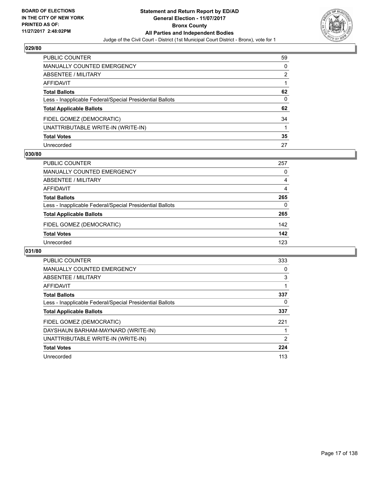

| PUBLIC COUNTER                                           | 59 |
|----------------------------------------------------------|----|
| <b>MANUALLY COUNTED EMERGENCY</b>                        | 0  |
| <b>ABSENTEE / MILITARY</b>                               | 2  |
| <b>AFFIDAVIT</b>                                         |    |
| <b>Total Ballots</b>                                     | 62 |
| Less - Inapplicable Federal/Special Presidential Ballots | 0  |
| <b>Total Applicable Ballots</b>                          | 62 |
| FIDEL GOMEZ (DEMOCRATIC)                                 | 34 |
| UNATTRIBUTABLE WRITE-IN (WRITE-IN)                       |    |
| <b>Total Votes</b>                                       | 35 |
| Unrecorded                                               | 27 |

#### **030/80**

| <b>PUBLIC COUNTER</b>                                    | 257 |
|----------------------------------------------------------|-----|
| MANUALLY COUNTED EMERGENCY                               | 0   |
| ABSENTEE / MILITARY                                      | 4   |
| AFFIDAVIT                                                | 4   |
| <b>Total Ballots</b>                                     | 265 |
| Less - Inapplicable Federal/Special Presidential Ballots | 0   |
| <b>Total Applicable Ballots</b>                          | 265 |
| FIDEL GOMEZ (DEMOCRATIC)                                 | 142 |
| <b>Total Votes</b>                                       | 142 |
| Unrecorded                                               | 123 |

| <b>PUBLIC COUNTER</b>                                    | 333 |
|----------------------------------------------------------|-----|
| <b>MANUALLY COUNTED EMERGENCY</b>                        | 0   |
| ABSENTEE / MILITARY                                      | 3   |
| AFFIDAVIT                                                |     |
| <b>Total Ballots</b>                                     | 337 |
| Less - Inapplicable Federal/Special Presidential Ballots | 0   |
| <b>Total Applicable Ballots</b>                          | 337 |
| FIDEL GOMEZ (DEMOCRATIC)                                 | 221 |
| DAYSHAUN BARHAM-MAYNARD (WRITE-IN)                       |     |
| UNATTRIBUTABLE WRITE-IN (WRITE-IN)                       | 2   |
| <b>Total Votes</b>                                       | 224 |
| Unrecorded                                               | 113 |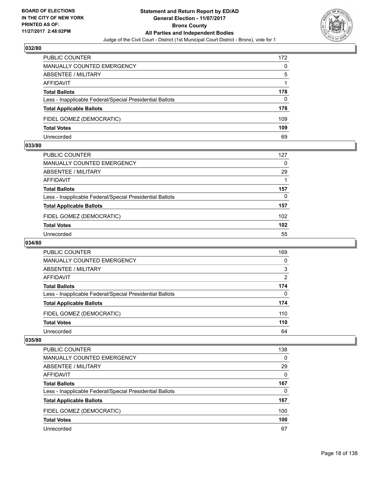

| <b>PUBLIC COUNTER</b>                                    | 172 |
|----------------------------------------------------------|-----|
| MANUALLY COUNTED EMERGENCY                               | 0   |
| ABSENTEE / MILITARY                                      | 5   |
| AFFIDAVIT                                                |     |
| <b>Total Ballots</b>                                     | 178 |
| Less - Inapplicable Federal/Special Presidential Ballots | 0   |
| <b>Total Applicable Ballots</b>                          | 178 |
| FIDEL GOMEZ (DEMOCRATIC)                                 | 109 |
| <b>Total Votes</b>                                       | 109 |
| Unrecorded                                               | 69  |

#### **033/80**

| PUBLIC COUNTER                                           | 127 |
|----------------------------------------------------------|-----|
| <b>MANUALLY COUNTED EMERGENCY</b>                        | 0   |
| <b>ABSENTEE / MILITARY</b>                               | 29  |
| <b>AFFIDAVIT</b>                                         |     |
| <b>Total Ballots</b>                                     | 157 |
| Less - Inapplicable Federal/Special Presidential Ballots | 0   |
| <b>Total Applicable Ballots</b>                          | 157 |
| FIDEL GOMEZ (DEMOCRATIC)                                 | 102 |
| <b>Total Votes</b>                                       | 102 |
| Unrecorded                                               | 55  |
|                                                          |     |

# **034/80**

| PUBLIC COUNTER                                           | 169 |
|----------------------------------------------------------|-----|
| MANUALLY COUNTED EMERGENCY                               | 0   |
| ABSENTEE / MILITARY                                      | 3   |
| AFFIDAVIT                                                | 2   |
| <b>Total Ballots</b>                                     | 174 |
| Less - Inapplicable Federal/Special Presidential Ballots | 0   |
| <b>Total Applicable Ballots</b>                          | 174 |
| FIDEL GOMEZ (DEMOCRATIC)                                 | 110 |
| <b>Total Votes</b>                                       | 110 |
| Unrecorded                                               | 64  |

| <b>PUBLIC COUNTER</b>                                    | 138 |
|----------------------------------------------------------|-----|
| <b>MANUALLY COUNTED EMERGENCY</b>                        | 0   |
| ABSENTEE / MILITARY                                      | 29  |
| AFFIDAVIT                                                | 0   |
| <b>Total Ballots</b>                                     | 167 |
| Less - Inapplicable Federal/Special Presidential Ballots | 0   |
| <b>Total Applicable Ballots</b>                          | 167 |
| FIDEL GOMEZ (DEMOCRATIC)                                 | 100 |
| <b>Total Votes</b>                                       | 100 |
| Unrecorded                                               | 67  |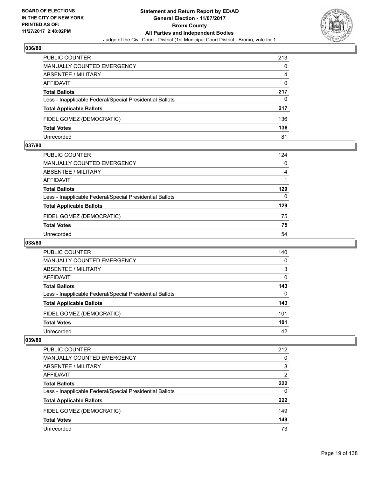

| <b>PUBLIC COUNTER</b>                                    | 213 |
|----------------------------------------------------------|-----|
| <b>MANUALLY COUNTED EMERGENCY</b>                        | 0   |
| ABSENTEE / MILITARY                                      | 4   |
| AFFIDAVIT                                                | 0   |
| <b>Total Ballots</b>                                     | 217 |
| Less - Inapplicable Federal/Special Presidential Ballots | 0   |
| <b>Total Applicable Ballots</b>                          | 217 |
| FIDEL GOMEZ (DEMOCRATIC)                                 | 136 |
| <b>Total Votes</b>                                       | 136 |
| Unrecorded                                               | 81  |

#### **037/80**

| PUBLIC COUNTER                                           | 124 |
|----------------------------------------------------------|-----|
| MANUALLY COUNTED EMERGENCY                               | 0   |
| <b>ABSENTEE / MILITARY</b>                               | 4   |
| <b>AFFIDAVIT</b>                                         |     |
| <b>Total Ballots</b>                                     | 129 |
| Less - Inapplicable Federal/Special Presidential Ballots | 0   |
| <b>Total Applicable Ballots</b>                          | 129 |
| FIDEL GOMEZ (DEMOCRATIC)                                 | 75  |
| <b>Total Votes</b>                                       | 75  |
| Unrecorded                                               | 54  |
|                                                          |     |

# **038/80**

| <b>PUBLIC COUNTER</b>                                    | 140 |
|----------------------------------------------------------|-----|
| <b>MANUALLY COUNTED EMERGENCY</b>                        | 0   |
| ABSENTEE / MILITARY                                      | 3   |
| AFFIDAVIT                                                | 0   |
| <b>Total Ballots</b>                                     | 143 |
| Less - Inapplicable Federal/Special Presidential Ballots | 0   |
| <b>Total Applicable Ballots</b>                          | 143 |
| FIDEL GOMEZ (DEMOCRATIC)                                 | 101 |
| <b>Total Votes</b>                                       | 101 |
| Unrecorded                                               | 42  |

| <b>PUBLIC COUNTER</b>                                    | 212 |
|----------------------------------------------------------|-----|
| MANUALLY COUNTED EMERGENCY                               | 0   |
| <b>ABSENTEE / MILITARY</b>                               | 8   |
| AFFIDAVIT                                                | 2   |
| <b>Total Ballots</b>                                     | 222 |
| Less - Inapplicable Federal/Special Presidential Ballots | 0   |
| <b>Total Applicable Ballots</b>                          | 222 |
| FIDEL GOMEZ (DEMOCRATIC)                                 | 149 |
| <b>Total Votes</b>                                       | 149 |
| Unrecorded                                               | 73  |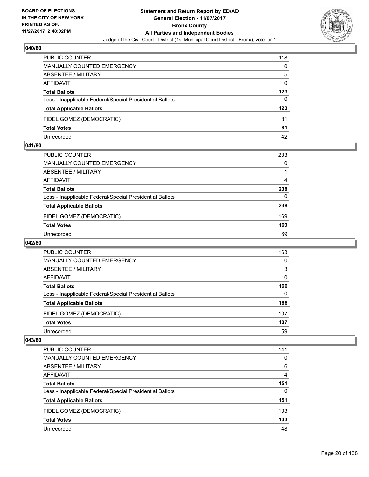

| <b>PUBLIC COUNTER</b>                                    | 118      |
|----------------------------------------------------------|----------|
| MANUALLY COUNTED EMERGENCY                               | 0        |
| ABSENTEE / MILITARY                                      | 5        |
| AFFIDAVIT                                                | $\Omega$ |
| <b>Total Ballots</b>                                     | 123      |
| Less - Inapplicable Federal/Special Presidential Ballots | 0        |
| <b>Total Applicable Ballots</b>                          | 123      |
| FIDEL GOMEZ (DEMOCRATIC)                                 | 81       |
| <b>Total Votes</b>                                       | 81       |
| Unrecorded                                               | 42       |

#### **041/80**

| PUBLIC COUNTER                                           | 233 |
|----------------------------------------------------------|-----|
| <b>MANUALLY COUNTED EMERGENCY</b>                        | 0   |
| ABSENTEE / MILITARY                                      |     |
| AFFIDAVIT                                                | 4   |
| <b>Total Ballots</b>                                     | 238 |
| Less - Inapplicable Federal/Special Presidential Ballots | 0   |
| <b>Total Applicable Ballots</b>                          | 238 |
| FIDEL GOMEZ (DEMOCRATIC)                                 | 169 |
| <b>Total Votes</b>                                       | 169 |
| Unrecorded                                               | 69  |
|                                                          |     |

# **042/80**

| <b>PUBLIC COUNTER</b>                                    | 163 |
|----------------------------------------------------------|-----|
| <b>MANUALLY COUNTED EMERGENCY</b>                        | 0   |
| ABSENTEE / MILITARY                                      | 3   |
| AFFIDAVIT                                                | 0   |
| <b>Total Ballots</b>                                     | 166 |
| Less - Inapplicable Federal/Special Presidential Ballots | 0   |
| <b>Total Applicable Ballots</b>                          | 166 |
| FIDEL GOMEZ (DEMOCRATIC)                                 | 107 |
| <b>Total Votes</b>                                       | 107 |
| Unrecorded                                               | 59  |

| <b>PUBLIC COUNTER</b>                                    | 141 |
|----------------------------------------------------------|-----|
| <b>MANUALLY COUNTED EMERGENCY</b>                        | 0   |
| ABSENTEE / MILITARY                                      | 6   |
| AFFIDAVIT                                                | 4   |
| <b>Total Ballots</b>                                     | 151 |
| Less - Inapplicable Federal/Special Presidential Ballots | 0   |
| <b>Total Applicable Ballots</b>                          | 151 |
| FIDEL GOMEZ (DEMOCRATIC)                                 | 103 |
| <b>Total Votes</b>                                       | 103 |
| Unrecorded                                               | 48  |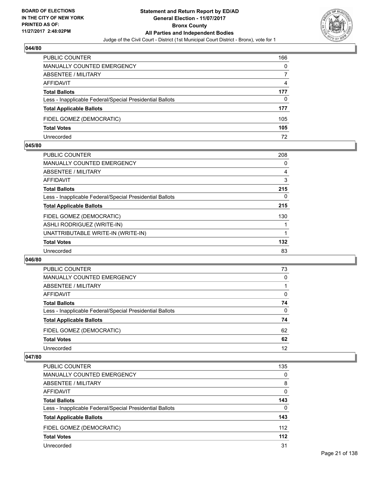

| <b>PUBLIC COUNTER</b>                                    | 166 |
|----------------------------------------------------------|-----|
| MANUALLY COUNTED EMERGENCY                               | 0   |
| ABSENTEE / MILITARY                                      |     |
| AFFIDAVIT                                                | 4   |
| <b>Total Ballots</b>                                     | 177 |
| Less - Inapplicable Federal/Special Presidential Ballots | 0   |
| <b>Total Applicable Ballots</b>                          | 177 |
| FIDEL GOMEZ (DEMOCRATIC)                                 | 105 |
| <b>Total Votes</b>                                       | 105 |
| Unrecorded                                               | 72  |

#### **045/80**

| <b>PUBLIC COUNTER</b>                                    | 208 |
|----------------------------------------------------------|-----|
| MANUALLY COUNTED EMERGENCY                               | 0   |
| ABSENTEE / MILITARY                                      | 4   |
| AFFIDAVIT                                                | 3   |
| <b>Total Ballots</b>                                     | 215 |
| Less - Inapplicable Federal/Special Presidential Ballots | 0   |
| <b>Total Applicable Ballots</b>                          | 215 |
| FIDEL GOMEZ (DEMOCRATIC)                                 | 130 |
| ASHLI RODRIGUEZ (WRITE-IN)                               |     |
| UNATTRIBUTABLE WRITE-IN (WRITE-IN)                       |     |
| <b>Total Votes</b>                                       | 132 |
| Unrecorded                                               | 83  |

#### **046/80**

| <b>PUBLIC COUNTER</b>                                    | 73       |
|----------------------------------------------------------|----------|
| MANUALLY COUNTED EMERGENCY                               | $\Omega$ |
| ABSENTEE / MILITARY                                      |          |
| AFFIDAVIT                                                | 0        |
| <b>Total Ballots</b>                                     | 74       |
| Less - Inapplicable Federal/Special Presidential Ballots | 0        |
| <b>Total Applicable Ballots</b>                          | 74       |
| FIDEL GOMEZ (DEMOCRATIC)                                 | 62       |
| <b>Total Votes</b>                                       | 62       |
| Unrecorded                                               | 12       |

| <b>PUBLIC COUNTER</b>                                    | 135   |
|----------------------------------------------------------|-------|
| MANUALLY COUNTED EMERGENCY                               | 0     |
| ABSENTEE / MILITARY                                      | 8     |
| AFFIDAVIT                                                | 0     |
| <b>Total Ballots</b>                                     | 143   |
| Less - Inapplicable Federal/Special Presidential Ballots | 0     |
| <b>Total Applicable Ballots</b>                          | 143   |
| FIDEL GOMEZ (DEMOCRATIC)                                 | 112   |
| <b>Total Votes</b>                                       | $112$ |
| Unrecorded                                               | 31    |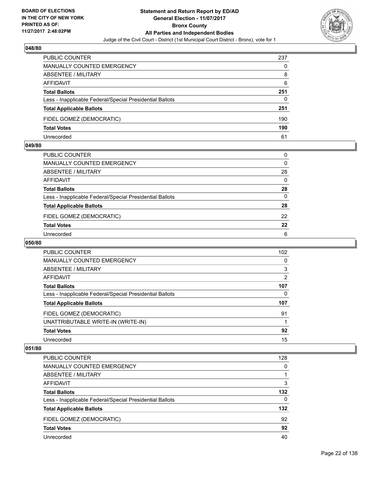

| <b>PUBLIC COUNTER</b>                                    | 237 |
|----------------------------------------------------------|-----|
| MANUALLY COUNTED EMERGENCY                               | 0   |
| ABSENTEE / MILITARY                                      | 8   |
| AFFIDAVIT                                                | 6   |
| <b>Total Ballots</b>                                     | 251 |
| Less - Inapplicable Federal/Special Presidential Ballots | 0   |
| <b>Total Applicable Ballots</b>                          | 251 |
| FIDEL GOMEZ (DEMOCRATIC)                                 | 190 |
| <b>Total Votes</b>                                       | 190 |
| Unrecorded                                               | 61  |

#### **049/80**

| PUBLIC COUNTER                                           | 0        |
|----------------------------------------------------------|----------|
| <b>MANUALLY COUNTED EMERGENCY</b>                        | $\Omega$ |
| ABSENTEE / MILITARY                                      | 28       |
| AFFIDAVIT                                                | $\Omega$ |
| <b>Total Ballots</b>                                     | 28       |
| Less - Inapplicable Federal/Special Presidential Ballots | $\Omega$ |
| <b>Total Applicable Ballots</b>                          | 28       |
| FIDEL GOMEZ (DEMOCRATIC)                                 | 22       |
| <b>Total Votes</b>                                       | 22       |
| Unrecorded                                               | 6        |
|                                                          |          |

# **050/80**

| <b>PUBLIC COUNTER</b>                                    | 102 |
|----------------------------------------------------------|-----|
| MANUALLY COUNTED EMERGENCY                               | 0   |
| ABSENTEE / MILITARY                                      | 3   |
| <b>AFFIDAVIT</b>                                         | 2   |
| <b>Total Ballots</b>                                     | 107 |
| Less - Inapplicable Federal/Special Presidential Ballots | 0   |
| <b>Total Applicable Ballots</b>                          | 107 |
| FIDEL GOMEZ (DEMOCRATIC)                                 | 91  |
| UNATTRIBUTABLE WRITE-IN (WRITE-IN)                       |     |
| <b>Total Votes</b>                                       | 92  |
| Unrecorded                                               | 15  |

| PUBLIC COUNTER                                           | 128      |
|----------------------------------------------------------|----------|
| <b>MANUALLY COUNTED EMERGENCY</b>                        | 0        |
| ABSENTEE / MILITARY                                      |          |
| AFFIDAVIT                                                | 3        |
| <b>Total Ballots</b>                                     | 132      |
| Less - Inapplicable Federal/Special Presidential Ballots | $\Omega$ |
| <b>Total Applicable Ballots</b>                          | 132      |
| FIDEL GOMEZ (DEMOCRATIC)                                 | 92       |
| <b>Total Votes</b>                                       | 92       |
| Unrecorded                                               | 40       |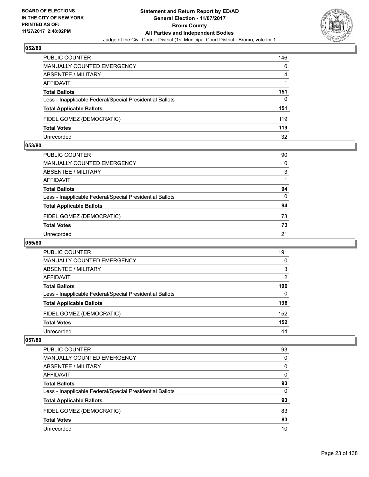

| <b>PUBLIC COUNTER</b>                                    | 146 |
|----------------------------------------------------------|-----|
| <b>MANUALLY COUNTED EMERGENCY</b>                        | 0   |
| ABSENTEE / MILITARY                                      | 4   |
| AFFIDAVIT                                                |     |
| <b>Total Ballots</b>                                     | 151 |
| Less - Inapplicable Federal/Special Presidential Ballots | 0   |
| <b>Total Applicable Ballots</b>                          | 151 |
| FIDEL GOMEZ (DEMOCRATIC)                                 | 119 |
| <b>Total Votes</b>                                       | 119 |
| Unrecorded                                               | 32  |

#### **053/80**

| PUBLIC COUNTER                                           | 90       |
|----------------------------------------------------------|----------|
| <b>MANUALLY COUNTED EMERGENCY</b>                        | $\Omega$ |
| ABSENTEE / MILITARY                                      | 3        |
| AFFIDAVIT                                                |          |
| <b>Total Ballots</b>                                     | 94       |
| Less - Inapplicable Federal/Special Presidential Ballots | $\Omega$ |
| <b>Total Applicable Ballots</b>                          | 94       |
| FIDEL GOMEZ (DEMOCRATIC)                                 | 73       |
| <b>Total Votes</b>                                       | 73       |
| Unrecorded                                               | 21       |
|                                                          |          |

# **055/80**

| <b>PUBLIC COUNTER</b>                                    | 191            |
|----------------------------------------------------------|----------------|
| MANUALLY COUNTED EMERGENCY                               | 0              |
| ABSENTEE / MILITARY                                      | 3              |
| AFFIDAVIT                                                | $\overline{2}$ |
| <b>Total Ballots</b>                                     | 196            |
| Less - Inapplicable Federal/Special Presidential Ballots | 0              |
| <b>Total Applicable Ballots</b>                          | 196            |
| FIDEL GOMEZ (DEMOCRATIC)                                 | 152            |
| <b>Total Votes</b>                                       | 152            |
| Unrecorded                                               | 44             |

| <b>PUBLIC COUNTER</b>                                    | 93 |
|----------------------------------------------------------|----|
| <b>MANUALLY COUNTED EMERGENCY</b>                        | 0  |
| <b>ABSENTEE / MILITARY</b>                               | 0  |
| AFFIDAVIT                                                | 0  |
| <b>Total Ballots</b>                                     | 93 |
| Less - Inapplicable Federal/Special Presidential Ballots | 0  |
| <b>Total Applicable Ballots</b>                          | 93 |
| FIDEL GOMEZ (DEMOCRATIC)                                 | 83 |
| <b>Total Votes</b>                                       | 83 |
| Unrecorded                                               | 10 |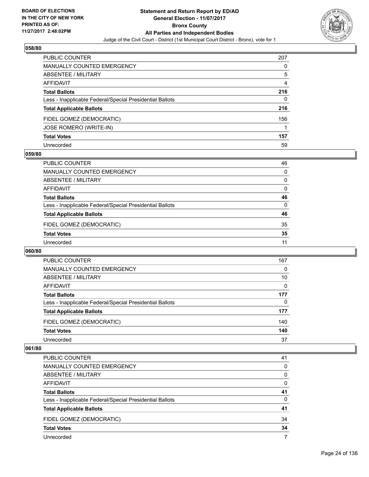

| <b>PUBLIC COUNTER</b>                                    | 207 |
|----------------------------------------------------------|-----|
| <b>MANUALLY COUNTED EMERGENCY</b>                        | 0   |
| ABSENTEE / MILITARY                                      | 5   |
| AFFIDAVIT                                                | 4   |
| <b>Total Ballots</b>                                     | 216 |
| Less - Inapplicable Federal/Special Presidential Ballots | 0   |
| <b>Total Applicable Ballots</b>                          | 216 |
| FIDEL GOMEZ (DEMOCRATIC)                                 | 156 |
| JOSE ROMERO (WRITE-IN)                                   |     |
| <b>Total Votes</b>                                       | 157 |
| Unrecorded                                               | 59  |

#### **059/80**

| 46 |
|----|
| 0  |
| 0  |
| 0  |
| 46 |
| 0  |
| 46 |
| 35 |
| 35 |
| 11 |
|    |

#### **060/80**

| <b>PUBLIC COUNTER</b>                                    | 167 |
|----------------------------------------------------------|-----|
| <b>MANUALLY COUNTED EMERGENCY</b>                        | 0   |
| ABSENTEE / MILITARY                                      | 10  |
| AFFIDAVIT                                                | 0   |
| <b>Total Ballots</b>                                     | 177 |
| Less - Inapplicable Federal/Special Presidential Ballots | 0   |
| <b>Total Applicable Ballots</b>                          | 177 |
| FIDEL GOMEZ (DEMOCRATIC)                                 | 140 |
| <b>Total Votes</b>                                       | 140 |
| Unrecorded                                               | 37  |

| <b>PUBLIC COUNTER</b>                                    | 41 |
|----------------------------------------------------------|----|
| MANUALLY COUNTED EMERGENCY                               | 0  |
| ABSENTEE / MILITARY                                      | 0  |
| AFFIDAVIT                                                | 0  |
| <b>Total Ballots</b>                                     | 41 |
| Less - Inapplicable Federal/Special Presidential Ballots | 0  |
| <b>Total Applicable Ballots</b>                          | 41 |
| FIDEL GOMEZ (DEMOCRATIC)                                 | 34 |
| <b>Total Votes</b>                                       | 34 |
| Unrecorded                                               |    |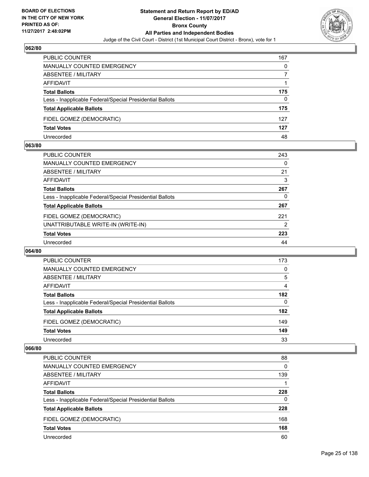

| <b>PUBLIC COUNTER</b>                                    | 167 |
|----------------------------------------------------------|-----|
| <b>MANUALLY COUNTED EMERGENCY</b>                        | 0   |
| ABSENTEE / MILITARY                                      |     |
| AFFIDAVIT                                                |     |
| <b>Total Ballots</b>                                     | 175 |
| Less - Inapplicable Federal/Special Presidential Ballots | 0   |
| <b>Total Applicable Ballots</b>                          | 175 |
| FIDEL GOMEZ (DEMOCRATIC)                                 | 127 |
| <b>Total Votes</b>                                       | 127 |
| Unrecorded                                               | 48  |

#### **063/80**

| <b>PUBLIC COUNTER</b>                                    | 243            |
|----------------------------------------------------------|----------------|
| <b>MANUALLY COUNTED EMERGENCY</b>                        | 0              |
| ABSENTEE / MILITARY                                      | 21             |
| AFFIDAVIT                                                | 3              |
| <b>Total Ballots</b>                                     | 267            |
| Less - Inapplicable Federal/Special Presidential Ballots | 0              |
| <b>Total Applicable Ballots</b>                          | 267            |
| FIDEL GOMEZ (DEMOCRATIC)                                 | 221            |
| UNATTRIBUTABLE WRITE-IN (WRITE-IN)                       | $\overline{2}$ |
| <b>Total Votes</b>                                       | 223            |
| Unrecorded                                               | 44             |
|                                                          |                |

#### **064/80**

| PUBLIC COUNTER                                           | 173 |
|----------------------------------------------------------|-----|
| <b>MANUALLY COUNTED EMERGENCY</b>                        | 0   |
| ABSENTEE / MILITARY                                      | 5   |
| AFFIDAVIT                                                | 4   |
| <b>Total Ballots</b>                                     | 182 |
| Less - Inapplicable Federal/Special Presidential Ballots | 0   |
| <b>Total Applicable Ballots</b>                          | 182 |
| FIDEL GOMEZ (DEMOCRATIC)                                 | 149 |
| <b>Total Votes</b>                                       | 149 |
| Unrecorded                                               | 33  |

| <b>PUBLIC COUNTER</b>                                    | 88  |
|----------------------------------------------------------|-----|
| <b>MANUALLY COUNTED EMERGENCY</b>                        | 0   |
| ABSENTEE / MILITARY                                      | 139 |
| AFFIDAVIT                                                |     |
| <b>Total Ballots</b>                                     | 228 |
| Less - Inapplicable Federal/Special Presidential Ballots | 0   |
| <b>Total Applicable Ballots</b>                          | 228 |
| FIDEL GOMEZ (DEMOCRATIC)                                 | 168 |
| <b>Total Votes</b>                                       | 168 |
| Unrecorded                                               | 60  |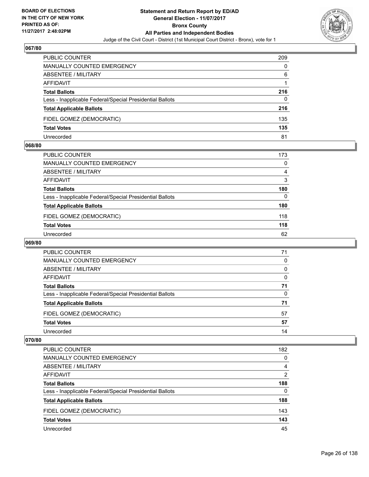

| <b>PUBLIC COUNTER</b>                                    | 209 |
|----------------------------------------------------------|-----|
| <b>MANUALLY COUNTED EMERGENCY</b>                        | 0   |
| ABSENTEE / MILITARY                                      | 6   |
| AFFIDAVIT                                                |     |
| <b>Total Ballots</b>                                     | 216 |
| Less - Inapplicable Federal/Special Presidential Ballots | 0   |
| <b>Total Applicable Ballots</b>                          | 216 |
| FIDEL GOMEZ (DEMOCRATIC)                                 | 135 |
| <b>Total Votes</b>                                       | 135 |
| Unrecorded                                               | 81  |

#### **068/80**

| PUBLIC COUNTER                                           | 173 |
|----------------------------------------------------------|-----|
| <b>MANUALLY COUNTED EMERGENCY</b>                        | 0   |
| <b>ABSENTEE / MILITARY</b>                               | 4   |
| <b>AFFIDAVIT</b>                                         | 3   |
| <b>Total Ballots</b>                                     | 180 |
| Less - Inapplicable Federal/Special Presidential Ballots | 0   |
| <b>Total Applicable Ballots</b>                          | 180 |
| FIDEL GOMEZ (DEMOCRATIC)                                 | 118 |
| <b>Total Votes</b>                                       | 118 |
| Unrecorded                                               | 62  |
|                                                          |     |

# **069/80**

| <b>PUBLIC COUNTER</b>                                    | 71 |
|----------------------------------------------------------|----|
| MANUALLY COUNTED EMERGENCY                               | 0  |
| ABSENTEE / MILITARY                                      | 0  |
| AFFIDAVIT                                                | 0  |
| <b>Total Ballots</b>                                     | 71 |
| Less - Inapplicable Federal/Special Presidential Ballots | 0  |
| <b>Total Applicable Ballots</b>                          | 71 |
| FIDEL GOMEZ (DEMOCRATIC)                                 | 57 |
| <b>Total Votes</b>                                       | 57 |
| Unrecorded                                               | 14 |

| <b>PUBLIC COUNTER</b>                                    | 182 |
|----------------------------------------------------------|-----|
| <b>MANUALLY COUNTED EMERGENCY</b>                        | 0   |
| ABSENTEE / MILITARY                                      | 4   |
| AFFIDAVIT                                                | 2   |
| <b>Total Ballots</b>                                     | 188 |
| Less - Inapplicable Federal/Special Presidential Ballots | 0   |
| <b>Total Applicable Ballots</b>                          | 188 |
| FIDEL GOMEZ (DEMOCRATIC)                                 | 143 |
| <b>Total Votes</b>                                       | 143 |
| Unrecorded                                               | 45  |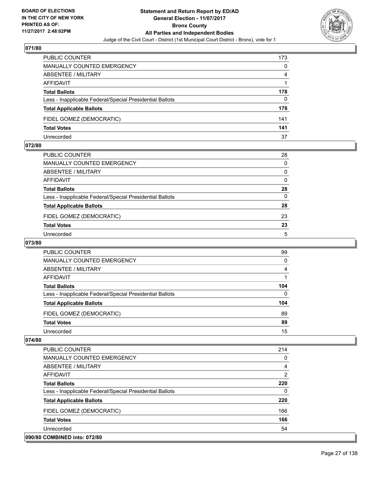

| <b>PUBLIC COUNTER</b>                                    | 173 |
|----------------------------------------------------------|-----|
| MANUALLY COUNTED EMERGENCY                               | 0   |
| ABSENTEE / MILITARY                                      | 4   |
| AFFIDAVIT                                                |     |
| <b>Total Ballots</b>                                     | 178 |
| Less - Inapplicable Federal/Special Presidential Ballots | 0   |
| <b>Total Applicable Ballots</b>                          | 178 |
| FIDEL GOMEZ (DEMOCRATIC)                                 | 141 |
| <b>Total Votes</b>                                       | 141 |
| Unrecorded                                               | 37  |

#### **072/80**

| PUBLIC COUNTER                                           | 28       |
|----------------------------------------------------------|----------|
| <b>MANUALLY COUNTED EMERGENCY</b>                        | $\Omega$ |
| ABSENTEE / MILITARY                                      | 0        |
| AFFIDAVIT                                                | $\Omega$ |
| <b>Total Ballots</b>                                     | 28       |
| Less - Inapplicable Federal/Special Presidential Ballots | $\Omega$ |
| <b>Total Applicable Ballots</b>                          | 28       |
| FIDEL GOMEZ (DEMOCRATIC)                                 | 23       |
| <b>Total Votes</b>                                       | 23       |
| Unrecorded                                               | 5        |
|                                                          |          |

# **073/80**

| <b>PUBLIC COUNTER</b>                                    | 99  |
|----------------------------------------------------------|-----|
| <b>MANUALLY COUNTED EMERGENCY</b>                        | 0   |
| ABSENTEE / MILITARY                                      | 4   |
| AFFIDAVIT                                                |     |
| <b>Total Ballots</b>                                     | 104 |
| Less - Inapplicable Federal/Special Presidential Ballots | 0   |
| <b>Total Applicable Ballots</b>                          | 104 |
| FIDEL GOMEZ (DEMOCRATIC)                                 | 89  |
| <b>Total Votes</b>                                       | 89  |
| Unrecorded                                               | 15  |

| PUBLIC COUNTER                                           | 214            |
|----------------------------------------------------------|----------------|
| <b>MANUALLY COUNTED EMERGENCY</b>                        | $\mathbf{0}$   |
| ABSENTEE / MILITARY                                      | 4              |
| AFFIDAVIT                                                | $\overline{2}$ |
| <b>Total Ballots</b>                                     | 220            |
| Less - Inapplicable Federal/Special Presidential Ballots | 0              |
| <b>Total Applicable Ballots</b>                          | 220            |
| FIDEL GOMEZ (DEMOCRATIC)                                 | 166            |
| <b>Total Votes</b>                                       | 166            |
| Unrecorded                                               | 54             |
| 090/80 COMBINED into: 072/80                             |                |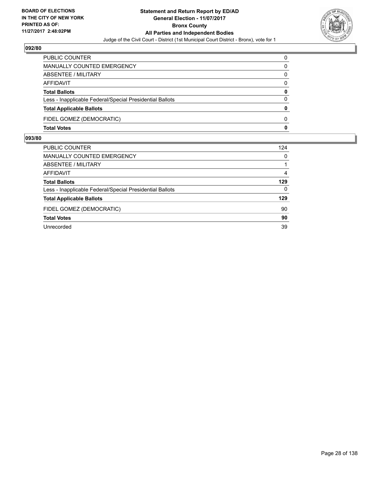

| PUBLIC COUNTER                                           | 0            |
|----------------------------------------------------------|--------------|
| MANUALLY COUNTED EMERGENCY                               | 0            |
| <b>ABSENTEE / MILITARY</b>                               | 0            |
| AFFIDAVIT                                                | $\Omega$     |
| <b>Total Ballots</b>                                     | 0            |
| Less - Inapplicable Federal/Special Presidential Ballots | $\Omega$     |
| <b>Total Applicable Ballots</b>                          | $\Omega$     |
| FIDEL GOMEZ (DEMOCRATIC)                                 | <sup>0</sup> |
| <b>Total Votes</b>                                       | 0            |

| PUBLIC COUNTER                                           | 124      |
|----------------------------------------------------------|----------|
| MANUALLY COUNTED EMERGENCY                               | 0        |
| ABSENTEE / MILITARY                                      |          |
| AFFIDAVIT                                                | 4        |
| <b>Total Ballots</b>                                     | 129      |
| Less - Inapplicable Federal/Special Presidential Ballots | $\Omega$ |
| <b>Total Applicable Ballots</b>                          | 129      |
| FIDEL GOMEZ (DEMOCRATIC)                                 | 90       |
| <b>Total Votes</b>                                       | 90       |
| Unrecorded                                               | 39       |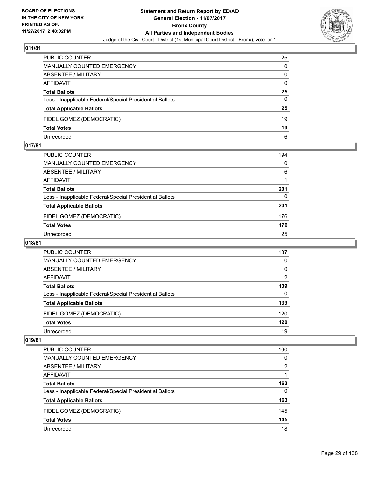

| PUBLIC COUNTER                                           | 25       |
|----------------------------------------------------------|----------|
| MANUALLY COUNTED EMERGENCY                               | 0        |
| ABSENTEE / MILITARY                                      | 0        |
| AFFIDAVIT                                                | $\Omega$ |
| <b>Total Ballots</b>                                     | 25       |
| Less - Inapplicable Federal/Special Presidential Ballots | $\Omega$ |
| <b>Total Applicable Ballots</b>                          | 25       |
| FIDEL GOMEZ (DEMOCRATIC)                                 | 19       |
| <b>Total Votes</b>                                       | 19       |
| Unrecorded                                               | 6        |

#### **017/81**

| PUBLIC COUNTER                                           | 194 |
|----------------------------------------------------------|-----|
| MANUALLY COUNTED EMERGENCY                               | 0   |
| ABSENTEE / MILITARY                                      | 6   |
| AFFIDAVIT                                                |     |
| <b>Total Ballots</b>                                     | 201 |
| Less - Inapplicable Federal/Special Presidential Ballots | 0   |
| <b>Total Applicable Ballots</b>                          | 201 |
| FIDEL GOMEZ (DEMOCRATIC)                                 | 176 |
| <b>Total Votes</b>                                       | 176 |
| Unrecorded                                               | 25  |
|                                                          |     |

# **018/81**

| <b>PUBLIC COUNTER</b>                                    | 137         |
|----------------------------------------------------------|-------------|
| <b>MANUALLY COUNTED EMERGENCY</b>                        | 0           |
| ABSENTEE / MILITARY                                      | $\mathbf 0$ |
| AFFIDAVIT                                                | 2           |
| <b>Total Ballots</b>                                     | 139         |
| Less - Inapplicable Federal/Special Presidential Ballots | 0           |
| <b>Total Applicable Ballots</b>                          | 139         |
| FIDEL GOMEZ (DEMOCRATIC)                                 | 120         |
| <b>Total Votes</b>                                       | 120         |
| Unrecorded                                               | 19          |

| <b>PUBLIC COUNTER</b>                                    | 160 |
|----------------------------------------------------------|-----|
| <b>MANUALLY COUNTED EMERGENCY</b>                        | 0   |
| ABSENTEE / MILITARY                                      | 2   |
| AFFIDAVIT                                                |     |
| <b>Total Ballots</b>                                     | 163 |
| Less - Inapplicable Federal/Special Presidential Ballots | 0   |
| <b>Total Applicable Ballots</b>                          | 163 |
| FIDEL GOMEZ (DEMOCRATIC)                                 | 145 |
| <b>Total Votes</b>                                       | 145 |
| Unrecorded                                               | 18  |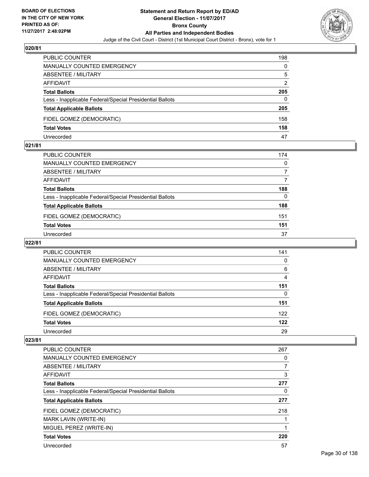

| PUBLIC COUNTER                                           | 198 |
|----------------------------------------------------------|-----|
| <b>MANUALLY COUNTED EMERGENCY</b>                        | 0   |
| <b>ABSENTEE / MILITARY</b>                               | 5   |
| AFFIDAVIT                                                | 2   |
| <b>Total Ballots</b>                                     | 205 |
| Less - Inapplicable Federal/Special Presidential Ballots | 0   |
| <b>Total Applicable Ballots</b>                          | 205 |
| FIDEL GOMEZ (DEMOCRATIC)                                 | 158 |
| <b>Total Votes</b>                                       | 158 |
| Unrecorded                                               | 47  |

#### **021/81**

| PUBLIC COUNTER                                           | 174 |
|----------------------------------------------------------|-----|
| <b>MANUALLY COUNTED EMERGENCY</b>                        | 0   |
| ABSENTEE / MILITARY                                      |     |
| AFFIDAVIT                                                | 7   |
| <b>Total Ballots</b>                                     | 188 |
| Less - Inapplicable Federal/Special Presidential Ballots | 0   |
| <b>Total Applicable Ballots</b>                          | 188 |
| FIDEL GOMEZ (DEMOCRATIC)                                 | 151 |
| <b>Total Votes</b>                                       | 151 |
| Unrecorded                                               | 37  |
|                                                          |     |

# **022/81**

| <b>PUBLIC COUNTER</b>                                    | 141 |
|----------------------------------------------------------|-----|
| MANUALLY COUNTED EMERGENCY                               | 0   |
| ABSENTEE / MILITARY                                      | 6   |
| AFFIDAVIT                                                | 4   |
| <b>Total Ballots</b>                                     | 151 |
| Less - Inapplicable Federal/Special Presidential Ballots | 0   |
| <b>Total Applicable Ballots</b>                          | 151 |
| FIDEL GOMEZ (DEMOCRATIC)                                 | 122 |
| <b>Total Votes</b>                                       | 122 |
| Unrecorded                                               | 29  |

| <b>PUBLIC COUNTER</b>                                    | 267 |
|----------------------------------------------------------|-----|
|                                                          |     |
| <b>MANUALLY COUNTED EMERGENCY</b>                        | 0   |
| ABSENTEE / MILITARY                                      |     |
| <b>AFFIDAVIT</b>                                         | 3   |
| <b>Total Ballots</b>                                     | 277 |
| Less - Inapplicable Federal/Special Presidential Ballots | 0   |
| <b>Total Applicable Ballots</b>                          | 277 |
|                                                          |     |
| FIDEL GOMEZ (DEMOCRATIC)                                 | 218 |
| MARK LAVIN (WRITE-IN)                                    |     |
| MIGUEL PEREZ (WRITE-IN)                                  |     |
| <b>Total Votes</b>                                       | 220 |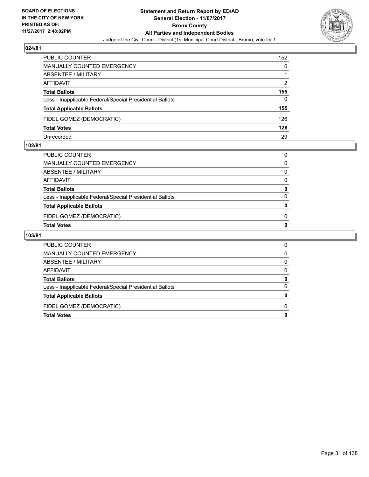

| PUBLIC COUNTER                                           | 152 |
|----------------------------------------------------------|-----|
| <b>MANUALLY COUNTED EMERGENCY</b>                        | 0   |
| ABSENTEE / MILITARY                                      |     |
| AFFIDAVIT                                                | 2   |
| <b>Total Ballots</b>                                     | 155 |
| Less - Inapplicable Federal/Special Presidential Ballots | 0   |
| <b>Total Applicable Ballots</b>                          | 155 |
| FIDEL GOMEZ (DEMOCRATIC)                                 | 126 |
| <b>Total Votes</b>                                       | 126 |
| Unrecorded                                               | 29  |

#### **102/81**

| PUBLIC COUNTER                                           |              |
|----------------------------------------------------------|--------------|
| MANUALLY COUNTED EMERGENCY                               | 0            |
| ABSENTEE / MILITARY                                      | 0            |
| AFFIDAVIT                                                | n            |
| <b>Total Ballots</b>                                     | 0            |
| Less - Inapplicable Federal/Special Presidential Ballots | <sup>0</sup> |
| <b>Total Applicable Ballots</b>                          |              |
| FIDEL GOMEZ (DEMOCRATIC)                                 | 0            |
| Total Votes                                              | 0            |
|                                                          |              |

| PUBLIC COUNTER                                           | 0 |
|----------------------------------------------------------|---|
| MANUALLY COUNTED EMERGENCY                               | 0 |
| ABSENTEE / MILITARY                                      | 0 |
| AFFIDAVIT                                                | 0 |
| <b>Total Ballots</b>                                     | 0 |
| Less - Inapplicable Federal/Special Presidential Ballots | 0 |
| <b>Total Applicable Ballots</b>                          |   |
| FIDEL GOMEZ (DEMOCRATIC)                                 | O |
| <b>Total Votes</b>                                       |   |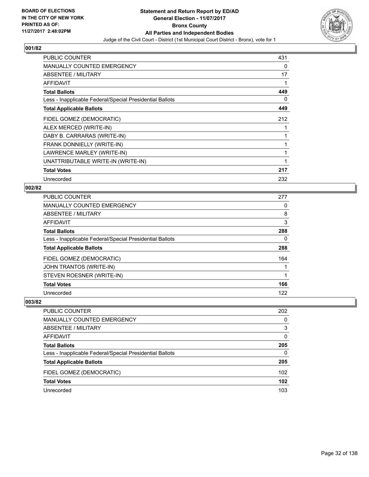

| <b>PUBLIC COUNTER</b>                                    | 431          |
|----------------------------------------------------------|--------------|
| <b>MANUALLY COUNTED EMERGENCY</b>                        | 0            |
| ABSENTEE / MILITARY                                      | 17           |
| <b>AFFIDAVIT</b>                                         | 1            |
| <b>Total Ballots</b>                                     | 449          |
| Less - Inapplicable Federal/Special Presidential Ballots | 0            |
| <b>Total Applicable Ballots</b>                          | 449          |
| FIDEL GOMEZ (DEMOCRATIC)                                 | 212          |
| ALEX MERCED (WRITE-IN)                                   |              |
| DABY B. CARRARAS (WRITE-IN)                              | 1            |
| FRANK DONNIELLY (WRITE-IN)                               | 1            |
| LAWRENCE MARLEY (WRITE-IN)                               | 1            |
| UNATTRIBUTABLE WRITE-IN (WRITE-IN)                       | $\mathbf{1}$ |
| <b>Total Votes</b>                                       | 217          |
| Unrecorded                                               | 232          |

# **002/82**

| <b>PUBLIC COUNTER</b>                                    | 277 |
|----------------------------------------------------------|-----|
| <b>MANUALLY COUNTED EMERGENCY</b>                        | 0   |
| ABSENTEE / MILITARY                                      | 8   |
| AFFIDAVIT                                                | 3   |
| <b>Total Ballots</b>                                     | 288 |
| Less - Inapplicable Federal/Special Presidential Ballots | 0   |
| <b>Total Applicable Ballots</b>                          | 288 |
| FIDEL GOMEZ (DEMOCRATIC)                                 | 164 |
| JOHN TRANTOS (WRITE-IN)                                  |     |
| STEVEN ROESNER (WRITE-IN)                                |     |
| <b>Total Votes</b>                                       | 166 |
| Unrecorded                                               | 122 |

| <b>PUBLIC COUNTER</b>                                    | 202              |
|----------------------------------------------------------|------------------|
| MANUALLY COUNTED EMERGENCY                               | $\Omega$         |
| ABSENTEE / MILITARY                                      | 3                |
| AFFIDAVIT                                                | 0                |
| <b>Total Ballots</b>                                     | 205              |
| Less - Inapplicable Federal/Special Presidential Ballots | 0                |
| <b>Total Applicable Ballots</b>                          | 205              |
| FIDEL GOMEZ (DEMOCRATIC)                                 | 102              |
| <b>Total Votes</b>                                       | 102 <sub>2</sub> |
| Unrecorded                                               | 103              |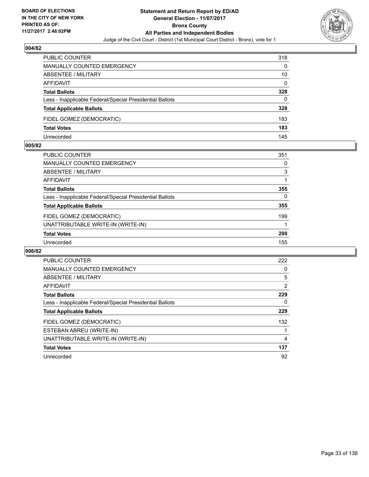

| PUBLIC COUNTER                                           | 318 |
|----------------------------------------------------------|-----|
| <b>MANUALLY COUNTED EMERGENCY</b>                        | 0   |
| ABSENTEE / MILITARY                                      | 10  |
| AFFIDAVIT                                                | 0   |
| <b>Total Ballots</b>                                     | 328 |
| Less - Inapplicable Federal/Special Presidential Ballots | 0   |
| <b>Total Applicable Ballots</b>                          | 328 |
| FIDEL GOMEZ (DEMOCRATIC)                                 | 183 |
| <b>Total Votes</b>                                       | 183 |
| Unrecorded                                               | 145 |

#### **005/82**

| <b>PUBLIC COUNTER</b>                                    | 351      |
|----------------------------------------------------------|----------|
| <b>MANUALLY COUNTED EMERGENCY</b>                        | 0        |
| ABSENTEE / MILITARY                                      | 3        |
| AFFIDAVIT                                                |          |
| <b>Total Ballots</b>                                     | 355      |
| Less - Inapplicable Federal/Special Presidential Ballots | $\Omega$ |
| <b>Total Applicable Ballots</b>                          | 355      |
| FIDEL GOMEZ (DEMOCRATIC)                                 | 199      |
| UNATTRIBUTABLE WRITE-IN (WRITE-IN)                       |          |
| <b>Total Votes</b>                                       | 200      |
| Unrecorded                                               | 155      |
|                                                          |          |

| <b>PUBLIC COUNTER</b>                                    | 222 |
|----------------------------------------------------------|-----|
| <b>MANUALLY COUNTED EMERGENCY</b>                        | 0   |
| ABSENTEE / MILITARY                                      | 5   |
| AFFIDAVIT                                                | 2   |
| <b>Total Ballots</b>                                     | 229 |
| Less - Inapplicable Federal/Special Presidential Ballots | 0   |
| <b>Total Applicable Ballots</b>                          | 229 |
| FIDEL GOMEZ (DEMOCRATIC)                                 | 132 |
| ESTEBAN ABREU (WRITE-IN)                                 |     |
| UNATTRIBUTABLE WRITE-IN (WRITE-IN)                       | 4   |
| <b>Total Votes</b>                                       | 137 |
| Unrecorded                                               | 92  |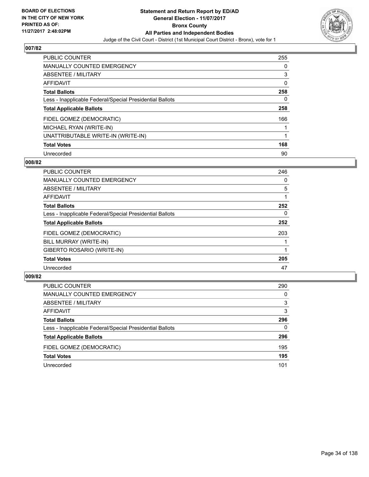

| <b>PUBLIC COUNTER</b>                                    | 255 |
|----------------------------------------------------------|-----|
| <b>MANUALLY COUNTED EMERGENCY</b>                        | 0   |
| ABSENTEE / MILITARY                                      | 3   |
| AFFIDAVIT                                                | 0   |
| <b>Total Ballots</b>                                     | 258 |
| Less - Inapplicable Federal/Special Presidential Ballots | 0   |
| <b>Total Applicable Ballots</b>                          | 258 |
| FIDEL GOMEZ (DEMOCRATIC)                                 | 166 |
| MICHAEL RYAN (WRITE-IN)                                  |     |
| UNATTRIBUTABLE WRITE-IN (WRITE-IN)                       |     |
| <b>Total Votes</b>                                       | 168 |
| Unrecorded                                               | 90  |

#### **008/82**

| <b>PUBLIC COUNTER</b>                                    | 246 |
|----------------------------------------------------------|-----|
| <b>MANUALLY COUNTED EMERGENCY</b>                        | 0   |
| ABSENTEE / MILITARY                                      | 5   |
| <b>AFFIDAVIT</b>                                         |     |
| <b>Total Ballots</b>                                     | 252 |
| Less - Inapplicable Federal/Special Presidential Ballots | 0   |
| <b>Total Applicable Ballots</b>                          | 252 |
| FIDEL GOMEZ (DEMOCRATIC)                                 | 203 |
| BILL MURRAY (WRITE-IN)                                   |     |
| GIBERTO ROSARIO (WRITE-IN)                               |     |
| <b>Total Votes</b>                                       | 205 |
| Unrecorded                                               | 47  |

| <b>PUBLIC COUNTER</b>                                    | 290 |
|----------------------------------------------------------|-----|
| MANUALLY COUNTED EMERGENCY                               | 0   |
| ABSENTEE / MILITARY                                      | 3   |
| AFFIDAVIT                                                | 3   |
| <b>Total Ballots</b>                                     | 296 |
| Less - Inapplicable Federal/Special Presidential Ballots | 0   |
| <b>Total Applicable Ballots</b>                          | 296 |
| FIDEL GOMEZ (DEMOCRATIC)                                 | 195 |
| <b>Total Votes</b>                                       | 195 |
| Unrecorded                                               | 101 |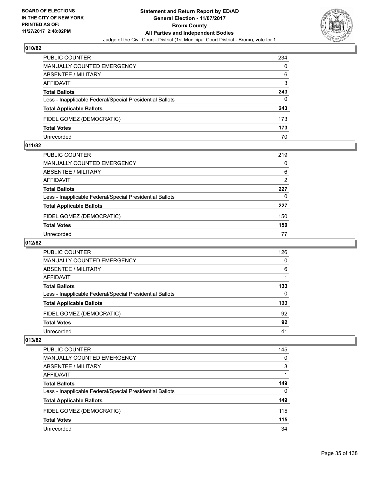

| <b>PUBLIC COUNTER</b>                                    | 234 |
|----------------------------------------------------------|-----|
| <b>MANUALLY COUNTED EMERGENCY</b>                        | 0   |
| ABSENTEE / MILITARY                                      | 6   |
| AFFIDAVIT                                                | 3   |
| <b>Total Ballots</b>                                     | 243 |
| Less - Inapplicable Federal/Special Presidential Ballots | 0   |
| <b>Total Applicable Ballots</b>                          | 243 |
| FIDEL GOMEZ (DEMOCRATIC)                                 | 173 |
| <b>Total Votes</b>                                       | 173 |
| Unrecorded                                               | 70  |

#### **011/82**

| PUBLIC COUNTER                                           | 219 |
|----------------------------------------------------------|-----|
| <b>MANUALLY COUNTED EMERGENCY</b>                        | 0   |
| ABSENTEE / MILITARY                                      | 6   |
| AFFIDAVIT                                                | 2   |
| <b>Total Ballots</b>                                     | 227 |
| Less - Inapplicable Federal/Special Presidential Ballots | 0   |
| <b>Total Applicable Ballots</b>                          | 227 |
| FIDEL GOMEZ (DEMOCRATIC)                                 | 150 |
| <b>Total Votes</b>                                       | 150 |
| Unrecorded                                               | 77  |
|                                                          |     |

# **012/82**

| <b>PUBLIC COUNTER</b>                                    | 126 |
|----------------------------------------------------------|-----|
| MANUALLY COUNTED EMERGENCY                               | 0   |
| ABSENTEE / MILITARY                                      | 6   |
| AFFIDAVIT                                                |     |
| <b>Total Ballots</b>                                     | 133 |
| Less - Inapplicable Federal/Special Presidential Ballots | 0   |
| <b>Total Applicable Ballots</b>                          | 133 |
| FIDEL GOMEZ (DEMOCRATIC)                                 | 92  |
| <b>Total Votes</b>                                       | 92  |
| Unrecorded                                               | 41  |

| <b>PUBLIC COUNTER</b>                                    | 145 |
|----------------------------------------------------------|-----|
| MANUALLY COUNTED EMERGENCY                               | 0   |
| ABSENTEE / MILITARY                                      | 3   |
| AFFIDAVIT                                                |     |
| <b>Total Ballots</b>                                     | 149 |
| Less - Inapplicable Federal/Special Presidential Ballots | 0   |
| <b>Total Applicable Ballots</b>                          | 149 |
| FIDEL GOMEZ (DEMOCRATIC)                                 | 115 |
| <b>Total Votes</b>                                       | 115 |
| Unrecorded                                               | 34  |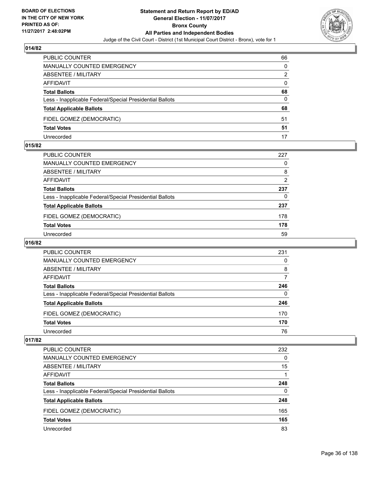

| PUBLIC COUNTER                                           | 66 |
|----------------------------------------------------------|----|
| <b>MANUALLY COUNTED EMERGENCY</b>                        | 0  |
| ABSENTEE / MILITARY                                      | 2  |
| AFFIDAVIT                                                | 0  |
| <b>Total Ballots</b>                                     | 68 |
| Less - Inapplicable Federal/Special Presidential Ballots | 0  |
| <b>Total Applicable Ballots</b>                          | 68 |
| FIDEL GOMEZ (DEMOCRATIC)                                 | 51 |
| <b>Total Votes</b>                                       | 51 |
| Unrecorded                                               | 17 |

#### **015/82**

| PUBLIC COUNTER                                           | 227 |
|----------------------------------------------------------|-----|
| <b>MANUALLY COUNTED EMERGENCY</b>                        | 0   |
| ABSENTEE / MILITARY                                      | 8   |
| AFFIDAVIT                                                | 2   |
| <b>Total Ballots</b>                                     | 237 |
| Less - Inapplicable Federal/Special Presidential Ballots | 0   |
| <b>Total Applicable Ballots</b>                          | 237 |
| FIDEL GOMEZ (DEMOCRATIC)                                 | 178 |
| <b>Total Votes</b>                                       | 178 |
| Unrecorded                                               | 59  |
|                                                          |     |

# **016/82**

| <b>PUBLIC COUNTER</b>                                    | 231 |
|----------------------------------------------------------|-----|
| <b>MANUALLY COUNTED EMERGENCY</b>                        | 0   |
| ABSENTEE / MILITARY                                      | 8   |
| AFFIDAVIT                                                | 7   |
| <b>Total Ballots</b>                                     | 246 |
| Less - Inapplicable Federal/Special Presidential Ballots | 0   |
| <b>Total Applicable Ballots</b>                          | 246 |
| FIDEL GOMEZ (DEMOCRATIC)                                 | 170 |
| <b>Total Votes</b>                                       | 170 |
| Unrecorded                                               | 76  |

| <b>PUBLIC COUNTER</b>                                    | 232 |
|----------------------------------------------------------|-----|
| MANUALLY COUNTED EMERGENCY                               | 0   |
| <b>ABSENTEE / MILITARY</b>                               | 15  |
| AFFIDAVIT                                                |     |
| <b>Total Ballots</b>                                     | 248 |
| Less - Inapplicable Federal/Special Presidential Ballots | 0   |
| <b>Total Applicable Ballots</b>                          | 248 |
| FIDEL GOMEZ (DEMOCRATIC)                                 | 165 |
| <b>Total Votes</b>                                       | 165 |
| Unrecorded                                               | 83  |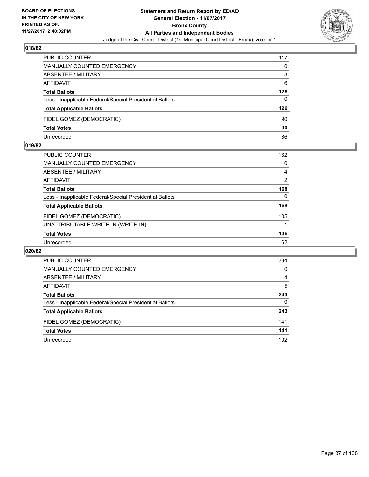

| <b>PUBLIC COUNTER</b>                                    | 117 |
|----------------------------------------------------------|-----|
| MANUALLY COUNTED EMERGENCY                               | 0   |
| ABSENTEE / MILITARY                                      | 3   |
| AFFIDAVIT                                                | 6   |
| <b>Total Ballots</b>                                     | 126 |
| Less - Inapplicable Federal/Special Presidential Ballots | 0   |
| <b>Total Applicable Ballots</b>                          | 126 |
| FIDEL GOMEZ (DEMOCRATIC)                                 | 90  |
| <b>Total Votes</b>                                       | 90  |
| Unrecorded                                               | 36  |

#### **019/82**

| <b>PUBLIC COUNTER</b>                                    | 162 |
|----------------------------------------------------------|-----|
| <b>MANUALLY COUNTED EMERGENCY</b>                        | 0   |
| ABSENTEE / MILITARY                                      | 4   |
| AFFIDAVIT                                                | 2   |
| <b>Total Ballots</b>                                     | 168 |
| Less - Inapplicable Federal/Special Presidential Ballots | 0   |
| <b>Total Applicable Ballots</b>                          | 168 |
| FIDEL GOMEZ (DEMOCRATIC)                                 | 105 |
| UNATTRIBUTABLE WRITE-IN (WRITE-IN)                       |     |
| <b>Total Votes</b>                                       | 106 |
| Unrecorded                                               | 62  |
|                                                          |     |

| <b>PUBLIC COUNTER</b>                                    | 234      |
|----------------------------------------------------------|----------|
| <b>MANUALLY COUNTED EMERGENCY</b>                        | $\Omega$ |
| ABSENTEE / MILITARY                                      | 4        |
| AFFIDAVIT                                                | 5        |
| <b>Total Ballots</b>                                     | 243      |
| Less - Inapplicable Federal/Special Presidential Ballots | 0        |
| <b>Total Applicable Ballots</b>                          | 243      |
| FIDEL GOMEZ (DEMOCRATIC)                                 | 141      |
| <b>Total Votes</b>                                       | 141      |
| Unrecorded                                               | 102      |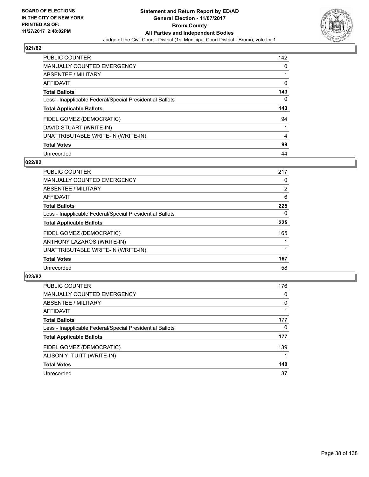

| <b>PUBLIC COUNTER</b>                                    | 142 |
|----------------------------------------------------------|-----|
| <b>MANUALLY COUNTED EMERGENCY</b>                        | 0   |
| ABSENTEE / MILITARY                                      |     |
| <b>AFFIDAVIT</b>                                         | 0   |
| <b>Total Ballots</b>                                     | 143 |
| Less - Inapplicable Federal/Special Presidential Ballots | 0   |
| <b>Total Applicable Ballots</b>                          | 143 |
| FIDEL GOMEZ (DEMOCRATIC)                                 | 94  |
| DAVID STUART (WRITE-IN)                                  |     |
| UNATTRIBUTABLE WRITE-IN (WRITE-IN)                       | 4   |
| <b>Total Votes</b>                                       | 99  |
| Unrecorded                                               | 44  |

#### **022/82**

| <b>PUBLIC COUNTER</b>                                    | 217            |
|----------------------------------------------------------|----------------|
| <b>MANUALLY COUNTED EMERGENCY</b>                        | 0              |
| ABSENTEE / MILITARY                                      | $\overline{2}$ |
| <b>AFFIDAVIT</b>                                         | 6              |
| <b>Total Ballots</b>                                     | 225            |
| Less - Inapplicable Federal/Special Presidential Ballots | 0              |
| <b>Total Applicable Ballots</b>                          | 225            |
| FIDEL GOMEZ (DEMOCRATIC)                                 | 165            |
| ANTHONY LAZAROS (WRITE-IN)                               |                |
| UNATTRIBUTABLE WRITE-IN (WRITE-IN)                       |                |
| <b>Total Votes</b>                                       | 167            |
| Unrecorded                                               | 58             |

| <b>PUBLIC COUNTER</b>                                    | 176 |
|----------------------------------------------------------|-----|
| MANUALLY COUNTED EMERGENCY                               | 0   |
| ABSENTEE / MILITARY                                      | 0   |
| AFFIDAVIT                                                |     |
| <b>Total Ballots</b>                                     | 177 |
| Less - Inapplicable Federal/Special Presidential Ballots | 0   |
| <b>Total Applicable Ballots</b>                          | 177 |
| FIDEL GOMEZ (DEMOCRATIC)                                 | 139 |
| ALISON Y. TUITT (WRITE-IN)                               |     |
| <b>Total Votes</b>                                       | 140 |
| Unrecorded                                               | 37  |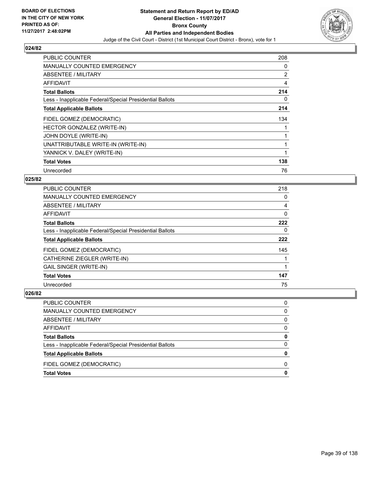

| <b>PUBLIC COUNTER</b>                                    | 208            |
|----------------------------------------------------------|----------------|
| <b>MANUALLY COUNTED EMERGENCY</b>                        | 0              |
| ABSENTEE / MILITARY                                      | $\overline{2}$ |
| AFFIDAVIT                                                | 4              |
| <b>Total Ballots</b>                                     | 214            |
| Less - Inapplicable Federal/Special Presidential Ballots | 0              |
| <b>Total Applicable Ballots</b>                          | 214            |
|                                                          |                |
| FIDEL GOMEZ (DEMOCRATIC)                                 | 134            |
| HECTOR GONZALEZ (WRITE-IN)                               |                |
| JOHN DOYLE (WRITE-IN)                                    |                |
| UNATTRIBUTABLE WRITE-IN (WRITE-IN)                       |                |
| YANNICK V. DALEY (WRITE-IN)                              |                |
| <b>Total Votes</b>                                       | 138            |

# **025/82**

| <b>PUBLIC COUNTER</b>                                    | 218 |
|----------------------------------------------------------|-----|
| <b>MANUALLY COUNTED EMERGENCY</b>                        | 0   |
| ABSENTEE / MILITARY                                      | 4   |
| <b>AFFIDAVIT</b>                                         | 0   |
| <b>Total Ballots</b>                                     | 222 |
| Less - Inapplicable Federal/Special Presidential Ballots | 0   |
| <b>Total Applicable Ballots</b>                          | 222 |
| FIDEL GOMEZ (DEMOCRATIC)                                 | 145 |
| CATHERINE ZIEGLER (WRITE-IN)                             |     |
| <b>GAIL SINGER (WRITE-IN)</b>                            |     |
| <b>Total Votes</b>                                       | 147 |
| Unrecorded                                               | 75  |

| <b>Total Votes</b>                                       | 0 |
|----------------------------------------------------------|---|
| FIDEL GOMEZ (DEMOCRATIC)                                 | 0 |
| <b>Total Applicable Ballots</b>                          | 0 |
| Less - Inapplicable Federal/Special Presidential Ballots | 0 |
| <b>Total Ballots</b>                                     | 0 |
| <b>AFFIDAVIT</b>                                         | 0 |
| ABSENTEE / MILITARY                                      | 0 |
| <b>MANUALLY COUNTED EMERGENCY</b>                        | 0 |
| PUBLIC COUNTER                                           | 0 |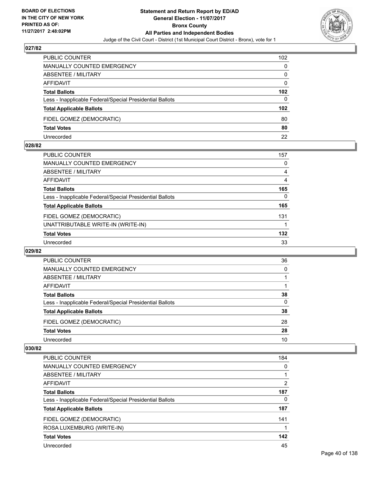

| PUBLIC COUNTER                                           | 102              |
|----------------------------------------------------------|------------------|
| <b>MANUALLY COUNTED EMERGENCY</b>                        | 0                |
| <b>ABSENTEE / MILITARY</b>                               | 0                |
| AFFIDAVIT                                                | 0                |
| <b>Total Ballots</b>                                     | 102              |
| Less - Inapplicable Federal/Special Presidential Ballots | 0                |
| <b>Total Applicable Ballots</b>                          | 102 <sub>2</sub> |
| FIDEL GOMEZ (DEMOCRATIC)                                 | 80               |
| <b>Total Votes</b>                                       | 80               |
| Unrecorded                                               | 22               |

#### **028/82**

| PUBLIC COUNTER                                           | 157 |
|----------------------------------------------------------|-----|
| <b>MANUALLY COUNTED EMERGENCY</b>                        | 0   |
| ABSENTEE / MILITARY                                      | 4   |
| AFFIDAVIT                                                | 4   |
| <b>Total Ballots</b>                                     | 165 |
| Less - Inapplicable Federal/Special Presidential Ballots | 0   |
| <b>Total Applicable Ballots</b>                          | 165 |
| FIDEL GOMEZ (DEMOCRATIC)                                 | 131 |
| UNATTRIBUTABLE WRITE-IN (WRITE-IN)                       |     |
| <b>Total Votes</b>                                       | 132 |
| Unrecorded                                               | 33  |
|                                                          |     |

#### **029/82**

| <b>PUBLIC COUNTER</b>                                    | 36       |
|----------------------------------------------------------|----------|
| MANUALLY COUNTED EMERGENCY                               | $\Omega$ |
| ABSENTEE / MILITARY                                      |          |
| AFFIDAVIT                                                |          |
| <b>Total Ballots</b>                                     | 38       |
| Less - Inapplicable Federal/Special Presidential Ballots | $\Omega$ |
| <b>Total Applicable Ballots</b>                          | 38       |
| FIDEL GOMEZ (DEMOCRATIC)                                 | 28       |
| <b>Total Votes</b>                                       | 28       |
| Unrecorded                                               | 10       |

| <b>PUBLIC COUNTER</b>                                    | 184 |
|----------------------------------------------------------|-----|
| MANUALLY COUNTED EMERGENCY                               | 0   |
| ABSENTEE / MILITARY                                      |     |
| AFFIDAVIT                                                | 2   |
| <b>Total Ballots</b>                                     | 187 |
| Less - Inapplicable Federal/Special Presidential Ballots | 0   |
| <b>Total Applicable Ballots</b>                          | 187 |
| FIDEL GOMEZ (DEMOCRATIC)                                 | 141 |
| ROSA LUXEMBURG (WRITE-IN)                                |     |
| <b>Total Votes</b>                                       | 142 |
| Unrecorded                                               | 45  |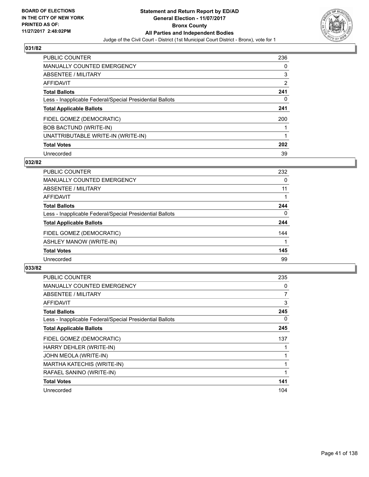

| <b>PUBLIC COUNTER</b>                                    | 236 |
|----------------------------------------------------------|-----|
| <b>MANUALLY COUNTED EMERGENCY</b>                        | 0   |
| ABSENTEE / MILITARY                                      | 3   |
| AFFIDAVIT                                                | 2   |
| <b>Total Ballots</b>                                     | 241 |
| Less - Inapplicable Federal/Special Presidential Ballots | 0   |
| <b>Total Applicable Ballots</b>                          | 241 |
| FIDEL GOMEZ (DEMOCRATIC)                                 | 200 |
| <b>BOB BACTUND (WRITE-IN)</b>                            |     |
| UNATTRIBUTABLE WRITE-IN (WRITE-IN)                       |     |
| <b>Total Votes</b>                                       | 202 |
| Unrecorded                                               | 39  |

#### **032/82**

| <b>PUBLIC COUNTER</b>                                    | 232 |
|----------------------------------------------------------|-----|
| <b>MANUALLY COUNTED EMERGENCY</b>                        | 0   |
| ABSENTEE / MILITARY                                      | 11  |
| <b>AFFIDAVIT</b>                                         |     |
| <b>Total Ballots</b>                                     | 244 |
| Less - Inapplicable Federal/Special Presidential Ballots | 0   |
| <b>Total Applicable Ballots</b>                          | 244 |
| FIDEL GOMEZ (DEMOCRATIC)                                 | 144 |
| ASHLEY MANOW (WRITE-IN)                                  |     |
| <b>Total Votes</b>                                       | 145 |
| Unrecorded                                               | 99  |

| <b>PUBLIC COUNTER</b>                                    | 235 |
|----------------------------------------------------------|-----|
| <b>MANUALLY COUNTED EMERGENCY</b>                        | 0   |
| <b>ABSENTEE / MILITARY</b>                               | 7   |
| AFFIDAVIT                                                | 3   |
| <b>Total Ballots</b>                                     | 245 |
| Less - Inapplicable Federal/Special Presidential Ballots | 0   |
| <b>Total Applicable Ballots</b>                          | 245 |
| FIDEL GOMEZ (DEMOCRATIC)                                 | 137 |
| HARRY DEHLER (WRITE-IN)                                  |     |
| JOHN MEOLA (WRITE-IN)                                    |     |
| <b>MARTHA KATECHIS (WRITE-IN)</b>                        |     |
| RAFAEL SANINO (WRITE-IN)                                 |     |
| <b>Total Votes</b>                                       | 141 |
| Unrecorded                                               | 104 |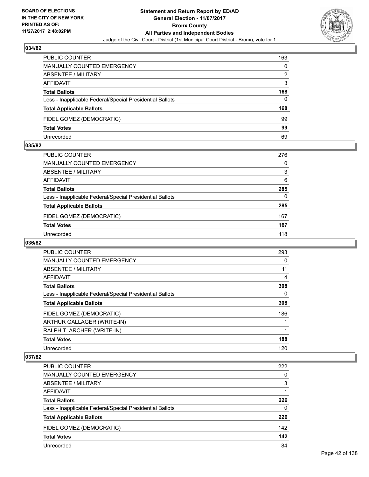

| <b>PUBLIC COUNTER</b>                                    | 163 |
|----------------------------------------------------------|-----|
| MANUALLY COUNTED EMERGENCY                               | 0   |
| <b>ABSENTEE / MILITARY</b>                               | 2   |
| AFFIDAVIT                                                | 3   |
| <b>Total Ballots</b>                                     | 168 |
| Less - Inapplicable Federal/Special Presidential Ballots | 0   |
| <b>Total Applicable Ballots</b>                          | 168 |
| FIDEL GOMEZ (DEMOCRATIC)                                 | 99  |
| <b>Total Votes</b>                                       | 99  |
| Unrecorded                                               | 69  |

#### **035/82**

| PUBLIC COUNTER                                           | 276 |
|----------------------------------------------------------|-----|
| <b>MANUALLY COUNTED EMERGENCY</b>                        | 0   |
| ABSENTEE / MILITARY                                      | 3   |
| <b>AFFIDAVIT</b>                                         | 6   |
| <b>Total Ballots</b>                                     | 285 |
| Less - Inapplicable Federal/Special Presidential Ballots | 0   |
| <b>Total Applicable Ballots</b>                          | 285 |
| FIDEL GOMEZ (DEMOCRATIC)                                 | 167 |
| <b>Total Votes</b>                                       | 167 |
| Unrecorded                                               | 118 |

# **036/82**

| <b>PUBLIC COUNTER</b>                                    | 293      |
|----------------------------------------------------------|----------|
| <b>MANUALLY COUNTED EMERGENCY</b>                        | 0        |
| ABSENTEE / MILITARY                                      | 11       |
| <b>AFFIDAVIT</b>                                         | 4        |
| <b>Total Ballots</b>                                     | 308      |
| Less - Inapplicable Federal/Special Presidential Ballots | $\Omega$ |
| <b>Total Applicable Ballots</b>                          | 308      |
| FIDEL GOMEZ (DEMOCRATIC)                                 | 186      |
| ARTHUR GALLAGER (WRITE-IN)                               |          |
| RALPH T. ARCHER (WRITE-IN)                               |          |
| <b>Total Votes</b>                                       | 188      |
| Unrecorded                                               | 120      |

| <b>PUBLIC COUNTER</b>                                    | 222 |
|----------------------------------------------------------|-----|
| MANUALLY COUNTED EMERGENCY                               | 0   |
| ABSENTEE / MILITARY                                      | 3   |
| AFFIDAVIT                                                |     |
| <b>Total Ballots</b>                                     | 226 |
| Less - Inapplicable Federal/Special Presidential Ballots | 0   |
| <b>Total Applicable Ballots</b>                          | 226 |
| FIDEL GOMEZ (DEMOCRATIC)                                 | 142 |
| <b>Total Votes</b>                                       | 142 |
| Unrecorded                                               | 84  |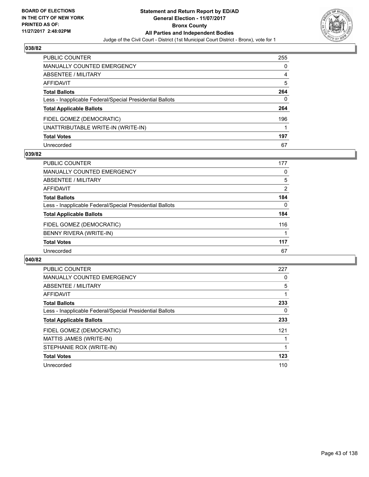

| PUBLIC COUNTER                                           | 255 |
|----------------------------------------------------------|-----|
| <b>MANUALLY COUNTED EMERGENCY</b>                        | 0   |
| <b>ABSENTEE / MILITARY</b>                               | 4   |
| <b>AFFIDAVIT</b>                                         | 5   |
| <b>Total Ballots</b>                                     | 264 |
| Less - Inapplicable Federal/Special Presidential Ballots | 0   |
| <b>Total Applicable Ballots</b>                          | 264 |
| FIDEL GOMEZ (DEMOCRATIC)                                 | 196 |
| UNATTRIBUTABLE WRITE-IN (WRITE-IN)                       |     |
| <b>Total Votes</b>                                       | 197 |
| Unrecorded                                               | 67  |

#### **039/82**

| <b>PUBLIC COUNTER</b>                                    | 177 |
|----------------------------------------------------------|-----|
| MANUALLY COUNTED EMERGENCY                               | 0   |
| ABSENTEE / MILITARY                                      | 5   |
| AFFIDAVIT                                                | 2   |
| <b>Total Ballots</b>                                     | 184 |
| Less - Inapplicable Federal/Special Presidential Ballots | 0   |
| <b>Total Applicable Ballots</b>                          | 184 |
| FIDEL GOMEZ (DEMOCRATIC)                                 | 116 |
| BENNY RIVERA (WRITE-IN)                                  |     |
| <b>Total Votes</b>                                       | 117 |
| Unrecorded                                               | 67  |

| <b>PUBLIC COUNTER</b>                                    | 227 |
|----------------------------------------------------------|-----|
| <b>MANUALLY COUNTED EMERGENCY</b>                        | 0   |
| ABSENTEE / MILITARY                                      | 5   |
| AFFIDAVIT                                                |     |
| <b>Total Ballots</b>                                     | 233 |
| Less - Inapplicable Federal/Special Presidential Ballots | 0   |
| <b>Total Applicable Ballots</b>                          | 233 |
| FIDEL GOMEZ (DEMOCRATIC)                                 | 121 |
| MATTIS JAMES (WRITE-IN)                                  |     |
| STEPHANIE ROX (WRITE-IN)                                 |     |
| <b>Total Votes</b>                                       | 123 |
| Unrecorded                                               | 110 |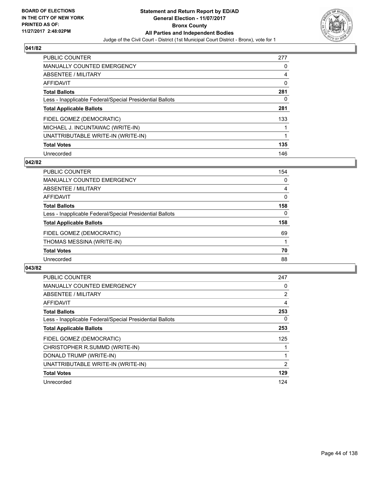

| <b>PUBLIC COUNTER</b>                                    | 277 |
|----------------------------------------------------------|-----|
| <b>MANUALLY COUNTED EMERGENCY</b>                        | 0   |
| ABSENTEE / MILITARY                                      | 4   |
| AFFIDAVIT                                                | 0   |
| <b>Total Ballots</b>                                     | 281 |
| Less - Inapplicable Federal/Special Presidential Ballots | 0   |
| <b>Total Applicable Ballots</b>                          | 281 |
| FIDEL GOMEZ (DEMOCRATIC)                                 | 133 |
| MICHAEL J. INCUNTAWAC (WRITE-IN)                         |     |
| UNATTRIBUTABLE WRITE-IN (WRITE-IN)                       |     |
| <b>Total Votes</b>                                       | 135 |
| Unrecorded                                               | 146 |

#### **042/82**

| <b>PUBLIC COUNTER</b>                                    | 154 |
|----------------------------------------------------------|-----|
| MANUALLY COUNTED EMERGENCY                               | 0   |
| ABSENTEE / MILITARY                                      | 4   |
| <b>AFFIDAVIT</b>                                         | 0   |
| <b>Total Ballots</b>                                     | 158 |
| Less - Inapplicable Federal/Special Presidential Ballots | 0   |
| <b>Total Applicable Ballots</b>                          | 158 |
| FIDEL GOMEZ (DEMOCRATIC)                                 | 69  |
| THOMAS MESSINA (WRITE-IN)                                |     |
| <b>Total Votes</b>                                       | 70  |
| Unrecorded                                               | 88  |

| <b>PUBLIC COUNTER</b>                                    | 247            |
|----------------------------------------------------------|----------------|
| <b>MANUALLY COUNTED EMERGENCY</b>                        | 0              |
| ABSENTEE / MILITARY                                      | $\overline{2}$ |
| AFFIDAVIT                                                | 4              |
| <b>Total Ballots</b>                                     | 253            |
| Less - Inapplicable Federal/Special Presidential Ballots | 0              |
| <b>Total Applicable Ballots</b>                          | 253            |
| FIDEL GOMEZ (DEMOCRATIC)                                 | 125            |
| CHRISTOPHER R.SUMMD (WRITE-IN)                           |                |
| DONALD TRUMP (WRITE-IN)                                  |                |
| UNATTRIBUTABLE WRITE-IN (WRITE-IN)                       | 2              |
| <b>Total Votes</b>                                       | 129            |
| Unrecorded                                               | 124            |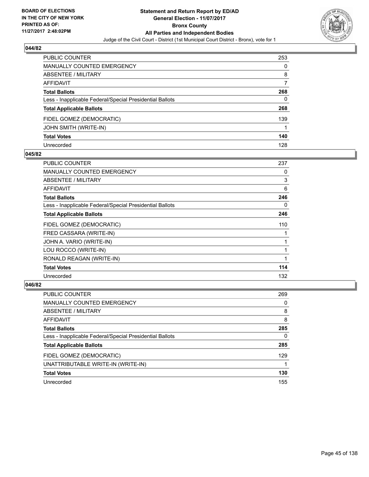

| PUBLIC COUNTER                                           | 253 |
|----------------------------------------------------------|-----|
| <b>MANUALLY COUNTED EMERGENCY</b>                        | 0   |
| ABSENTEE / MILITARY                                      | 8   |
| AFFIDAVIT                                                |     |
| <b>Total Ballots</b>                                     | 268 |
| Less - Inapplicable Federal/Special Presidential Ballots | 0   |
| <b>Total Applicable Ballots</b>                          | 268 |
| FIDEL GOMEZ (DEMOCRATIC)                                 | 139 |
| <b>JOHN SMITH (WRITE-IN)</b>                             |     |
| <b>Total Votes</b>                                       | 140 |
| Unrecorded                                               | 128 |

### **045/82**

| PUBLIC COUNTER                                           | 237 |
|----------------------------------------------------------|-----|
| <b>MANUALLY COUNTED EMERGENCY</b>                        | 0   |
| ABSENTEE / MILITARY                                      | 3   |
| AFFIDAVIT                                                | 6   |
| <b>Total Ballots</b>                                     | 246 |
| Less - Inapplicable Federal/Special Presidential Ballots | 0   |
| <b>Total Applicable Ballots</b>                          | 246 |
| FIDEL GOMEZ (DEMOCRATIC)                                 | 110 |
| FRED CASSARA (WRITE-IN)                                  |     |
| JOHN A. VARIO (WRITE-IN)                                 | 1   |
| LOU ROCCO (WRITE-IN)                                     | 1   |
| RONALD REAGAN (WRITE-IN)                                 | 1   |
| <b>Total Votes</b>                                       | 114 |
| Unrecorded                                               | 132 |

| <b>PUBLIC COUNTER</b>                                    | 269 |
|----------------------------------------------------------|-----|
| MANUALLY COUNTED EMERGENCY                               | 0   |
| ABSENTEE / MILITARY                                      | 8   |
| AFFIDAVIT                                                | 8   |
| <b>Total Ballots</b>                                     | 285 |
| Less - Inapplicable Federal/Special Presidential Ballots | 0   |
| <b>Total Applicable Ballots</b>                          | 285 |
| FIDEL GOMEZ (DEMOCRATIC)                                 | 129 |
| UNATTRIBUTABLE WRITE-IN (WRITE-IN)                       |     |
| <b>Total Votes</b>                                       | 130 |
| Unrecorded                                               | 155 |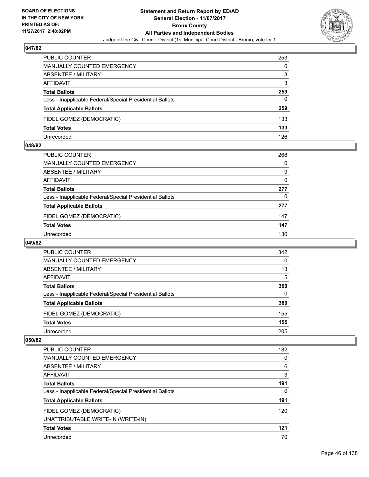

| <b>PUBLIC COUNTER</b>                                    | 253 |
|----------------------------------------------------------|-----|
| MANUALLY COUNTED EMERGENCY                               | 0   |
| ABSENTEE / MILITARY                                      | 3   |
| AFFIDAVIT                                                | 3   |
| <b>Total Ballots</b>                                     | 259 |
| Less - Inapplicable Federal/Special Presidential Ballots | 0   |
| <b>Total Applicable Ballots</b>                          | 259 |
| FIDEL GOMEZ (DEMOCRATIC)                                 | 133 |
| <b>Total Votes</b>                                       | 133 |
| Unrecorded                                               | 126 |

#### **048/82**

| PUBLIC COUNTER                                           | 268 |
|----------------------------------------------------------|-----|
| <b>MANUALLY COUNTED EMERGENCY</b>                        | 0   |
| ABSENTEE / MILITARY                                      | 9   |
| AFFIDAVIT                                                | 0   |
| <b>Total Ballots</b>                                     | 277 |
| Less - Inapplicable Federal/Special Presidential Ballots | 0   |
| <b>Total Applicable Ballots</b>                          | 277 |
| FIDEL GOMEZ (DEMOCRATIC)                                 | 147 |
| <b>Total Votes</b>                                       | 147 |
| Unrecorded                                               | 130 |
|                                                          |     |

# **049/82**

| <b>PUBLIC COUNTER</b>                                    | 342 |
|----------------------------------------------------------|-----|
| <b>MANUALLY COUNTED EMERGENCY</b>                        | 0   |
| ABSENTEE / MILITARY                                      | 13  |
| AFFIDAVIT                                                | 5   |
| <b>Total Ballots</b>                                     | 360 |
| Less - Inapplicable Federal/Special Presidential Ballots | 0   |
| <b>Total Applicable Ballots</b>                          | 360 |
| FIDEL GOMEZ (DEMOCRATIC)                                 | 155 |
| <b>Total Votes</b>                                       | 155 |
| Unrecorded                                               | 205 |

| PUBLIC COUNTER                                           | 182 |
|----------------------------------------------------------|-----|
| <b>MANUALLY COUNTED EMERGENCY</b>                        | 0   |
| <b>ABSENTEE / MILITARY</b>                               | 6   |
| AFFIDAVIT                                                | 3   |
| <b>Total Ballots</b>                                     | 191 |
| Less - Inapplicable Federal/Special Presidential Ballots | 0   |
| <b>Total Applicable Ballots</b>                          | 191 |
| FIDEL GOMEZ (DEMOCRATIC)                                 | 120 |
| UNATTRIBUTABLE WRITE-IN (WRITE-IN)                       |     |
| <b>Total Votes</b>                                       | 121 |
| Unrecorded                                               | 70  |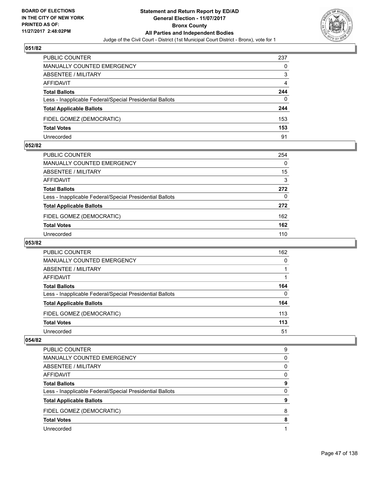

| <b>PUBLIC COUNTER</b>                                    | 237 |
|----------------------------------------------------------|-----|
| MANUALLY COUNTED EMERGENCY                               | 0   |
| <b>ABSENTEE / MILITARY</b>                               | 3   |
| AFFIDAVIT                                                | 4   |
| <b>Total Ballots</b>                                     | 244 |
| Less - Inapplicable Federal/Special Presidential Ballots | 0   |
| <b>Total Applicable Ballots</b>                          | 244 |
| FIDEL GOMEZ (DEMOCRATIC)                                 | 153 |
| <b>Total Votes</b>                                       | 153 |
| Unrecorded                                               | 91  |

#### **052/82**

| <b>PUBLIC COUNTER</b>                                    | 254      |
|----------------------------------------------------------|----------|
| MANUALLY COUNTED EMERGENCY                               | $\Omega$ |
| ABSENTEE / MILITARY                                      | 15       |
| AFFIDAVIT                                                | 3        |
| <b>Total Ballots</b>                                     | 272      |
| Less - Inapplicable Federal/Special Presidential Ballots | 0        |
| <b>Total Applicable Ballots</b>                          | 272      |
| FIDEL GOMEZ (DEMOCRATIC)                                 | 162      |
| <b>Total Votes</b>                                       | 162      |
| Unrecorded                                               | 110      |
|                                                          |          |

# **053/82**

| <b>PUBLIC COUNTER</b>                                    | 162 |
|----------------------------------------------------------|-----|
| MANUALLY COUNTED EMERGENCY                               | 0   |
| ABSENTEE / MILITARY                                      |     |
| AFFIDAVIT                                                |     |
| <b>Total Ballots</b>                                     | 164 |
| Less - Inapplicable Federal/Special Presidential Ballots | 0   |
| <b>Total Applicable Ballots</b>                          | 164 |
| FIDEL GOMEZ (DEMOCRATIC)                                 | 113 |
| <b>Total Votes</b>                                       | 113 |
| Unrecorded                                               | 51  |

| <b>PUBLIC COUNTER</b>                                    | 9 |
|----------------------------------------------------------|---|
| <b>MANUALLY COUNTED EMERGENCY</b>                        | 0 |
| ABSENTEE / MILITARY                                      | 0 |
| AFFIDAVIT                                                | 0 |
| <b>Total Ballots</b>                                     | 9 |
| Less - Inapplicable Federal/Special Presidential Ballots | 0 |
| <b>Total Applicable Ballots</b>                          | 9 |
| FIDEL GOMEZ (DEMOCRATIC)                                 | 8 |
| <b>Total Votes</b>                                       | 8 |
| Unrecorded                                               |   |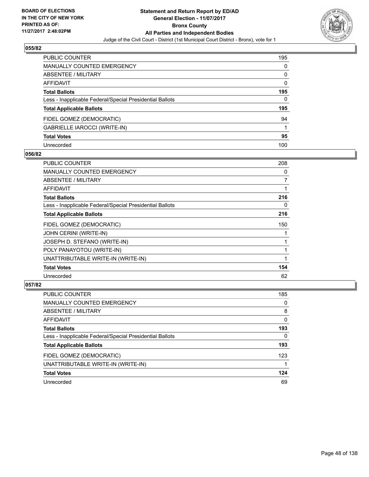

| <b>PUBLIC COUNTER</b>                                    | 195 |
|----------------------------------------------------------|-----|
| <b>MANUALLY COUNTED EMERGENCY</b>                        | 0   |
| ABSENTEE / MILITARY                                      | 0   |
| AFFIDAVIT                                                | 0   |
| <b>Total Ballots</b>                                     | 195 |
| Less - Inapplicable Federal/Special Presidential Ballots | 0   |
| <b>Total Applicable Ballots</b>                          | 195 |
| FIDEL GOMEZ (DEMOCRATIC)                                 | 94  |
| GABRIELLE IAROCCI (WRITE-IN)                             |     |
| <b>Total Votes</b>                                       | 95  |
| Unrecorded                                               | 100 |

### **056/82**

| PUBLIC COUNTER                                           | 208            |
|----------------------------------------------------------|----------------|
| <b>MANUALLY COUNTED EMERGENCY</b>                        | 0              |
| <b>ABSENTEE / MILITARY</b>                               | $\overline{7}$ |
| AFFIDAVIT                                                |                |
| <b>Total Ballots</b>                                     | 216            |
| Less - Inapplicable Federal/Special Presidential Ballots | 0              |
| <b>Total Applicable Ballots</b>                          | 216            |
| FIDEL GOMEZ (DEMOCRATIC)                                 | 150            |
| JOHN CERINI (WRITE-IN)                                   |                |
| JOSEPH D. STEFANO (WRITE-IN)                             |                |
| POLY PANAYOTOU (WRITE-IN)                                |                |
| UNATTRIBUTABLE WRITE-IN (WRITE-IN)                       |                |
| <b>Total Votes</b>                                       | 154            |
| Unrecorded                                               | 62             |

| <b>PUBLIC COUNTER</b>                                    | 185 |
|----------------------------------------------------------|-----|
| MANUALLY COUNTED EMERGENCY                               | 0   |
| ABSENTEE / MILITARY                                      | 8   |
| AFFIDAVIT                                                | 0   |
| <b>Total Ballots</b>                                     | 193 |
| Less - Inapplicable Federal/Special Presidential Ballots | 0   |
| <b>Total Applicable Ballots</b>                          | 193 |
| FIDEL GOMEZ (DEMOCRATIC)                                 | 123 |
| UNATTRIBUTABLE WRITE-IN (WRITE-IN)                       |     |
| <b>Total Votes</b>                                       | 124 |
| Unrecorded                                               | 69  |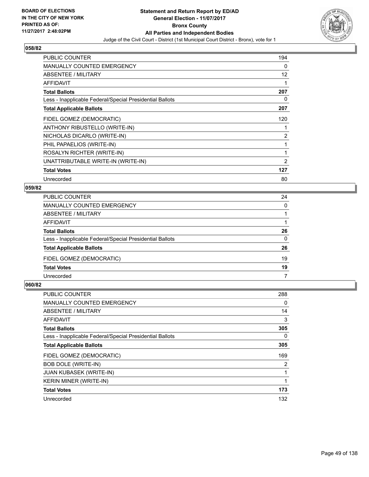

| <b>PUBLIC COUNTER</b>                                    | 194            |
|----------------------------------------------------------|----------------|
| <b>MANUALLY COUNTED EMERGENCY</b>                        | 0              |
| ABSENTEE / MILITARY                                      | 12             |
| AFFIDAVIT                                                |                |
| <b>Total Ballots</b>                                     | 207            |
| Less - Inapplicable Federal/Special Presidential Ballots | 0              |
| <b>Total Applicable Ballots</b>                          | 207            |
| FIDEL GOMEZ (DEMOCRATIC)                                 | 120            |
| ANTHONY RIBUSTELLO (WRITE-IN)                            |                |
| NICHOLAS DICARLO (WRITE-IN)                              | $\overline{2}$ |
| PHIL PAPAELIOS (WRITE-IN)                                |                |
| ROSALYN RICHTER (WRITE-IN)                               |                |
| UNATTRIBUTABLE WRITE-IN (WRITE-IN)                       | 2              |
| <b>Total Votes</b>                                       | 127            |
| Unrecorded                                               | 80             |

# **059/82**

| PUBLIC COUNTER                                           | 24       |
|----------------------------------------------------------|----------|
| MANUALLY COUNTED EMERGENCY                               | $\Omega$ |
| <b>ABSENTEE / MILITARY</b>                               |          |
| AFFIDAVIT                                                |          |
| <b>Total Ballots</b>                                     | 26       |
| Less - Inapplicable Federal/Special Presidential Ballots | $\Omega$ |
| <b>Total Applicable Ballots</b>                          | 26       |
| FIDEL GOMEZ (DEMOCRATIC)                                 | 19       |
| <b>Total Votes</b>                                       | 19       |
| Unrecorded                                               |          |

| <b>PUBLIC COUNTER</b>                                    | 288 |
|----------------------------------------------------------|-----|
| <b>MANUALLY COUNTED EMERGENCY</b>                        | 0   |
| ABSENTEE / MILITARY                                      | 14  |
| AFFIDAVIT                                                | 3   |
| <b>Total Ballots</b>                                     | 305 |
| Less - Inapplicable Federal/Special Presidential Ballots | 0   |
| <b>Total Applicable Ballots</b>                          | 305 |
| FIDEL GOMEZ (DEMOCRATIC)                                 | 169 |
| <b>BOB DOLE (WRITE-IN)</b>                               | 2   |
| <b>JUAN KUBASEK (WRITE-IN)</b>                           |     |
| <b>KERIN MINER (WRITE-IN)</b>                            |     |
| <b>Total Votes</b>                                       | 173 |
| Unrecorded                                               | 132 |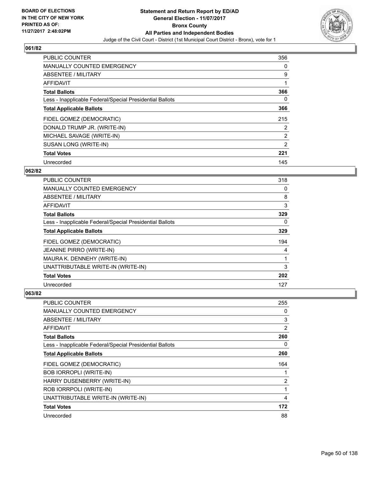

| <b>PUBLIC COUNTER</b>                                    | 356            |
|----------------------------------------------------------|----------------|
| <b>MANUALLY COUNTED EMERGENCY</b>                        | 0              |
| ABSENTEE / MILITARY                                      | 9              |
| <b>AFFIDAVIT</b>                                         | 1              |
| <b>Total Ballots</b>                                     | 366            |
| Less - Inapplicable Federal/Special Presidential Ballots | 0              |
| <b>Total Applicable Ballots</b>                          | 366            |
| FIDEL GOMEZ (DEMOCRATIC)                                 | 215            |
| DONALD TRUMP JR. (WRITE-IN)                              | $\overline{2}$ |
| MICHAEL SAVAGE (WRITE-IN)                                | $\overline{2}$ |
| SUSAN LONG (WRITE-IN)                                    | 2              |
| <b>Total Votes</b>                                       | 221            |
| Unrecorded                                               | 145            |

# **062/82**

| <b>PUBLIC COUNTER</b>                                    | 318 |
|----------------------------------------------------------|-----|
| <b>MANUALLY COUNTED EMERGENCY</b>                        | 0   |
| ABSENTEE / MILITARY                                      | 8   |
| <b>AFFIDAVIT</b>                                         | 3   |
| <b>Total Ballots</b>                                     | 329 |
| Less - Inapplicable Federal/Special Presidential Ballots | 0   |
| <b>Total Applicable Ballots</b>                          | 329 |
| FIDEL GOMEZ (DEMOCRATIC)                                 | 194 |
| <b>JEANINE PIRRO (WRITE-IN)</b>                          | 4   |
| MAURA K. DENNEHY (WRITE-IN)                              |     |
| UNATTRIBUTABLE WRITE-IN (WRITE-IN)                       | 3   |
| <b>Total Votes</b>                                       | 202 |
| Unrecorded                                               | 127 |

| PUBLIC COUNTER                                           | 255 |
|----------------------------------------------------------|-----|
| MANUALLY COUNTED EMERGENCY                               | 0   |
| ABSENTEE / MILITARY                                      | 3   |
| AFFIDAVIT                                                | 2   |
| <b>Total Ballots</b>                                     | 260 |
| Less - Inapplicable Federal/Special Presidential Ballots | 0   |
| <b>Total Applicable Ballots</b>                          | 260 |
| FIDEL GOMEZ (DEMOCRATIC)                                 | 164 |
| <b>BOB IORROPLI (WRITE-IN)</b>                           |     |
| HARRY DUSENBERRY (WRITE-IN)                              | 2   |
| ROB IORRPOLI (WRITE-IN)                                  | 1   |
| UNATTRIBUTABLE WRITE-IN (WRITE-IN)                       | 4   |
| <b>Total Votes</b>                                       | 172 |
| Unrecorded                                               | 88  |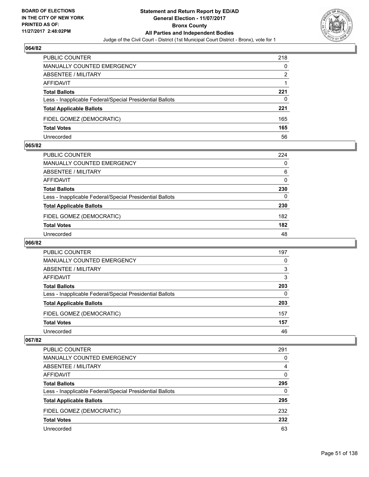

| <b>PUBLIC COUNTER</b>                                    | 218 |
|----------------------------------------------------------|-----|
| <b>MANUALLY COUNTED EMERGENCY</b>                        | 0   |
| ABSENTEE / MILITARY                                      | 2   |
| AFFIDAVIT                                                |     |
| <b>Total Ballots</b>                                     | 221 |
| Less - Inapplicable Federal/Special Presidential Ballots | 0   |
| <b>Total Applicable Ballots</b>                          | 221 |
| FIDEL GOMEZ (DEMOCRATIC)                                 | 165 |
| <b>Total Votes</b>                                       | 165 |
| Unrecorded                                               | 56  |

#### **065/82**

| PUBLIC COUNTER                                           | 224      |
|----------------------------------------------------------|----------|
| <b>MANUALLY COUNTED EMERGENCY</b>                        | $\Omega$ |
| ABSENTEE / MILITARY                                      | 6        |
| AFFIDAVIT                                                | 0        |
| <b>Total Ballots</b>                                     | 230      |
| Less - Inapplicable Federal/Special Presidential Ballots | $\Omega$ |
| <b>Total Applicable Ballots</b>                          | 230      |
| FIDEL GOMEZ (DEMOCRATIC)                                 | 182      |
| <b>Total Votes</b>                                       | 182      |
| Unrecorded                                               | 48       |
|                                                          |          |

# **066/82**

| <b>PUBLIC COUNTER</b>                                    | 197 |
|----------------------------------------------------------|-----|
| <b>MANUALLY COUNTED EMERGENCY</b>                        | 0   |
| ABSENTEE / MILITARY                                      | 3   |
| AFFIDAVIT                                                | 3   |
| <b>Total Ballots</b>                                     | 203 |
| Less - Inapplicable Federal/Special Presidential Ballots | 0   |
| <b>Total Applicable Ballots</b>                          | 203 |
| FIDEL GOMEZ (DEMOCRATIC)                                 | 157 |
| <b>Total Votes</b>                                       | 157 |
| Unrecorded                                               | 46  |

| <b>PUBLIC COUNTER</b>                                    | 291 |
|----------------------------------------------------------|-----|
| <b>MANUALLY COUNTED EMERGENCY</b>                        | 0   |
| ABSENTEE / MILITARY                                      | 4   |
| AFFIDAVIT                                                | 0   |
| <b>Total Ballots</b>                                     | 295 |
| Less - Inapplicable Federal/Special Presidential Ballots | 0   |
| <b>Total Applicable Ballots</b>                          | 295 |
| FIDEL GOMEZ (DEMOCRATIC)                                 | 232 |
| <b>Total Votes</b>                                       | 232 |
| Unrecorded                                               | 63  |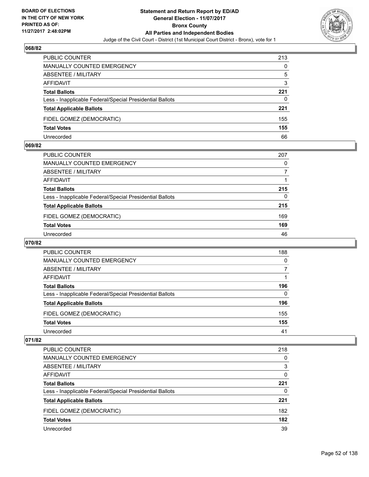

| <b>PUBLIC COUNTER</b>                                    | 213 |
|----------------------------------------------------------|-----|
| <b>MANUALLY COUNTED EMERGENCY</b>                        | 0   |
| ABSENTEE / MILITARY                                      | 5   |
| AFFIDAVIT                                                | 3   |
| <b>Total Ballots</b>                                     | 221 |
| Less - Inapplicable Federal/Special Presidential Ballots | 0   |
| <b>Total Applicable Ballots</b>                          | 221 |
| FIDEL GOMEZ (DEMOCRATIC)                                 | 155 |
| <b>Total Votes</b>                                       | 155 |
| Unrecorded                                               | 66  |

#### **069/82**

| PUBLIC COUNTER                                           | 207      |
|----------------------------------------------------------|----------|
| <b>MANUALLY COUNTED EMERGENCY</b>                        | 0        |
| ABSENTEE / MILITARY                                      | 7        |
| AFFIDAVIT                                                |          |
| <b>Total Ballots</b>                                     | 215      |
| Less - Inapplicable Federal/Special Presidential Ballots | $\Omega$ |
| <b>Total Applicable Ballots</b>                          | 215      |
| FIDEL GOMEZ (DEMOCRATIC)                                 | 169      |
| <b>Total Votes</b>                                       | 169      |
| Unrecorded                                               | 46       |
|                                                          |          |

# **070/82**

| <b>PUBLIC COUNTER</b>                                    | 188 |
|----------------------------------------------------------|-----|
| <b>MANUALLY COUNTED EMERGENCY</b>                        | 0   |
| ABSENTEE / MILITARY                                      |     |
| AFFIDAVIT                                                |     |
| <b>Total Ballots</b>                                     | 196 |
| Less - Inapplicable Federal/Special Presidential Ballots | 0   |
| <b>Total Applicable Ballots</b>                          | 196 |
| FIDEL GOMEZ (DEMOCRATIC)                                 | 155 |
| <b>Total Votes</b>                                       | 155 |
| Unrecorded                                               | 41  |

| <b>PUBLIC COUNTER</b>                                    | 218 |
|----------------------------------------------------------|-----|
| <b>MANUALLY COUNTED EMERGENCY</b>                        | 0   |
| <b>ABSENTEE / MILITARY</b>                               | 3   |
| AFFIDAVIT                                                | 0   |
| <b>Total Ballots</b>                                     | 221 |
| Less - Inapplicable Federal/Special Presidential Ballots | 0   |
| <b>Total Applicable Ballots</b>                          | 221 |
| FIDEL GOMEZ (DEMOCRATIC)                                 | 182 |
| <b>Total Votes</b>                                       | 182 |
| Unrecorded                                               | 39  |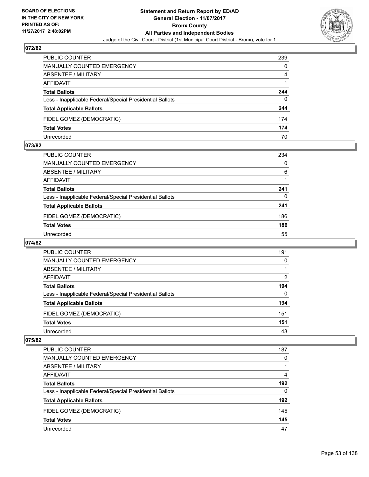

| <b>PUBLIC COUNTER</b>                                    | 239 |
|----------------------------------------------------------|-----|
| MANUALLY COUNTED EMERGENCY                               | 0   |
| <b>ABSENTEE / MILITARY</b>                               | 4   |
| AFFIDAVIT                                                |     |
| <b>Total Ballots</b>                                     | 244 |
| Less - Inapplicable Federal/Special Presidential Ballots | 0   |
| <b>Total Applicable Ballots</b>                          | 244 |
| FIDEL GOMEZ (DEMOCRATIC)                                 | 174 |
| <b>Total Votes</b>                                       | 174 |
| Unrecorded                                               | 70  |

#### **073/82**

| PUBLIC COUNTER                                           | 234 |
|----------------------------------------------------------|-----|
| MANUALLY COUNTED EMERGENCY                               | 0   |
| ABSENTEE / MILITARY                                      | 6   |
| AFFIDAVIT                                                |     |
| <b>Total Ballots</b>                                     | 241 |
| Less - Inapplicable Federal/Special Presidential Ballots | 0   |
| <b>Total Applicable Ballots</b>                          | 241 |
| FIDEL GOMEZ (DEMOCRATIC)                                 | 186 |
| <b>Total Votes</b>                                       | 186 |
| Unrecorded                                               | 55  |
|                                                          |     |

# **074/82**

| <b>PUBLIC COUNTER</b>                                    | 191 |
|----------------------------------------------------------|-----|
| <b>MANUALLY COUNTED EMERGENCY</b>                        | 0   |
| ABSENTEE / MILITARY                                      |     |
| AFFIDAVIT                                                | 2   |
| <b>Total Ballots</b>                                     | 194 |
| Less - Inapplicable Federal/Special Presidential Ballots | 0   |
| <b>Total Applicable Ballots</b>                          | 194 |
| FIDEL GOMEZ (DEMOCRATIC)                                 | 151 |
| <b>Total Votes</b>                                       | 151 |
| Unrecorded                                               | 43  |

| <b>PUBLIC COUNTER</b>                                    | 187 |
|----------------------------------------------------------|-----|
| <b>MANUALLY COUNTED EMERGENCY</b>                        | 0   |
| <b>ABSENTEE / MILITARY</b>                               |     |
| AFFIDAVIT                                                | 4   |
| <b>Total Ballots</b>                                     | 192 |
| Less - Inapplicable Federal/Special Presidential Ballots | 0   |
| <b>Total Applicable Ballots</b>                          | 192 |
| FIDEL GOMEZ (DEMOCRATIC)                                 | 145 |
| <b>Total Votes</b>                                       | 145 |
| Unrecorded                                               | 47  |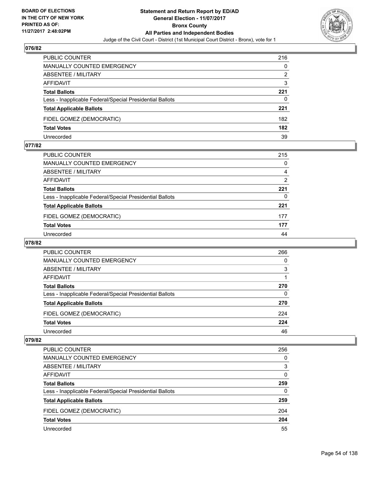

| <b>PUBLIC COUNTER</b>                                    | 216 |
|----------------------------------------------------------|-----|
| MANUALLY COUNTED EMERGENCY                               | 0   |
| ABSENTEE / MILITARY                                      | 2   |
| AFFIDAVIT                                                | 3   |
| <b>Total Ballots</b>                                     | 221 |
| Less - Inapplicable Federal/Special Presidential Ballots | 0   |
| <b>Total Applicable Ballots</b>                          | 221 |
| FIDEL GOMEZ (DEMOCRATIC)                                 | 182 |
| <b>Total Votes</b>                                       | 182 |
| Unrecorded                                               | 39  |

#### **077/82**

| PUBLIC COUNTER                                           | 215 |
|----------------------------------------------------------|-----|
| <b>MANUALLY COUNTED EMERGENCY</b>                        | 0   |
| ABSENTEE / MILITARY                                      | 4   |
| AFFIDAVIT                                                | 2   |
| <b>Total Ballots</b>                                     | 221 |
| Less - Inapplicable Federal/Special Presidential Ballots | 0   |
| <b>Total Applicable Ballots</b>                          | 221 |
| FIDEL GOMEZ (DEMOCRATIC)                                 | 177 |
| <b>Total Votes</b>                                       | 177 |
| Unrecorded                                               | 44  |
|                                                          |     |

# **078/82**

| <b>PUBLIC COUNTER</b>                                    | 266 |
|----------------------------------------------------------|-----|
| <b>MANUALLY COUNTED EMERGENCY</b>                        | 0   |
| ABSENTEE / MILITARY                                      | 3   |
| AFFIDAVIT                                                |     |
| <b>Total Ballots</b>                                     | 270 |
| Less - Inapplicable Federal/Special Presidential Ballots | 0   |
| <b>Total Applicable Ballots</b>                          | 270 |
| FIDEL GOMEZ (DEMOCRATIC)                                 | 224 |
| <b>Total Votes</b>                                       | 224 |
| Unrecorded                                               | 46  |

| <b>PUBLIC COUNTER</b>                                    | 256 |
|----------------------------------------------------------|-----|
| MANUALLY COUNTED EMERGENCY                               | 0   |
| <b>ABSENTEE / MILITARY</b>                               | 3   |
| AFFIDAVIT                                                | 0   |
| <b>Total Ballots</b>                                     | 259 |
| Less - Inapplicable Federal/Special Presidential Ballots | 0   |
| <b>Total Applicable Ballots</b>                          | 259 |
| FIDEL GOMEZ (DEMOCRATIC)                                 | 204 |
| <b>Total Votes</b>                                       | 204 |
| Unrecorded                                               | 55  |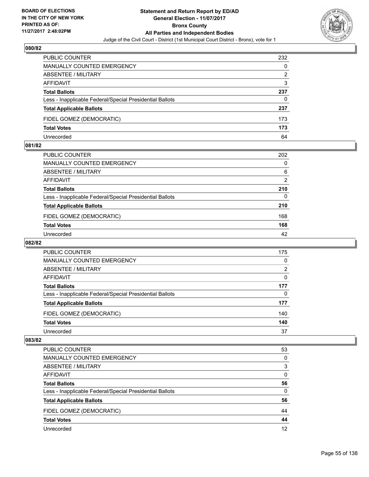

| <b>PUBLIC COUNTER</b>                                    | 232 |
|----------------------------------------------------------|-----|
| <b>MANUALLY COUNTED EMERGENCY</b>                        | 0   |
| ABSENTEE / MILITARY                                      | 2   |
| AFFIDAVIT                                                | 3   |
| <b>Total Ballots</b>                                     | 237 |
| Less - Inapplicable Federal/Special Presidential Ballots | 0   |
| <b>Total Applicable Ballots</b>                          | 237 |
| FIDEL GOMEZ (DEMOCRATIC)                                 | 173 |
| <b>Total Votes</b>                                       | 173 |
| Unrecorded                                               | 64  |

#### **081/82**

| PUBLIC COUNTER                                           | 202 |
|----------------------------------------------------------|-----|
| <b>MANUALLY COUNTED EMERGENCY</b>                        | 0   |
| ABSENTEE / MILITARY                                      | 6   |
| AFFIDAVIT                                                | 2   |
| <b>Total Ballots</b>                                     | 210 |
| Less - Inapplicable Federal/Special Presidential Ballots | 0   |
| <b>Total Applicable Ballots</b>                          | 210 |
| FIDEL GOMEZ (DEMOCRATIC)                                 | 168 |
| <b>Total Votes</b>                                       | 168 |
| Unrecorded                                               | 42  |
|                                                          |     |

# **082/82**

| PUBLIC COUNTER                                           | 175 |
|----------------------------------------------------------|-----|
| <b>MANUALLY COUNTED EMERGENCY</b>                        | 0   |
| ABSENTEE / MILITARY                                      | 2   |
| AFFIDAVIT                                                | 0   |
| <b>Total Ballots</b>                                     | 177 |
| Less - Inapplicable Federal/Special Presidential Ballots | 0   |
| <b>Total Applicable Ballots</b>                          | 177 |
| FIDEL GOMEZ (DEMOCRATIC)                                 | 140 |
| <b>Total Votes</b>                                       | 140 |
| Unrecorded                                               | 37  |

| PUBLIC COUNTER                                           | 53 |
|----------------------------------------------------------|----|
| <b>MANUALLY COUNTED EMERGENCY</b>                        | 0  |
| <b>ABSENTEE / MILITARY</b>                               | 3  |
| AFFIDAVIT                                                | 0  |
| <b>Total Ballots</b>                                     | 56 |
| Less - Inapplicable Federal/Special Presidential Ballots | 0  |
| <b>Total Applicable Ballots</b>                          | 56 |
| FIDEL GOMEZ (DEMOCRATIC)                                 | 44 |
| <b>Total Votes</b>                                       | 44 |
| Unrecorded                                               | 12 |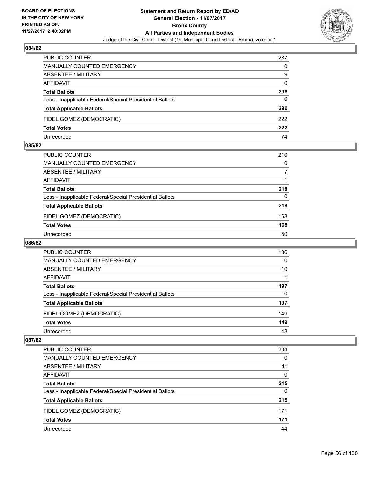

| <b>PUBLIC COUNTER</b>                                    | 287 |
|----------------------------------------------------------|-----|
| <b>MANUALLY COUNTED EMERGENCY</b>                        | 0   |
| ABSENTEE / MILITARY                                      | 9   |
| AFFIDAVIT                                                | 0   |
| <b>Total Ballots</b>                                     | 296 |
| Less - Inapplicable Federal/Special Presidential Ballots | 0   |
| <b>Total Applicable Ballots</b>                          | 296 |
| FIDEL GOMEZ (DEMOCRATIC)                                 | 222 |
| <b>Total Votes</b>                                       | 222 |
| Unrecorded                                               | 74  |

#### **085/82**

| <b>PUBLIC COUNTER</b>                                    | 210 |
|----------------------------------------------------------|-----|
| <b>MANUALLY COUNTED EMERGENCY</b>                        | 0   |
| ABSENTEE / MILITARY                                      |     |
| AFFIDAVIT                                                |     |
| <b>Total Ballots</b>                                     | 218 |
| Less - Inapplicable Federal/Special Presidential Ballots | 0   |
| <b>Total Applicable Ballots</b>                          | 218 |
| FIDEL GOMEZ (DEMOCRATIC)                                 | 168 |
| <b>Total Votes</b>                                       | 168 |
| Unrecorded                                               | 50  |

# **086/82**

| <b>PUBLIC COUNTER</b>                                    | 186 |
|----------------------------------------------------------|-----|
| <b>MANUALLY COUNTED EMERGENCY</b>                        | 0   |
| ABSENTEE / MILITARY                                      | 10  |
| AFFIDAVIT                                                |     |
| <b>Total Ballots</b>                                     | 197 |
| Less - Inapplicable Federal/Special Presidential Ballots | 0   |
| <b>Total Applicable Ballots</b>                          | 197 |
| FIDEL GOMEZ (DEMOCRATIC)                                 | 149 |
| <b>Total Votes</b>                                       | 149 |
| Unrecorded                                               | 48  |

| PUBLIC COUNTER                                           | 204 |
|----------------------------------------------------------|-----|
| MANUALLY COUNTED EMERGENCY                               | 0   |
| ABSENTEE / MILITARY                                      | 11  |
| AFFIDAVIT                                                | 0   |
| <b>Total Ballots</b>                                     | 215 |
| Less - Inapplicable Federal/Special Presidential Ballots | 0   |
| <b>Total Applicable Ballots</b>                          | 215 |
| FIDEL GOMEZ (DEMOCRATIC)                                 | 171 |
| <b>Total Votes</b>                                       | 171 |
| Unrecorded                                               | 44  |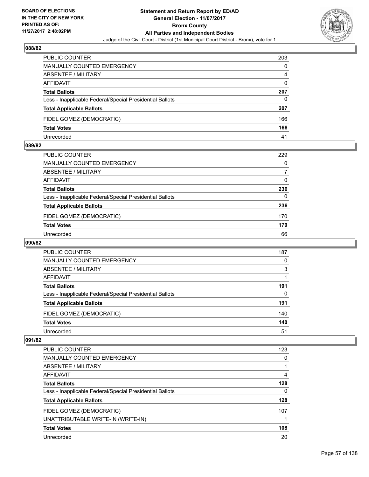

| <b>PUBLIC COUNTER</b>                                    | 203 |
|----------------------------------------------------------|-----|
| MANUALLY COUNTED EMERGENCY                               | 0   |
| ABSENTEE / MILITARY                                      | 4   |
| AFFIDAVIT                                                | 0   |
| <b>Total Ballots</b>                                     | 207 |
| Less - Inapplicable Federal/Special Presidential Ballots | 0   |
| <b>Total Applicable Ballots</b>                          | 207 |
| FIDEL GOMEZ (DEMOCRATIC)                                 | 166 |
| <b>Total Votes</b>                                       | 166 |
| Unrecorded                                               | 41  |

#### **089/82**

| PUBLIC COUNTER                                           | 229 |
|----------------------------------------------------------|-----|
| <b>MANUALLY COUNTED EMERGENCY</b>                        | 0   |
| ABSENTEE / MILITARY                                      |     |
| AFFIDAVIT                                                | 0   |
| <b>Total Ballots</b>                                     | 236 |
| Less - Inapplicable Federal/Special Presidential Ballots | 0   |
| <b>Total Applicable Ballots</b>                          | 236 |
| FIDEL GOMEZ (DEMOCRATIC)                                 | 170 |
| <b>Total Votes</b>                                       | 170 |
| Unrecorded                                               | 66  |
|                                                          |     |

# **090/82**

| <b>PUBLIC COUNTER</b>                                    | 187 |
|----------------------------------------------------------|-----|
| MANUALLY COUNTED EMERGENCY                               | 0   |
| ABSENTEE / MILITARY                                      | 3   |
| AFFIDAVIT                                                |     |
| <b>Total Ballots</b>                                     | 191 |
| Less - Inapplicable Federal/Special Presidential Ballots | 0   |
| <b>Total Applicable Ballots</b>                          | 191 |
| FIDEL GOMEZ (DEMOCRATIC)                                 | 140 |
| <b>Total Votes</b>                                       | 140 |
| Unrecorded                                               | 51  |

| <b>PUBLIC COUNTER</b>                                    | 123 |
|----------------------------------------------------------|-----|
| <b>MANUALLY COUNTED EMERGENCY</b>                        | 0   |
| ABSENTEE / MILITARY                                      |     |
| AFFIDAVIT                                                | 4   |
| <b>Total Ballots</b>                                     | 128 |
| Less - Inapplicable Federal/Special Presidential Ballots | 0   |
| <b>Total Applicable Ballots</b>                          | 128 |
| FIDEL GOMEZ (DEMOCRATIC)                                 | 107 |
| UNATTRIBUTABLE WRITE-IN (WRITE-IN)                       |     |
| <b>Total Votes</b>                                       | 108 |
| Unrecorded                                               | 20  |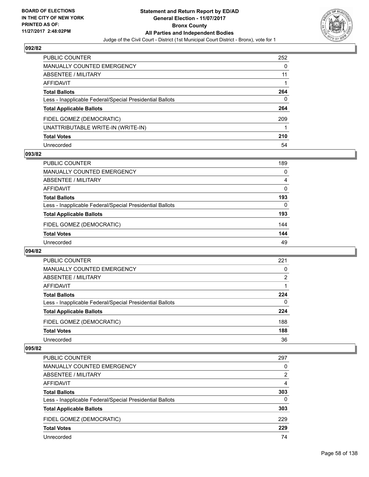

| PUBLIC COUNTER                                           | 252 |
|----------------------------------------------------------|-----|
| MANUALLY COUNTED EMERGENCY                               | 0   |
| <b>ABSENTEE / MILITARY</b>                               | 11  |
| AFFIDAVIT                                                |     |
| <b>Total Ballots</b>                                     | 264 |
| Less - Inapplicable Federal/Special Presidential Ballots | 0   |
| <b>Total Applicable Ballots</b>                          | 264 |
| FIDEL GOMEZ (DEMOCRATIC)                                 | 209 |
| UNATTRIBUTABLE WRITE-IN (WRITE-IN)                       |     |
| <b>Total Votes</b>                                       | 210 |
| Unrecorded                                               | 54  |

#### **093/82**

| <b>PUBLIC COUNTER</b>                                    | 189 |
|----------------------------------------------------------|-----|
| MANUALLY COUNTED EMERGENCY                               | 0   |
| ABSENTEE / MILITARY                                      | 4   |
| AFFIDAVIT                                                | 0   |
| <b>Total Ballots</b>                                     | 193 |
| Less - Inapplicable Federal/Special Presidential Ballots | 0   |
| <b>Total Applicable Ballots</b>                          | 193 |
| FIDEL GOMEZ (DEMOCRATIC)                                 | 144 |
| <b>Total Votes</b>                                       | 144 |
| Unrecorded                                               | 49  |

#### **094/82**

| <b>PUBLIC COUNTER</b>                                    | 221 |
|----------------------------------------------------------|-----|
| <b>MANUALLY COUNTED EMERGENCY</b>                        | 0   |
| ABSENTEE / MILITARY                                      | 2   |
| AFFIDAVIT                                                |     |
| <b>Total Ballots</b>                                     | 224 |
| Less - Inapplicable Federal/Special Presidential Ballots | 0   |
| <b>Total Applicable Ballots</b>                          | 224 |
| FIDEL GOMEZ (DEMOCRATIC)                                 | 188 |
| <b>Total Votes</b>                                       | 188 |
| Unrecorded                                               | 36  |

| <b>PUBLIC COUNTER</b>                                    | 297 |
|----------------------------------------------------------|-----|
| <b>MANUALLY COUNTED EMERGENCY</b>                        | 0   |
| <b>ABSENTEE / MILITARY</b>                               | 2   |
| AFFIDAVIT                                                | 4   |
| <b>Total Ballots</b>                                     | 303 |
| Less - Inapplicable Federal/Special Presidential Ballots | 0   |
| <b>Total Applicable Ballots</b>                          | 303 |
| FIDEL GOMEZ (DEMOCRATIC)                                 | 229 |
| <b>Total Votes</b>                                       | 229 |
| Unrecorded                                               | 74  |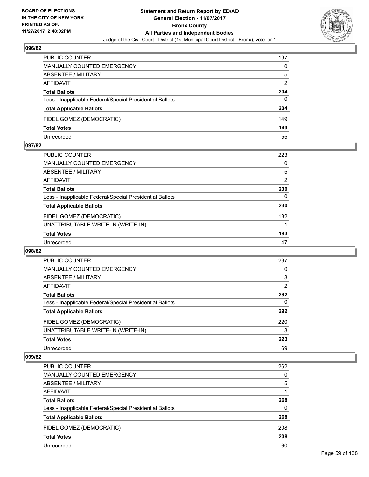

| <b>PUBLIC COUNTER</b>                                    | 197 |
|----------------------------------------------------------|-----|
| <b>MANUALLY COUNTED EMERGENCY</b>                        | 0   |
| <b>ABSENTEE / MILITARY</b>                               | 5   |
| AFFIDAVIT                                                | 2   |
| <b>Total Ballots</b>                                     | 204 |
| Less - Inapplicable Federal/Special Presidential Ballots | 0   |
| <b>Total Applicable Ballots</b>                          | 204 |
| FIDEL GOMEZ (DEMOCRATIC)                                 | 149 |
| <b>Total Votes</b>                                       | 149 |
| Unrecorded                                               | 55  |

#### **097/82**

| PUBLIC COUNTER                                           | 223      |
|----------------------------------------------------------|----------|
| <b>MANUALLY COUNTED EMERGENCY</b>                        | 0        |
| <b>ABSENTEE / MILITARY</b>                               | 5        |
| AFFIDAVIT                                                | 2        |
| <b>Total Ballots</b>                                     | 230      |
| Less - Inapplicable Federal/Special Presidential Ballots | $\Omega$ |
| <b>Total Applicable Ballots</b>                          | 230      |
| FIDEL GOMEZ (DEMOCRATIC)                                 | 182      |
| UNATTRIBUTABLE WRITE-IN (WRITE-IN)                       |          |
| <b>Total Votes</b>                                       | 183      |
| Unrecorded                                               | 47       |
|                                                          |          |

#### **098/82**

| <b>PUBLIC COUNTER</b>                                    | 287 |
|----------------------------------------------------------|-----|
| <b>MANUALLY COUNTED EMERGENCY</b>                        | 0   |
| ABSENTEE / MILITARY                                      | 3   |
| AFFIDAVIT                                                | 2   |
| <b>Total Ballots</b>                                     | 292 |
| Less - Inapplicable Federal/Special Presidential Ballots | 0   |
| <b>Total Applicable Ballots</b>                          | 292 |
| FIDEL GOMEZ (DEMOCRATIC)                                 | 220 |
| UNATTRIBUTABLE WRITE-IN (WRITE-IN)                       | 3   |
| <b>Total Votes</b>                                       | 223 |
| Unrecorded                                               | 69  |

| <b>PUBLIC COUNTER</b>                                    | 262 |
|----------------------------------------------------------|-----|
| MANUALLY COUNTED EMERGENCY                               | 0   |
| ABSENTEE / MILITARY                                      | 5   |
| AFFIDAVIT                                                |     |
| <b>Total Ballots</b>                                     | 268 |
| Less - Inapplicable Federal/Special Presidential Ballots | 0   |
| <b>Total Applicable Ballots</b>                          | 268 |
| FIDEL GOMEZ (DEMOCRATIC)                                 | 208 |
| <b>Total Votes</b>                                       | 208 |
| Unrecorded                                               | 60  |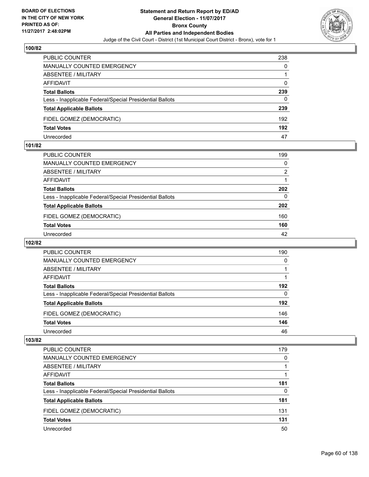

| <b>PUBLIC COUNTER</b>                                    | 238 |
|----------------------------------------------------------|-----|
| <b>MANUALLY COUNTED EMERGENCY</b>                        | 0   |
| ABSENTEE / MILITARY                                      |     |
| AFFIDAVIT                                                | 0   |
| <b>Total Ballots</b>                                     | 239 |
| Less - Inapplicable Federal/Special Presidential Ballots | 0   |
| <b>Total Applicable Ballots</b>                          | 239 |
| FIDEL GOMEZ (DEMOCRATIC)                                 | 192 |
| <b>Total Votes</b>                                       | 192 |
| Unrecorded                                               | 47  |

#### **101/82**

| PUBLIC COUNTER                                           | 199 |
|----------------------------------------------------------|-----|
| <b>MANUALLY COUNTED EMERGENCY</b>                        | 0   |
| ABSENTEE / MILITARY                                      | 2   |
| AFFIDAVIT                                                |     |
| <b>Total Ballots</b>                                     | 202 |
| Less - Inapplicable Federal/Special Presidential Ballots | 0   |
| <b>Total Applicable Ballots</b>                          | 202 |
| FIDEL GOMEZ (DEMOCRATIC)                                 | 160 |
| <b>Total Votes</b>                                       | 160 |
| Unrecorded                                               | 42  |

# **102/82**

| <b>PUBLIC COUNTER</b>                                    | 190 |
|----------------------------------------------------------|-----|
| <b>MANUALLY COUNTED EMERGENCY</b>                        | 0   |
| ABSENTEE / MILITARY                                      |     |
| AFFIDAVIT                                                |     |
| <b>Total Ballots</b>                                     | 192 |
| Less - Inapplicable Federal/Special Presidential Ballots | 0   |
| <b>Total Applicable Ballots</b>                          | 192 |
| FIDEL GOMEZ (DEMOCRATIC)                                 | 146 |
| <b>Total Votes</b>                                       | 146 |
| Unrecorded                                               | 46  |

| <b>PUBLIC COUNTER</b>                                    | 179 |
|----------------------------------------------------------|-----|
| MANUALLY COUNTED EMERGENCY                               | 0   |
| <b>ABSENTEE / MILITARY</b>                               |     |
| AFFIDAVIT                                                |     |
| <b>Total Ballots</b>                                     | 181 |
| Less - Inapplicable Federal/Special Presidential Ballots | 0   |
| <b>Total Applicable Ballots</b>                          | 181 |
| FIDEL GOMEZ (DEMOCRATIC)                                 | 131 |
| <b>Total Votes</b>                                       | 131 |
| Unrecorded                                               | 50  |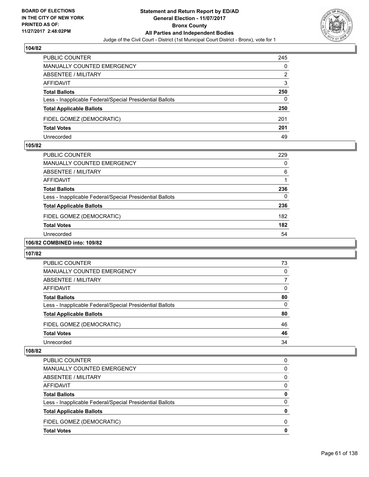

| <b>PUBLIC COUNTER</b>                                    | 245 |
|----------------------------------------------------------|-----|
| <b>MANUALLY COUNTED EMERGENCY</b>                        | 0   |
| <b>ABSENTEE / MILITARY</b>                               | 2   |
| AFFIDAVIT                                                | 3   |
| <b>Total Ballots</b>                                     | 250 |
| Less - Inapplicable Federal/Special Presidential Ballots | 0   |
| <b>Total Applicable Ballots</b>                          | 250 |
| FIDEL GOMEZ (DEMOCRATIC)                                 | 201 |
| <b>Total Votes</b>                                       | 201 |
| Unrecorded                                               | 49  |

#### **105/82**

| <b>PUBLIC COUNTER</b>                                    | 229 |
|----------------------------------------------------------|-----|
| <b>MANUALLY COUNTED EMERGENCY</b>                        | 0   |
| ABSENTEE / MILITARY                                      | 6   |
| AFFIDAVIT                                                |     |
| <b>Total Ballots</b>                                     | 236 |
| Less - Inapplicable Federal/Special Presidential Ballots | 0   |
| <b>Total Applicable Ballots</b>                          | 236 |
| FIDEL GOMEZ (DEMOCRATIC)                                 | 182 |
| <b>Total Votes</b>                                       | 182 |
| Unrecorded                                               | 54  |
|                                                          |     |

# **106/82 COMBINED into: 109/82**

#### **107/82**

| <b>PUBLIC COUNTER</b>                                    | 73 |
|----------------------------------------------------------|----|
| <b>MANUALLY COUNTED EMERGENCY</b>                        | 0  |
| ABSENTEE / MILITARY                                      |    |
| AFFIDAVIT                                                | 0  |
| <b>Total Ballots</b>                                     | 80 |
| Less - Inapplicable Federal/Special Presidential Ballots | 0  |
| <b>Total Applicable Ballots</b>                          | 80 |
| FIDEL GOMEZ (DEMOCRATIC)                                 | 46 |
| <b>Total Votes</b>                                       | 46 |
| Unrecorded                                               | 34 |

| PUBLIC COUNTER                                           | 0 |
|----------------------------------------------------------|---|
| <b>MANUALLY COUNTED EMERGENCY</b>                        | 0 |
| <b>ABSENTEE / MILITARY</b>                               | 0 |
| AFFIDAVIT                                                | 0 |
| <b>Total Ballots</b>                                     | 0 |
| Less - Inapplicable Federal/Special Presidential Ballots | 0 |
| <b>Total Applicable Ballots</b>                          | 0 |
| FIDEL GOMEZ (DEMOCRATIC)                                 | 0 |
| <b>Total Votes</b>                                       | 0 |
|                                                          |   |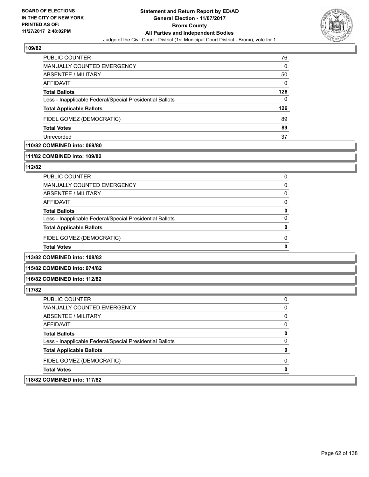

| <b>PUBLIC COUNTER</b>                                    | 76  |
|----------------------------------------------------------|-----|
| <b>MANUALLY COUNTED EMERGENCY</b>                        | 0   |
| ABSENTEE / MILITARY                                      | 50  |
| AFFIDAVIT                                                | 0   |
| <b>Total Ballots</b>                                     | 126 |
| Less - Inapplicable Federal/Special Presidential Ballots | 0   |
| <b>Total Applicable Ballots</b>                          | 126 |
| FIDEL GOMEZ (DEMOCRATIC)                                 | 89  |
| <b>Total Votes</b>                                       | 89  |
| Unrecorded                                               | 37  |
|                                                          |     |

# **110/82 COMBINED into: 069/80**

#### **111/82 COMBINED into: 109/82**

#### **112/82**

| PUBLIC COUNTER                                           | O            |
|----------------------------------------------------------|--------------|
| <b>MANUALLY COUNTED EMERGENCY</b>                        | 0            |
| ABSENTEE / MILITARY                                      | 0            |
| <b>AFFIDAVIT</b>                                         | <sup>0</sup> |
| <b>Total Ballots</b>                                     | o            |
| Less - Inapplicable Federal/Special Presidential Ballots | O            |
| <b>Total Applicable Ballots</b>                          |              |
| FIDEL GOMEZ (DEMOCRATIC)                                 | O            |
| <b>Total Votes</b>                                       |              |

**113/82 COMBINED into: 108/82**

#### **115/82 COMBINED into: 074/82**

**116/82 COMBINED into: 112/82**

| 118/82 COMBINED into: 117/82                             |          |
|----------------------------------------------------------|----------|
| <b>Total Votes</b>                                       | 0        |
| FIDEL GOMEZ (DEMOCRATIC)                                 | 0        |
| <b>Total Applicable Ballots</b>                          | 0        |
| Less - Inapplicable Federal/Special Presidential Ballots | $\Omega$ |
| <b>Total Ballots</b>                                     | 0        |
| AFFIDAVIT                                                | 0        |
| ABSENTEE / MILITARY                                      | 0        |
| <b>MANUALLY COUNTED EMERGENCY</b>                        | 0        |
| <b>PUBLIC COUNTER</b>                                    | 0        |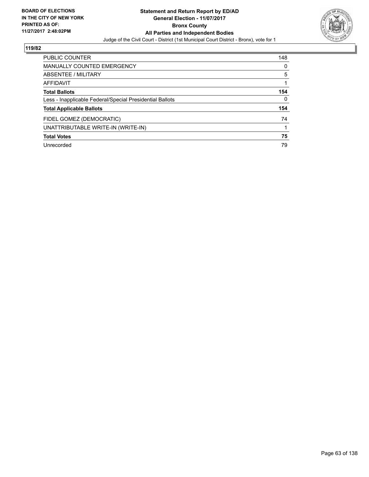

| <b>PUBLIC COUNTER</b>                                    | 148 |
|----------------------------------------------------------|-----|
| <b>MANUALLY COUNTED EMERGENCY</b>                        | 0   |
| <b>ABSENTEE / MILITARY</b>                               | 5   |
| AFFIDAVIT                                                |     |
| <b>Total Ballots</b>                                     | 154 |
| Less - Inapplicable Federal/Special Presidential Ballots | 0   |
| <b>Total Applicable Ballots</b>                          | 154 |
| FIDEL GOMEZ (DEMOCRATIC)                                 | 74  |
| UNATTRIBUTABLE WRITE-IN (WRITE-IN)                       |     |
| <b>Total Votes</b>                                       | 75  |
| Unrecorded                                               | 79  |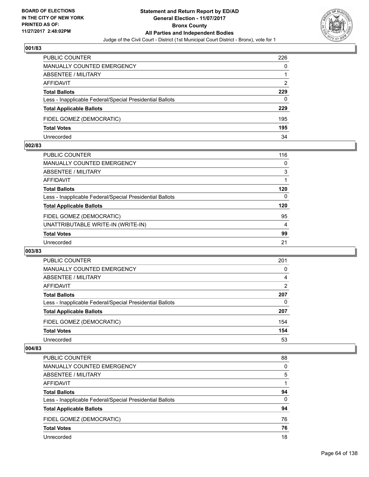

| <b>PUBLIC COUNTER</b>                                    | 226 |
|----------------------------------------------------------|-----|
| <b>MANUALLY COUNTED EMERGENCY</b>                        | 0   |
| <b>ABSENTEE / MILITARY</b>                               |     |
| AFFIDAVIT                                                | 2   |
| <b>Total Ballots</b>                                     | 229 |
| Less - Inapplicable Federal/Special Presidential Ballots | 0   |
| <b>Total Applicable Ballots</b>                          | 229 |
| FIDEL GOMEZ (DEMOCRATIC)                                 | 195 |
| <b>Total Votes</b>                                       | 195 |
| Unrecorded                                               | 34  |

#### **002/83**

| PUBLIC COUNTER                                           | 116      |
|----------------------------------------------------------|----------|
| <b>MANUALLY COUNTED EMERGENCY</b>                        | 0        |
| ABSENTEE / MILITARY                                      | 3        |
| <b>AFFIDAVIT</b>                                         |          |
| <b>Total Ballots</b>                                     | 120      |
| Less - Inapplicable Federal/Special Presidential Ballots | $\Omega$ |
| <b>Total Applicable Ballots</b>                          | 120      |
| FIDEL GOMEZ (DEMOCRATIC)                                 | 95       |
| UNATTRIBUTABLE WRITE-IN (WRITE-IN)                       | 4        |
| <b>Total Votes</b>                                       | 99       |
| Unrecorded                                               | 21       |
|                                                          |          |

#### **003/83**

| PUBLIC COUNTER                                           | 201 |
|----------------------------------------------------------|-----|
| MANUALLY COUNTED EMERGENCY                               | 0   |
| <b>ABSENTEE / MILITARY</b>                               | 4   |
| AFFIDAVIT                                                | 2   |
| <b>Total Ballots</b>                                     | 207 |
| Less - Inapplicable Federal/Special Presidential Ballots | 0   |
| <b>Total Applicable Ballots</b>                          | 207 |
| FIDEL GOMEZ (DEMOCRATIC)                                 | 154 |
| <b>Total Votes</b>                                       | 154 |
| Unrecorded                                               | 53  |

| <b>PUBLIC COUNTER</b>                                    | 88 |
|----------------------------------------------------------|----|
| <b>MANUALLY COUNTED EMERGENCY</b>                        | 0  |
| <b>ABSENTEE / MILITARY</b>                               | 5  |
| AFFIDAVIT                                                |    |
| <b>Total Ballots</b>                                     | 94 |
| Less - Inapplicable Federal/Special Presidential Ballots | 0  |
| <b>Total Applicable Ballots</b>                          | 94 |
| FIDEL GOMEZ (DEMOCRATIC)                                 | 76 |
| <b>Total Votes</b>                                       | 76 |
| Unrecorded                                               | 18 |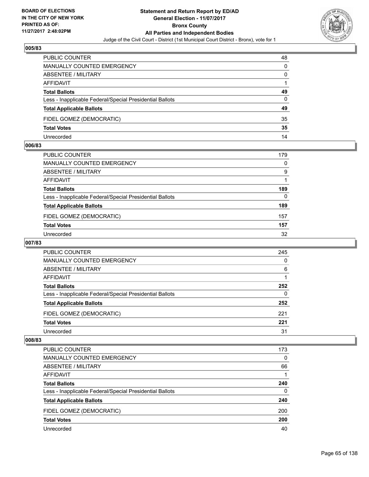

| PUBLIC COUNTER                                           | 48 |
|----------------------------------------------------------|----|
| <b>MANUALLY COUNTED EMERGENCY</b>                        | 0  |
| <b>ABSENTEE / MILITARY</b>                               | 0  |
| AFFIDAVIT                                                |    |
| <b>Total Ballots</b>                                     | 49 |
| Less - Inapplicable Federal/Special Presidential Ballots | 0  |
| <b>Total Applicable Ballots</b>                          | 49 |
| FIDEL GOMEZ (DEMOCRATIC)                                 | 35 |
| <b>Total Votes</b>                                       | 35 |
| Unrecorded                                               | 14 |

#### **006/83**

| PUBLIC COUNTER                                           | 179      |
|----------------------------------------------------------|----------|
| MANUALLY COUNTED EMERGENCY                               | 0        |
| ABSENTEE / MILITARY                                      | 9        |
| AFFIDAVIT                                                |          |
| <b>Total Ballots</b>                                     | 189      |
| Less - Inapplicable Federal/Special Presidential Ballots | $\Omega$ |
| <b>Total Applicable Ballots</b>                          | 189      |
| FIDEL GOMEZ (DEMOCRATIC)                                 | 157      |
| <b>Total Votes</b>                                       | 157      |
| Unrecorded                                               | 32       |
|                                                          |          |

# **007/83**

| <b>PUBLIC COUNTER</b>                                    | 245 |
|----------------------------------------------------------|-----|
| <b>MANUALLY COUNTED EMERGENCY</b>                        | 0   |
| <b>ABSENTEE / MILITARY</b>                               | 6   |
| AFFIDAVIT                                                |     |
| <b>Total Ballots</b>                                     | 252 |
| Less - Inapplicable Federal/Special Presidential Ballots | 0   |
| <b>Total Applicable Ballots</b>                          | 252 |
| FIDEL GOMEZ (DEMOCRATIC)                                 | 221 |
| <b>Total Votes</b>                                       | 221 |
| Unrecorded                                               | 31  |

| <b>PUBLIC COUNTER</b>                                    | 173 |
|----------------------------------------------------------|-----|
| MANUALLY COUNTED EMERGENCY                               | 0   |
| <b>ABSENTEE / MILITARY</b>                               | 66  |
| AFFIDAVIT                                                |     |
| <b>Total Ballots</b>                                     | 240 |
| Less - Inapplicable Federal/Special Presidential Ballots | 0   |
| <b>Total Applicable Ballots</b>                          | 240 |
| FIDEL GOMEZ (DEMOCRATIC)                                 | 200 |
| <b>Total Votes</b>                                       | 200 |
| Unrecorded                                               | 40  |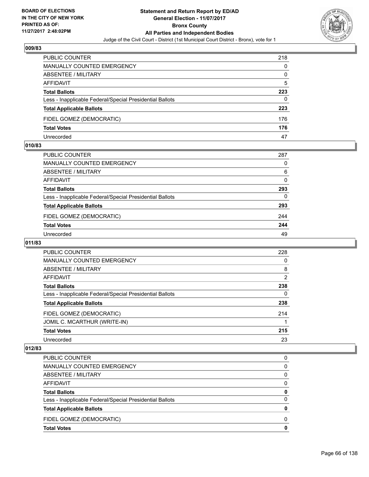

| <b>PUBLIC COUNTER</b>                                    | 218 |
|----------------------------------------------------------|-----|
| <b>MANUALLY COUNTED EMERGENCY</b>                        | 0   |
| ABSENTEE / MILITARY                                      | 0   |
| AFFIDAVIT                                                | 5   |
| <b>Total Ballots</b>                                     | 223 |
| Less - Inapplicable Federal/Special Presidential Ballots | 0   |
| <b>Total Applicable Ballots</b>                          | 223 |
| FIDEL GOMEZ (DEMOCRATIC)                                 | 176 |
| <b>Total Votes</b>                                       | 176 |
| Unrecorded                                               | 47  |

#### **010/83**

| PUBLIC COUNTER                                           | 287      |
|----------------------------------------------------------|----------|
| MANUALLY COUNTED EMERGENCY                               | 0        |
| ABSENTEE / MILITARY                                      | 6        |
| AFFIDAVIT                                                | 0        |
| <b>Total Ballots</b>                                     | 293      |
| Less - Inapplicable Federal/Special Presidential Ballots | $\Omega$ |
| <b>Total Applicable Ballots</b>                          | 293      |
| FIDEL GOMEZ (DEMOCRATIC)                                 | 244      |
| <b>Total Votes</b>                                       | 244      |
| Unrecorded                                               | 49       |

# **011/83**

| <b>PUBLIC COUNTER</b>                                    | 228 |
|----------------------------------------------------------|-----|
| <b>MANUALLY COUNTED EMERGENCY</b>                        | 0   |
| ABSENTEE / MILITARY                                      | 8   |
| AFFIDAVIT                                                | 2   |
| <b>Total Ballots</b>                                     | 238 |
| Less - Inapplicable Federal/Special Presidential Ballots | 0   |
| <b>Total Applicable Ballots</b>                          | 238 |
| FIDEL GOMEZ (DEMOCRATIC)                                 | 214 |
| JOMIL C. MCARTHUR (WRITE-IN)                             |     |
| <b>Total Votes</b>                                       | 215 |
| Unrecorded                                               | 23  |

| <b>Total Applicable Ballots</b>                          | 0 |
|----------------------------------------------------------|---|
| Less - Inapplicable Federal/Special Presidential Ballots | 0 |
| <b>Total Ballots</b>                                     | 0 |
| AFFIDAVIT                                                | 0 |
| ABSENTEE / MILITARY                                      | 0 |
| <b>MANUALLY COUNTED EMERGENCY</b>                        | 0 |
| PUBLIC COUNTER                                           | 0 |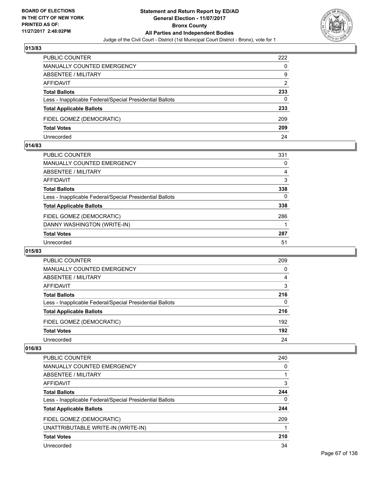

| <b>PUBLIC COUNTER</b>                                    | 222 |
|----------------------------------------------------------|-----|
| MANUALLY COUNTED EMERGENCY                               | 0   |
| ABSENTEE / MILITARY                                      | 9   |
| AFFIDAVIT                                                | 2   |
| <b>Total Ballots</b>                                     | 233 |
| Less - Inapplicable Federal/Special Presidential Ballots | 0   |
| <b>Total Applicable Ballots</b>                          | 233 |
| FIDEL GOMEZ (DEMOCRATIC)                                 | 209 |
| <b>Total Votes</b>                                       | 209 |
| Unrecorded                                               | 24  |

#### **014/83**

| PUBLIC COUNTER                                           | 331 |
|----------------------------------------------------------|-----|
| MANUALLY COUNTED EMERGENCY                               | 0   |
| ABSENTEE / MILITARY                                      | 4   |
| AFFIDAVIT                                                | 3   |
| <b>Total Ballots</b>                                     | 338 |
| Less - Inapplicable Federal/Special Presidential Ballots | 0   |
| <b>Total Applicable Ballots</b>                          | 338 |
| FIDEL GOMEZ (DEMOCRATIC)                                 | 286 |
| DANNY WASHINGTON (WRITE-IN)                              |     |
| <b>Total Votes</b>                                       | 287 |
| Unrecorded                                               | 51  |
|                                                          |     |

#### **015/83**

| PUBLIC COUNTER                                           | 209 |
|----------------------------------------------------------|-----|
| <b>MANUALLY COUNTED EMERGENCY</b>                        | 0   |
| <b>ABSENTEE / MILITARY</b>                               | 4   |
| AFFIDAVIT                                                | 3   |
| <b>Total Ballots</b>                                     | 216 |
| Less - Inapplicable Federal/Special Presidential Ballots | 0   |
| <b>Total Applicable Ballots</b>                          | 216 |
| FIDEL GOMEZ (DEMOCRATIC)                                 | 192 |
| <b>Total Votes</b>                                       | 192 |
| Unrecorded                                               | 24  |

| <b>PUBLIC COUNTER</b>                                    | 240 |
|----------------------------------------------------------|-----|
| <b>MANUALLY COUNTED EMERGENCY</b>                        | 0   |
| ABSENTEE / MILITARY                                      |     |
| AFFIDAVIT                                                | 3   |
| <b>Total Ballots</b>                                     | 244 |
| Less - Inapplicable Federal/Special Presidential Ballots | 0   |
| <b>Total Applicable Ballots</b>                          | 244 |
| FIDEL GOMEZ (DEMOCRATIC)                                 | 209 |
| UNATTRIBUTABLE WRITE-IN (WRITE-IN)                       |     |
| <b>Total Votes</b>                                       | 210 |
| Unrecorded                                               | 34  |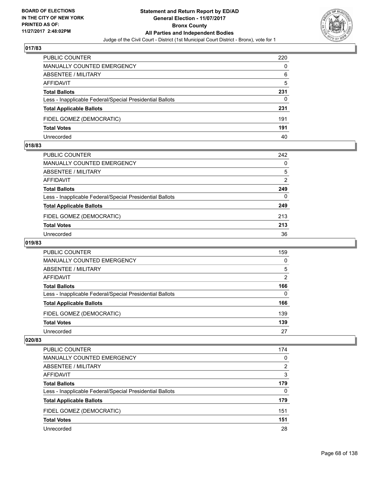

| <b>PUBLIC COUNTER</b>                                    | 220 |
|----------------------------------------------------------|-----|
| MANUALLY COUNTED EMERGENCY                               | 0   |
| ABSENTEE / MILITARY                                      | 6   |
| AFFIDAVIT                                                | 5   |
| <b>Total Ballots</b>                                     | 231 |
| Less - Inapplicable Federal/Special Presidential Ballots | 0   |
| <b>Total Applicable Ballots</b>                          | 231 |
| FIDEL GOMEZ (DEMOCRATIC)                                 | 191 |
| <b>Total Votes</b>                                       | 191 |
| Unrecorded                                               | 40  |

#### **018/83**

| PUBLIC COUNTER                                           | 242            |
|----------------------------------------------------------|----------------|
| MANUALLY COUNTED EMERGENCY                               | 0              |
| ABSENTEE / MILITARY                                      | 5              |
| AFFIDAVIT                                                | $\overline{2}$ |
| <b>Total Ballots</b>                                     | 249            |
| Less - Inapplicable Federal/Special Presidential Ballots | $\Omega$       |
| <b>Total Applicable Ballots</b>                          | 249            |
| FIDEL GOMEZ (DEMOCRATIC)                                 | 213            |
| <b>Total Votes</b>                                       | 213            |
| Unrecorded                                               | 36             |
|                                                          |                |

# **019/83**

| <b>PUBLIC COUNTER</b>                                    | 159 |
|----------------------------------------------------------|-----|
| <b>MANUALLY COUNTED EMERGENCY</b>                        | 0   |
| ABSENTEE / MILITARY                                      | 5   |
| AFFIDAVIT                                                | 2   |
| <b>Total Ballots</b>                                     | 166 |
| Less - Inapplicable Federal/Special Presidential Ballots | 0   |
| <b>Total Applicable Ballots</b>                          | 166 |
| FIDEL GOMEZ (DEMOCRATIC)                                 | 139 |
| <b>Total Votes</b>                                       | 139 |
| Unrecorded                                               | 27  |

| <b>PUBLIC COUNTER</b>                                    | 174 |
|----------------------------------------------------------|-----|
| <b>MANUALLY COUNTED EMERGENCY</b>                        | 0   |
| <b>ABSENTEE / MILITARY</b>                               | 2   |
| AFFIDAVIT                                                | 3   |
| <b>Total Ballots</b>                                     | 179 |
| Less - Inapplicable Federal/Special Presidential Ballots | 0   |
| <b>Total Applicable Ballots</b>                          | 179 |
| FIDEL GOMEZ (DEMOCRATIC)                                 | 151 |
| <b>Total Votes</b>                                       | 151 |
| Unrecorded                                               | 28  |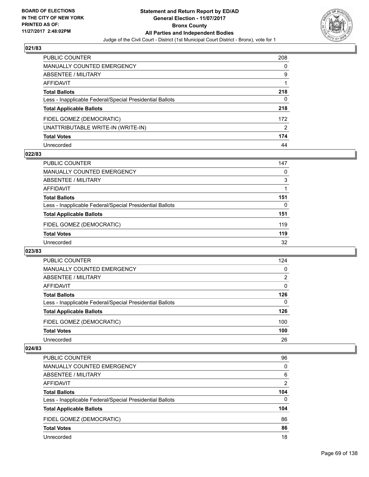

| PUBLIC COUNTER                                           | 208 |
|----------------------------------------------------------|-----|
| <b>MANUALLY COUNTED EMERGENCY</b>                        | 0   |
| ABSENTEE / MILITARY                                      | 9   |
| AFFIDAVIT                                                |     |
| <b>Total Ballots</b>                                     | 218 |
| Less - Inapplicable Federal/Special Presidential Ballots | 0   |
| <b>Total Applicable Ballots</b>                          | 218 |
| FIDEL GOMEZ (DEMOCRATIC)                                 | 172 |
| UNATTRIBUTABLE WRITE-IN (WRITE-IN)                       | 2   |
| <b>Total Votes</b>                                       | 174 |
| Unrecorded                                               | 44  |

### **022/83**

| <b>PUBLIC COUNTER</b>                                    | 147 |
|----------------------------------------------------------|-----|
| MANUALLY COUNTED EMERGENCY                               | 0   |
| ABSENTEE / MILITARY                                      | 3   |
| AFFIDAVIT                                                |     |
| <b>Total Ballots</b>                                     | 151 |
| Less - Inapplicable Federal/Special Presidential Ballots | 0   |
| <b>Total Applicable Ballots</b>                          | 151 |
| FIDEL GOMEZ (DEMOCRATIC)                                 | 119 |
| <b>Total Votes</b>                                       | 119 |
| Unrecorded                                               | 32  |

#### **023/83**

| <b>PUBLIC COUNTER</b>                                    | 124 |
|----------------------------------------------------------|-----|
| <b>MANUALLY COUNTED EMERGENCY</b>                        | 0   |
| ABSENTEE / MILITARY                                      | 2   |
| AFFIDAVIT                                                | 0   |
| <b>Total Ballots</b>                                     | 126 |
| Less - Inapplicable Federal/Special Presidential Ballots | 0   |
| <b>Total Applicable Ballots</b>                          | 126 |
| FIDEL GOMEZ (DEMOCRATIC)                                 | 100 |
| <b>Total Votes</b>                                       | 100 |
| Unrecorded                                               | 26  |

| <b>PUBLIC COUNTER</b>                                    | 96             |
|----------------------------------------------------------|----------------|
| MANUALLY COUNTED EMERGENCY                               | 0              |
| ABSENTEE / MILITARY                                      | 6              |
| AFFIDAVIT                                                | $\overline{2}$ |
| <b>Total Ballots</b>                                     | 104            |
| Less - Inapplicable Federal/Special Presidential Ballots | 0              |
| <b>Total Applicable Ballots</b>                          | 104            |
| FIDEL GOMEZ (DEMOCRATIC)                                 | 86             |
| <b>Total Votes</b>                                       | 86             |
| Unrecorded                                               | 18             |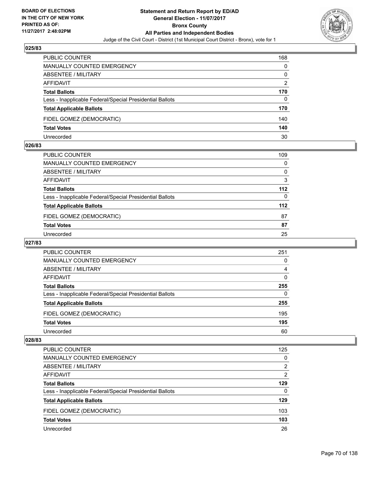

| <b>PUBLIC COUNTER</b>                                    | 168 |
|----------------------------------------------------------|-----|
| MANUALLY COUNTED EMERGENCY                               | 0   |
| ABSENTEE / MILITARY                                      | 0   |
| AFFIDAVIT                                                | 2   |
| <b>Total Ballots</b>                                     | 170 |
| Less - Inapplicable Federal/Special Presidential Ballots | 0   |
| <b>Total Applicable Ballots</b>                          | 170 |
| FIDEL GOMEZ (DEMOCRATIC)                                 | 140 |
| <b>Total Votes</b>                                       | 140 |
| Unrecorded                                               | 30  |

#### **026/83**

| PUBLIC COUNTER                                           | 109      |
|----------------------------------------------------------|----------|
| <b>MANUALLY COUNTED EMERGENCY</b>                        | 0        |
| <b>ABSENTEE / MILITARY</b>                               | 0        |
| AFFIDAVIT                                                | 3        |
| <b>Total Ballots</b>                                     | $112$    |
| Less - Inapplicable Federal/Special Presidential Ballots | $\Omega$ |
| <b>Total Applicable Ballots</b>                          | 112      |
| FIDEL GOMEZ (DEMOCRATIC)                                 | 87       |
| <b>Total Votes</b>                                       | 87       |
| Unrecorded                                               | 25       |
|                                                          |          |

# **027/83**

| <b>PUBLIC COUNTER</b>                                    | 251 |
|----------------------------------------------------------|-----|
| <b>MANUALLY COUNTED EMERGENCY</b>                        | 0   |
| ABSENTEE / MILITARY                                      | 4   |
| AFFIDAVIT                                                | 0   |
| <b>Total Ballots</b>                                     | 255 |
| Less - Inapplicable Federal/Special Presidential Ballots | 0   |
| <b>Total Applicable Ballots</b>                          | 255 |
| FIDEL GOMEZ (DEMOCRATIC)                                 | 195 |
| <b>Total Votes</b>                                       | 195 |
| Unrecorded                                               | 60  |

| <b>PUBLIC COUNTER</b>                                    | 125 |
|----------------------------------------------------------|-----|
| <b>MANUALLY COUNTED EMERGENCY</b>                        | 0   |
| ABSENTEE / MILITARY                                      | 2   |
| AFFIDAVIT                                                | 2   |
| <b>Total Ballots</b>                                     | 129 |
| Less - Inapplicable Federal/Special Presidential Ballots | 0   |
| <b>Total Applicable Ballots</b>                          | 129 |
| FIDEL GOMEZ (DEMOCRATIC)                                 | 103 |
| <b>Total Votes</b>                                       | 103 |
| Unrecorded                                               | 26  |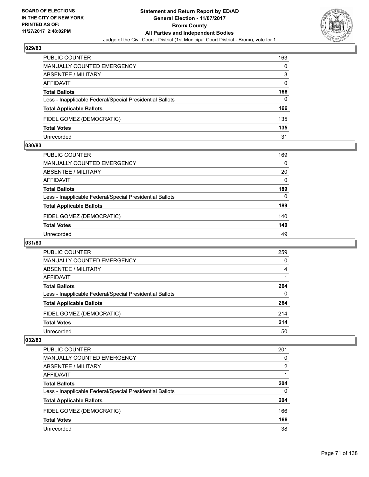

| <b>PUBLIC COUNTER</b>                                    | 163 |
|----------------------------------------------------------|-----|
| <b>MANUALLY COUNTED EMERGENCY</b>                        | 0   |
| <b>ABSENTEE / MILITARY</b>                               | 3   |
| AFFIDAVIT                                                | 0   |
| <b>Total Ballots</b>                                     | 166 |
| Less - Inapplicable Federal/Special Presidential Ballots | 0   |
| <b>Total Applicable Ballots</b>                          | 166 |
| FIDEL GOMEZ (DEMOCRATIC)                                 | 135 |
| <b>Total Votes</b>                                       | 135 |
| Unrecorded                                               | 31  |

#### **030/83**

| PUBLIC COUNTER                                           | 169      |
|----------------------------------------------------------|----------|
| MANUALLY COUNTED EMERGENCY                               | $\Omega$ |
| ABSENTEE / MILITARY                                      | 20       |
| AFFIDAVIT                                                | 0        |
| <b>Total Ballots</b>                                     | 189      |
| Less - Inapplicable Federal/Special Presidential Ballots | $\Omega$ |
| <b>Total Applicable Ballots</b>                          | 189      |
| FIDEL GOMEZ (DEMOCRATIC)                                 | 140      |
| <b>Total Votes</b>                                       | 140      |
| Unrecorded                                               | 49       |
|                                                          |          |

# **031/83**

| <b>PUBLIC COUNTER</b>                                    | 259 |
|----------------------------------------------------------|-----|
| <b>MANUALLY COUNTED EMERGENCY</b>                        | 0   |
| ABSENTEE / MILITARY                                      | 4   |
| AFFIDAVIT                                                |     |
| <b>Total Ballots</b>                                     | 264 |
| Less - Inapplicable Federal/Special Presidential Ballots | 0   |
| <b>Total Applicable Ballots</b>                          | 264 |
| FIDEL GOMEZ (DEMOCRATIC)                                 | 214 |
| <b>Total Votes</b>                                       | 214 |
| Unrecorded                                               | 50  |

| <b>PUBLIC COUNTER</b>                                    | 201 |
|----------------------------------------------------------|-----|
| <b>MANUALLY COUNTED EMERGENCY</b>                        | 0   |
| ABSENTEE / MILITARY                                      | 2   |
| AFFIDAVIT                                                |     |
| <b>Total Ballots</b>                                     | 204 |
| Less - Inapplicable Federal/Special Presidential Ballots | 0   |
| <b>Total Applicable Ballots</b>                          | 204 |
| FIDEL GOMEZ (DEMOCRATIC)                                 | 166 |
| <b>Total Votes</b>                                       | 166 |
| Unrecorded                                               | 38  |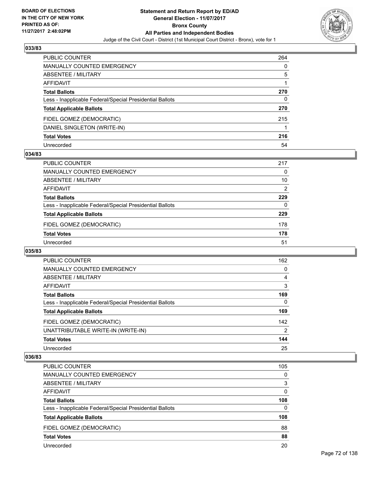

| <b>PUBLIC COUNTER</b>                                    | 264 |
|----------------------------------------------------------|-----|
| MANUALLY COUNTED EMERGENCY                               | 0   |
| ABSENTEE / MILITARY                                      | 5   |
| AFFIDAVIT                                                |     |
| <b>Total Ballots</b>                                     | 270 |
| Less - Inapplicable Federal/Special Presidential Ballots | 0   |
| <b>Total Applicable Ballots</b>                          | 270 |
| FIDEL GOMEZ (DEMOCRATIC)                                 | 215 |
| DANIEL SINGLETON (WRITE-IN)                              |     |
| <b>Total Votes</b>                                       | 216 |
| Unrecorded                                               | 54  |

### **034/83**

| <b>PUBLIC COUNTER</b>                                    | 217 |
|----------------------------------------------------------|-----|
| MANUALLY COUNTED EMERGENCY                               | 0   |
| ABSENTEE / MILITARY                                      | 10  |
| AFFIDAVIT                                                | 2   |
| <b>Total Ballots</b>                                     | 229 |
| Less - Inapplicable Federal/Special Presidential Ballots | 0   |
| <b>Total Applicable Ballots</b>                          | 229 |
| FIDEL GOMEZ (DEMOCRATIC)                                 | 178 |
| <b>Total Votes</b>                                       | 178 |
| Unrecorded                                               | 51  |

#### **035/83**

| <b>PUBLIC COUNTER</b>                                    | 162 |
|----------------------------------------------------------|-----|
| <b>MANUALLY COUNTED EMERGENCY</b>                        | 0   |
| ABSENTEE / MILITARY                                      | 4   |
| AFFIDAVIT                                                | 3   |
| <b>Total Ballots</b>                                     | 169 |
| Less - Inapplicable Federal/Special Presidential Ballots | 0   |
| <b>Total Applicable Ballots</b>                          | 169 |
| FIDEL GOMEZ (DEMOCRATIC)                                 | 142 |
| UNATTRIBUTABLE WRITE-IN (WRITE-IN)                       | 2   |
| <b>Total Votes</b>                                       | 144 |
| Unrecorded                                               | 25  |

| <b>PUBLIC COUNTER</b>                                    | 105 |
|----------------------------------------------------------|-----|
| MANUALLY COUNTED EMERGENCY                               | 0   |
| ABSENTEE / MILITARY                                      | 3   |
| AFFIDAVIT                                                | 0   |
| <b>Total Ballots</b>                                     | 108 |
| Less - Inapplicable Federal/Special Presidential Ballots | 0   |
| <b>Total Applicable Ballots</b>                          | 108 |
| FIDEL GOMEZ (DEMOCRATIC)                                 | 88  |
| <b>Total Votes</b>                                       | 88  |
| Unrecorded                                               | 20  |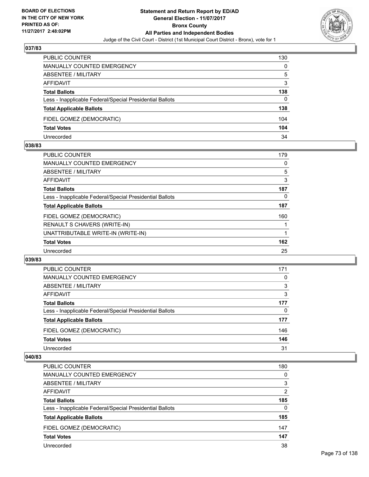

| <b>PUBLIC COUNTER</b>                                    | 130 |
|----------------------------------------------------------|-----|
| <b>MANUALLY COUNTED EMERGENCY</b>                        | 0   |
| ABSENTEE / MILITARY                                      | 5   |
| AFFIDAVIT                                                | 3   |
| <b>Total Ballots</b>                                     | 138 |
| Less - Inapplicable Federal/Special Presidential Ballots | 0   |
| <b>Total Applicable Ballots</b>                          | 138 |
| FIDEL GOMEZ (DEMOCRATIC)                                 | 104 |
| <b>Total Votes</b>                                       | 104 |
| Unrecorded                                               | 34  |

#### **038/83**

| PUBLIC COUNTER                                           | 179 |
|----------------------------------------------------------|-----|
| <b>MANUALLY COUNTED EMERGENCY</b>                        | 0   |
| ABSENTEE / MILITARY                                      | 5   |
| AFFIDAVIT                                                | 3   |
| <b>Total Ballots</b>                                     | 187 |
| Less - Inapplicable Federal/Special Presidential Ballots | 0   |
| <b>Total Applicable Ballots</b>                          | 187 |
| FIDEL GOMEZ (DEMOCRATIC)                                 | 160 |
| <b>RENAULT S CHAVERS (WRITE-IN)</b>                      |     |
| UNATTRIBUTABLE WRITE-IN (WRITE-IN)                       |     |
| <b>Total Votes</b>                                       | 162 |
| Unrecorded                                               | 25  |

### **039/83**

| <b>PUBLIC COUNTER</b>                                    | 171 |
|----------------------------------------------------------|-----|
| MANUALLY COUNTED EMERGENCY                               | 0   |
| ABSENTEE / MILITARY                                      | 3   |
| AFFIDAVIT                                                | 3   |
| <b>Total Ballots</b>                                     | 177 |
| Less - Inapplicable Federal/Special Presidential Ballots | 0   |
| <b>Total Applicable Ballots</b>                          | 177 |
| FIDEL GOMEZ (DEMOCRATIC)                                 | 146 |
| <b>Total Votes</b>                                       | 146 |
| Unrecorded                                               | 31  |

| <b>PUBLIC COUNTER</b>                                    | 180 |
|----------------------------------------------------------|-----|
| MANUALLY COUNTED EMERGENCY                               | 0   |
| ABSENTEE / MILITARY                                      | 3   |
| AFFIDAVIT                                                | 2   |
| <b>Total Ballots</b>                                     | 185 |
| Less - Inapplicable Federal/Special Presidential Ballots | 0   |
| <b>Total Applicable Ballots</b>                          | 185 |
| FIDEL GOMEZ (DEMOCRATIC)                                 | 147 |
| <b>Total Votes</b>                                       | 147 |
| Unrecorded                                               | 38  |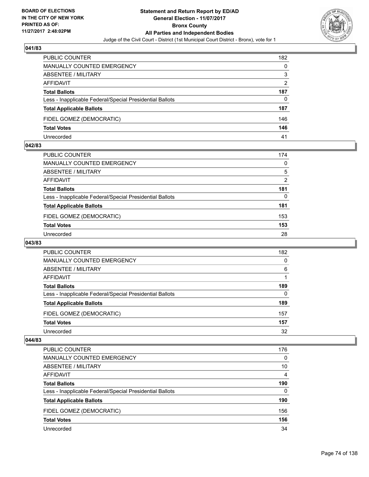

| <b>PUBLIC COUNTER</b>                                    | 182            |
|----------------------------------------------------------|----------------|
| <b>MANUALLY COUNTED EMERGENCY</b>                        | 0              |
| ABSENTEE / MILITARY                                      | 3              |
| AFFIDAVIT                                                | $\overline{2}$ |
| <b>Total Ballots</b>                                     | 187            |
| Less - Inapplicable Federal/Special Presidential Ballots | 0              |
| <b>Total Applicable Ballots</b>                          | 187            |
| FIDEL GOMEZ (DEMOCRATIC)                                 | 146            |
| <b>Total Votes</b>                                       | 146            |
| Unrecorded                                               | 41             |

#### **042/83**

| PUBLIC COUNTER                                           | 174 |
|----------------------------------------------------------|-----|
| <b>MANUALLY COUNTED EMERGENCY</b>                        | 0   |
| ABSENTEE / MILITARY                                      | 5   |
| AFFIDAVIT                                                | 2   |
| <b>Total Ballots</b>                                     | 181 |
| Less - Inapplicable Federal/Special Presidential Ballots | 0   |
| <b>Total Applicable Ballots</b>                          | 181 |
| FIDEL GOMEZ (DEMOCRATIC)                                 | 153 |
| <b>Total Votes</b>                                       | 153 |
| Unrecorded                                               | 28  |
|                                                          |     |

## **043/83**

| <b>PUBLIC COUNTER</b>                                    | 182 |
|----------------------------------------------------------|-----|
| <b>MANUALLY COUNTED EMERGENCY</b>                        | 0   |
| ABSENTEE / MILITARY                                      | 6   |
| AFFIDAVIT                                                |     |
| <b>Total Ballots</b>                                     | 189 |
| Less - Inapplicable Federal/Special Presidential Ballots | 0   |
| <b>Total Applicable Ballots</b>                          | 189 |
| FIDEL GOMEZ (DEMOCRATIC)                                 | 157 |
| <b>Total Votes</b>                                       | 157 |
| Unrecorded                                               | 32  |

| <b>PUBLIC COUNTER</b>                                    | 176 |
|----------------------------------------------------------|-----|
| <b>MANUALLY COUNTED EMERGENCY</b>                        | 0   |
| <b>ABSENTEE / MILITARY</b>                               | 10  |
| AFFIDAVIT                                                | 4   |
| <b>Total Ballots</b>                                     | 190 |
| Less - Inapplicable Federal/Special Presidential Ballots | 0   |
| <b>Total Applicable Ballots</b>                          | 190 |
| FIDEL GOMEZ (DEMOCRATIC)                                 | 156 |
| <b>Total Votes</b>                                       | 156 |
| Unrecorded                                               | 34  |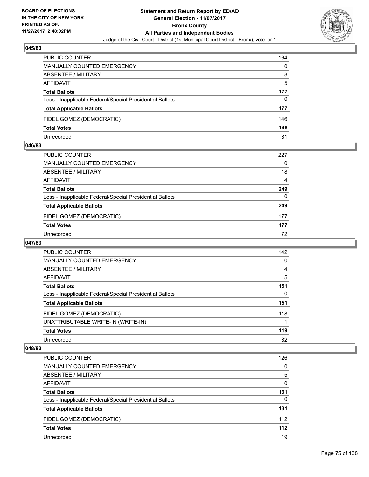

| <b>PUBLIC COUNTER</b>                                    | 164 |
|----------------------------------------------------------|-----|
| MANUALLY COUNTED EMERGENCY                               | 0   |
| <b>ABSENTEE / MILITARY</b>                               | 8   |
| AFFIDAVIT                                                | 5   |
| <b>Total Ballots</b>                                     | 177 |
| Less - Inapplicable Federal/Special Presidential Ballots | 0   |
| <b>Total Applicable Ballots</b>                          | 177 |
| FIDEL GOMEZ (DEMOCRATIC)                                 | 146 |
| <b>Total Votes</b>                                       | 146 |
| Unrecorded                                               | 31  |

#### **046/83**

| PUBLIC COUNTER                                           | 227 |
|----------------------------------------------------------|-----|
| <b>MANUALLY COUNTED EMERGENCY</b>                        | 0   |
| ABSENTEE / MILITARY                                      | 18  |
| AFFIDAVIT                                                | 4   |
| <b>Total Ballots</b>                                     | 249 |
| Less - Inapplicable Federal/Special Presidential Ballots | 0   |
| <b>Total Applicable Ballots</b>                          | 249 |
| FIDEL GOMEZ (DEMOCRATIC)                                 | 177 |
| <b>Total Votes</b>                                       | 177 |
| Unrecorded                                               | 72  |
|                                                          |     |

## **047/83**

| <b>PUBLIC COUNTER</b>                                    | 142 |
|----------------------------------------------------------|-----|
| <b>MANUALLY COUNTED EMERGENCY</b>                        | 0   |
| ABSENTEE / MILITARY                                      | 4   |
| AFFIDAVIT                                                | 5   |
| <b>Total Ballots</b>                                     | 151 |
| Less - Inapplicable Federal/Special Presidential Ballots | 0   |
| <b>Total Applicable Ballots</b>                          | 151 |
| FIDEL GOMEZ (DEMOCRATIC)                                 | 118 |
| UNATTRIBUTABLE WRITE-IN (WRITE-IN)                       |     |
| <b>Total Votes</b>                                       | 119 |
| Unrecorded                                               | 32  |

| PUBLIC COUNTER                                           | 126      |
|----------------------------------------------------------|----------|
| <b>MANUALLY COUNTED EMERGENCY</b>                        | 0        |
| ABSENTEE / MILITARY                                      | 5        |
| AFFIDAVIT                                                | 0        |
| <b>Total Ballots</b>                                     | 131      |
| Less - Inapplicable Federal/Special Presidential Ballots | $\Omega$ |
| <b>Total Applicable Ballots</b>                          | 131      |
| FIDEL GOMEZ (DEMOCRATIC)                                 | 112      |
| <b>Total Votes</b>                                       | $112$    |
| Unrecorded                                               | 19       |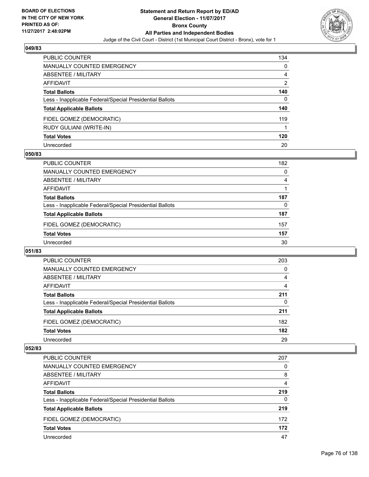

| <b>PUBLIC COUNTER</b>                                    | 134 |
|----------------------------------------------------------|-----|
| <b>MANUALLY COUNTED EMERGENCY</b>                        | 0   |
| ABSENTEE / MILITARY                                      | 4   |
| AFFIDAVIT                                                | 2   |
| <b>Total Ballots</b>                                     | 140 |
| Less - Inapplicable Federal/Special Presidential Ballots | 0   |
| <b>Total Applicable Ballots</b>                          | 140 |
| FIDEL GOMEZ (DEMOCRATIC)                                 | 119 |
| RUDY GULIANI (WRITE-IN)                                  |     |
| <b>Total Votes</b>                                       | 120 |
| Unrecorded                                               | 20  |

## **050/83**

| <b>PUBLIC COUNTER</b>                                    | 182 |
|----------------------------------------------------------|-----|
| MANUALLY COUNTED EMERGENCY                               | 0   |
| ABSENTEE / MILITARY                                      | 4   |
| AFFIDAVIT                                                |     |
| <b>Total Ballots</b>                                     | 187 |
| Less - Inapplicable Federal/Special Presidential Ballots | 0   |
| <b>Total Applicable Ballots</b>                          | 187 |
| FIDEL GOMEZ (DEMOCRATIC)                                 | 157 |
| <b>Total Votes</b>                                       | 157 |
| Unrecorded                                               | 30  |

#### **051/83**

| <b>PUBLIC COUNTER</b>                                    | 203 |
|----------------------------------------------------------|-----|
| <b>MANUALLY COUNTED EMERGENCY</b>                        | 0   |
| ABSENTEE / MILITARY                                      | 4   |
| AFFIDAVIT                                                | 4   |
| <b>Total Ballots</b>                                     | 211 |
| Less - Inapplicable Federal/Special Presidential Ballots | 0   |
| <b>Total Applicable Ballots</b>                          | 211 |
| FIDEL GOMEZ (DEMOCRATIC)                                 | 182 |
| <b>Total Votes</b>                                       | 182 |
| Unrecorded                                               | 29  |

| <b>PUBLIC COUNTER</b>                                    | 207 |
|----------------------------------------------------------|-----|
| <b>MANUALLY COUNTED EMERGENCY</b>                        | 0   |
| ABSENTEE / MILITARY                                      | 8   |
| AFFIDAVIT                                                | 4   |
| <b>Total Ballots</b>                                     | 219 |
| Less - Inapplicable Federal/Special Presidential Ballots | 0   |
| <b>Total Applicable Ballots</b>                          | 219 |
| FIDEL GOMEZ (DEMOCRATIC)                                 | 172 |
| <b>Total Votes</b>                                       | 172 |
| Unrecorded                                               | 47  |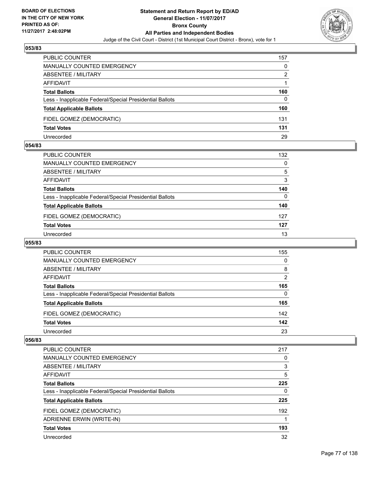

| <b>PUBLIC COUNTER</b>                                    | 157 |
|----------------------------------------------------------|-----|
| <b>MANUALLY COUNTED EMERGENCY</b>                        | 0   |
| <b>ABSENTEE / MILITARY</b>                               | 2   |
| AFFIDAVIT                                                |     |
| <b>Total Ballots</b>                                     | 160 |
| Less - Inapplicable Federal/Special Presidential Ballots | 0   |
| <b>Total Applicable Ballots</b>                          | 160 |
| FIDEL GOMEZ (DEMOCRATIC)                                 | 131 |
| <b>Total Votes</b>                                       | 131 |
| Unrecorded                                               | 29  |

#### **054/83**

| PUBLIC COUNTER                                           | 132 |
|----------------------------------------------------------|-----|
| <b>MANUALLY COUNTED EMERGENCY</b>                        | 0   |
| ABSENTEE / MILITARY                                      | 5   |
| AFFIDAVIT                                                | 3   |
| <b>Total Ballots</b>                                     | 140 |
| Less - Inapplicable Federal/Special Presidential Ballots | 0   |
| <b>Total Applicable Ballots</b>                          | 140 |
| FIDEL GOMEZ (DEMOCRATIC)                                 | 127 |
| <b>Total Votes</b>                                       | 127 |
| Unrecorded                                               | 13  |
|                                                          |     |

# **055/83**

| <b>PUBLIC COUNTER</b>                                    | 155            |
|----------------------------------------------------------|----------------|
| <b>MANUALLY COUNTED EMERGENCY</b>                        | 0              |
| ABSENTEE / MILITARY                                      | 8              |
| AFFIDAVIT                                                | $\overline{2}$ |
| <b>Total Ballots</b>                                     | 165            |
| Less - Inapplicable Federal/Special Presidential Ballots | 0              |
| <b>Total Applicable Ballots</b>                          | 165            |
| FIDEL GOMEZ (DEMOCRATIC)                                 | 142            |
| <b>Total Votes</b>                                       | 142            |
| Unrecorded                                               | 23             |

| <b>PUBLIC COUNTER</b>                                    | 217 |
|----------------------------------------------------------|-----|
| <b>MANUALLY COUNTED EMERGENCY</b>                        | 0   |
| ABSENTEE / MILITARY                                      | 3   |
| AFFIDAVIT                                                | 5   |
| <b>Total Ballots</b>                                     | 225 |
| Less - Inapplicable Federal/Special Presidential Ballots | 0   |
| <b>Total Applicable Ballots</b>                          | 225 |
| FIDEL GOMEZ (DEMOCRATIC)                                 | 192 |
| ADRIENNE ERWIN (WRITE-IN)                                | 1   |
| <b>Total Votes</b>                                       | 193 |
| Unrecorded                                               | 32  |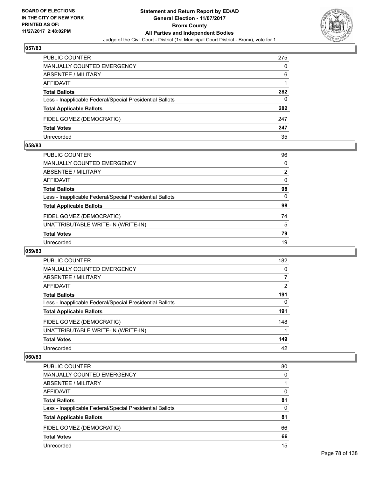

| <b>PUBLIC COUNTER</b>                                    | 275 |
|----------------------------------------------------------|-----|
| <b>MANUALLY COUNTED EMERGENCY</b>                        | 0   |
| ABSENTEE / MILITARY                                      | 6   |
| AFFIDAVIT                                                |     |
| <b>Total Ballots</b>                                     | 282 |
| Less - Inapplicable Federal/Special Presidential Ballots | 0   |
| <b>Total Applicable Ballots</b>                          | 282 |
| FIDEL GOMEZ (DEMOCRATIC)                                 | 247 |
| <b>Total Votes</b>                                       | 247 |
| Unrecorded                                               | 35  |

#### **058/83**

| <b>PUBLIC COUNTER</b>                                    | 96       |
|----------------------------------------------------------|----------|
| <b>MANUALLY COUNTED EMERGENCY</b>                        | 0        |
| <b>ABSENTEE / MILITARY</b>                               | 2        |
| <b>AFFIDAVIT</b>                                         | 0        |
| <b>Total Ballots</b>                                     | 98       |
| Less - Inapplicable Federal/Special Presidential Ballots | $\Omega$ |
| <b>Total Applicable Ballots</b>                          | 98       |
| FIDEL GOMEZ (DEMOCRATIC)                                 | 74       |
| UNATTRIBUTABLE WRITE-IN (WRITE-IN)                       | 5        |
| <b>Total Votes</b>                                       | 79       |
| Unrecorded                                               | 19       |
|                                                          |          |

#### **059/83**

| <b>PUBLIC COUNTER</b>                                    | 182 |
|----------------------------------------------------------|-----|
| <b>MANUALLY COUNTED EMERGENCY</b>                        | 0   |
| ABSENTEE / MILITARY                                      | 7   |
| AFFIDAVIT                                                | 2   |
| <b>Total Ballots</b>                                     | 191 |
| Less - Inapplicable Federal/Special Presidential Ballots | 0   |
| <b>Total Applicable Ballots</b>                          | 191 |
| FIDEL GOMEZ (DEMOCRATIC)                                 | 148 |
| UNATTRIBUTABLE WRITE-IN (WRITE-IN)                       |     |
| <b>Total Votes</b>                                       | 149 |
| Unrecorded                                               | 42  |

| <b>PUBLIC COUNTER</b>                                    | 80       |
|----------------------------------------------------------|----------|
| <b>MANUALLY COUNTED EMERGENCY</b>                        | $\Omega$ |
| ABSENTEE / MILITARY                                      |          |
| AFFIDAVIT                                                | 0        |
| <b>Total Ballots</b>                                     | 81       |
| Less - Inapplicable Federal/Special Presidential Ballots | $\Omega$ |
| <b>Total Applicable Ballots</b>                          | 81       |
| FIDEL GOMEZ (DEMOCRATIC)                                 | 66       |
| <b>Total Votes</b>                                       | 66       |
| Unrecorded                                               | 15       |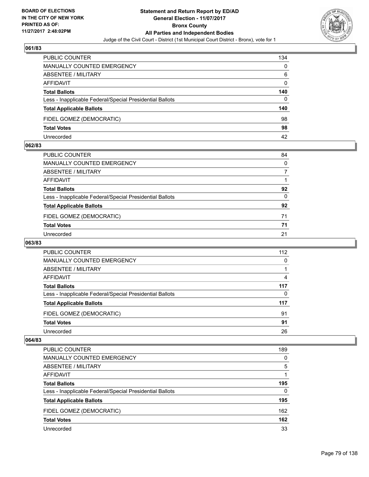

| <b>PUBLIC COUNTER</b>                                    | 134 |
|----------------------------------------------------------|-----|
| MANUALLY COUNTED EMERGENCY                               | 0   |
| ABSENTEE / MILITARY                                      | 6   |
| AFFIDAVIT                                                | 0   |
| <b>Total Ballots</b>                                     | 140 |
| Less - Inapplicable Federal/Special Presidential Ballots | 0   |
| <b>Total Applicable Ballots</b>                          | 140 |
| FIDEL GOMEZ (DEMOCRATIC)                                 | 98  |
| <b>Total Votes</b>                                       | 98  |
| Unrecorded                                               | 42  |

#### **062/83**

| PUBLIC COUNTER                                           | 84           |
|----------------------------------------------------------|--------------|
| MANUALLY COUNTED EMERGENCY                               | $\mathbf{0}$ |
| ABSENTEE / MILITARY                                      | 7            |
| AFFIDAVIT                                                |              |
| <b>Total Ballots</b>                                     | 92           |
| Less - Inapplicable Federal/Special Presidential Ballots | $\mathbf{0}$ |
| <b>Total Applicable Ballots</b>                          | 92           |
| FIDEL GOMEZ (DEMOCRATIC)                                 | 71           |
| <b>Total Votes</b>                                       | 71           |
| Unrecorded                                               | 21           |
|                                                          |              |

# **063/83**

| <b>PUBLIC COUNTER</b>                                    | 112 |
|----------------------------------------------------------|-----|
| MANUALLY COUNTED EMERGENCY                               | 0   |
| ABSENTEE / MILITARY                                      |     |
| AFFIDAVIT                                                | 4   |
| <b>Total Ballots</b>                                     | 117 |
| Less - Inapplicable Federal/Special Presidential Ballots | 0   |
| <b>Total Applicable Ballots</b>                          | 117 |
| FIDEL GOMEZ (DEMOCRATIC)                                 | 91  |
| <b>Total Votes</b>                                       | 91  |
| Unrecorded                                               | 26  |

| <b>PUBLIC COUNTER</b>                                    | 189 |
|----------------------------------------------------------|-----|
| <b>MANUALLY COUNTED EMERGENCY</b>                        | 0   |
| ABSENTEE / MILITARY                                      | 5   |
| AFFIDAVIT                                                |     |
| <b>Total Ballots</b>                                     | 195 |
| Less - Inapplicable Federal/Special Presidential Ballots | 0   |
| <b>Total Applicable Ballots</b>                          | 195 |
| FIDEL GOMEZ (DEMOCRATIC)                                 | 162 |
| <b>Total Votes</b>                                       | 162 |
| Unrecorded                                               | 33  |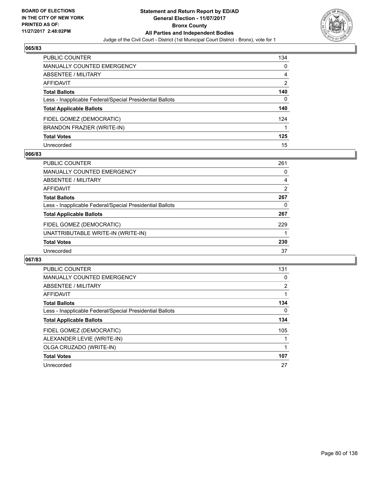

| PUBLIC COUNTER                                           | 134            |
|----------------------------------------------------------|----------------|
| MANUALLY COUNTED EMERGENCY                               | 0              |
| ABSENTEE / MILITARY                                      | 4              |
| <b>AFFIDAVIT</b>                                         | $\overline{2}$ |
| <b>Total Ballots</b>                                     | 140            |
| Less - Inapplicable Federal/Special Presidential Ballots | 0              |
| <b>Total Applicable Ballots</b>                          | 140            |
| FIDEL GOMEZ (DEMOCRATIC)                                 | 124            |
| BRANDON FRAZIER (WRITE-IN)                               |                |
| <b>Total Votes</b>                                       | 125            |
| Unrecorded                                               | 15             |

## **066/83**

| <b>PUBLIC COUNTER</b>                                    | 261 |
|----------------------------------------------------------|-----|
| MANUALLY COUNTED EMERGENCY                               | 0   |
| ABSENTEE / MILITARY                                      | 4   |
| AFFIDAVIT                                                | 2   |
| <b>Total Ballots</b>                                     | 267 |
| Less - Inapplicable Federal/Special Presidential Ballots | 0   |
| <b>Total Applicable Ballots</b>                          | 267 |
| FIDEL GOMEZ (DEMOCRATIC)                                 | 229 |
| UNATTRIBUTABLE WRITE-IN (WRITE-IN)                       |     |
| <b>Total Votes</b>                                       | 230 |
| Unrecorded                                               | 37  |

| <b>PUBLIC COUNTER</b>                                    | 131            |
|----------------------------------------------------------|----------------|
| <b>MANUALLY COUNTED EMERGENCY</b>                        | 0              |
| ABSENTEE / MILITARY                                      | $\overline{2}$ |
| AFFIDAVIT                                                |                |
| <b>Total Ballots</b>                                     | 134            |
| Less - Inapplicable Federal/Special Presidential Ballots | 0              |
| <b>Total Applicable Ballots</b>                          | 134            |
| FIDEL GOMEZ (DEMOCRATIC)                                 | 105            |
| ALEXANDER LEVIE (WRITE-IN)                               |                |
| OLGA CRUZADO (WRITE-IN)                                  |                |
| <b>Total Votes</b>                                       | 107            |
| Unrecorded                                               | 27             |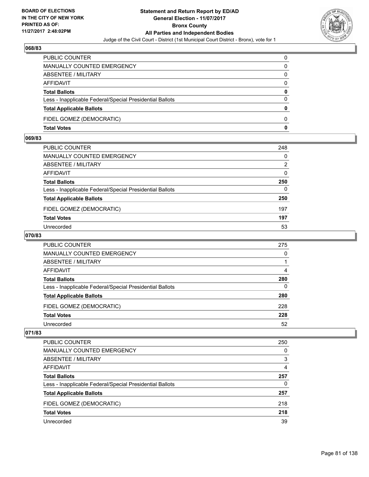

| PUBLIC COUNTER                                           | 0            |
|----------------------------------------------------------|--------------|
| <b>MANUALLY COUNTED EMERGENCY</b>                        | 0            |
| <b>ABSENTEE / MILITARY</b>                               | 0            |
| AFFIDAVIT                                                | $\Omega$     |
| <b>Total Ballots</b>                                     | 0            |
| Less - Inapplicable Federal/Special Presidential Ballots | $\Omega$     |
| <b>Total Applicable Ballots</b>                          | $\mathbf{0}$ |
| FIDEL GOMEZ (DEMOCRATIC)                                 | 0            |
| <b>Total Votes</b>                                       | 0            |

## **069/83**

| PUBLIC COUNTER                                           | 248      |
|----------------------------------------------------------|----------|
| <b>MANUALLY COUNTED EMERGENCY</b>                        | $\Omega$ |
| ABSENTEE / MILITARY                                      | 2        |
| AFFIDAVIT                                                | $\Omega$ |
| <b>Total Ballots</b>                                     | 250      |
| Less - Inapplicable Federal/Special Presidential Ballots | $\Omega$ |
| <b>Total Applicable Ballots</b>                          | 250      |
| FIDEL GOMEZ (DEMOCRATIC)                                 | 197      |
| <b>Total Votes</b>                                       | 197      |
| Unrecorded                                               | 53       |
|                                                          |          |

## **070/83**

| <b>PUBLIC COUNTER</b>                                    | 275 |
|----------------------------------------------------------|-----|
| MANUALLY COUNTED EMERGENCY                               | 0   |
| ABSENTEE / MILITARY                                      |     |
| AFFIDAVIT                                                | 4   |
| <b>Total Ballots</b>                                     | 280 |
| Less - Inapplicable Federal/Special Presidential Ballots | 0   |
| <b>Total Applicable Ballots</b>                          | 280 |
| FIDEL GOMEZ (DEMOCRATIC)                                 | 228 |
| <b>Total Votes</b>                                       | 228 |
| Unrecorded                                               | 52  |

| PUBLIC COUNTER                                           | 250 |
|----------------------------------------------------------|-----|
| <b>MANUALLY COUNTED EMERGENCY</b>                        | 0   |
| ABSENTEE / MILITARY                                      | 3   |
| AFFIDAVIT                                                | 4   |
| <b>Total Ballots</b>                                     | 257 |
| Less - Inapplicable Federal/Special Presidential Ballots | 0   |
| <b>Total Applicable Ballots</b>                          | 257 |
| FIDEL GOMEZ (DEMOCRATIC)                                 | 218 |
| <b>Total Votes</b>                                       | 218 |
| Unrecorded                                               | 39  |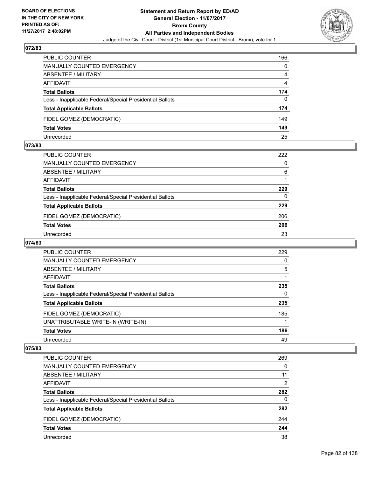

| <b>PUBLIC COUNTER</b>                                    | 166 |
|----------------------------------------------------------|-----|
| MANUALLY COUNTED EMERGENCY                               | 0   |
| ABSENTEE / MILITARY                                      | 4   |
| AFFIDAVIT                                                | 4   |
| <b>Total Ballots</b>                                     | 174 |
| Less - Inapplicable Federal/Special Presidential Ballots | 0   |
| <b>Total Applicable Ballots</b>                          | 174 |
| FIDEL GOMEZ (DEMOCRATIC)                                 | 149 |
| <b>Total Votes</b>                                       | 149 |
| Unrecorded                                               | 25  |

#### **073/83**

| <b>PUBLIC COUNTER</b>                                    | 222      |
|----------------------------------------------------------|----------|
| MANUALLY COUNTED EMERGENCY                               | 0        |
| ABSENTEE / MILITARY                                      | 6        |
| AFFIDAVIT                                                |          |
| <b>Total Ballots</b>                                     | 229      |
| Less - Inapplicable Federal/Special Presidential Ballots | $\Omega$ |
| <b>Total Applicable Ballots</b>                          | 229      |
| FIDEL GOMEZ (DEMOCRATIC)                                 | 206      |
| <b>Total Votes</b>                                       | 206      |
| Unrecorded                                               | 23       |
|                                                          |          |

# **074/83**

| <b>PUBLIC COUNTER</b>                                    | 229 |
|----------------------------------------------------------|-----|
| <b>MANUALLY COUNTED EMERGENCY</b>                        | 0   |
| ABSENTEE / MILITARY                                      | 5   |
| AFFIDAVIT                                                |     |
| <b>Total Ballots</b>                                     | 235 |
| Less - Inapplicable Federal/Special Presidential Ballots | 0   |
| <b>Total Applicable Ballots</b>                          | 235 |
| FIDEL GOMEZ (DEMOCRATIC)                                 | 185 |
| UNATTRIBUTABLE WRITE-IN (WRITE-IN)                       |     |
| <b>Total Votes</b>                                       | 186 |
| Unrecorded                                               | 49  |

| PUBLIC COUNTER                                           | 269      |
|----------------------------------------------------------|----------|
| <b>MANUALLY COUNTED EMERGENCY</b>                        | 0        |
| ABSENTEE / MILITARY                                      | 11       |
| AFFIDAVIT                                                | 2        |
| <b>Total Ballots</b>                                     | 282      |
| Less - Inapplicable Federal/Special Presidential Ballots | $\Omega$ |
| <b>Total Applicable Ballots</b>                          | 282      |
| FIDEL GOMEZ (DEMOCRATIC)                                 | 244      |
| <b>Total Votes</b>                                       | 244      |
| Unrecorded                                               | 38       |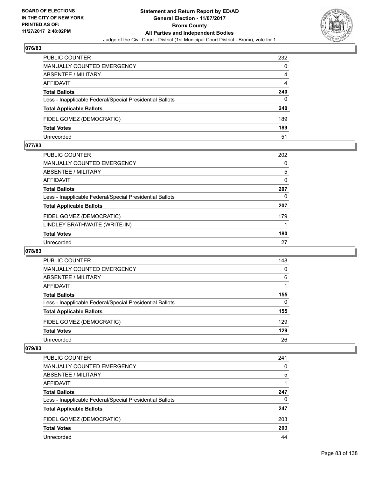

| <b>PUBLIC COUNTER</b>                                    | 232 |
|----------------------------------------------------------|-----|
| MANUALLY COUNTED EMERGENCY                               | 0   |
| ABSENTEE / MILITARY                                      | 4   |
| AFFIDAVIT                                                | 4   |
| <b>Total Ballots</b>                                     | 240 |
| Less - Inapplicable Federal/Special Presidential Ballots | 0   |
| <b>Total Applicable Ballots</b>                          | 240 |
| FIDEL GOMEZ (DEMOCRATIC)                                 | 189 |
| <b>Total Votes</b>                                       | 189 |
| Unrecorded                                               | 51  |

#### **077/83**

| <b>PUBLIC COUNTER</b>                                    | 202 |
|----------------------------------------------------------|-----|
| MANUALLY COUNTED EMERGENCY                               | 0   |
| ABSENTEE / MILITARY                                      | 5   |
| AFFIDAVIT                                                | 0   |
| <b>Total Ballots</b>                                     | 207 |
| Less - Inapplicable Federal/Special Presidential Ballots | 0   |
| <b>Total Applicable Ballots</b>                          | 207 |
| FIDEL GOMEZ (DEMOCRATIC)                                 | 179 |
| LINDLEY BRATHWAITE (WRITE-IN)                            |     |
| <b>Total Votes</b>                                       | 180 |
| Unrecorded                                               | 27  |
|                                                          |     |

#### **078/83**

| PUBLIC COUNTER                                           | 148 |
|----------------------------------------------------------|-----|
| <b>MANUALLY COUNTED EMERGENCY</b>                        | 0   |
| ABSENTEE / MILITARY                                      | 6   |
| AFFIDAVIT                                                |     |
| <b>Total Ballots</b>                                     | 155 |
| Less - Inapplicable Federal/Special Presidential Ballots | 0   |
| <b>Total Applicable Ballots</b>                          | 155 |
| FIDEL GOMEZ (DEMOCRATIC)                                 | 129 |
| <b>Total Votes</b>                                       | 129 |
| Unrecorded                                               | 26  |

| <b>PUBLIC COUNTER</b>                                    | 241 |
|----------------------------------------------------------|-----|
| <b>MANUALLY COUNTED EMERGENCY</b>                        | 0   |
| ABSENTEE / MILITARY                                      | 5   |
| <b>AFFIDAVIT</b>                                         |     |
| <b>Total Ballots</b>                                     | 247 |
| Less - Inapplicable Federal/Special Presidential Ballots | 0   |
| <b>Total Applicable Ballots</b>                          | 247 |
| FIDEL GOMEZ (DEMOCRATIC)                                 | 203 |
| <b>Total Votes</b>                                       | 203 |
| Unrecorded                                               | 44  |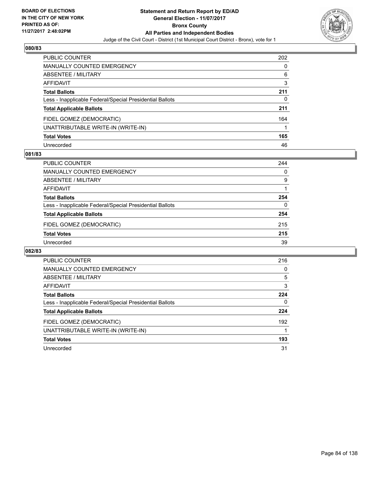

| <b>PUBLIC COUNTER</b>                                    | 202 |
|----------------------------------------------------------|-----|
| <b>MANUALLY COUNTED EMERGENCY</b>                        | 0   |
| ABSENTEE / MILITARY                                      | 6   |
| <b>AFFIDAVIT</b>                                         | 3   |
| <b>Total Ballots</b>                                     | 211 |
| Less - Inapplicable Federal/Special Presidential Ballots | 0   |
| <b>Total Applicable Ballots</b>                          | 211 |
| FIDEL GOMEZ (DEMOCRATIC)                                 | 164 |
| UNATTRIBUTABLE WRITE-IN (WRITE-IN)                       |     |
| <b>Total Votes</b>                                       | 165 |
| Unrecorded                                               | 46  |

## **081/83**

| <b>PUBLIC COUNTER</b>                                    | 244 |
|----------------------------------------------------------|-----|
| MANUALLY COUNTED EMERGENCY                               | 0   |
| ABSENTEE / MILITARY                                      | 9   |
| AFFIDAVIT                                                |     |
| <b>Total Ballots</b>                                     | 254 |
| Less - Inapplicable Federal/Special Presidential Ballots | 0   |
| <b>Total Applicable Ballots</b>                          | 254 |
| FIDEL GOMEZ (DEMOCRATIC)                                 | 215 |
| <b>Total Votes</b>                                       | 215 |
| Unrecorded                                               | 39  |

| PUBLIC COUNTER                                           | 216 |
|----------------------------------------------------------|-----|
| <b>MANUALLY COUNTED EMERGENCY</b>                        | 0   |
| ABSENTEE / MILITARY                                      | 5   |
| AFFIDAVIT                                                | 3   |
| <b>Total Ballots</b>                                     | 224 |
| Less - Inapplicable Federal/Special Presidential Ballots | 0   |
| <b>Total Applicable Ballots</b>                          | 224 |
| FIDEL GOMEZ (DEMOCRATIC)                                 | 192 |
| UNATTRIBUTABLE WRITE-IN (WRITE-IN)                       |     |
| <b>Total Votes</b>                                       | 193 |
| Unrecorded                                               | 31  |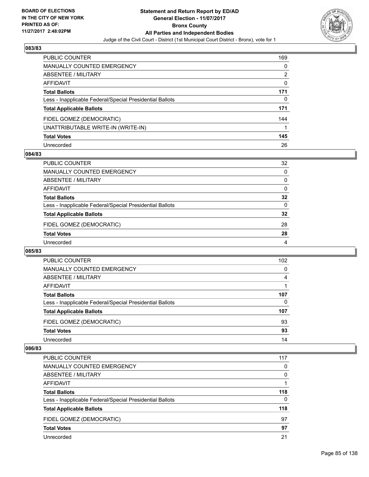

| PUBLIC COUNTER                                           | 169 |
|----------------------------------------------------------|-----|
| MANUALLY COUNTED EMERGENCY                               | 0   |
| ABSENTEE / MILITARY                                      | 2   |
| <b>AFFIDAVIT</b>                                         | 0   |
| <b>Total Ballots</b>                                     | 171 |
| Less - Inapplicable Federal/Special Presidential Ballots | 0   |
| <b>Total Applicable Ballots</b>                          | 171 |
| FIDEL GOMEZ (DEMOCRATIC)                                 | 144 |
| UNATTRIBUTABLE WRITE-IN (WRITE-IN)                       |     |
| <b>Total Votes</b>                                       | 145 |
| Unrecorded                                               | 26  |

## **084/83**

| <b>PUBLIC COUNTER</b>                                    | 32 |
|----------------------------------------------------------|----|
| <b>MANUALLY COUNTED EMERGENCY</b>                        | 0  |
| ABSENTEE / MILITARY                                      | 0  |
| AFFIDAVIT                                                | 0  |
| <b>Total Ballots</b>                                     | 32 |
| Less - Inapplicable Federal/Special Presidential Ballots | 0  |
| <b>Total Applicable Ballots</b>                          | 32 |
| FIDEL GOMEZ (DEMOCRATIC)                                 | 28 |
| <b>Total Votes</b>                                       | 28 |
| Unrecorded                                               | 4  |

#### **085/83**

| PUBLIC COUNTER                                           | 102 |
|----------------------------------------------------------|-----|
| <b>MANUALLY COUNTED EMERGENCY</b>                        | 0   |
| ABSENTEE / MILITARY                                      | 4   |
| AFFIDAVIT                                                |     |
| <b>Total Ballots</b>                                     | 107 |
| Less - Inapplicable Federal/Special Presidential Ballots | 0   |
| <b>Total Applicable Ballots</b>                          | 107 |
| FIDEL GOMEZ (DEMOCRATIC)                                 | 93  |
| <b>Total Votes</b>                                       | 93  |
| Unrecorded                                               | 14  |

| <b>PUBLIC COUNTER</b>                                    | 117 |
|----------------------------------------------------------|-----|
| <b>MANUALLY COUNTED EMERGENCY</b>                        | 0   |
| ABSENTEE / MILITARY                                      | 0   |
| AFFIDAVIT                                                |     |
| <b>Total Ballots</b>                                     | 118 |
| Less - Inapplicable Federal/Special Presidential Ballots | 0   |
| <b>Total Applicable Ballots</b>                          | 118 |
| FIDEL GOMEZ (DEMOCRATIC)                                 | 97  |
| <b>Total Votes</b>                                       | 97  |
| Unrecorded                                               | 21  |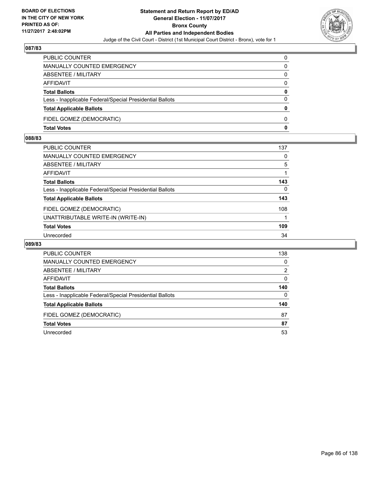

| PUBLIC COUNTER                                           | 0            |
|----------------------------------------------------------|--------------|
| <b>MANUALLY COUNTED EMERGENCY</b>                        | 0            |
| <b>ABSENTEE / MILITARY</b>                               | 0            |
| AFFIDAVIT                                                | $\Omega$     |
| <b>Total Ballots</b>                                     | 0            |
| Less - Inapplicable Federal/Special Presidential Ballots | $\Omega$     |
| <b>Total Applicable Ballots</b>                          | $\mathbf{0}$ |
| FIDEL GOMEZ (DEMOCRATIC)                                 | 0            |
| <b>Total Votes</b>                                       | 0            |

## **088/83**

| <b>PUBLIC COUNTER</b>                                    | 137      |
|----------------------------------------------------------|----------|
| <b>MANUALLY COUNTED EMERGENCY</b>                        | $\Omega$ |
| <b>ABSENTEE / MILITARY</b>                               | 5        |
| AFFIDAVIT                                                |          |
| <b>Total Ballots</b>                                     | 143      |
| Less - Inapplicable Federal/Special Presidential Ballots | 0        |
| <b>Total Applicable Ballots</b>                          | 143      |
| FIDEL GOMEZ (DEMOCRATIC)                                 | 108      |
| UNATTRIBUTABLE WRITE-IN (WRITE-IN)                       |          |
| <b>Total Votes</b>                                       | 109      |
| Unrecorded                                               | 34       |

| PUBLIC COUNTER                                           | 138 |
|----------------------------------------------------------|-----|
| <b>MANUALLY COUNTED EMERGENCY</b>                        | 0   |
| ABSENTEE / MILITARY                                      | 2   |
| AFFIDAVIT                                                | 0   |
| <b>Total Ballots</b>                                     | 140 |
| Less - Inapplicable Federal/Special Presidential Ballots | 0   |
| <b>Total Applicable Ballots</b>                          | 140 |
| FIDEL GOMEZ (DEMOCRATIC)                                 | 87  |
| <b>Total Votes</b>                                       | 87  |
| Unrecorded                                               | 53  |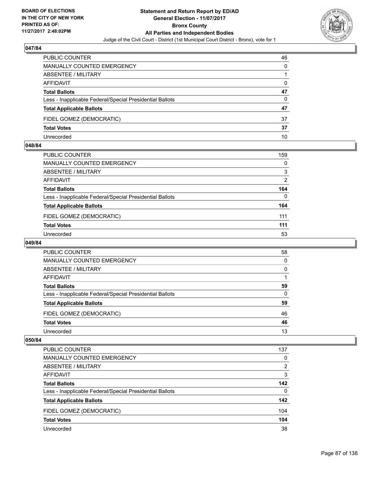

| <b>PUBLIC COUNTER</b>                                    | 46 |
|----------------------------------------------------------|----|
| MANUALLY COUNTED EMERGENCY                               | 0  |
| ABSENTEE / MILITARY                                      |    |
| AFFIDAVIT                                                | 0  |
| <b>Total Ballots</b>                                     | 47 |
| Less - Inapplicable Federal/Special Presidential Ballots | 0  |
| <b>Total Applicable Ballots</b>                          | 47 |
| FIDEL GOMEZ (DEMOCRATIC)                                 | 37 |
| <b>Total Votes</b>                                       | 37 |
| Unrecorded                                               | 10 |

#### **048/84**

| PUBLIC COUNTER                                           | 159 |
|----------------------------------------------------------|-----|
| MANUALLY COUNTED EMERGENCY                               | 0   |
| ABSENTEE / MILITARY                                      | 3   |
| AFFIDAVIT                                                | 2   |
| <b>Total Ballots</b>                                     | 164 |
| Less - Inapplicable Federal/Special Presidential Ballots | 0   |
| <b>Total Applicable Ballots</b>                          | 164 |
| FIDEL GOMEZ (DEMOCRATIC)                                 | 111 |
| <b>Total Votes</b>                                       | 111 |
| Unrecorded                                               | 53  |
|                                                          |     |

## **049/84**

| <b>PUBLIC COUNTER</b>                                    | 58 |
|----------------------------------------------------------|----|
| MANUALLY COUNTED EMERGENCY                               | 0  |
| ABSENTEE / MILITARY                                      | 0  |
| AFFIDAVIT                                                |    |
| <b>Total Ballots</b>                                     | 59 |
| Less - Inapplicable Federal/Special Presidential Ballots | 0  |
| <b>Total Applicable Ballots</b>                          | 59 |
| FIDEL GOMEZ (DEMOCRATIC)                                 | 46 |
| <b>Total Votes</b>                                       | 46 |
| Unrecorded                                               | 13 |

| <b>PUBLIC COUNTER</b>                                    | 137 |
|----------------------------------------------------------|-----|
| MANUALLY COUNTED EMERGENCY                               | 0   |
| ABSENTEE / MILITARY                                      | 2   |
| AFFIDAVIT                                                | 3   |
| <b>Total Ballots</b>                                     | 142 |
| Less - Inapplicable Federal/Special Presidential Ballots | 0   |
| <b>Total Applicable Ballots</b>                          | 142 |
| FIDEL GOMEZ (DEMOCRATIC)                                 | 104 |
| <b>Total Votes</b>                                       | 104 |
| Unrecorded                                               | 38  |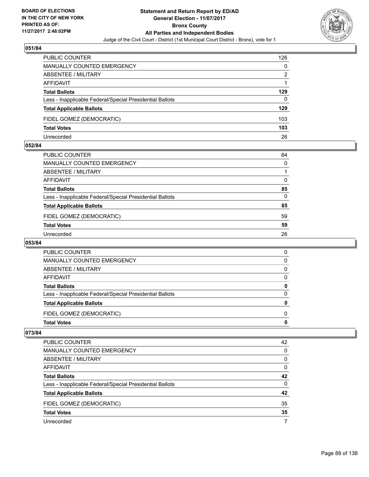

| <b>PUBLIC COUNTER</b>                                    | 126 |
|----------------------------------------------------------|-----|
| <b>MANUALLY COUNTED EMERGENCY</b>                        | 0   |
| ABSENTEE / MILITARY                                      | 2   |
| AFFIDAVIT                                                |     |
| <b>Total Ballots</b>                                     | 129 |
| Less - Inapplicable Federal/Special Presidential Ballots | 0   |
| <b>Total Applicable Ballots</b>                          | 129 |
| FIDEL GOMEZ (DEMOCRATIC)                                 | 103 |
| <b>Total Votes</b>                                       | 103 |
| Unrecorded                                               | 26  |

#### **052/84**

| PUBLIC COUNTER                                           | 84           |
|----------------------------------------------------------|--------------|
| MANUALLY COUNTED EMERGENCY                               | $\mathbf{0}$ |
| ABSENTEE / MILITARY                                      |              |
| AFFIDAVIT                                                | 0            |
| Total Ballots                                            | 85           |
| Less - Inapplicable Federal/Special Presidential Ballots | $\Omega$     |
| <b>Total Applicable Ballots</b>                          | 85           |
| FIDEL GOMEZ (DEMOCRATIC)                                 | 59           |
| <b>Total Votes</b>                                       | 59           |
| Unrecorded                                               | 26           |

# **053/84**

| <b>Total Votes</b>                                       | 0        |
|----------------------------------------------------------|----------|
| FIDEL GOMEZ (DEMOCRATIC)                                 | 0        |
| <b>Total Applicable Ballots</b>                          | 0        |
| Less - Inapplicable Federal/Special Presidential Ballots | $\Omega$ |
| <b>Total Ballots</b>                                     | 0        |
| AFFIDAVIT                                                | 0        |
| ABSENTEE / MILITARY                                      | 0        |
| MANUALLY COUNTED EMERGENCY                               | 0        |
| <b>PUBLIC COUNTER</b>                                    | 0        |

| <b>PUBLIC COUNTER</b>                                    | 42 |
|----------------------------------------------------------|----|
| <b>MANUALLY COUNTED EMERGENCY</b>                        | 0  |
| ABSENTEE / MILITARY                                      | 0  |
| AFFIDAVIT                                                | 0  |
| <b>Total Ballots</b>                                     | 42 |
| Less - Inapplicable Federal/Special Presidential Ballots | 0  |
| <b>Total Applicable Ballots</b>                          | 42 |
| FIDEL GOMEZ (DEMOCRATIC)                                 | 35 |
| <b>Total Votes</b>                                       | 35 |
| Unrecorded                                               |    |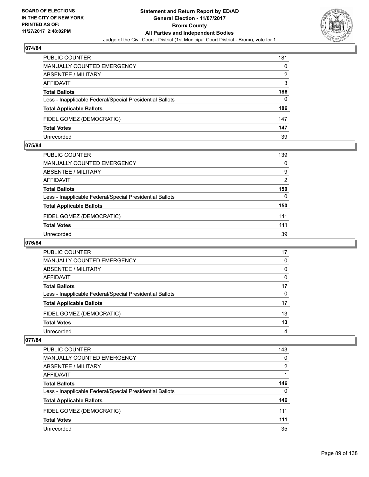

| <b>PUBLIC COUNTER</b>                                    | 181 |
|----------------------------------------------------------|-----|
| MANUALLY COUNTED EMERGENCY                               | 0   |
| ABSENTEE / MILITARY                                      | 2   |
| AFFIDAVIT                                                | 3   |
| <b>Total Ballots</b>                                     | 186 |
| Less - Inapplicable Federal/Special Presidential Ballots | 0   |
| <b>Total Applicable Ballots</b>                          | 186 |
| FIDEL GOMEZ (DEMOCRATIC)                                 | 147 |
| <b>Total Votes</b>                                       | 147 |
| Unrecorded                                               | 39  |

#### **075/84**

| <b>PUBLIC COUNTER</b>                                    | 139 |
|----------------------------------------------------------|-----|
|                                                          |     |
| <b>MANUALLY COUNTED EMERGENCY</b>                        | 0   |
| ABSENTEE / MILITARY                                      | 9   |
| AFFIDAVIT                                                | 2   |
| <b>Total Ballots</b>                                     | 150 |
| Less - Inapplicable Federal/Special Presidential Ballots | 0   |
| <b>Total Applicable Ballots</b>                          | 150 |
| FIDEL GOMEZ (DEMOCRATIC)                                 | 111 |
| <b>Total Votes</b>                                       | 111 |
| Unrecorded                                               | 39  |

# **076/84**

| PUBLIC COUNTER                                           | 17 |
|----------------------------------------------------------|----|
| MANUALLY COUNTED EMERGENCY                               | 0  |
| ABSENTEE / MILITARY                                      | 0  |
| AFFIDAVIT                                                | 0  |
| <b>Total Ballots</b>                                     | 17 |
| Less - Inapplicable Federal/Special Presidential Ballots | 0  |
| <b>Total Applicable Ballots</b>                          | 17 |
| FIDEL GOMEZ (DEMOCRATIC)                                 | 13 |
| <b>Total Votes</b>                                       | 13 |
| Unrecorded                                               | 4  |

| <b>PUBLIC COUNTER</b>                                    | 143 |
|----------------------------------------------------------|-----|
| MANUALLY COUNTED EMERGENCY                               | 0   |
| ABSENTEE / MILITARY                                      | 2   |
| AFFIDAVIT                                                |     |
| <b>Total Ballots</b>                                     | 146 |
| Less - Inapplicable Federal/Special Presidential Ballots | 0   |
| <b>Total Applicable Ballots</b>                          | 146 |
| FIDEL GOMEZ (DEMOCRATIC)                                 | 111 |
| <b>Total Votes</b>                                       | 111 |
| Unrecorded                                               | 35  |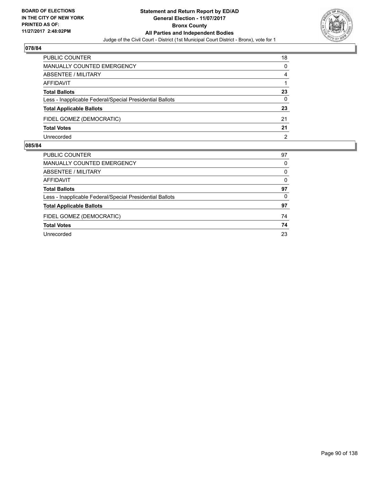

| <b>PUBLIC COUNTER</b>                                    | 18 |
|----------------------------------------------------------|----|
| MANUALLY COUNTED EMERGENCY                               | 0  |
| ABSENTEE / MILITARY                                      | 4  |
| AFFIDAVIT                                                |    |
| <b>Total Ballots</b>                                     | 23 |
| Less - Inapplicable Federal/Special Presidential Ballots | 0  |
| <b>Total Applicable Ballots</b>                          | 23 |
| FIDEL GOMEZ (DEMOCRATIC)                                 | 21 |
| <b>Total Votes</b>                                       | 21 |
| Unrecorded                                               | 2  |

| 97 |
|----|
| 0  |
| 0  |
| 0  |
| 97 |
| 0  |
| 97 |
| 74 |
| 74 |
| 23 |
|    |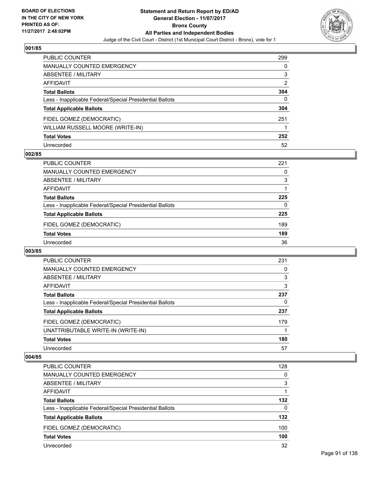

| PUBLIC COUNTER                                           | 299 |
|----------------------------------------------------------|-----|
| <b>MANUALLY COUNTED EMERGENCY</b>                        | 0   |
| ABSENTEE / MILITARY                                      | 3   |
| AFFIDAVIT                                                | 2   |
| <b>Total Ballots</b>                                     | 304 |
| Less - Inapplicable Federal/Special Presidential Ballots | 0   |
| <b>Total Applicable Ballots</b>                          | 304 |
| FIDEL GOMEZ (DEMOCRATIC)                                 | 251 |
| WILLIAM RUSSELL MOORE (WRITE-IN)                         |     |
| <b>Total Votes</b>                                       | 252 |
| Unrecorded                                               | 52  |

## **002/85**

| <b>PUBLIC COUNTER</b>                                    | 221 |
|----------------------------------------------------------|-----|
| <b>MANUALLY COUNTED EMERGENCY</b>                        | 0   |
| ABSENTEE / MILITARY                                      | 3   |
| AFFIDAVIT                                                |     |
| <b>Total Ballots</b>                                     | 225 |
| Less - Inapplicable Federal/Special Presidential Ballots | 0   |
| <b>Total Applicable Ballots</b>                          | 225 |
| FIDEL GOMEZ (DEMOCRATIC)                                 | 189 |
| <b>Total Votes</b>                                       | 189 |
| Unrecorded                                               | 36  |

#### **003/85**

| <b>PUBLIC COUNTER</b>                                    | 231 |
|----------------------------------------------------------|-----|
| <b>MANUALLY COUNTED EMERGENCY</b>                        | 0   |
| ABSENTEE / MILITARY                                      | 3   |
| <b>AFFIDAVIT</b>                                         | 3   |
| <b>Total Ballots</b>                                     | 237 |
| Less - Inapplicable Federal/Special Presidential Ballots | 0   |
| <b>Total Applicable Ballots</b>                          | 237 |
| FIDEL GOMEZ (DEMOCRATIC)                                 | 179 |
| UNATTRIBUTABLE WRITE-IN (WRITE-IN)                       |     |
| <b>Total Votes</b>                                       | 180 |
| Unrecorded                                               | 57  |

| <b>PUBLIC COUNTER</b>                                    | 128      |
|----------------------------------------------------------|----------|
| MANUALLY COUNTED EMERGENCY                               | $\Omega$ |
| ABSENTEE / MILITARY                                      | 3        |
| AFFIDAVIT                                                |          |
| <b>Total Ballots</b>                                     | 132      |
| Less - Inapplicable Federal/Special Presidential Ballots | $\Omega$ |
| <b>Total Applicable Ballots</b>                          | 132      |
| FIDEL GOMEZ (DEMOCRATIC)                                 | 100      |
| <b>Total Votes</b>                                       | 100      |
| Unrecorded                                               | 32       |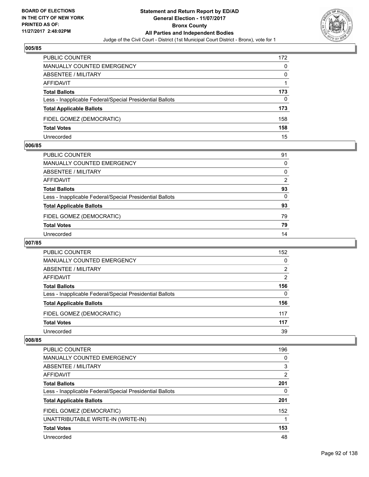

| <b>PUBLIC COUNTER</b>                                    | 172 |
|----------------------------------------------------------|-----|
| <b>MANUALLY COUNTED EMERGENCY</b>                        | 0   |
| ABSENTEE / MILITARY                                      | 0   |
| AFFIDAVIT                                                |     |
| <b>Total Ballots</b>                                     | 173 |
| Less - Inapplicable Federal/Special Presidential Ballots | 0   |
| <b>Total Applicable Ballots</b>                          | 173 |
| FIDEL GOMEZ (DEMOCRATIC)                                 | 158 |
| <b>Total Votes</b>                                       | 158 |
| Unrecorded                                               | 15  |

#### **006/85**

| PUBLIC COUNTER                                           | 91       |
|----------------------------------------------------------|----------|
| MANUALLY COUNTED EMERGENCY                               | $\Omega$ |
| ABSENTEE / MILITARY                                      | $\Omega$ |
| AFFIDAVIT                                                | 2        |
| <b>Total Ballots</b>                                     | 93       |
| Less - Inapplicable Federal/Special Presidential Ballots | $\Omega$ |
| <b>Total Applicable Ballots</b>                          | 93       |
| FIDEL GOMEZ (DEMOCRATIC)                                 | 79       |
| <b>Total Votes</b>                                       | 79       |
| Unrecorded                                               | 14       |
|                                                          |          |

# **007/85**

| <b>PUBLIC COUNTER</b>                                    | 152            |
|----------------------------------------------------------|----------------|
| <b>MANUALLY COUNTED EMERGENCY</b>                        | 0              |
| ABSENTEE / MILITARY                                      | 2              |
| AFFIDAVIT                                                | $\overline{2}$ |
| <b>Total Ballots</b>                                     | 156            |
| Less - Inapplicable Federal/Special Presidential Ballots | 0              |
| <b>Total Applicable Ballots</b>                          | 156            |
| FIDEL GOMEZ (DEMOCRATIC)                                 | 117            |
| <b>Total Votes</b>                                       | 117            |
| Unrecorded                                               | 39             |

| PUBLIC COUNTER                                           | 196 |
|----------------------------------------------------------|-----|
| <b>MANUALLY COUNTED EMERGENCY</b>                        | 0   |
| <b>ABSENTEE / MILITARY</b>                               | 3   |
| AFFIDAVIT                                                | 2   |
| <b>Total Ballots</b>                                     | 201 |
| Less - Inapplicable Federal/Special Presidential Ballots | 0   |
| <b>Total Applicable Ballots</b>                          | 201 |
| FIDEL GOMEZ (DEMOCRATIC)                                 | 152 |
| UNATTRIBUTABLE WRITE-IN (WRITE-IN)                       |     |
| <b>Total Votes</b>                                       | 153 |
| Unrecorded                                               | 48  |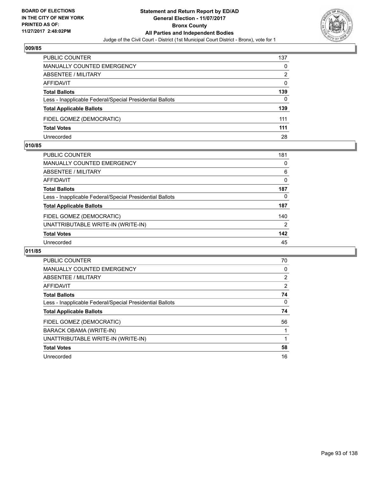

| <b>PUBLIC COUNTER</b>                                    | 137 |
|----------------------------------------------------------|-----|
| MANUALLY COUNTED EMERGENCY                               | 0   |
| ABSENTEE / MILITARY                                      | 2   |
| AFFIDAVIT                                                | 0   |
| <b>Total Ballots</b>                                     | 139 |
| Less - Inapplicable Federal/Special Presidential Ballots | 0   |
| <b>Total Applicable Ballots</b>                          | 139 |
| FIDEL GOMEZ (DEMOCRATIC)                                 | 111 |
| <b>Total Votes</b>                                       | 111 |
| Unrecorded                                               | 28  |

#### **010/85**

| <b>PUBLIC COUNTER</b>                                    | 181            |
|----------------------------------------------------------|----------------|
| <b>MANUALLY COUNTED EMERGENCY</b>                        | 0              |
| ABSENTEE / MILITARY                                      | 6              |
| AFFIDAVIT                                                | $\Omega$       |
| <b>Total Ballots</b>                                     | 187            |
| Less - Inapplicable Federal/Special Presidential Ballots | 0              |
| <b>Total Applicable Ballots</b>                          | 187            |
| FIDEL GOMEZ (DEMOCRATIC)                                 | 140            |
| UNATTRIBUTABLE WRITE-IN (WRITE-IN)                       | $\overline{2}$ |
| <b>Total Votes</b>                                       | 142            |
| Unrecorded                                               | 45             |
|                                                          |                |

| <b>PUBLIC COUNTER</b>                                    | 70             |
|----------------------------------------------------------|----------------|
| <b>MANUALLY COUNTED EMERGENCY</b>                        | 0              |
| ABSENTEE / MILITARY                                      | $\overline{2}$ |
| AFFIDAVIT                                                | 2              |
| <b>Total Ballots</b>                                     | 74             |
| Less - Inapplicable Federal/Special Presidential Ballots | 0              |
| <b>Total Applicable Ballots</b>                          | 74             |
| FIDEL GOMEZ (DEMOCRATIC)                                 | 56             |
| BARACK OBAMA (WRITE-IN)                                  |                |
| UNATTRIBUTABLE WRITE-IN (WRITE-IN)                       |                |
| <b>Total Votes</b>                                       | 58             |
| Unrecorded                                               | 16             |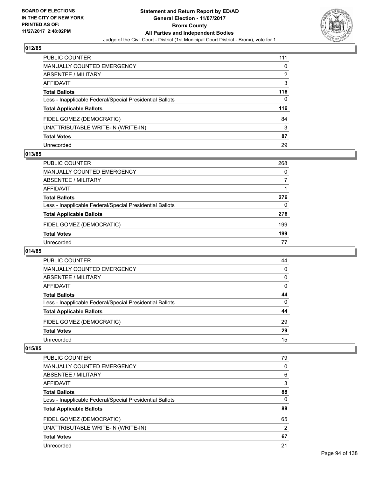

| PUBLIC COUNTER                                           | 111 |
|----------------------------------------------------------|-----|
| <b>MANUALLY COUNTED EMERGENCY</b>                        | 0   |
| <b>ABSENTEE / MILITARY</b>                               | 2   |
| AFFIDAVIT                                                | 3   |
| <b>Total Ballots</b>                                     | 116 |
| Less - Inapplicable Federal/Special Presidential Ballots | 0   |
| <b>Total Applicable Ballots</b>                          | 116 |
| FIDEL GOMEZ (DEMOCRATIC)                                 | 84  |
| UNATTRIBUTABLE WRITE-IN (WRITE-IN)                       | 3   |
| <b>Total Votes</b>                                       | 87  |
| Unrecorded                                               | 29  |

## **013/85**

| <b>PUBLIC COUNTER</b>                                    | 268 |
|----------------------------------------------------------|-----|
| MANUALLY COUNTED EMERGENCY                               | 0   |
| ABSENTEE / MILITARY                                      | 7   |
| AFFIDAVIT                                                |     |
| <b>Total Ballots</b>                                     | 276 |
| Less - Inapplicable Federal/Special Presidential Ballots | 0   |
| <b>Total Applicable Ballots</b>                          | 276 |
| FIDEL GOMEZ (DEMOCRATIC)                                 | 199 |
| <b>Total Votes</b>                                       | 199 |
| Unrecorded                                               | 77  |

#### **014/85**

| <b>PUBLIC COUNTER</b>                                    | 44 |
|----------------------------------------------------------|----|
| <b>MANUALLY COUNTED EMERGENCY</b>                        | 0  |
| ABSENTEE / MILITARY                                      | 0  |
| AFFIDAVIT                                                | 0  |
| <b>Total Ballots</b>                                     | 44 |
| Less - Inapplicable Federal/Special Presidential Ballots | 0  |
| <b>Total Applicable Ballots</b>                          | 44 |
| FIDEL GOMEZ (DEMOCRATIC)                                 | 29 |
| <b>Total Votes</b>                                       | 29 |
| Unrecorded                                               | 15 |

| <b>PUBLIC COUNTER</b>                                    | 79             |
|----------------------------------------------------------|----------------|
| <b>MANUALLY COUNTED EMERGENCY</b>                        | 0              |
| ABSENTEE / MILITARY                                      | 6              |
| AFFIDAVIT                                                | 3              |
| <b>Total Ballots</b>                                     | 88             |
| Less - Inapplicable Federal/Special Presidential Ballots | 0              |
| <b>Total Applicable Ballots</b>                          | 88             |
| FIDEL GOMEZ (DEMOCRATIC)                                 | 65             |
| UNATTRIBUTABLE WRITE-IN (WRITE-IN)                       | $\overline{2}$ |
| <b>Total Votes</b>                                       | 67             |
| Unrecorded                                               | 21             |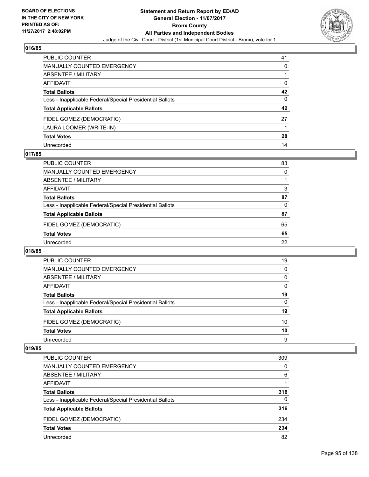

| PUBLIC COUNTER                                           | 41 |
|----------------------------------------------------------|----|
| <b>MANUALLY COUNTED EMERGENCY</b>                        | 0  |
| <b>ABSENTEE / MILITARY</b>                               |    |
| AFFIDAVIT                                                | 0  |
| <b>Total Ballots</b>                                     | 42 |
| Less - Inapplicable Federal/Special Presidential Ballots | 0  |
| <b>Total Applicable Ballots</b>                          | 42 |
| FIDEL GOMEZ (DEMOCRATIC)                                 | 27 |
| LAURA LOOMER (WRITE-IN)                                  |    |
| <b>Total Votes</b>                                       | 28 |
| Unrecorded                                               | 14 |

## **017/85**

| PUBLIC COUNTER                                           | 83 |
|----------------------------------------------------------|----|
| <b>MANUALLY COUNTED EMERGENCY</b>                        | 0  |
| ABSENTEE / MILITARY                                      |    |
| AFFIDAVIT                                                | 3  |
| <b>Total Ballots</b>                                     | 87 |
| Less - Inapplicable Federal/Special Presidential Ballots | 0  |
| <b>Total Applicable Ballots</b>                          | 87 |
| FIDEL GOMEZ (DEMOCRATIC)                                 | 65 |
| <b>Total Votes</b>                                       | 65 |
| Unrecorded                                               | 22 |

#### **018/85**

| <b>PUBLIC COUNTER</b>                                    | 19       |
|----------------------------------------------------------|----------|
| <b>MANUALLY COUNTED EMERGENCY</b>                        | 0        |
| ABSENTEE / MILITARY                                      | 0        |
| AFFIDAVIT                                                | 0        |
| <b>Total Ballots</b>                                     | 19       |
| Less - Inapplicable Federal/Special Presidential Ballots | $\Omega$ |
| <b>Total Applicable Ballots</b>                          | 19       |
| FIDEL GOMEZ (DEMOCRATIC)                                 | 10       |
| <b>Total Votes</b>                                       | 10       |
| Unrecorded                                               | 9        |

| <b>PUBLIC COUNTER</b>                                    | 309      |
|----------------------------------------------------------|----------|
| <b>MANUALLY COUNTED EMERGENCY</b>                        | 0        |
| ABSENTEE / MILITARY                                      | 6        |
| <b>AFFIDAVIT</b>                                         |          |
| <b>Total Ballots</b>                                     | 316      |
| Less - Inapplicable Federal/Special Presidential Ballots | $\Omega$ |
| <b>Total Applicable Ballots</b>                          | 316      |
| FIDEL GOMEZ (DEMOCRATIC)                                 | 234      |
| <b>Total Votes</b>                                       | 234      |
| Unrecorded                                               | 82       |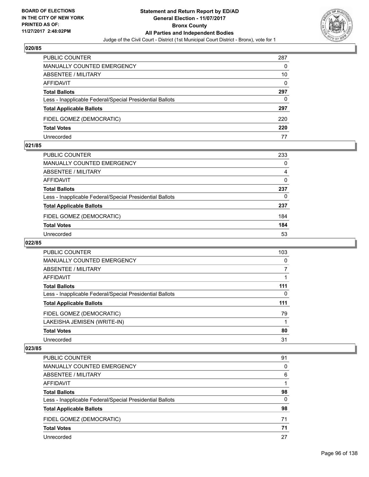

| <b>PUBLIC COUNTER</b>                                    | 287 |
|----------------------------------------------------------|-----|
| <b>MANUALLY COUNTED EMERGENCY</b>                        | 0   |
| ABSENTEE / MILITARY                                      | 10  |
| AFFIDAVIT                                                | 0   |
| <b>Total Ballots</b>                                     | 297 |
| Less - Inapplicable Federal/Special Presidential Ballots | 0   |
| <b>Total Applicable Ballots</b>                          | 297 |
| FIDEL GOMEZ (DEMOCRATIC)                                 | 220 |
| <b>Total Votes</b>                                       | 220 |
| Unrecorded                                               | 77  |

#### **021/85**

| PUBLIC COUNTER                                           | 233 |
|----------------------------------------------------------|-----|
| <b>MANUALLY COUNTED EMERGENCY</b>                        | 0   |
| ABSENTEE / MILITARY                                      | 4   |
| AFFIDAVIT                                                | 0   |
| <b>Total Ballots</b>                                     | 237 |
| Less - Inapplicable Federal/Special Presidential Ballots | 0   |
| <b>Total Applicable Ballots</b>                          | 237 |
| FIDEL GOMEZ (DEMOCRATIC)                                 | 184 |
| <b>Total Votes</b>                                       | 184 |
| Unrecorded                                               | 53  |

# **022/85**

| <b>PUBLIC COUNTER</b>                                    | 103 |
|----------------------------------------------------------|-----|
| MANUALLY COUNTED EMERGENCY                               | 0   |
| ABSENTEE / MILITARY                                      | 7   |
| <b>AFFIDAVIT</b>                                         |     |
| <b>Total Ballots</b>                                     | 111 |
| Less - Inapplicable Federal/Special Presidential Ballots | 0   |
| <b>Total Applicable Ballots</b>                          | 111 |
| FIDEL GOMEZ (DEMOCRATIC)                                 | 79  |
| LAKEISHA JEMISEN (WRITE-IN)                              |     |
| <b>Total Votes</b>                                       | 80  |
| Unrecorded                                               | 31  |

| <b>PUBLIC COUNTER</b>                                    | 91 |
|----------------------------------------------------------|----|
| <b>MANUALLY COUNTED EMERGENCY</b>                        | 0  |
| ABSENTEE / MILITARY                                      | 6  |
| AFFIDAVIT                                                |    |
| <b>Total Ballots</b>                                     | 98 |
| Less - Inapplicable Federal/Special Presidential Ballots | 0  |
| <b>Total Applicable Ballots</b>                          | 98 |
| FIDEL GOMEZ (DEMOCRATIC)                                 | 71 |
| <b>Total Votes</b>                                       | 71 |
| Unrecorded                                               | 27 |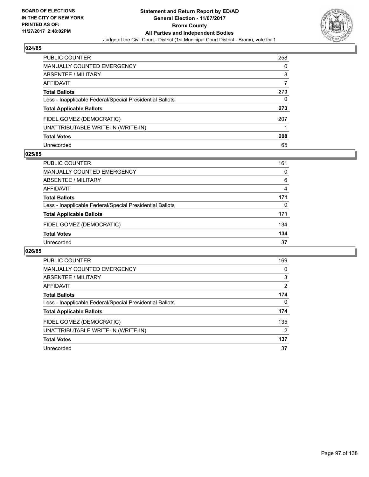

| <b>PUBLIC COUNTER</b>                                    | 258 |
|----------------------------------------------------------|-----|
| <b>MANUALLY COUNTED EMERGENCY</b>                        | 0   |
| ABSENTEE / MILITARY                                      | 8   |
| <b>AFFIDAVIT</b>                                         |     |
| <b>Total Ballots</b>                                     | 273 |
| Less - Inapplicable Federal/Special Presidential Ballots | 0   |
| <b>Total Applicable Ballots</b>                          | 273 |
| FIDEL GOMEZ (DEMOCRATIC)                                 | 207 |
| UNATTRIBUTABLE WRITE-IN (WRITE-IN)                       |     |
| <b>Total Votes</b>                                       | 208 |
| Unrecorded                                               | 65  |

## **025/85**

| <b>PUBLIC COUNTER</b>                                    | 161 |
|----------------------------------------------------------|-----|
| MANUALLY COUNTED EMERGENCY                               | 0   |
| ABSENTEE / MILITARY                                      | 6   |
| AFFIDAVIT                                                | 4   |
| <b>Total Ballots</b>                                     | 171 |
| Less - Inapplicable Federal/Special Presidential Ballots | 0   |
| <b>Total Applicable Ballots</b>                          | 171 |
| FIDEL GOMEZ (DEMOCRATIC)                                 | 134 |
| <b>Total Votes</b>                                       | 134 |
| Unrecorded                                               | 37  |

| <b>PUBLIC COUNTER</b>                                    | 169            |
|----------------------------------------------------------|----------------|
| <b>MANUALLY COUNTED EMERGENCY</b>                        | 0              |
| ABSENTEE / MILITARY                                      | 3              |
| <b>AFFIDAVIT</b>                                         | 2              |
| <b>Total Ballots</b>                                     | 174            |
| Less - Inapplicable Federal/Special Presidential Ballots | 0              |
| <b>Total Applicable Ballots</b>                          | 174            |
| FIDEL GOMEZ (DEMOCRATIC)                                 | 135            |
| UNATTRIBUTABLE WRITE-IN (WRITE-IN)                       | $\overline{2}$ |
| <b>Total Votes</b>                                       | 137            |
| Unrecorded                                               | 37             |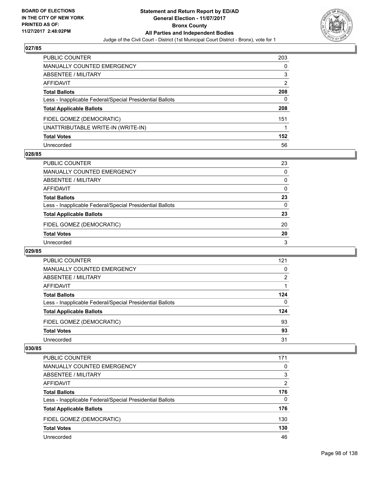

| PUBLIC COUNTER                                           | 203 |
|----------------------------------------------------------|-----|
| <b>MANUALLY COUNTED EMERGENCY</b>                        | 0   |
| ABSENTEE / MILITARY                                      | 3   |
| AFFIDAVIT                                                | 2   |
| <b>Total Ballots</b>                                     | 208 |
| Less - Inapplicable Federal/Special Presidential Ballots | 0   |
| <b>Total Applicable Ballots</b>                          | 208 |
| FIDEL GOMEZ (DEMOCRATIC)                                 | 151 |
| UNATTRIBUTABLE WRITE-IN (WRITE-IN)                       |     |
| <b>Total Votes</b>                                       | 152 |
| Unrecorded                                               | 56  |

## **028/85**

| <b>PUBLIC COUNTER</b>                                    | 23 |
|----------------------------------------------------------|----|
| <b>MANUALLY COUNTED EMERGENCY</b>                        | 0  |
| ABSENTEE / MILITARY                                      | 0  |
| AFFIDAVIT                                                | 0  |
| <b>Total Ballots</b>                                     | 23 |
| Less - Inapplicable Federal/Special Presidential Ballots | 0  |
| <b>Total Applicable Ballots</b>                          | 23 |
| FIDEL GOMEZ (DEMOCRATIC)                                 | 20 |
| <b>Total Votes</b>                                       | 20 |
| Unrecorded                                               | 3  |

#### **029/85**

| PUBLIC COUNTER                                           | 121      |
|----------------------------------------------------------|----------|
| MANUALLY COUNTED EMERGENCY                               | 0        |
| ABSENTEE / MILITARY                                      | 2        |
| AFFIDAVIT                                                |          |
| <b>Total Ballots</b>                                     | 124      |
| Less - Inapplicable Federal/Special Presidential Ballots | $\Omega$ |
| <b>Total Applicable Ballots</b>                          | 124      |
| FIDEL GOMEZ (DEMOCRATIC)                                 | 93       |
| <b>Total Votes</b>                                       | 93       |
| Unrecorded                                               | 31       |

| <b>PUBLIC COUNTER</b>                                    | 171      |
|----------------------------------------------------------|----------|
| <b>MANUALLY COUNTED EMERGENCY</b>                        | 0        |
| ABSENTEE / MILITARY                                      | 3        |
| AFFIDAVIT                                                | 2        |
| <b>Total Ballots</b>                                     | 176      |
| Less - Inapplicable Federal/Special Presidential Ballots | $\Omega$ |
| <b>Total Applicable Ballots</b>                          | 176      |
| FIDEL GOMEZ (DEMOCRATIC)                                 | 130      |
| <b>Total Votes</b>                                       | 130      |
| Unrecorded                                               | 46       |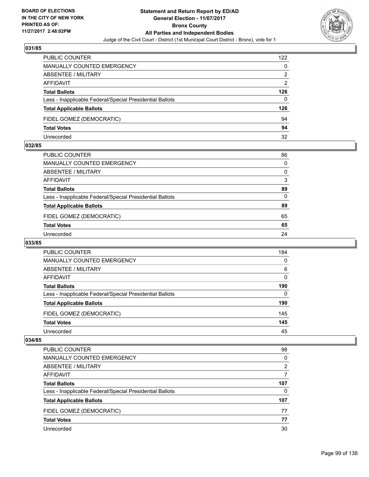

| <b>PUBLIC COUNTER</b>                                    | 122 |
|----------------------------------------------------------|-----|
| MANUALLY COUNTED EMERGENCY                               | 0   |
| ABSENTEE / MILITARY                                      | 2   |
| AFFIDAVIT                                                | 2   |
| <b>Total Ballots</b>                                     | 126 |
| Less - Inapplicable Federal/Special Presidential Ballots | 0   |
| <b>Total Applicable Ballots</b>                          | 126 |
| FIDEL GOMEZ (DEMOCRATIC)                                 | 94  |
| <b>Total Votes</b>                                       | 94  |
| Unrecorded                                               | 32  |

#### **032/85**

| PUBLIC COUNTER                                           | 86           |
|----------------------------------------------------------|--------------|
| MANUALLY COUNTED EMERGENCY                               | 0            |
| ABSENTEE / MILITARY                                      | $\Omega$     |
| AFFIDAVIT                                                | 3            |
| <b>Total Ballots</b>                                     | 89           |
| Less - Inapplicable Federal/Special Presidential Ballots | $\mathbf{0}$ |
| <b>Total Applicable Ballots</b>                          | 89           |
| FIDEL GOMEZ (DEMOCRATIC)                                 | 65           |
| <b>Total Votes</b>                                       | 65           |
| Unrecorded                                               | 24           |
|                                                          |              |

## **033/85**

| <b>PUBLIC COUNTER</b>                                    | 184 |
|----------------------------------------------------------|-----|
| <b>MANUALLY COUNTED EMERGENCY</b>                        | 0   |
| ABSENTEE / MILITARY                                      | 6   |
| AFFIDAVIT                                                | 0   |
| <b>Total Ballots</b>                                     | 190 |
| Less - Inapplicable Federal/Special Presidential Ballots | 0   |
| <b>Total Applicable Ballots</b>                          | 190 |
| FIDEL GOMEZ (DEMOCRATIC)                                 | 145 |
| <b>Total Votes</b>                                       | 145 |
| Unrecorded                                               | 45  |

| <b>PUBLIC COUNTER</b>                                    | 98  |
|----------------------------------------------------------|-----|
| MANUALLY COUNTED EMERGENCY                               | 0   |
| ABSENTEE / MILITARY                                      | 2   |
| AFFIDAVIT                                                |     |
| <b>Total Ballots</b>                                     | 107 |
| Less - Inapplicable Federal/Special Presidential Ballots | 0   |
| <b>Total Applicable Ballots</b>                          | 107 |
| FIDEL GOMEZ (DEMOCRATIC)                                 | 77  |
| <b>Total Votes</b>                                       | 77  |
| Unrecorded                                               | 30  |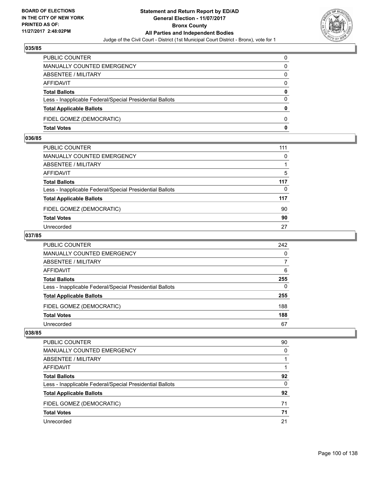

| PUBLIC COUNTER                                           | 0            |
|----------------------------------------------------------|--------------|
| <b>MANUALLY COUNTED EMERGENCY</b>                        | 0            |
| <b>ABSENTEE / MILITARY</b>                               | 0            |
| AFFIDAVIT                                                | 0            |
| <b>Total Ballots</b>                                     | $\mathbf{0}$ |
| Less - Inapplicable Federal/Special Presidential Ballots | $\Omega$     |
| <b>Total Applicable Ballots</b>                          | 0            |
| FIDEL GOMEZ (DEMOCRATIC)                                 | $\Omega$     |
| <b>Total Votes</b>                                       | 0            |

## **036/85**

| PUBLIC COUNTER                                           | 111          |
|----------------------------------------------------------|--------------|
| MANUALLY COUNTED EMERGENCY                               | $\mathbf{0}$ |
| ABSENTEE / MILITARY                                      |              |
| AFFIDAVIT                                                | 5            |
| Total Ballots                                            | 117          |
| Less - Inapplicable Federal/Special Presidential Ballots | 0            |
| <b>Total Applicable Ballots</b>                          | 117          |
| FIDEL GOMEZ (DEMOCRATIC)                                 | 90           |
| <b>Total Votes</b>                                       | 90           |
| Unrecorded                                               | 27           |
|                                                          |              |

## **037/85**

| PUBLIC COUNTER                                           | 242 |
|----------------------------------------------------------|-----|
| <b>MANUALLY COUNTED EMERGENCY</b>                        | 0   |
| ABSENTEE / MILITARY                                      |     |
| AFFIDAVIT                                                | 6   |
| <b>Total Ballots</b>                                     | 255 |
| Less - Inapplicable Federal/Special Presidential Ballots | 0   |
| <b>Total Applicable Ballots</b>                          | 255 |
| FIDEL GOMEZ (DEMOCRATIC)                                 | 188 |
| <b>Total Votes</b>                                       | 188 |
| Unrecorded                                               | 67  |

| PUBLIC COUNTER                                           | 90 |
|----------------------------------------------------------|----|
| <b>MANUALLY COUNTED EMERGENCY</b>                        | 0  |
| ABSENTEE / MILITARY                                      |    |
| AFFIDAVIT                                                |    |
| <b>Total Ballots</b>                                     | 92 |
| Less - Inapplicable Federal/Special Presidential Ballots | 0  |
| <b>Total Applicable Ballots</b>                          | 92 |
| FIDEL GOMEZ (DEMOCRATIC)                                 | 71 |
| <b>Total Votes</b>                                       | 71 |
| Unrecorded                                               | 21 |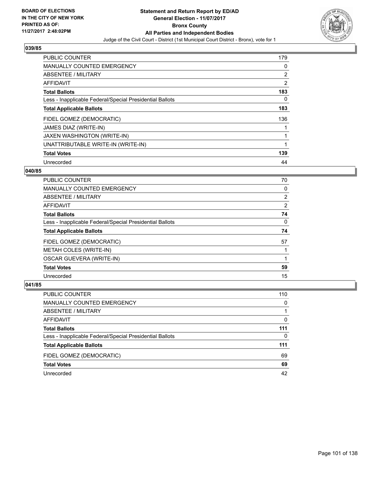

| <b>PUBLIC COUNTER</b>                                    | 179 |
|----------------------------------------------------------|-----|
| <b>MANUALLY COUNTED EMERGENCY</b>                        | 0   |
| ABSENTEE / MILITARY                                      | 2   |
| <b>AFFIDAVIT</b>                                         | 2   |
| <b>Total Ballots</b>                                     | 183 |
| Less - Inapplicable Federal/Special Presidential Ballots | 0   |
| <b>Total Applicable Ballots</b>                          | 183 |
| FIDEL GOMEZ (DEMOCRATIC)                                 | 136 |
| JAMES DIAZ (WRITE-IN)                                    |     |
| JAXEN WASHINGTON (WRITE-IN)                              |     |
| UNATTRIBUTABLE WRITE-IN (WRITE-IN)                       | 1   |
| <b>Total Votes</b>                                       | 139 |
| Unrecorded                                               | 44  |

## **040/85**

| <b>PUBLIC COUNTER</b>                                    | 70             |
|----------------------------------------------------------|----------------|
| <b>MANUALLY COUNTED EMERGENCY</b>                        | 0              |
| ABSENTEE / MILITARY                                      | $\overline{2}$ |
| <b>AFFIDAVIT</b>                                         | 2              |
| <b>Total Ballots</b>                                     | 74             |
| Less - Inapplicable Federal/Special Presidential Ballots | 0              |
| <b>Total Applicable Ballots</b>                          | 74             |
| FIDEL GOMEZ (DEMOCRATIC)                                 | 57             |
| <b>METAH COLES (WRITE-IN)</b>                            |                |
| <b>OSCAR GUEVERA (WRITE-IN)</b>                          |                |
| <b>Total Votes</b>                                       | 59             |
| Unrecorded                                               | 15             |

| <b>PUBLIC COUNTER</b>                                    | 110 |
|----------------------------------------------------------|-----|
| MANUALLY COUNTED EMERGENCY                               | 0   |
| ABSENTEE / MILITARY                                      |     |
| AFFIDAVIT                                                | 0   |
| <b>Total Ballots</b>                                     | 111 |
| Less - Inapplicable Federal/Special Presidential Ballots | 0   |
| <b>Total Applicable Ballots</b>                          | 111 |
| FIDEL GOMEZ (DEMOCRATIC)                                 | 69  |
| <b>Total Votes</b>                                       | 69  |
| Unrecorded                                               | 42  |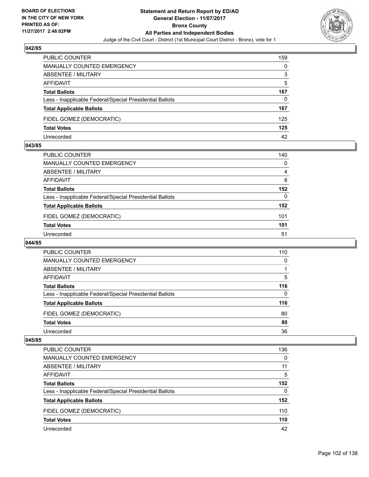

| <b>PUBLIC COUNTER</b>                                    | 159 |
|----------------------------------------------------------|-----|
| <b>MANUALLY COUNTED EMERGENCY</b>                        | 0   |
| ABSENTEE / MILITARY                                      | 3   |
| AFFIDAVIT                                                | 5   |
| <b>Total Ballots</b>                                     | 167 |
| Less - Inapplicable Federal/Special Presidential Ballots | 0   |
| <b>Total Applicable Ballots</b>                          | 167 |
| FIDEL GOMEZ (DEMOCRATIC)                                 | 125 |
| <b>Total Votes</b>                                       | 125 |
| Unrecorded                                               | 42  |

#### **043/85**

| PUBLIC COUNTER                                           | 140 |
|----------------------------------------------------------|-----|
| <b>MANUALLY COUNTED EMERGENCY</b>                        | 0   |
| ABSENTEE / MILITARY                                      | 4   |
| AFFIDAVIT                                                | 8   |
| <b>Total Ballots</b>                                     | 152 |
| Less - Inapplicable Federal/Special Presidential Ballots | 0   |
| <b>Total Applicable Ballots</b>                          | 152 |
| FIDEL GOMEZ (DEMOCRATIC)                                 | 101 |
| <b>Total Votes</b>                                       | 101 |
| Unrecorded                                               | 51  |

## **044/85**

| PUBLIC COUNTER                                           | 110 |
|----------------------------------------------------------|-----|
| MANUALLY COUNTED EMERGENCY                               | 0   |
| ABSENTEE / MILITARY                                      |     |
| AFFIDAVIT                                                | 5   |
| <b>Total Ballots</b>                                     | 116 |
| Less - Inapplicable Federal/Special Presidential Ballots | 0   |
| <b>Total Applicable Ballots</b>                          | 116 |
| FIDEL GOMEZ (DEMOCRATIC)                                 | 80  |
| <b>Total Votes</b>                                       | 80  |
| Unrecorded                                               | 36  |

| PUBLIC COUNTER                                           | 136 |
|----------------------------------------------------------|-----|
| MANUALLY COUNTED EMERGENCY                               | 0   |
| ABSENTEE / MILITARY                                      | 11  |
| AFFIDAVIT                                                | 5   |
| <b>Total Ballots</b>                                     | 152 |
| Less - Inapplicable Federal/Special Presidential Ballots | 0   |
| <b>Total Applicable Ballots</b>                          | 152 |
| FIDEL GOMEZ (DEMOCRATIC)                                 | 110 |
| <b>Total Votes</b>                                       | 110 |
| Unrecorded                                               | 42  |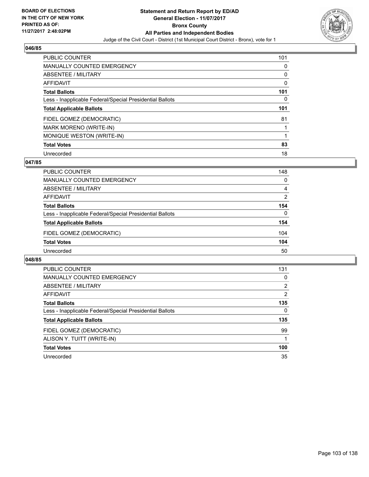

| <b>PUBLIC COUNTER</b>                                    | 101 |
|----------------------------------------------------------|-----|
| <b>MANUALLY COUNTED EMERGENCY</b>                        | 0   |
| ABSENTEE / MILITARY                                      | 0   |
| <b>AFFIDAVIT</b>                                         | 0   |
| <b>Total Ballots</b>                                     | 101 |
| Less - Inapplicable Federal/Special Presidential Ballots | 0   |
| <b>Total Applicable Ballots</b>                          | 101 |
| FIDEL GOMEZ (DEMOCRATIC)                                 | 81  |
| <b>MARK MORENO (WRITE-IN)</b>                            |     |
| MONIQUE WESTON (WRITE-IN)                                |     |
| <b>Total Votes</b>                                       | 83  |
| Unrecorded                                               | 18  |

#### **047/85**

| PUBLIC COUNTER                                           | 148 |
|----------------------------------------------------------|-----|
| MANUALLY COUNTED EMERGENCY                               | 0   |
| ABSENTEE / MILITARY                                      | 4   |
| AFFIDAVIT                                                | 2   |
| <b>Total Ballots</b>                                     | 154 |
| Less - Inapplicable Federal/Special Presidential Ballots | 0   |
| <b>Total Applicable Ballots</b>                          | 154 |
| FIDEL GOMEZ (DEMOCRATIC)                                 | 104 |
| <b>Total Votes</b>                                       | 104 |
| Unrecorded                                               | 50  |
|                                                          |     |

| <b>PUBLIC COUNTER</b>                                    | 131            |
|----------------------------------------------------------|----------------|
| <b>MANUALLY COUNTED EMERGENCY</b>                        | 0              |
| ABSENTEE / MILITARY                                      | $\overline{2}$ |
| AFFIDAVIT                                                | 2              |
| <b>Total Ballots</b>                                     | 135            |
| Less - Inapplicable Federal/Special Presidential Ballots | 0              |
| <b>Total Applicable Ballots</b>                          | 135            |
| FIDEL GOMEZ (DEMOCRATIC)                                 | 99             |
| ALISON Y. TUITT (WRITE-IN)                               |                |
| <b>Total Votes</b>                                       | 100            |
| Unrecorded                                               | 35             |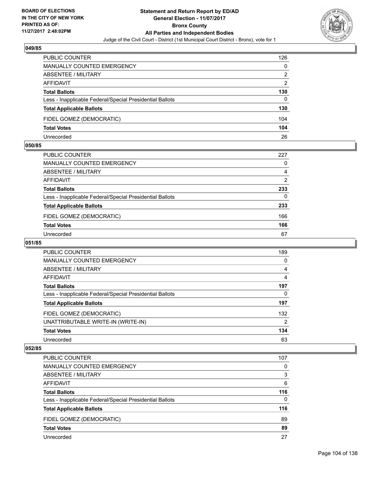

| <b>PUBLIC COUNTER</b>                                    | 126 |
|----------------------------------------------------------|-----|
| MANUALLY COUNTED EMERGENCY                               | 0   |
| ABSENTEE / MILITARY                                      | 2   |
| AFFIDAVIT                                                | 2   |
| <b>Total Ballots</b>                                     | 130 |
| Less - Inapplicable Federal/Special Presidential Ballots | 0   |
| <b>Total Applicable Ballots</b>                          | 130 |
| FIDEL GOMEZ (DEMOCRATIC)                                 | 104 |
| <b>Total Votes</b>                                       | 104 |
| Unrecorded                                               | 26  |

#### **050/85**

| PUBLIC COUNTER                                           | 227 |
|----------------------------------------------------------|-----|
| <b>MANUALLY COUNTED EMERGENCY</b>                        | 0   |
| <b>ABSENTEE / MILITARY</b>                               | 4   |
| AFFIDAVIT                                                | 2   |
| <b>Total Ballots</b>                                     | 233 |
| Less - Inapplicable Federal/Special Presidential Ballots | 0   |
| <b>Total Applicable Ballots</b>                          | 233 |
| FIDEL GOMEZ (DEMOCRATIC)                                 | 166 |
| <b>Total Votes</b>                                       | 166 |
| Unrecorded                                               | 67  |

# **051/85**

| <b>PUBLIC COUNTER</b>                                    | 189 |
|----------------------------------------------------------|-----|
| <b>MANUALLY COUNTED EMERGENCY</b>                        | 0   |
| ABSENTEE / MILITARY                                      | 4   |
| AFFIDAVIT                                                | 4   |
| <b>Total Ballots</b>                                     | 197 |
| Less - Inapplicable Federal/Special Presidential Ballots | 0   |
| <b>Total Applicable Ballots</b>                          | 197 |
| FIDEL GOMEZ (DEMOCRATIC)                                 | 132 |
| UNATTRIBUTABLE WRITE-IN (WRITE-IN)                       | 2   |
| <b>Total Votes</b>                                       | 134 |
| Unrecorded                                               | 63  |

| PUBLIC COUNTER                                           | 107      |
|----------------------------------------------------------|----------|
| <b>MANUALLY COUNTED EMERGENCY</b>                        | 0        |
| ABSENTEE / MILITARY                                      | 3        |
| AFFIDAVIT                                                | 6        |
| <b>Total Ballots</b>                                     | 116      |
| Less - Inapplicable Federal/Special Presidential Ballots | $\Omega$ |
| <b>Total Applicable Ballots</b>                          | 116      |
| FIDEL GOMEZ (DEMOCRATIC)                                 | 89       |
| <b>Total Votes</b>                                       | 89       |
| Unrecorded                                               | 27       |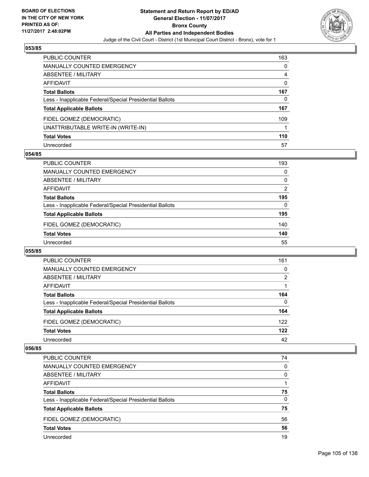

| <b>PUBLIC COUNTER</b>                                    | 163 |
|----------------------------------------------------------|-----|
| <b>MANUALLY COUNTED EMERGENCY</b>                        | 0   |
| <b>ABSENTEE / MILITARY</b>                               | 4   |
| <b>AFFIDAVIT</b>                                         | 0   |
| <b>Total Ballots</b>                                     | 167 |
| Less - Inapplicable Federal/Special Presidential Ballots | 0   |
| <b>Total Applicable Ballots</b>                          | 167 |
| FIDEL GOMEZ (DEMOCRATIC)                                 | 109 |
| UNATTRIBUTABLE WRITE-IN (WRITE-IN)                       |     |
| <b>Total Votes</b>                                       | 110 |
| Unrecorded                                               | 57  |

## **054/85**

| <b>PUBLIC COUNTER</b>                                    | 193 |
|----------------------------------------------------------|-----|
| MANUALLY COUNTED EMERGENCY                               | 0   |
| ABSENTEE / MILITARY                                      | 0   |
| AFFIDAVIT                                                | 2   |
| <b>Total Ballots</b>                                     | 195 |
| Less - Inapplicable Federal/Special Presidential Ballots | 0   |
| <b>Total Applicable Ballots</b>                          | 195 |
| FIDEL GOMEZ (DEMOCRATIC)                                 | 140 |
| <b>Total Votes</b>                                       | 140 |
| Unrecorded                                               | 55  |

#### **055/85**

| <b>PUBLIC COUNTER</b>                                    | 161      |
|----------------------------------------------------------|----------|
| <b>MANUALLY COUNTED EMERGENCY</b>                        | $\Omega$ |
| ABSENTEE / MILITARY                                      | 2        |
| AFFIDAVIT                                                |          |
| <b>Total Ballots</b>                                     | 164      |
| Less - Inapplicable Federal/Special Presidential Ballots | 0        |
| <b>Total Applicable Ballots</b>                          | 164      |
| FIDEL GOMEZ (DEMOCRATIC)                                 | 122      |
| <b>Total Votes</b>                                       | 122      |
| Unrecorded                                               | 42       |

| <b>PUBLIC COUNTER</b>                                    | 74 |
|----------------------------------------------------------|----|
| <b>MANUALLY COUNTED EMERGENCY</b>                        | 0  |
| ABSENTEE / MILITARY                                      | 0  |
| AFFIDAVIT                                                |    |
| <b>Total Ballots</b>                                     | 75 |
| Less - Inapplicable Federal/Special Presidential Ballots | 0  |
| <b>Total Applicable Ballots</b>                          | 75 |
| FIDEL GOMEZ (DEMOCRATIC)                                 | 56 |
| <b>Total Votes</b>                                       | 56 |
| Unrecorded                                               | 19 |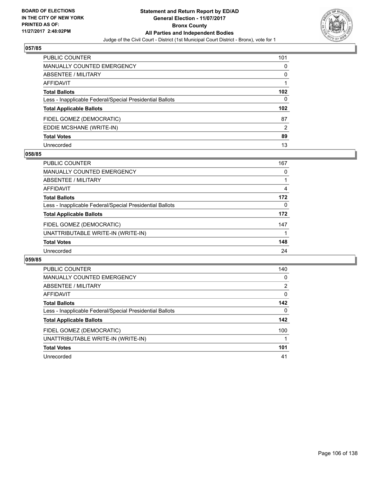

| <b>PUBLIC COUNTER</b>                                    | 101              |
|----------------------------------------------------------|------------------|
| <b>MANUALLY COUNTED EMERGENCY</b>                        | 0                |
| ABSENTEE / MILITARY                                      | 0                |
| <b>AFFIDAVIT</b>                                         |                  |
| <b>Total Ballots</b>                                     | 102 <sub>2</sub> |
| Less - Inapplicable Federal/Special Presidential Ballots | 0                |
| <b>Total Applicable Ballots</b>                          | 102 <sub>2</sub> |
| FIDEL GOMEZ (DEMOCRATIC)                                 | 87               |
| EDDIE MCSHANE (WRITE-IN)                                 | 2                |
| <b>Total Votes</b>                                       | 89               |
| Unrecorded                                               | 13               |

## **058/85**

| <b>PUBLIC COUNTER</b>                                    | 167 |
|----------------------------------------------------------|-----|
| MANUALLY COUNTED EMERGENCY                               | 0   |
| ABSENTEE / MILITARY                                      |     |
| AFFIDAVIT                                                | 4   |
| <b>Total Ballots</b>                                     | 172 |
| Less - Inapplicable Federal/Special Presidential Ballots | 0   |
| <b>Total Applicable Ballots</b>                          | 172 |
| FIDEL GOMEZ (DEMOCRATIC)                                 | 147 |
| UNATTRIBUTABLE WRITE-IN (WRITE-IN)                       |     |
| <b>Total Votes</b>                                       | 148 |
| Unrecorded                                               | 24  |

| <b>PUBLIC COUNTER</b>                                    | 140            |
|----------------------------------------------------------|----------------|
| <b>MANUALLY COUNTED EMERGENCY</b>                        | 0              |
| ABSENTEE / MILITARY                                      | $\overline{2}$ |
| AFFIDAVIT                                                | 0              |
| <b>Total Ballots</b>                                     | 142            |
| Less - Inapplicable Federal/Special Presidential Ballots | 0              |
| <b>Total Applicable Ballots</b>                          | 142            |
| FIDEL GOMEZ (DEMOCRATIC)                                 | 100            |
| UNATTRIBUTABLE WRITE-IN (WRITE-IN)                       |                |
| <b>Total Votes</b>                                       | 101            |
| Unrecorded                                               | 41             |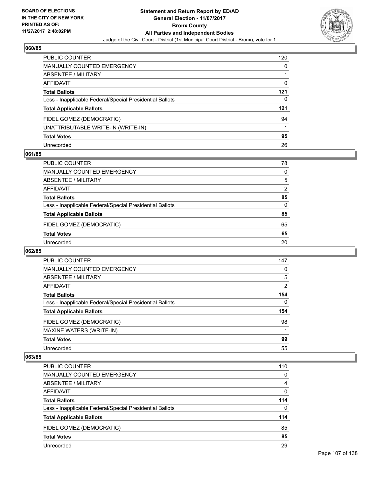

| PUBLIC COUNTER                                           | 120 |
|----------------------------------------------------------|-----|
| <b>MANUALLY COUNTED EMERGENCY</b>                        | 0   |
| <b>ABSENTEE / MILITARY</b>                               |     |
| AFFIDAVIT                                                | 0   |
| <b>Total Ballots</b>                                     | 121 |
| Less - Inapplicable Federal/Special Presidential Ballots | 0   |
| <b>Total Applicable Ballots</b>                          | 121 |
| FIDEL GOMEZ (DEMOCRATIC)                                 | 94  |
| UNATTRIBUTABLE WRITE-IN (WRITE-IN)                       |     |
| <b>Total Votes</b>                                       | 95  |
| Unrecorded                                               | 26  |

## **061/85**

| <b>PUBLIC COUNTER</b>                                    | 78 |
|----------------------------------------------------------|----|
| <b>MANUALLY COUNTED EMERGENCY</b>                        | 0  |
| ABSENTEE / MILITARY                                      | 5  |
| AFFIDAVIT                                                | 2  |
| <b>Total Ballots</b>                                     | 85 |
| Less - Inapplicable Federal/Special Presidential Ballots | 0  |
| <b>Total Applicable Ballots</b>                          | 85 |
| FIDEL GOMEZ (DEMOCRATIC)                                 | 65 |
| <b>Total Votes</b>                                       | 65 |
| Unrecorded                                               | 20 |

#### **062/85**

| <b>PUBLIC COUNTER</b>                                    | 147            |
|----------------------------------------------------------|----------------|
| <b>MANUALLY COUNTED EMERGENCY</b>                        | 0              |
| ABSENTEE / MILITARY                                      | 5              |
| <b>AFFIDAVIT</b>                                         | $\overline{2}$ |
| <b>Total Ballots</b>                                     | 154            |
| Less - Inapplicable Federal/Special Presidential Ballots | 0              |
| <b>Total Applicable Ballots</b>                          | 154            |
| FIDEL GOMEZ (DEMOCRATIC)                                 | 98             |
| MAXINE WATERS (WRITE-IN)                                 |                |
| <b>Total Votes</b>                                       | 99             |
| Unrecorded                                               | 55             |

| <b>PUBLIC COUNTER</b>                                    | 110      |
|----------------------------------------------------------|----------|
| <b>MANUALLY COUNTED EMERGENCY</b>                        | $\Omega$ |
| ABSENTEE / MILITARY                                      | 4        |
| AFFIDAVIT                                                | 0        |
| <b>Total Ballots</b>                                     | 114      |
| Less - Inapplicable Federal/Special Presidential Ballots | $\Omega$ |
| <b>Total Applicable Ballots</b>                          | 114      |
| FIDEL GOMEZ (DEMOCRATIC)                                 | 85       |
| <b>Total Votes</b>                                       | 85       |
| Unrecorded                                               | 29       |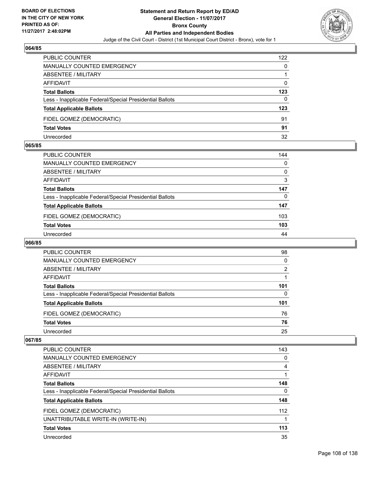

| <b>PUBLIC COUNTER</b>                                    | 122 |
|----------------------------------------------------------|-----|
| MANUALLY COUNTED EMERGENCY                               | 0   |
| ABSENTEE / MILITARY                                      |     |
| AFFIDAVIT                                                | 0   |
| <b>Total Ballots</b>                                     | 123 |
| Less - Inapplicable Federal/Special Presidential Ballots | 0   |
| <b>Total Applicable Ballots</b>                          | 123 |
| FIDEL GOMEZ (DEMOCRATIC)                                 | 91  |
| <b>Total Votes</b>                                       | 91  |
| Unrecorded                                               | 32  |

#### **065/85**

| PUBLIC COUNTER                                           | 144      |
|----------------------------------------------------------|----------|
| <b>MANUALLY COUNTED EMERGENCY</b>                        | 0        |
| <b>ABSENTEE / MILITARY</b>                               | 0        |
| <b>AFFIDAVIT</b>                                         | 3        |
| <b>Total Ballots</b>                                     | 147      |
| Less - Inapplicable Federal/Special Presidential Ballots | $\Omega$ |
| <b>Total Applicable Ballots</b>                          | 147      |
| FIDEL GOMEZ (DEMOCRATIC)                                 | 103      |
| <b>Total Votes</b>                                       | 103      |
| Unrecorded                                               | 44       |
|                                                          |          |

## **066/85**

| <b>PUBLIC COUNTER</b>                                    | 98  |
|----------------------------------------------------------|-----|
| MANUALLY COUNTED EMERGENCY                               | 0   |
| ABSENTEE / MILITARY                                      | 2   |
| AFFIDAVIT                                                |     |
| <b>Total Ballots</b>                                     | 101 |
| Less - Inapplicable Federal/Special Presidential Ballots | 0   |
| <b>Total Applicable Ballots</b>                          | 101 |
| FIDEL GOMEZ (DEMOCRATIC)                                 | 76  |
| <b>Total Votes</b>                                       | 76  |
| Unrecorded                                               | 25  |

| PUBLIC COUNTER                                           | 143 |
|----------------------------------------------------------|-----|
| <b>MANUALLY COUNTED EMERGENCY</b>                        | 0   |
| <b>ABSENTEE / MILITARY</b>                               | 4   |
| AFFIDAVIT                                                |     |
| <b>Total Ballots</b>                                     | 148 |
| Less - Inapplicable Federal/Special Presidential Ballots | 0   |
| <b>Total Applicable Ballots</b>                          | 148 |
| FIDEL GOMEZ (DEMOCRATIC)                                 | 112 |
| UNATTRIBUTABLE WRITE-IN (WRITE-IN)                       |     |
| <b>Total Votes</b>                                       | 113 |
| Unrecorded                                               | 35  |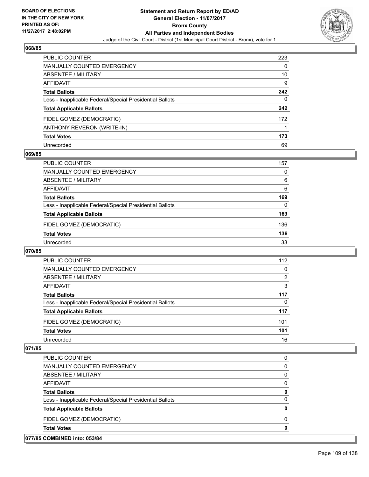

| PUBLIC COUNTER                                           | 223 |
|----------------------------------------------------------|-----|
| <b>MANUALLY COUNTED EMERGENCY</b>                        | 0   |
| ABSENTEE / MILITARY                                      | 10  |
| AFFIDAVIT                                                | 9   |
| <b>Total Ballots</b>                                     | 242 |
| Less - Inapplicable Federal/Special Presidential Ballots | 0   |
| <b>Total Applicable Ballots</b>                          | 242 |
| FIDEL GOMEZ (DEMOCRATIC)                                 | 172 |
| ANTHONY REVERON (WRITE-IN)                               |     |
| <b>Total Votes</b>                                       | 173 |
| Unrecorded                                               | 69  |

### **069/85**

| <b>PUBLIC COUNTER</b>                                    | 157 |
|----------------------------------------------------------|-----|
| MANUALLY COUNTED EMERGENCY                               | 0   |
| ABSENTEE / MILITARY                                      | 6   |
| AFFIDAVIT                                                | 6   |
| <b>Total Ballots</b>                                     | 169 |
| Less - Inapplicable Federal/Special Presidential Ballots | 0   |
| <b>Total Applicable Ballots</b>                          | 169 |
| FIDEL GOMEZ (DEMOCRATIC)                                 | 136 |
| <b>Total Votes</b>                                       | 136 |
| Unrecorded                                               | 33  |

#### **070/85**

| PUBLIC COUNTER                                           | 112 |
|----------------------------------------------------------|-----|
| <b>MANUALLY COUNTED EMERGENCY</b>                        | 0   |
| ABSENTEE / MILITARY                                      | 2   |
| AFFIDAVIT                                                | 3   |
| <b>Total Ballots</b>                                     | 117 |
| Less - Inapplicable Federal/Special Presidential Ballots | 0   |
| <b>Total Applicable Ballots</b>                          | 117 |
| FIDEL GOMEZ (DEMOCRATIC)                                 | 101 |
| <b>Total Votes</b>                                       | 101 |
| Unrecorded                                               | 16  |

| 077/85 COMBINED into: 053/84                             |   |
|----------------------------------------------------------|---|
| <b>Total Votes</b>                                       | 0 |
| FIDEL GOMEZ (DEMOCRATIC)                                 | 0 |
| <b>Total Applicable Ballots</b>                          | 0 |
| Less - Inapplicable Federal/Special Presidential Ballots | 0 |
| <b>Total Ballots</b>                                     | 0 |
| AFFIDAVIT                                                | 0 |
| ABSENTEE / MILITARY                                      | 0 |
| <b>MANUALLY COUNTED EMERGENCY</b>                        | 0 |
| PUBLIC COUNTER                                           | 0 |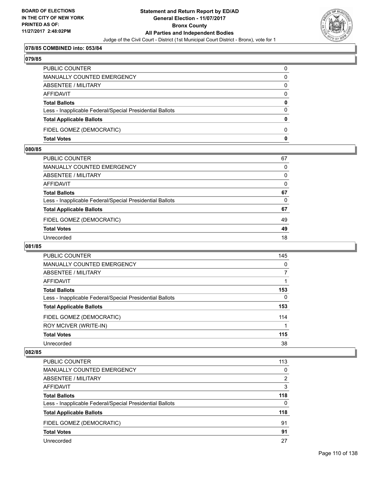

## **078/85 COMBINED into: 053/84**

#### **079/85**

| PUBLIC COUNTER                                           |              |
|----------------------------------------------------------|--------------|
| <b>MANUALLY COUNTED EMERGENCY</b>                        | 0            |
| ABSENTEE / MILITARY                                      | $\Omega$     |
| <b>AFFIDAVIT</b>                                         | $\Omega$     |
| <b>Total Ballots</b>                                     | $\mathbf{0}$ |
| Less - Inapplicable Federal/Special Presidential Ballots | $\Omega$     |
| <b>Total Applicable Ballots</b>                          | $\mathbf{0}$ |
| FIDEL GOMEZ (DEMOCRATIC)                                 | <sup>0</sup> |
| <b>Total Votes</b>                                       | 0            |

#### **080/85**

| 67           |
|--------------|
| $\mathbf{0}$ |
| $\mathbf{0}$ |
| $\Omega$     |
| 67           |
| $\mathbf{0}$ |
| 67           |
| 49           |
| 49           |
| 18           |
|              |

## **081/85**

| PUBLIC COUNTER                                           | 145 |
|----------------------------------------------------------|-----|
| <b>MANUALLY COUNTED EMERGENCY</b>                        | 0   |
| ABSENTEE / MILITARY                                      | 7   |
| <b>AFFIDAVIT</b>                                         |     |
| <b>Total Ballots</b>                                     | 153 |
| Less - Inapplicable Federal/Special Presidential Ballots | 0   |
| <b>Total Applicable Ballots</b>                          | 153 |
| FIDEL GOMEZ (DEMOCRATIC)                                 | 114 |
| ROY MCIVER (WRITE-IN)                                    |     |
| <b>Total Votes</b>                                       | 115 |
| Unrecorded                                               | 38  |

| PUBLIC COUNTER                                           | 113 |
|----------------------------------------------------------|-----|
| MANUALLY COUNTED EMERGENCY                               | 0   |
| ABSENTEE / MILITARY                                      | 2   |
| AFFIDAVIT                                                | 3   |
| <b>Total Ballots</b>                                     | 118 |
| Less - Inapplicable Federal/Special Presidential Ballots | 0   |
| <b>Total Applicable Ballots</b>                          | 118 |
| FIDEL GOMEZ (DEMOCRATIC)                                 | 91  |
| <b>Total Votes</b>                                       | 91  |
| Unrecorded                                               | 27  |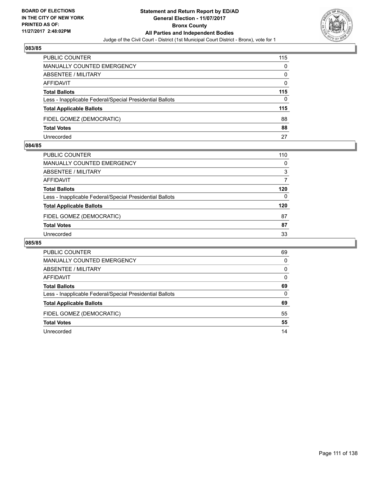

| <b>PUBLIC COUNTER</b>                                    | 115 |
|----------------------------------------------------------|-----|
| <b>MANUALLY COUNTED EMERGENCY</b>                        | 0   |
| ABSENTEE / MILITARY                                      | 0   |
| AFFIDAVIT                                                | 0   |
| <b>Total Ballots</b>                                     | 115 |
| Less - Inapplicable Federal/Special Presidential Ballots | 0   |
| <b>Total Applicable Ballots</b>                          | 115 |
| FIDEL GOMEZ (DEMOCRATIC)                                 | 88  |
| <b>Total Votes</b>                                       | 88  |
| Unrecorded                                               | 27  |

#### **084/85**

| PUBLIC COUNTER                                           | 110 |
|----------------------------------------------------------|-----|
| <b>MANUALLY COUNTED EMERGENCY</b>                        | 0   |
| ABSENTEE / MILITARY                                      | 3   |
| AFFIDAVIT                                                |     |
| <b>Total Ballots</b>                                     | 120 |
| Less - Inapplicable Federal/Special Presidential Ballots | 0   |
| <b>Total Applicable Ballots</b>                          | 120 |
| FIDEL GOMEZ (DEMOCRATIC)                                 | 87  |
| <b>Total Votes</b>                                       | 87  |
| Unrecorded                                               | 33  |

| <b>PUBLIC COUNTER</b>                                    | 69 |
|----------------------------------------------------------|----|
| MANUALLY COUNTED EMERGENCY                               | 0  |
| ABSENTEE / MILITARY                                      | 0  |
| AFFIDAVIT                                                | 0  |
| <b>Total Ballots</b>                                     | 69 |
| Less - Inapplicable Federal/Special Presidential Ballots | 0  |
| <b>Total Applicable Ballots</b>                          | 69 |
| FIDEL GOMEZ (DEMOCRATIC)                                 | 55 |
| <b>Total Votes</b>                                       | 55 |
| Unrecorded                                               | 14 |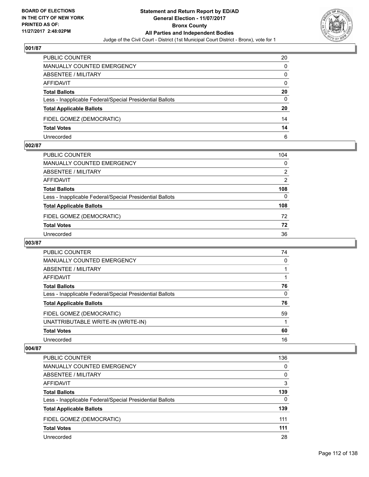

| <b>PUBLIC COUNTER</b>                                    | 20 |
|----------------------------------------------------------|----|
| MANUALLY COUNTED EMERGENCY                               | 0  |
| ABSENTEE / MILITARY                                      | 0  |
| AFFIDAVIT                                                | 0  |
| <b>Total Ballots</b>                                     | 20 |
| Less - Inapplicable Federal/Special Presidential Ballots | 0  |
| <b>Total Applicable Ballots</b>                          | 20 |
| FIDEL GOMEZ (DEMOCRATIC)                                 | 14 |
| <b>Total Votes</b>                                       | 14 |
| Unrecorded                                               | 6  |

#### **002/87**

| PUBLIC COUNTER                                           | 104 |
|----------------------------------------------------------|-----|
| <b>MANUALLY COUNTED EMERGENCY</b>                        | 0   |
| <b>ABSENTEE / MILITARY</b>                               | 2   |
| AFFIDAVIT                                                | 2   |
| <b>Total Ballots</b>                                     | 108 |
| Less - Inapplicable Federal/Special Presidential Ballots | 0   |
| <b>Total Applicable Ballots</b>                          | 108 |
| FIDEL GOMEZ (DEMOCRATIC)                                 | 72  |
| <b>Total Votes</b>                                       | 72  |
| Unrecorded                                               | 36  |
|                                                          |     |

## **003/87**

| <b>PUBLIC COUNTER</b>                                    | 74 |
|----------------------------------------------------------|----|
| MANUALLY COUNTED EMERGENCY                               | 0  |
| ABSENTEE / MILITARY                                      |    |
| AFFIDAVIT                                                |    |
| <b>Total Ballots</b>                                     | 76 |
| Less - Inapplicable Federal/Special Presidential Ballots | 0  |
| <b>Total Applicable Ballots</b>                          | 76 |
| FIDEL GOMEZ (DEMOCRATIC)                                 | 59 |
| UNATTRIBUTABLE WRITE-IN (WRITE-IN)                       |    |
| <b>Total Votes</b>                                       | 60 |
| Unrecorded                                               | 16 |

| PUBLIC COUNTER                                           | 136 |
|----------------------------------------------------------|-----|
| <b>MANUALLY COUNTED EMERGENCY</b>                        | 0   |
| <b>ABSENTEE / MILITARY</b>                               | 0   |
| AFFIDAVIT                                                | 3   |
| <b>Total Ballots</b>                                     | 139 |
| Less - Inapplicable Federal/Special Presidential Ballots | 0   |
| <b>Total Applicable Ballots</b>                          | 139 |
| FIDEL GOMEZ (DEMOCRATIC)                                 | 111 |
| <b>Total Votes</b>                                       | 111 |
| Unrecorded                                               | 28  |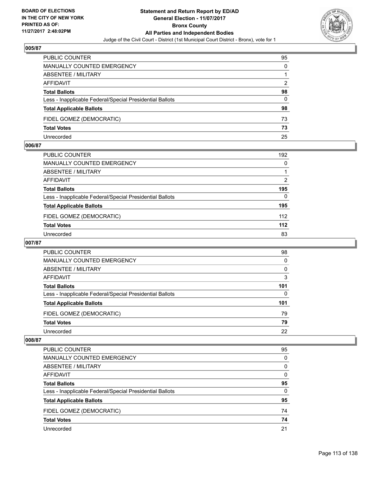

| PUBLIC COUNTER                                           | 95 |
|----------------------------------------------------------|----|
| MANUALLY COUNTED EMERGENCY                               | 0  |
| <b>ABSENTEE / MILITARY</b>                               |    |
| AFFIDAVIT                                                | 2  |
| <b>Total Ballots</b>                                     | 98 |
| Less - Inapplicable Federal/Special Presidential Ballots | 0  |
| <b>Total Applicable Ballots</b>                          | 98 |
| FIDEL GOMEZ (DEMOCRATIC)                                 | 73 |
| <b>Total Votes</b>                                       | 73 |
| Unrecorded                                               | 25 |

#### **006/87**

| PUBLIC COUNTER                                           | 192 |
|----------------------------------------------------------|-----|
| <b>MANUALLY COUNTED EMERGENCY</b>                        | 0   |
| ABSENTEE / MILITARY                                      |     |
| AFFIDAVIT                                                | 2   |
| <b>Total Ballots</b>                                     | 195 |
| Less - Inapplicable Federal/Special Presidential Ballots | 0   |
| <b>Total Applicable Ballots</b>                          | 195 |
| FIDEL GOMEZ (DEMOCRATIC)                                 | 112 |
| <b>Total Votes</b>                                       | 112 |
| Unrecorded                                               | 83  |
|                                                          |     |

## **007/87**

| <b>PUBLIC COUNTER</b>                                    | 98  |
|----------------------------------------------------------|-----|
| MANUALLY COUNTED EMERGENCY                               | 0   |
| ABSENTEE / MILITARY                                      | 0   |
| AFFIDAVIT                                                | 3   |
| <b>Total Ballots</b>                                     | 101 |
| Less - Inapplicable Federal/Special Presidential Ballots | 0   |
| <b>Total Applicable Ballots</b>                          | 101 |
| FIDEL GOMEZ (DEMOCRATIC)                                 | 79  |
| <b>Total Votes</b>                                       | 79  |
| Unrecorded                                               | 22  |

| PUBLIC COUNTER                                           | 95 |
|----------------------------------------------------------|----|
| MANUALLY COUNTED EMERGENCY                               | 0  |
| ABSENTEE / MILITARY                                      | 0  |
| AFFIDAVIT                                                | 0  |
| <b>Total Ballots</b>                                     | 95 |
| Less - Inapplicable Federal/Special Presidential Ballots | 0  |
| <b>Total Applicable Ballots</b>                          | 95 |
| FIDEL GOMEZ (DEMOCRATIC)                                 | 74 |
| <b>Total Votes</b>                                       | 74 |
| Unrecorded                                               | 21 |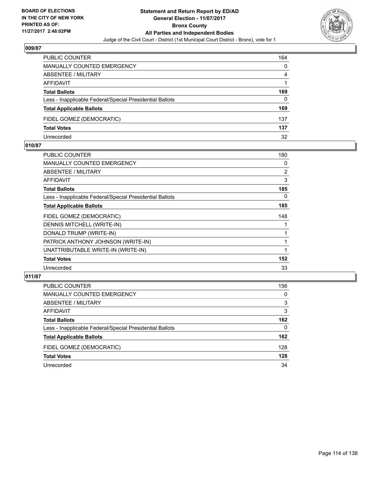

| PUBLIC COUNTER                                           | 164 |
|----------------------------------------------------------|-----|
| MANUALLY COUNTED EMERGENCY                               | 0   |
| <b>ABSENTEE / MILITARY</b>                               | 4   |
| AFFIDAVIT                                                |     |
| <b>Total Ballots</b>                                     | 169 |
| Less - Inapplicable Federal/Special Presidential Ballots | 0   |
| <b>Total Applicable Ballots</b>                          | 169 |
| FIDEL GOMEZ (DEMOCRATIC)                                 | 137 |
| <b>Total Votes</b>                                       | 137 |
| Unrecorded                                               | 32  |

#### **010/87**

| PUBLIC COUNTER                                           | 180            |
|----------------------------------------------------------|----------------|
| <b>MANUALLY COUNTED EMERGENCY</b>                        | 0              |
| ABSENTEE / MILITARY                                      | $\overline{2}$ |
| <b>AFFIDAVIT</b>                                         | 3              |
| <b>Total Ballots</b>                                     | 185            |
| Less - Inapplicable Federal/Special Presidential Ballots | 0              |
| <b>Total Applicable Ballots</b>                          | 185            |
| FIDEL GOMEZ (DEMOCRATIC)                                 | 148            |
| DENNIS MITCHELL (WRITE-IN)                               |                |
| DONALD TRUMP (WRITE-IN)                                  |                |
| PATRICK ANTHONY JOHNSON (WRITE-IN)                       | 1              |
| UNATTRIBUTABLE WRITE-IN (WRITE-IN)                       | 1              |
| <b>Total Votes</b>                                       | 152            |
| Unrecorded                                               | 33             |
|                                                          |                |

| <b>PUBLIC COUNTER</b>                                    | 156 |
|----------------------------------------------------------|-----|
| <b>MANUALLY COUNTED EMERGENCY</b>                        | 0   |
| ABSENTEE / MILITARY                                      | 3   |
| AFFIDAVIT                                                | 3   |
| <b>Total Ballots</b>                                     | 162 |
| Less - Inapplicable Federal/Special Presidential Ballots | 0   |
| <b>Total Applicable Ballots</b>                          | 162 |
| FIDEL GOMEZ (DEMOCRATIC)                                 | 128 |
| <b>Total Votes</b>                                       | 128 |
| Unrecorded                                               | 34  |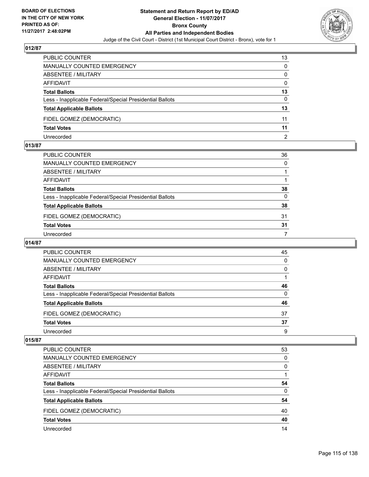

| PUBLIC COUNTER                                           | 13 |
|----------------------------------------------------------|----|
| MANUALLY COUNTED EMERGENCY                               | 0  |
| <b>ABSENTEE / MILITARY</b>                               | 0  |
| AFFIDAVIT                                                | 0  |
| <b>Total Ballots</b>                                     | 13 |
| Less - Inapplicable Federal/Special Presidential Ballots | 0  |
| <b>Total Applicable Ballots</b>                          | 13 |
| FIDEL GOMEZ (DEMOCRATIC)                                 | 11 |
| <b>Total Votes</b>                                       | 11 |
| Unrecorded                                               | 2  |

#### **013/87**

| PUBLIC COUNTER                                           | 36           |
|----------------------------------------------------------|--------------|
| MANUALLY COUNTED EMERGENCY                               | $\mathbf{0}$ |
| ABSENTEE / MILITARY                                      |              |
| AFFIDAVIT                                                |              |
| Total Ballots                                            | 38           |
| Less - Inapplicable Federal/Special Presidential Ballots | $\Omega$     |
| <b>Total Applicable Ballots</b>                          | 38           |
| FIDEL GOMEZ (DEMOCRATIC)                                 | 31           |
| <b>Total Votes</b>                                       | 31           |
| Unrecorded                                               | 7            |
|                                                          |              |

## **014/87**

| PUBLIC COUNTER                                           | 45 |
|----------------------------------------------------------|----|
| MANUALLY COUNTED EMERGENCY                               | 0  |
| ABSENTEE / MILITARY                                      | 0  |
| AFFIDAVIT                                                |    |
| <b>Total Ballots</b>                                     | 46 |
| Less - Inapplicable Federal/Special Presidential Ballots | 0  |
| <b>Total Applicable Ballots</b>                          | 46 |
| FIDEL GOMEZ (DEMOCRATIC)                                 | 37 |
| <b>Total Votes</b>                                       | 37 |
| Unrecorded                                               | 9  |

| PUBLIC COUNTER                                           | 53 |
|----------------------------------------------------------|----|
| <b>MANUALLY COUNTED EMERGENCY</b>                        | 0  |
| ABSENTEE / MILITARY                                      | 0  |
| AFFIDAVIT                                                |    |
| <b>Total Ballots</b>                                     | 54 |
| Less - Inapplicable Federal/Special Presidential Ballots | 0  |
| <b>Total Applicable Ballots</b>                          | 54 |
| FIDEL GOMEZ (DEMOCRATIC)                                 | 40 |
| <b>Total Votes</b>                                       | 40 |
| Unrecorded                                               | 14 |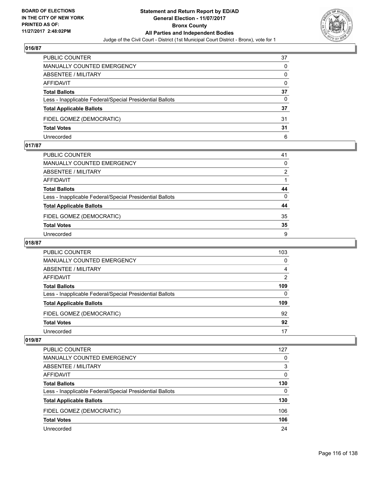

| PUBLIC COUNTER                                           | 37 |
|----------------------------------------------------------|----|
| <b>MANUALLY COUNTED EMERGENCY</b>                        | 0  |
| <b>ABSENTEE / MILITARY</b>                               | 0  |
| AFFIDAVIT                                                | 0  |
| <b>Total Ballots</b>                                     | 37 |
| Less - Inapplicable Federal/Special Presidential Ballots | 0  |
| <b>Total Applicable Ballots</b>                          | 37 |
| FIDEL GOMEZ (DEMOCRATIC)                                 | 31 |
| <b>Total Votes</b>                                       | 31 |
| Unrecorded                                               | 6  |

#### **017/87**

| PUBLIC COUNTER                                           | 41       |
|----------------------------------------------------------|----------|
| <b>MANUALLY COUNTED EMERGENCY</b>                        | $\Omega$ |
| ABSENTEE / MILITARY                                      | 2        |
| AFFIDAVIT                                                |          |
| <b>Total Ballots</b>                                     | 44       |
| Less - Inapplicable Federal/Special Presidential Ballots | $\Omega$ |
| <b>Total Applicable Ballots</b>                          | 44       |
| FIDEL GOMEZ (DEMOCRATIC)                                 | 35       |
| <b>Total Votes</b>                                       | 35       |
| Unrecorded                                               | 9        |
|                                                          |          |

## **018/87**

| <b>PUBLIC COUNTER</b>                                    | 103            |
|----------------------------------------------------------|----------------|
| <b>MANUALLY COUNTED EMERGENCY</b>                        | 0              |
| <b>ABSENTEE / MILITARY</b>                               | 4              |
| AFFIDAVIT                                                | $\overline{2}$ |
| <b>Total Ballots</b>                                     | 109            |
| Less - Inapplicable Federal/Special Presidential Ballots | 0              |
| <b>Total Applicable Ballots</b>                          | 109            |
| FIDEL GOMEZ (DEMOCRATIC)                                 | 92             |
| <b>Total Votes</b>                                       | 92             |
| Unrecorded                                               | 17             |

| <b>PUBLIC COUNTER</b>                                    | 127 |
|----------------------------------------------------------|-----|
| MANUALLY COUNTED EMERGENCY                               | 0   |
| ABSENTEE / MILITARY                                      | 3   |
| AFFIDAVIT                                                | 0   |
| <b>Total Ballots</b>                                     | 130 |
| Less - Inapplicable Federal/Special Presidential Ballots | 0   |
| <b>Total Applicable Ballots</b>                          | 130 |
| FIDEL GOMEZ (DEMOCRATIC)                                 | 106 |
| <b>Total Votes</b>                                       | 106 |
| Unrecorded                                               | 24  |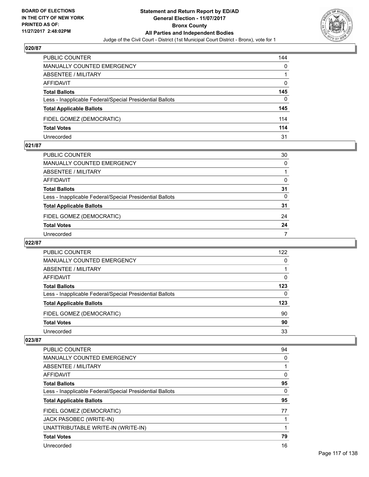

| <b>PUBLIC COUNTER</b>                                    | 144 |
|----------------------------------------------------------|-----|
| <b>MANUALLY COUNTED EMERGENCY</b>                        | 0   |
| ABSENTEE / MILITARY                                      |     |
| AFFIDAVIT                                                | 0   |
| <b>Total Ballots</b>                                     | 145 |
| Less - Inapplicable Federal/Special Presidential Ballots | 0   |
| <b>Total Applicable Ballots</b>                          | 145 |
| FIDEL GOMEZ (DEMOCRATIC)                                 | 114 |
| <b>Total Votes</b>                                       | 114 |
| Unrecorded                                               | 31  |

#### **021/87**

| PUBLIC COUNTER                                           | 30           |
|----------------------------------------------------------|--------------|
| MANUALLY COUNTED EMERGENCY                               | $\mathbf{0}$ |
| ABSENTEE / MILITARY                                      |              |
| AFFIDAVIT                                                | 0            |
| <b>Total Ballots</b>                                     | 31           |
| Less - Inapplicable Federal/Special Presidential Ballots | $\mathbf{0}$ |
| <b>Total Applicable Ballots</b>                          | 31           |
| FIDEL GOMEZ (DEMOCRATIC)                                 | 24           |
| <b>Total Votes</b>                                       | 24           |
| Unrecorded                                               | 7            |

## **022/87**

| PUBLIC COUNTER                                           | 122 |
|----------------------------------------------------------|-----|
| MANUALLY COUNTED EMERGENCY                               | 0   |
| ABSENTEE / MILITARY                                      |     |
| AFFIDAVIT                                                | 0   |
| <b>Total Ballots</b>                                     | 123 |
| Less - Inapplicable Federal/Special Presidential Ballots | 0   |
| <b>Total Applicable Ballots</b>                          | 123 |
| FIDEL GOMEZ (DEMOCRATIC)                                 | 90  |
| <b>Total Votes</b>                                       | 90  |
| Unrecorded                                               | 33  |

| PUBLIC COUNTER                                           | 94 |
|----------------------------------------------------------|----|
| <b>MANUALLY COUNTED EMERGENCY</b>                        | 0  |
| ABSENTEE / MILITARY                                      |    |
| AFFIDAVIT                                                | 0  |
| <b>Total Ballots</b>                                     | 95 |
| Less - Inapplicable Federal/Special Presidential Ballots | 0  |
|                                                          |    |
| <b>Total Applicable Ballots</b>                          | 95 |
| FIDEL GOMEZ (DEMOCRATIC)                                 | 77 |
| JACK PASOBEC (WRITE-IN)                                  |    |
| UNATTRIBUTABLE WRITE-IN (WRITE-IN)                       |    |
| <b>Total Votes</b>                                       | 79 |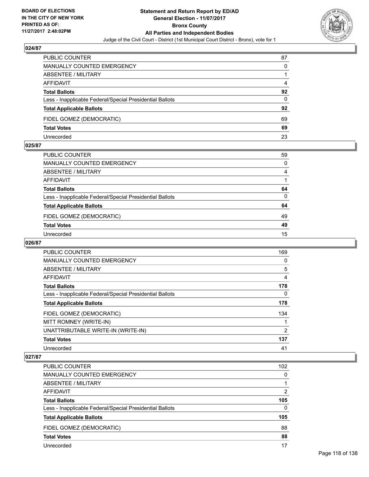

| PUBLIC COUNTER                                           | 87       |
|----------------------------------------------------------|----------|
| <b>MANUALLY COUNTED EMERGENCY</b>                        | 0        |
| <b>ABSENTEE / MILITARY</b>                               |          |
| AFFIDAVIT                                                | 4        |
| <b>Total Ballots</b>                                     | 92       |
| Less - Inapplicable Federal/Special Presidential Ballots | $\Omega$ |
| <b>Total Applicable Ballots</b>                          | 92       |
| FIDEL GOMEZ (DEMOCRATIC)                                 | 69       |
| <b>Total Votes</b>                                       | 69       |
| Unrecorded                                               | 23       |

#### **025/87**

| PUBLIC COUNTER                                           | 59           |
|----------------------------------------------------------|--------------|
| MANUALLY COUNTED EMERGENCY                               | 0            |
| ABSENTEE / MILITARY                                      | 4            |
| AFFIDAVIT                                                |              |
| Total Ballots                                            | 64           |
| Less - Inapplicable Federal/Special Presidential Ballots | $\mathbf{0}$ |
| <b>Total Applicable Ballots</b>                          | 64           |
| FIDEL GOMEZ (DEMOCRATIC)                                 | 49           |
| <b>Total Votes</b>                                       | 49           |
| Unrecorded                                               | 15           |

## **026/87**

| <b>PUBLIC COUNTER</b>                                    | 169 |
|----------------------------------------------------------|-----|
| <b>MANUALLY COUNTED EMERGENCY</b>                        | 0   |
| ABSENTEE / MILITARY                                      | 5   |
| <b>AFFIDAVIT</b>                                         | 4   |
| <b>Total Ballots</b>                                     | 178 |
| Less - Inapplicable Federal/Special Presidential Ballots | 0   |
| <b>Total Applicable Ballots</b>                          | 178 |
| FIDEL GOMEZ (DEMOCRATIC)                                 | 134 |
| MITT ROMNEY (WRITE-IN)                                   |     |
| UNATTRIBUTABLE WRITE-IN (WRITE-IN)                       | 2   |
| <b>Total Votes</b>                                       | 137 |
| Unrecorded                                               | 41  |

| <b>PUBLIC COUNTER</b>                                    | 102      |
|----------------------------------------------------------|----------|
| MANUALLY COUNTED EMERGENCY                               | 0        |
| ABSENTEE / MILITARY                                      |          |
| AFFIDAVIT                                                | 2        |
| <b>Total Ballots</b>                                     | 105      |
| Less - Inapplicable Federal/Special Presidential Ballots | $\Omega$ |
| <b>Total Applicable Ballots</b>                          | 105      |
| FIDEL GOMEZ (DEMOCRATIC)                                 | 88       |
| <b>Total Votes</b>                                       | 88       |
| Unrecorded                                               | 17       |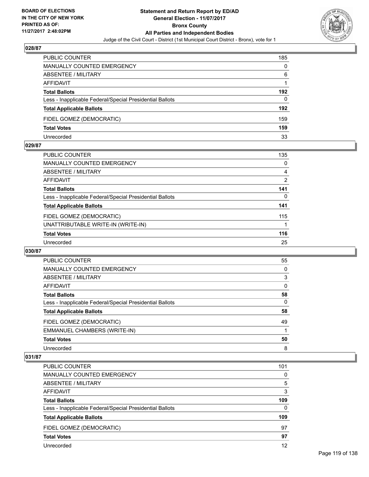

| PUBLIC COUNTER                                           | 185 |
|----------------------------------------------------------|-----|
| <b>MANUALLY COUNTED EMERGENCY</b>                        | 0   |
| <b>ABSENTEE / MILITARY</b>                               | 6   |
| AFFIDAVIT                                                |     |
| <b>Total Ballots</b>                                     | 192 |
| Less - Inapplicable Federal/Special Presidential Ballots | 0   |
| <b>Total Applicable Ballots</b>                          | 192 |
| FIDEL GOMEZ (DEMOCRATIC)                                 | 159 |
| <b>Total Votes</b>                                       | 159 |
| Unrecorded                                               | 33  |

#### **029/87**

| <b>PUBLIC COUNTER</b>                                    | 135 |
|----------------------------------------------------------|-----|
| <b>MANUALLY COUNTED EMERGENCY</b>                        | 0   |
| ABSENTEE / MILITARY                                      | 4   |
| <b>AFFIDAVIT</b>                                         | 2   |
| <b>Total Ballots</b>                                     | 141 |
| Less - Inapplicable Federal/Special Presidential Ballots | 0   |
| <b>Total Applicable Ballots</b>                          | 141 |
| FIDEL GOMEZ (DEMOCRATIC)                                 | 115 |
| UNATTRIBUTABLE WRITE-IN (WRITE-IN)                       |     |
| <b>Total Votes</b>                                       | 116 |
| Unrecorded                                               | 25  |
|                                                          |     |

#### **030/87**

| <b>PUBLIC COUNTER</b>                                    | 55 |
|----------------------------------------------------------|----|
| <b>MANUALLY COUNTED EMERGENCY</b>                        | 0  |
| ABSENTEE / MILITARY                                      | 3  |
| AFFIDAVIT                                                | 0  |
| <b>Total Ballots</b>                                     | 58 |
| Less - Inapplicable Federal/Special Presidential Ballots | 0  |
| <b>Total Applicable Ballots</b>                          | 58 |
| FIDEL GOMEZ (DEMOCRATIC)                                 | 49 |
| EMMANUEL CHAMBERS (WRITE-IN)                             |    |
| <b>Total Votes</b>                                       | 50 |
| Unrecorded                                               | 8  |

| <b>PUBLIC COUNTER</b>                                    | 101 |
|----------------------------------------------------------|-----|
| <b>MANUALLY COUNTED EMERGENCY</b>                        | 0   |
| ABSENTEE / MILITARY                                      | 5   |
| AFFIDAVIT                                                | 3   |
| <b>Total Ballots</b>                                     | 109 |
| Less - Inapplicable Federal/Special Presidential Ballots | 0   |
| <b>Total Applicable Ballots</b>                          | 109 |
| FIDEL GOMEZ (DEMOCRATIC)                                 | 97  |
| <b>Total Votes</b>                                       | 97  |
| Unrecorded                                               | 12  |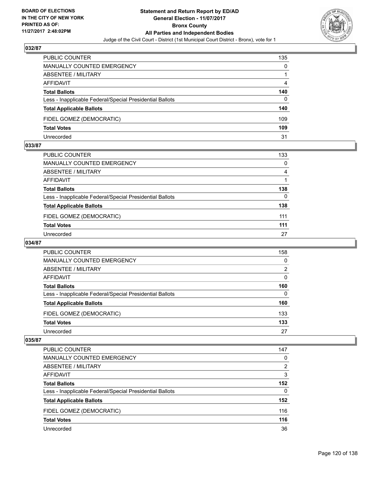

| PUBLIC COUNTER                                           | 135 |
|----------------------------------------------------------|-----|
| MANUALLY COUNTED EMERGENCY                               | 0   |
| <b>ABSENTEE / MILITARY</b>                               |     |
| AFFIDAVIT                                                | 4   |
| <b>Total Ballots</b>                                     | 140 |
| Less - Inapplicable Federal/Special Presidential Ballots | 0   |
| <b>Total Applicable Ballots</b>                          | 140 |
| FIDEL GOMEZ (DEMOCRATIC)                                 | 109 |
| <b>Total Votes</b>                                       | 109 |
| Unrecorded                                               | 31  |

#### **033/87**

| PUBLIC COUNTER                                           | 133 |
|----------------------------------------------------------|-----|
| <b>MANUALLY COUNTED EMERGENCY</b>                        | 0   |
| ABSENTEE / MILITARY                                      | 4   |
| AFFIDAVIT                                                |     |
| <b>Total Ballots</b>                                     | 138 |
| Less - Inapplicable Federal/Special Presidential Ballots | 0   |
| <b>Total Applicable Ballots</b>                          | 138 |
| FIDEL GOMEZ (DEMOCRATIC)                                 | 111 |
| <b>Total Votes</b>                                       | 111 |
| Unrecorded                                               | 27  |
|                                                          |     |

## **034/87**

| <b>PUBLIC COUNTER</b>                                    | 158 |
|----------------------------------------------------------|-----|
| <b>MANUALLY COUNTED EMERGENCY</b>                        | 0   |
| ABSENTEE / MILITARY                                      | 2   |
| AFFIDAVIT                                                | 0   |
| <b>Total Ballots</b>                                     | 160 |
| Less - Inapplicable Federal/Special Presidential Ballots | 0   |
| <b>Total Applicable Ballots</b>                          | 160 |
| FIDEL GOMEZ (DEMOCRATIC)                                 | 133 |
| <b>Total Votes</b>                                       | 133 |
| Unrecorded                                               | 27  |

| PUBLIC COUNTER                                           | 147 |
|----------------------------------------------------------|-----|
| MANUALLY COUNTED EMERGENCY                               | 0   |
| ABSENTEE / MILITARY                                      | 2   |
| AFFIDAVIT                                                | 3   |
| <b>Total Ballots</b>                                     | 152 |
| Less - Inapplicable Federal/Special Presidential Ballots | 0   |
| <b>Total Applicable Ballots</b>                          | 152 |
| FIDEL GOMEZ (DEMOCRATIC)                                 | 116 |
| <b>Total Votes</b>                                       | 116 |
| Unrecorded                                               | 36  |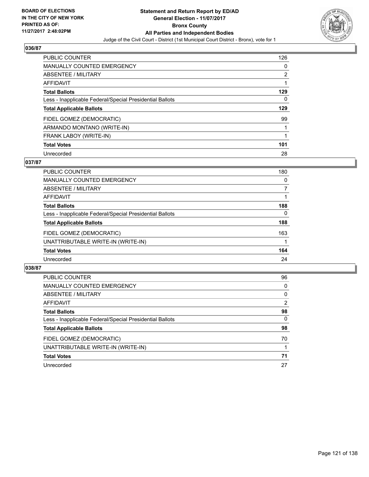

| <b>PUBLIC COUNTER</b>                                    | 126            |
|----------------------------------------------------------|----------------|
| MANUALLY COUNTED EMERGENCY                               | 0              |
| ABSENTEE / MILITARY                                      | $\overline{2}$ |
| <b>AFFIDAVIT</b>                                         |                |
| <b>Total Ballots</b>                                     | 129            |
| Less - Inapplicable Federal/Special Presidential Ballots | 0              |
| <b>Total Applicable Ballots</b>                          | 129            |
| FIDEL GOMEZ (DEMOCRATIC)                                 | 99             |
| ARMANDO MONTANO (WRITE-IN)                               |                |
| FRANK LABOY (WRITE-IN)                                   |                |
| <b>Total Votes</b>                                       | 101            |
| Unrecorded                                               | 28             |

### **037/87**

| PUBLIC COUNTER                                           | 180 |
|----------------------------------------------------------|-----|
| MANUALLY COUNTED EMERGENCY                               | 0   |
| ABSENTEE / MILITARY                                      |     |
| <b>AFFIDAVIT</b>                                         |     |
| <b>Total Ballots</b>                                     | 188 |
| Less - Inapplicable Federal/Special Presidential Ballots | 0   |
| <b>Total Applicable Ballots</b>                          | 188 |
| FIDEL GOMEZ (DEMOCRATIC)                                 | 163 |
| UNATTRIBUTABLE WRITE-IN (WRITE-IN)                       |     |
| <b>Total Votes</b>                                       | 164 |
| Unrecorded                                               | 24  |

| <b>PUBLIC COUNTER</b>                                    | 96 |
|----------------------------------------------------------|----|
| MANUALLY COUNTED EMERGENCY                               | 0  |
| ABSENTEE / MILITARY                                      | 0  |
| AFFIDAVIT                                                | 2  |
| <b>Total Ballots</b>                                     | 98 |
| Less - Inapplicable Federal/Special Presidential Ballots | 0  |
| <b>Total Applicable Ballots</b>                          | 98 |
| FIDEL GOMEZ (DEMOCRATIC)                                 | 70 |
| UNATTRIBUTABLE WRITE-IN (WRITE-IN)                       |    |
| <b>Total Votes</b>                                       | 71 |
| Unrecorded                                               | 27 |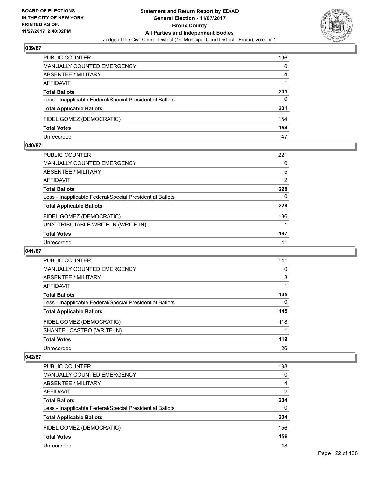

| PUBLIC COUNTER                                           | 196 |
|----------------------------------------------------------|-----|
| MANUALLY COUNTED EMERGENCY                               | 0   |
| <b>ABSENTEE / MILITARY</b>                               | 4   |
| AFFIDAVIT                                                |     |
| <b>Total Ballots</b>                                     | 201 |
| Less - Inapplicable Federal/Special Presidential Ballots | 0   |
| <b>Total Applicable Ballots</b>                          | 201 |
| FIDEL GOMEZ (DEMOCRATIC)                                 | 154 |
| <b>Total Votes</b>                                       | 154 |
| Unrecorded                                               | 47  |

#### **040/87**

| PUBLIC COUNTER                                           | 221            |
|----------------------------------------------------------|----------------|
| MANUALLY COUNTED EMERGENCY                               | 0              |
| ABSENTEE / MILITARY                                      | 5              |
| <b>AFFIDAVIT</b>                                         | $\overline{2}$ |
| <b>Total Ballots</b>                                     | 228            |
| Less - Inapplicable Federal/Special Presidential Ballots | 0              |
| <b>Total Applicable Ballots</b>                          | 228            |
| FIDEL GOMEZ (DEMOCRATIC)                                 | 186            |
| UNATTRIBUTABLE WRITE-IN (WRITE-IN)                       |                |
| <b>Total Votes</b>                                       | 187            |
| Unrecorded                                               | 41             |
|                                                          |                |

#### **041/87**

| <b>PUBLIC COUNTER</b>                                    | 141 |
|----------------------------------------------------------|-----|
| MANUALLY COUNTED EMERGENCY                               | 0   |
| ABSENTEE / MILITARY                                      | 3   |
| AFFIDAVIT                                                |     |
| <b>Total Ballots</b>                                     | 145 |
| Less - Inapplicable Federal/Special Presidential Ballots | 0   |
| <b>Total Applicable Ballots</b>                          | 145 |
| FIDEL GOMEZ (DEMOCRATIC)                                 | 118 |
| SHANTEL CASTRO (WRITE-IN)                                |     |
| <b>Total Votes</b>                                       | 119 |
| Unrecorded                                               | 26  |

| <b>PUBLIC COUNTER</b>                                    | 198 |
|----------------------------------------------------------|-----|
| MANUALLY COUNTED EMERGENCY                               | 0   |
| ABSENTEE / MILITARY                                      | 4   |
| AFFIDAVIT                                                | 2   |
| <b>Total Ballots</b>                                     | 204 |
| Less - Inapplicable Federal/Special Presidential Ballots | 0   |
| <b>Total Applicable Ballots</b>                          | 204 |
| FIDEL GOMEZ (DEMOCRATIC)                                 | 156 |
| <b>Total Votes</b>                                       | 156 |
| Unrecorded                                               | 48  |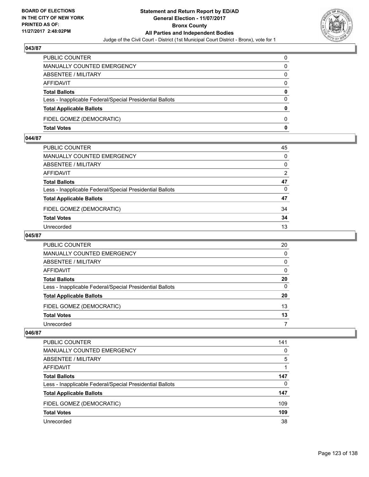

| PUBLIC COUNTER                                           | 0            |
|----------------------------------------------------------|--------------|
| <b>MANUALLY COUNTED EMERGENCY</b>                        | 0            |
| ABSENTEE / MILITARY                                      | 0            |
| <b>AFFIDAVIT</b>                                         | 0            |
| <b>Total Ballots</b>                                     | $\mathbf{0}$ |
| Less - Inapplicable Federal/Special Presidential Ballots | $\Omega$     |
| <b>Total Applicable Ballots</b>                          | $\mathbf{0}$ |
| FIDEL GOMEZ (DEMOCRATIC)                                 | 0            |
| <b>Total Votes</b>                                       | 0            |

## **044/87**

| PUBLIC COUNTER                                           | 45       |
|----------------------------------------------------------|----------|
| MANUALLY COUNTED EMERGENCY                               | $\Omega$ |
| ABSENTEE / MILITARY                                      | 0        |
| AFFIDAVIT                                                | 2        |
| Total Ballots                                            | 47       |
| Less - Inapplicable Federal/Special Presidential Ballots | $\Omega$ |
| <b>Total Applicable Ballots</b>                          | 47       |
| FIDEL GOMEZ (DEMOCRATIC)                                 | 34       |
| <b>Total Votes</b>                                       | 34       |
| Unrecorded                                               | 13       |
|                                                          |          |

## **045/87**

| <b>PUBLIC COUNTER</b>                                    | 20       |
|----------------------------------------------------------|----------|
| MANUALLY COUNTED EMERGENCY                               | $\Omega$ |
| ABSENTEE / MILITARY                                      | 0        |
| AFFIDAVIT                                                | 0        |
| <b>Total Ballots</b>                                     | 20       |
| Less - Inapplicable Federal/Special Presidential Ballots | 0        |
| <b>Total Applicable Ballots</b>                          | 20       |
| FIDEL GOMEZ (DEMOCRATIC)                                 | 13       |
| <b>Total Votes</b>                                       | 13       |
| Unrecorded                                               |          |

| <b>PUBLIC COUNTER</b>                                    | 141 |
|----------------------------------------------------------|-----|
|                                                          |     |
| MANUALLY COUNTED EMERGENCY                               | 0   |
| ABSENTEE / MILITARY                                      | 5   |
| AFFIDAVIT                                                |     |
| <b>Total Ballots</b>                                     | 147 |
| Less - Inapplicable Federal/Special Presidential Ballots | 0   |
| <b>Total Applicable Ballots</b>                          | 147 |
| FIDEL GOMEZ (DEMOCRATIC)                                 | 109 |
| <b>Total Votes</b>                                       | 109 |
| Unrecorded                                               | 38  |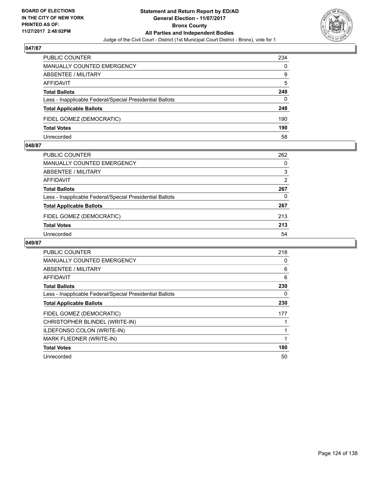

| PUBLIC COUNTER                                           | 234 |
|----------------------------------------------------------|-----|
| MANUALLY COUNTED EMERGENCY                               | 0   |
| <b>ABSENTEE / MILITARY</b>                               | 9   |
| AFFIDAVIT                                                | 5   |
| <b>Total Ballots</b>                                     | 248 |
| Less - Inapplicable Federal/Special Presidential Ballots | 0   |
| <b>Total Applicable Ballots</b>                          | 248 |
| FIDEL GOMEZ (DEMOCRATIC)                                 | 190 |
| <b>Total Votes</b>                                       | 190 |
| Unrecorded                                               | 58  |

#### **048/87**

| <b>PUBLIC COUNTER</b>                                    | 262 |
|----------------------------------------------------------|-----|
| MANUALLY COUNTED EMERGENCY                               | 0   |
| ABSENTEE / MILITARY                                      | 3   |
| AFFIDAVIT                                                | 2   |
| <b>Total Ballots</b>                                     | 267 |
| Less - Inapplicable Federal/Special Presidential Ballots | 0   |
| <b>Total Applicable Ballots</b>                          | 267 |
| FIDEL GOMEZ (DEMOCRATIC)                                 | 213 |
| <b>Total Votes</b>                                       | 213 |
| Unrecorded                                               | 54  |
|                                                          |     |

| <b>PUBLIC COUNTER</b>                                    | 218 |
|----------------------------------------------------------|-----|
| <b>MANUALLY COUNTED EMERGENCY</b>                        | 0   |
| ABSENTEE / MILITARY                                      | 6   |
| AFFIDAVIT                                                | 6   |
| <b>Total Ballots</b>                                     | 230 |
| Less - Inapplicable Federal/Special Presidential Ballots | 0   |
| <b>Total Applicable Ballots</b>                          | 230 |
| FIDEL GOMEZ (DEMOCRATIC)                                 | 177 |
| CHRISTOPHER BLINDEL (WRITE-IN)                           |     |
| <b>ILDEFONSO COLON (WRITE-IN)</b>                        |     |
| MARK FLIEDNER (WRITE-IN)                                 | 1   |
| <b>Total Votes</b>                                       | 180 |
| Unrecorded                                               | 50  |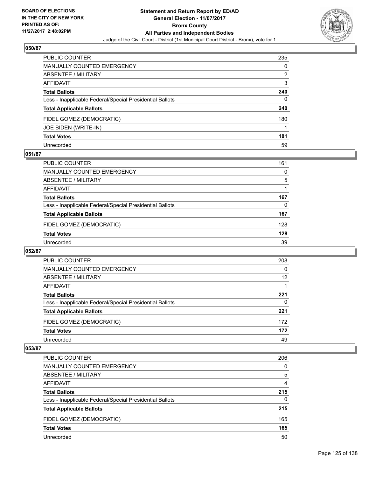

| PUBLIC COUNTER                                           | 235 |
|----------------------------------------------------------|-----|
| <b>MANUALLY COUNTED EMERGENCY</b>                        | 0   |
| <b>ABSENTEE / MILITARY</b>                               | 2   |
| AFFIDAVIT                                                | 3   |
| <b>Total Ballots</b>                                     | 240 |
| Less - Inapplicable Federal/Special Presidential Ballots | 0   |
| <b>Total Applicable Ballots</b>                          | 240 |
| FIDEL GOMEZ (DEMOCRATIC)                                 | 180 |
| JOE BIDEN (WRITE-IN)                                     |     |
| <b>Total Votes</b>                                       | 181 |
| Unrecorded                                               | 59  |

## **051/87**

| <b>PUBLIC COUNTER</b>                                    | 161 |
|----------------------------------------------------------|-----|
| <b>MANUALLY COUNTED EMERGENCY</b>                        | 0   |
| ABSENTEE / MILITARY                                      | 5   |
| AFFIDAVIT                                                |     |
| <b>Total Ballots</b>                                     | 167 |
| Less - Inapplicable Federal/Special Presidential Ballots | 0   |
| <b>Total Applicable Ballots</b>                          | 167 |
| FIDEL GOMEZ (DEMOCRATIC)                                 | 128 |
| <b>Total Votes</b>                                       | 128 |
| Unrecorded                                               | 39  |

#### **052/87**

| <b>PUBLIC COUNTER</b>                                    | 208 |
|----------------------------------------------------------|-----|
| <b>MANUALLY COUNTED EMERGENCY</b>                        | 0   |
| ABSENTEE / MILITARY                                      | 12  |
| AFFIDAVIT                                                |     |
| <b>Total Ballots</b>                                     | 221 |
| Less - Inapplicable Federal/Special Presidential Ballots | 0   |
| <b>Total Applicable Ballots</b>                          | 221 |
| FIDEL GOMEZ (DEMOCRATIC)                                 | 172 |
| <b>Total Votes</b>                                       | 172 |
| Unrecorded                                               | 49  |

| <b>PUBLIC COUNTER</b>                                    | 206 |
|----------------------------------------------------------|-----|
| <b>MANUALLY COUNTED EMERGENCY</b>                        | 0   |
| <b>ABSENTEE / MILITARY</b>                               | 5   |
| AFFIDAVIT                                                | 4   |
| <b>Total Ballots</b>                                     | 215 |
| Less - Inapplicable Federal/Special Presidential Ballots | 0   |
| <b>Total Applicable Ballots</b>                          | 215 |
| FIDEL GOMEZ (DEMOCRATIC)                                 | 165 |
| <b>Total Votes</b>                                       | 165 |
| Unrecorded                                               | 50  |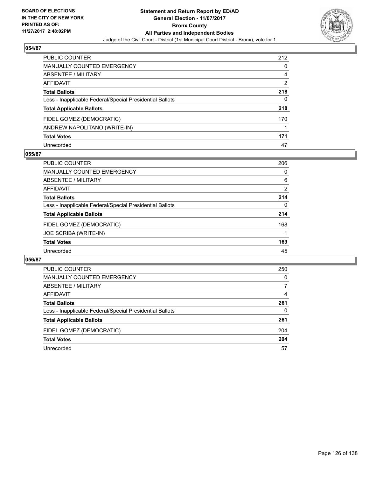

| <b>PUBLIC COUNTER</b>                                    | 212 |
|----------------------------------------------------------|-----|
| <b>MANUALLY COUNTED EMERGENCY</b>                        | 0   |
| ABSENTEE / MILITARY                                      | 4   |
| <b>AFFIDAVIT</b>                                         | 2   |
| <b>Total Ballots</b>                                     | 218 |
| Less - Inapplicable Federal/Special Presidential Ballots | 0   |
| <b>Total Applicable Ballots</b>                          | 218 |
| FIDEL GOMEZ (DEMOCRATIC)                                 | 170 |
| ANDREW NAPOLITANO (WRITE-IN)                             |     |
| <b>Total Votes</b>                                       | 171 |
| Unrecorded                                               | 47  |

## **055/87**

| PUBLIC COUNTER                                           | 206 |
|----------------------------------------------------------|-----|
| <b>MANUALLY COUNTED EMERGENCY</b>                        | 0   |
| ABSENTEE / MILITARY                                      | 6   |
| AFFIDAVIT                                                | 2   |
| <b>Total Ballots</b>                                     | 214 |
| Less - Inapplicable Federal/Special Presidential Ballots | 0   |
| <b>Total Applicable Ballots</b>                          | 214 |
| FIDEL GOMEZ (DEMOCRATIC)                                 | 168 |
| JOE SCRIBA (WRITE-IN)                                    |     |
| <b>Total Votes</b>                                       | 169 |
| Unrecorded                                               | 45  |

| PUBLIC COUNTER                                           | 250 |
|----------------------------------------------------------|-----|
| <b>MANUALLY COUNTED EMERGENCY</b>                        | 0   |
| ABSENTEE / MILITARY                                      |     |
| AFFIDAVIT                                                | 4   |
| <b>Total Ballots</b>                                     | 261 |
| Less - Inapplicable Federal/Special Presidential Ballots | 0   |
| <b>Total Applicable Ballots</b>                          | 261 |
| FIDEL GOMEZ (DEMOCRATIC)                                 | 204 |
| <b>Total Votes</b>                                       | 204 |
| Unrecorded                                               | 57  |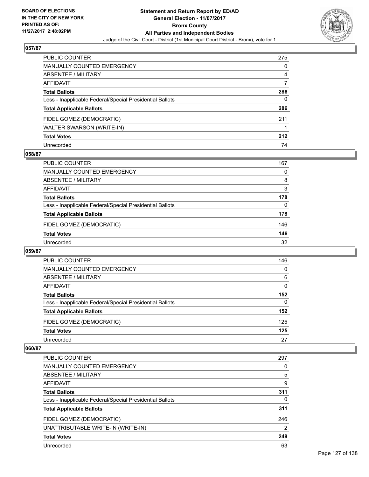

| PUBLIC COUNTER                                           | 275 |
|----------------------------------------------------------|-----|
| <b>MANUALLY COUNTED EMERGENCY</b>                        | 0   |
| ABSENTEE / MILITARY                                      | 4   |
| AFFIDAVIT                                                |     |
| <b>Total Ballots</b>                                     | 286 |
| Less - Inapplicable Federal/Special Presidential Ballots | 0   |
| <b>Total Applicable Ballots</b>                          | 286 |
| FIDEL GOMEZ (DEMOCRATIC)                                 | 211 |
| WALTER SWARSON (WRITE-IN)                                |     |
| <b>Total Votes</b>                                       | 212 |
| Unrecorded                                               | 74  |

## **058/87**

| <b>PUBLIC COUNTER</b>                                    | 167 |
|----------------------------------------------------------|-----|
| MANUALLY COUNTED EMERGENCY                               | 0   |
| ABSENTEE / MILITARY                                      | 8   |
| AFFIDAVIT                                                | 3   |
| <b>Total Ballots</b>                                     | 178 |
| Less - Inapplicable Federal/Special Presidential Ballots | 0   |
| <b>Total Applicable Ballots</b>                          | 178 |
| FIDEL GOMEZ (DEMOCRATIC)                                 | 146 |
| <b>Total Votes</b>                                       | 146 |
| Unrecorded                                               | 32  |

#### **059/87**

| PUBLIC COUNTER                                           | 146 |
|----------------------------------------------------------|-----|
| MANUALLY COUNTED EMERGENCY                               | 0   |
| <b>ABSENTEE / MILITARY</b>                               | 6   |
| AFFIDAVIT                                                | 0   |
| <b>Total Ballots</b>                                     | 152 |
| Less - Inapplicable Federal/Special Presidential Ballots | 0   |
| <b>Total Applicable Ballots</b>                          | 152 |
| FIDEL GOMEZ (DEMOCRATIC)                                 | 125 |
| <b>Total Votes</b>                                       | 125 |
| Unrecorded                                               | 27  |

| <b>PUBLIC COUNTER</b>                                    | 297 |
|----------------------------------------------------------|-----|
| <b>MANUALLY COUNTED EMERGENCY</b>                        | 0   |
| ABSENTEE / MILITARY                                      | 5   |
| AFFIDAVIT                                                | 9   |
| <b>Total Ballots</b>                                     | 311 |
| Less - Inapplicable Federal/Special Presidential Ballots | 0   |
| <b>Total Applicable Ballots</b>                          | 311 |
| FIDEL GOMEZ (DEMOCRATIC)                                 | 246 |
| UNATTRIBUTABLE WRITE-IN (WRITE-IN)                       | 2   |
| <b>Total Votes</b>                                       | 248 |
| Unrecorded                                               | 63  |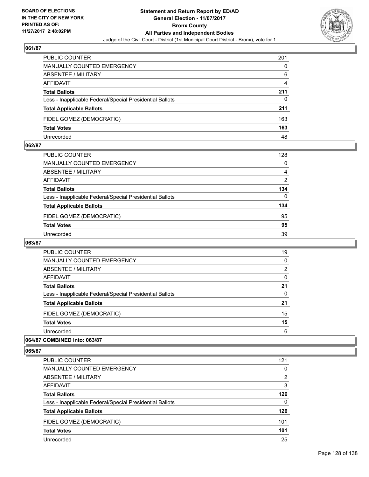

| <b>PUBLIC COUNTER</b>                                    | 201 |
|----------------------------------------------------------|-----|
| MANUALLY COUNTED EMERGENCY                               | 0   |
| ABSENTEE / MILITARY                                      | 6   |
| AFFIDAVIT                                                | 4   |
| <b>Total Ballots</b>                                     | 211 |
| Less - Inapplicable Federal/Special Presidential Ballots | 0   |
| <b>Total Applicable Ballots</b>                          | 211 |
| FIDEL GOMEZ (DEMOCRATIC)                                 | 163 |
| <b>Total Votes</b>                                       | 163 |
| Unrecorded                                               | 48  |

#### **062/87**

| PUBLIC COUNTER                                           | 128            |
|----------------------------------------------------------|----------------|
| <b>MANUALLY COUNTED EMERGENCY</b>                        | 0              |
| ABSENTEE / MILITARY                                      | 4              |
| <b>AFFIDAVIT</b>                                         | $\overline{2}$ |
| <b>Total Ballots</b>                                     | 134            |
| Less - Inapplicable Federal/Special Presidential Ballots | $\Omega$       |
| <b>Total Applicable Ballots</b>                          | 134            |
| FIDEL GOMEZ (DEMOCRATIC)                                 | 95             |
| <b>Total Votes</b>                                       | 95             |
| Unrecorded                                               | 39             |

## **063/87**

| <b>PUBLIC COUNTER</b>                                    | 19 |
|----------------------------------------------------------|----|
| MANUALLY COUNTED EMERGENCY                               | 0  |
| ABSENTEE / MILITARY                                      | 2  |
| AFFIDAVIT                                                | 0  |
| <b>Total Ballots</b>                                     | 21 |
| Less - Inapplicable Federal/Special Presidential Ballots | 0  |
| <b>Total Applicable Ballots</b>                          | 21 |
| FIDEL GOMEZ (DEMOCRATIC)                                 | 15 |
| <b>Total Votes</b>                                       | 15 |
| Unrecorded                                               | 6  |
|                                                          |    |

## **064/87 COMBINED into: 063/87**

| <b>PUBLIC COUNTER</b>                                    | 121 |
|----------------------------------------------------------|-----|
| <b>MANUALLY COUNTED EMERGENCY</b>                        | 0   |
| <b>ABSENTEE / MILITARY</b>                               | 2   |
| AFFIDAVIT                                                | 3   |
| <b>Total Ballots</b>                                     | 126 |
| Less - Inapplicable Federal/Special Presidential Ballots | 0   |
| <b>Total Applicable Ballots</b>                          | 126 |
| FIDEL GOMEZ (DEMOCRATIC)                                 | 101 |
| <b>Total Votes</b>                                       | 101 |
| Unrecorded                                               | 25  |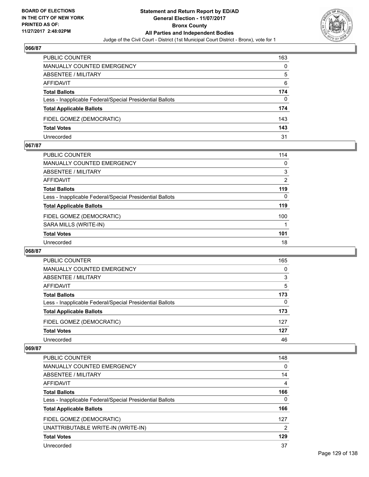

| <b>PUBLIC COUNTER</b>                                    | 163 |
|----------------------------------------------------------|-----|
| <b>MANUALLY COUNTED EMERGENCY</b>                        | 0   |
| ABSENTEE / MILITARY                                      | 5   |
| AFFIDAVIT                                                | 6   |
| <b>Total Ballots</b>                                     | 174 |
| Less - Inapplicable Federal/Special Presidential Ballots | 0   |
| <b>Total Applicable Ballots</b>                          | 174 |
| FIDEL GOMEZ (DEMOCRATIC)                                 | 143 |
| <b>Total Votes</b>                                       | 143 |
| Unrecorded                                               | 31  |

#### **067/87**

| PUBLIC COUNTER                                           | 114      |
|----------------------------------------------------------|----------|
| <b>MANUALLY COUNTED EMERGENCY</b>                        | 0        |
| ABSENTEE / MILITARY                                      | 3        |
| AFFIDAVIT                                                | 2        |
| <b>Total Ballots</b>                                     | 119      |
| Less - Inapplicable Federal/Special Presidential Ballots | $\Omega$ |
| <b>Total Applicable Ballots</b>                          | 119      |
| FIDEL GOMEZ (DEMOCRATIC)                                 | 100      |
| SARA MILLS (WRITE-IN)                                    |          |
| <b>Total Votes</b>                                       | 101      |
| Unrecorded                                               | 18       |
|                                                          |          |

#### **068/87**

| PUBLIC COUNTER                                           | 165      |
|----------------------------------------------------------|----------|
| <b>MANUALLY COUNTED EMERGENCY</b>                        | 0        |
| <b>ABSENTEE / MILITARY</b>                               | 3        |
| AFFIDAVIT                                                | 5        |
| <b>Total Ballots</b>                                     | 173      |
| Less - Inapplicable Federal/Special Presidential Ballots | $\Omega$ |
| <b>Total Applicable Ballots</b>                          | 173      |
| FIDEL GOMEZ (DEMOCRATIC)                                 | 127      |
| <b>Total Votes</b>                                       | 127      |
| Unrecorded                                               | 46       |

| <b>PUBLIC COUNTER</b>                                    | 148 |
|----------------------------------------------------------|-----|
| MANUALLY COUNTED EMERGENCY                               | 0   |
| ABSENTEE / MILITARY                                      | 14  |
| AFFIDAVIT                                                | 4   |
| <b>Total Ballots</b>                                     | 166 |
| Less - Inapplicable Federal/Special Presidential Ballots | 0   |
| <b>Total Applicable Ballots</b>                          | 166 |
| FIDEL GOMEZ (DEMOCRATIC)                                 | 127 |
| UNATTRIBUTABLE WRITE-IN (WRITE-IN)                       | 2   |
| <b>Total Votes</b>                                       | 129 |
| Unrecorded                                               | 37  |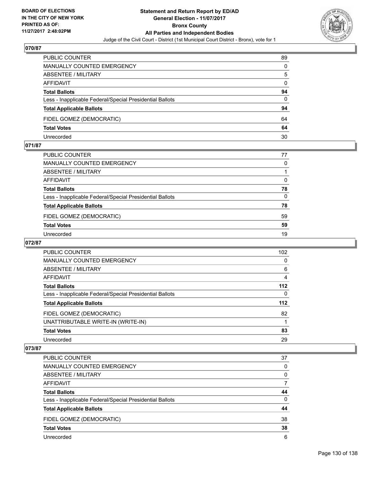

| PUBLIC COUNTER                                           | 89 |
|----------------------------------------------------------|----|
| <b>MANUALLY COUNTED EMERGENCY</b>                        | 0  |
| <b>ABSENTEE / MILITARY</b>                               | 5  |
| AFFIDAVIT                                                | 0  |
| <b>Total Ballots</b>                                     | 94 |
| Less - Inapplicable Federal/Special Presidential Ballots | 0  |
| <b>Total Applicable Ballots</b>                          | 94 |
| FIDEL GOMEZ (DEMOCRATIC)                                 | 64 |
| <b>Total Votes</b>                                       | 64 |
| Unrecorded                                               | 30 |

#### **071/87**

| PUBLIC COUNTER                                           | 77       |
|----------------------------------------------------------|----------|
| <b>MANUALLY COUNTED EMERGENCY</b>                        | $\Omega$ |
| <b>ABSENTEE / MILITARY</b>                               |          |
| <b>AFFIDAVIT</b>                                         | $\Omega$ |
| <b>Total Ballots</b>                                     | 78       |
| Less - Inapplicable Federal/Special Presidential Ballots | $\Omega$ |
| <b>Total Applicable Ballots</b>                          | 78       |
| FIDEL GOMEZ (DEMOCRATIC)                                 | 59       |
| <b>Total Votes</b>                                       | 59       |
| Unrecorded                                               | 19       |
|                                                          |          |

## **072/87**

| <b>PUBLIC COUNTER</b>                                    | 102   |
|----------------------------------------------------------|-------|
| MANUALLY COUNTED EMERGENCY                               | 0     |
| ABSENTEE / MILITARY                                      | 6     |
| AFFIDAVIT                                                | 4     |
| <b>Total Ballots</b>                                     | $112$ |
| Less - Inapplicable Federal/Special Presidential Ballots | 0     |
| <b>Total Applicable Ballots</b>                          | $112$ |
| FIDEL GOMEZ (DEMOCRATIC)                                 | 82    |
| UNATTRIBUTABLE WRITE-IN (WRITE-IN)                       |       |
| <b>Total Votes</b>                                       | 83    |
| Unrecorded                                               | 29    |

| <b>PUBLIC COUNTER</b>                                    | 37       |
|----------------------------------------------------------|----------|
| <b>MANUALLY COUNTED EMERGENCY</b>                        | 0        |
| ABSENTEE / MILITARY                                      | 0        |
| AFFIDAVIT                                                | 7        |
| <b>Total Ballots</b>                                     | 44       |
| Less - Inapplicable Federal/Special Presidential Ballots | $\Omega$ |
| <b>Total Applicable Ballots</b>                          | 44       |
| FIDEL GOMEZ (DEMOCRATIC)                                 | 38       |
| <b>Total Votes</b>                                       | 38       |
| Unrecorded                                               | 6        |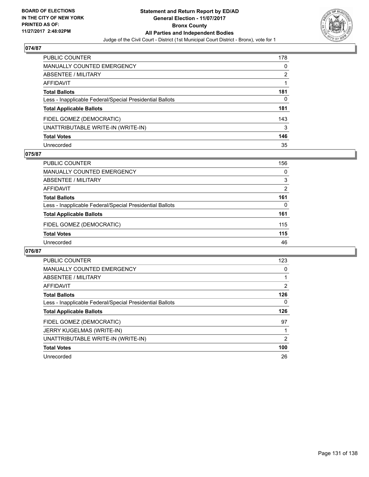

| <b>PUBLIC COUNTER</b>                                    | 178 |
|----------------------------------------------------------|-----|
| <b>MANUALLY COUNTED EMERGENCY</b>                        | 0   |
| <b>ABSENTEE / MILITARY</b>                               | 2   |
| <b>AFFIDAVIT</b>                                         |     |
| <b>Total Ballots</b>                                     | 181 |
| Less - Inapplicable Federal/Special Presidential Ballots | 0   |
| <b>Total Applicable Ballots</b>                          | 181 |
| FIDEL GOMEZ (DEMOCRATIC)                                 | 143 |
| UNATTRIBUTABLE WRITE-IN (WRITE-IN)                       | 3   |
| <b>Total Votes</b>                                       | 146 |
| Unrecorded                                               | 35  |

### **075/87**

| <b>PUBLIC COUNTER</b>                                    | 156            |
|----------------------------------------------------------|----------------|
| MANUALLY COUNTED EMERGENCY                               | 0              |
| ABSENTEE / MILITARY                                      | 3              |
| AFFIDAVIT                                                | $\overline{2}$ |
| <b>Total Ballots</b>                                     | 161            |
| Less - Inapplicable Federal/Special Presidential Ballots | 0              |
| <b>Total Applicable Ballots</b>                          | 161            |
| FIDEL GOMEZ (DEMOCRATIC)                                 | 115            |
| <b>Total Votes</b>                                       | 115            |
| Unrecorded                                               | 46             |

| <b>PUBLIC COUNTER</b>                                    | 123 |
|----------------------------------------------------------|-----|
| <b>MANUALLY COUNTED EMERGENCY</b>                        | 0   |
| ABSENTEE / MILITARY                                      |     |
| AFFIDAVIT                                                | 2   |
| <b>Total Ballots</b>                                     | 126 |
| Less - Inapplicable Federal/Special Presidential Ballots | 0   |
| <b>Total Applicable Ballots</b>                          | 126 |
| FIDEL GOMEZ (DEMOCRATIC)                                 | 97  |
| <b>JERRY KUGELMAS (WRITE-IN)</b>                         |     |
| UNATTRIBUTABLE WRITE-IN (WRITE-IN)                       | 2   |
| <b>Total Votes</b>                                       | 100 |
| Unrecorded                                               | 26  |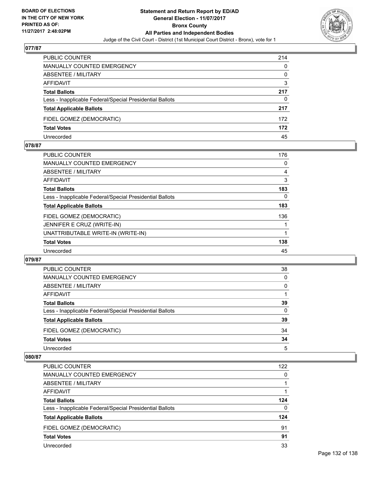

| PUBLIC COUNTER                                           | 214 |
|----------------------------------------------------------|-----|
| <b>MANUALLY COUNTED EMERGENCY</b>                        | 0   |
| ABSENTEE / MILITARY                                      | 0   |
| <b>AFFIDAVIT</b>                                         | 3   |
| <b>Total Ballots</b>                                     | 217 |
| Less - Inapplicable Federal/Special Presidential Ballots | 0   |
| <b>Total Applicable Ballots</b>                          | 217 |
| FIDEL GOMEZ (DEMOCRATIC)                                 | 172 |
| <b>Total Votes</b>                                       | 172 |
| Unrecorded                                               | 45  |

#### **078/87**

| PUBLIC COUNTER                                           | 176 |
|----------------------------------------------------------|-----|
| <b>MANUALLY COUNTED EMERGENCY</b>                        | 0   |
| ABSENTEE / MILITARY                                      | 4   |
| AFFIDAVIT                                                | 3   |
| <b>Total Ballots</b>                                     | 183 |
| Less - Inapplicable Federal/Special Presidential Ballots | 0   |
| <b>Total Applicable Ballots</b>                          | 183 |
| FIDEL GOMEZ (DEMOCRATIC)                                 | 136 |
| JENNIFER E CRUZ (WRITE-IN)                               |     |
| UNATTRIBUTABLE WRITE-IN (WRITE-IN)                       |     |
| <b>Total Votes</b>                                       | 138 |
| Unrecorded                                               | 45  |

#### **079/87**

| PUBLIC COUNTER                                           | 38 |
|----------------------------------------------------------|----|
| <b>MANUALLY COUNTED EMERGENCY</b>                        | 0  |
| ABSENTEE / MILITARY                                      | 0  |
| AFFIDAVIT                                                |    |
| <b>Total Ballots</b>                                     | 39 |
| Less - Inapplicable Federal/Special Presidential Ballots | 0  |
| <b>Total Applicable Ballots</b>                          | 39 |
| FIDEL GOMEZ (DEMOCRATIC)                                 | 34 |
| <b>Total Votes</b>                                       | 34 |
| Unrecorded                                               | 5  |

| <b>PUBLIC COUNTER</b>                                    | 122 |
|----------------------------------------------------------|-----|
| MANUALLY COUNTED EMERGENCY                               | 0   |
| ABSENTEE / MILITARY                                      |     |
| AFFIDAVIT                                                |     |
| <b>Total Ballots</b>                                     | 124 |
| Less - Inapplicable Federal/Special Presidential Ballots | 0   |
| <b>Total Applicable Ballots</b>                          | 124 |
| FIDEL GOMEZ (DEMOCRATIC)                                 | 91  |
| <b>Total Votes</b>                                       | 91  |
| Unrecorded                                               | 33  |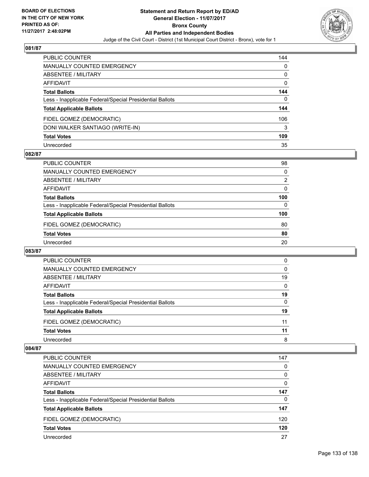

| <b>PUBLIC COUNTER</b>                                    | 144 |
|----------------------------------------------------------|-----|
| <b>MANUALLY COUNTED EMERGENCY</b>                        | 0   |
| ABSENTEE / MILITARY                                      | 0   |
| <b>AFFIDAVIT</b>                                         | 0   |
| <b>Total Ballots</b>                                     | 144 |
| Less - Inapplicable Federal/Special Presidential Ballots | 0   |
| <b>Total Applicable Ballots</b>                          | 144 |
| FIDEL GOMEZ (DEMOCRATIC)                                 | 106 |
| DONI WALKER SANTIAGO (WRITE-IN)                          | 3   |
| <b>Total Votes</b>                                       | 109 |
| Unrecorded                                               | 35  |

## **082/87**

| <b>PUBLIC COUNTER</b>                                    | 98             |
|----------------------------------------------------------|----------------|
| MANUALLY COUNTED EMERGENCY                               | 0              |
| ABSENTEE / MILITARY                                      | $\overline{2}$ |
| AFFIDAVIT                                                | 0              |
| <b>Total Ballots</b>                                     | 100            |
| Less - Inapplicable Federal/Special Presidential Ballots | 0              |
| <b>Total Applicable Ballots</b>                          | 100            |
| FIDEL GOMEZ (DEMOCRATIC)                                 | 80             |
| <b>Total Votes</b>                                       | 80             |
| Unrecorded                                               | 20             |

#### **083/87**

| <b>PUBLIC COUNTER</b>                                    | 0        |
|----------------------------------------------------------|----------|
| <b>MANUALLY COUNTED EMERGENCY</b>                        | $\Omega$ |
| ABSENTEE / MILITARY                                      | 19       |
| AFFIDAVIT                                                | 0        |
| <b>Total Ballots</b>                                     | 19       |
| Less - Inapplicable Federal/Special Presidential Ballots | $\Omega$ |
| <b>Total Applicable Ballots</b>                          | 19       |
| FIDEL GOMEZ (DEMOCRATIC)                                 | 11       |
| <b>Total Votes</b>                                       | 11       |
| Unrecorded                                               | 8        |

| <b>PUBLIC COUNTER</b>                                    | 147      |
|----------------------------------------------------------|----------|
| <b>MANUALLY COUNTED EMERGENCY</b>                        | 0        |
| ABSENTEE / MILITARY                                      | 0        |
| AFFIDAVIT                                                | 0        |
| <b>Total Ballots</b>                                     | 147      |
| Less - Inapplicable Federal/Special Presidential Ballots | $\Omega$ |
| <b>Total Applicable Ballots</b>                          | 147      |
| FIDEL GOMEZ (DEMOCRATIC)                                 | 120      |
| <b>Total Votes</b>                                       | 120      |
| Unrecorded                                               | 27       |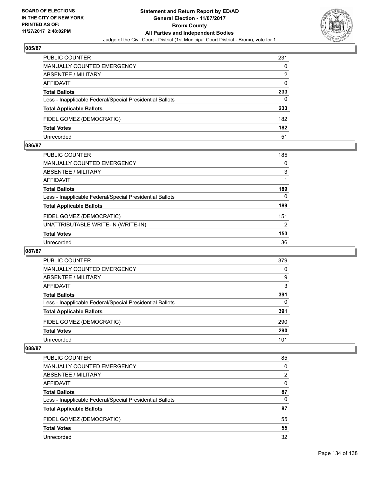

| PUBLIC COUNTER                                           | 231      |
|----------------------------------------------------------|----------|
| MANUALLY COUNTED EMERGENCY                               | 0        |
| <b>ABSENTEE / MILITARY</b>                               | 2        |
| AFFIDAVIT                                                | $\Omega$ |
| <b>Total Ballots</b>                                     | 233      |
| Less - Inapplicable Federal/Special Presidential Ballots | 0        |
| <b>Total Applicable Ballots</b>                          | 233      |
| FIDEL GOMEZ (DEMOCRATIC)                                 | 182      |
| <b>Total Votes</b>                                       | 182      |
| Unrecorded                                               | 51       |

#### **086/87**

| <b>PUBLIC COUNTER</b>                                    | 185            |
|----------------------------------------------------------|----------------|
| <b>MANUALLY COUNTED EMERGENCY</b>                        | 0              |
| <b>ABSENTEE / MILITARY</b>                               | 3              |
| <b>AFFIDAVIT</b>                                         |                |
| <b>Total Ballots</b>                                     | 189            |
| Less - Inapplicable Federal/Special Presidential Ballots | $\Omega$       |
| <b>Total Applicable Ballots</b>                          | 189            |
| FIDEL GOMEZ (DEMOCRATIC)                                 | 151            |
| UNATTRIBUTABLE WRITE-IN (WRITE-IN)                       | $\overline{2}$ |
| <b>Total Votes</b>                                       | 153            |
| Unrecorded                                               | 36             |
|                                                          |                |

#### **087/87**

| PUBLIC COUNTER                                           | 379 |
|----------------------------------------------------------|-----|
| <b>MANUALLY COUNTED EMERGENCY</b>                        | 0   |
| ABSENTEE / MILITARY                                      | 9   |
| AFFIDAVIT                                                | 3   |
| <b>Total Ballots</b>                                     | 391 |
| Less - Inapplicable Federal/Special Presidential Ballots | 0   |
| <b>Total Applicable Ballots</b>                          | 391 |
| FIDEL GOMEZ (DEMOCRATIC)                                 | 290 |
| <b>Total Votes</b>                                       | 290 |
| Unrecorded                                               | 101 |

| <b>PUBLIC COUNTER</b>                                    | 85 |
|----------------------------------------------------------|----|
| MANUALLY COUNTED EMERGENCY                               | 0  |
| ABSENTEE / MILITARY                                      | 2  |
| AFFIDAVIT                                                | 0  |
| <b>Total Ballots</b>                                     | 87 |
| Less - Inapplicable Federal/Special Presidential Ballots | 0  |
| <b>Total Applicable Ballots</b>                          | 87 |
| FIDEL GOMEZ (DEMOCRATIC)                                 | 55 |
| <b>Total Votes</b>                                       | 55 |
| Unrecorded                                               | 32 |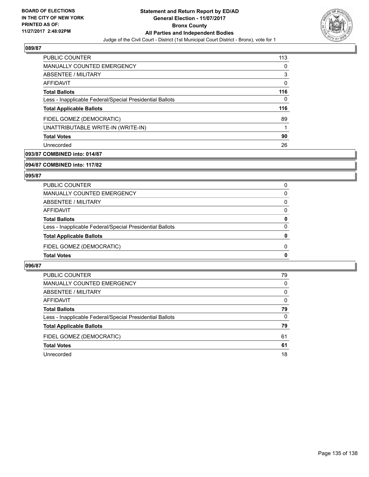

| <b>PUBLIC COUNTER</b>                                    | 113 |
|----------------------------------------------------------|-----|
| <b>MANUALLY COUNTED EMERGENCY</b>                        | 0   |
| ABSENTEE / MILITARY                                      | 3   |
| AFFIDAVIT                                                | 0   |
| <b>Total Ballots</b>                                     | 116 |
| Less - Inapplicable Federal/Special Presidential Ballots | 0   |
| <b>Total Applicable Ballots</b>                          | 116 |
| FIDEL GOMEZ (DEMOCRATIC)                                 | 89  |
| UNATTRIBUTABLE WRITE-IN (WRITE-IN)                       |     |
| <b>Total Votes</b>                                       | 90  |
| Unrecorded                                               | 26  |

## **093/87 COMBINED into: 014/87**

**094/87 COMBINED into: 117/82**

## **095/87**

| PUBLIC COUNTER                                           | 0        |
|----------------------------------------------------------|----------|
| MANUALLY COUNTED EMERGENCY                               | 0        |
| ABSENTEE / MILITARY                                      | $\Omega$ |
| AFFIDAVIT                                                | 0        |
| <b>Total Ballots</b>                                     | 0        |
| Less - Inapplicable Federal/Special Presidential Ballots | $\Omega$ |
| <b>Total Applicable Ballots</b>                          | 0        |
| FIDEL GOMEZ (DEMOCRATIC)                                 | 0        |
| <b>Total Votes</b>                                       | 0        |

| <b>PUBLIC COUNTER</b>                                    | 79 |
|----------------------------------------------------------|----|
| MANUALLY COUNTED EMERGENCY                               | 0  |
| ABSENTEE / MILITARY                                      | 0  |
| AFFIDAVIT                                                | 0  |
| <b>Total Ballots</b>                                     | 79 |
| Less - Inapplicable Federal/Special Presidential Ballots | 0  |
| <b>Total Applicable Ballots</b>                          | 79 |
| FIDEL GOMEZ (DEMOCRATIC)                                 | 61 |
| <b>Total Votes</b>                                       | 61 |
| Unrecorded                                               | 18 |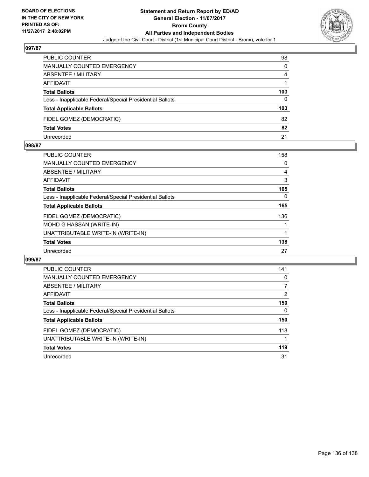

| PUBLIC COUNTER                                           | 98  |
|----------------------------------------------------------|-----|
| <b>MANUALLY COUNTED EMERGENCY</b>                        | 0   |
| <b>ABSENTEE / MILITARY</b>                               | 4   |
| AFFIDAVIT                                                |     |
| <b>Total Ballots</b>                                     | 103 |
| Less - Inapplicable Federal/Special Presidential Ballots | 0   |
| <b>Total Applicable Ballots</b>                          | 103 |
| FIDEL GOMEZ (DEMOCRATIC)                                 | 82  |
| <b>Total Votes</b>                                       | 82  |
| Unrecorded                                               | 21  |

#### **098/87**

| 158 |
|-----|
| 0   |
| 4   |
| 3   |
| 165 |
| 0   |
| 165 |
| 136 |
|     |
|     |
| 138 |
| 27  |
|     |

| <b>PUBLIC COUNTER</b>                                    | 141 |
|----------------------------------------------------------|-----|
| MANUALLY COUNTED EMERGENCY                               | 0   |
| ABSENTEE / MILITARY                                      | 7   |
| AFFIDAVIT                                                | 2   |
| <b>Total Ballots</b>                                     | 150 |
| Less - Inapplicable Federal/Special Presidential Ballots | 0   |
| <b>Total Applicable Ballots</b>                          | 150 |
| FIDEL GOMEZ (DEMOCRATIC)                                 | 118 |
| UNATTRIBUTABLE WRITE-IN (WRITE-IN)                       |     |
| <b>Total Votes</b>                                       | 119 |
| Unrecorded                                               | 31  |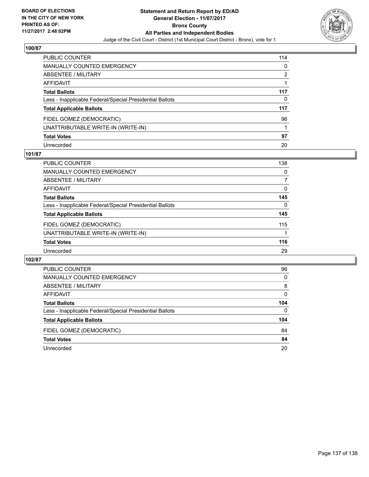

| PUBLIC COUNTER                                           | 114 |
|----------------------------------------------------------|-----|
| <b>MANUALLY COUNTED EMERGENCY</b>                        | 0   |
| <b>ABSENTEE / MILITARY</b>                               | 2   |
| AFFIDAVIT                                                |     |
| <b>Total Ballots</b>                                     | 117 |
| Less - Inapplicable Federal/Special Presidential Ballots | 0   |
| <b>Total Applicable Ballots</b>                          | 117 |
| FIDEL GOMEZ (DEMOCRATIC)                                 | 96  |
| UNATTRIBUTABLE WRITE-IN (WRITE-IN)                       |     |
| <b>Total Votes</b>                                       | 97  |
| Unrecorded                                               | 20  |

## **101/87**

| <b>PUBLIC COUNTER</b>                                    | 138 |
|----------------------------------------------------------|-----|
| MANUALLY COUNTED EMERGENCY                               | 0   |
| ABSENTEE / MILITARY                                      | 7   |
| AFFIDAVIT                                                | 0   |
| <b>Total Ballots</b>                                     | 145 |
| Less - Inapplicable Federal/Special Presidential Ballots | 0   |
| <b>Total Applicable Ballots</b>                          | 145 |
| FIDEL GOMEZ (DEMOCRATIC)                                 | 115 |
| UNATTRIBUTABLE WRITE-IN (WRITE-IN)                       |     |
| <b>Total Votes</b>                                       | 116 |
| Unrecorded                                               | 29  |

| <b>PUBLIC COUNTER</b>                                    | 96       |
|----------------------------------------------------------|----------|
| <b>MANUALLY COUNTED EMERGENCY</b>                        | 0        |
| <b>ABSENTEE / MILITARY</b>                               | 8        |
| AFFIDAVIT                                                | 0        |
| <b>Total Ballots</b>                                     | 104      |
| Less - Inapplicable Federal/Special Presidential Ballots | $\Omega$ |
| <b>Total Applicable Ballots</b>                          | 104      |
| FIDEL GOMEZ (DEMOCRATIC)                                 | 84       |
| <b>Total Votes</b>                                       | 84       |
| Unrecorded                                               | 20       |